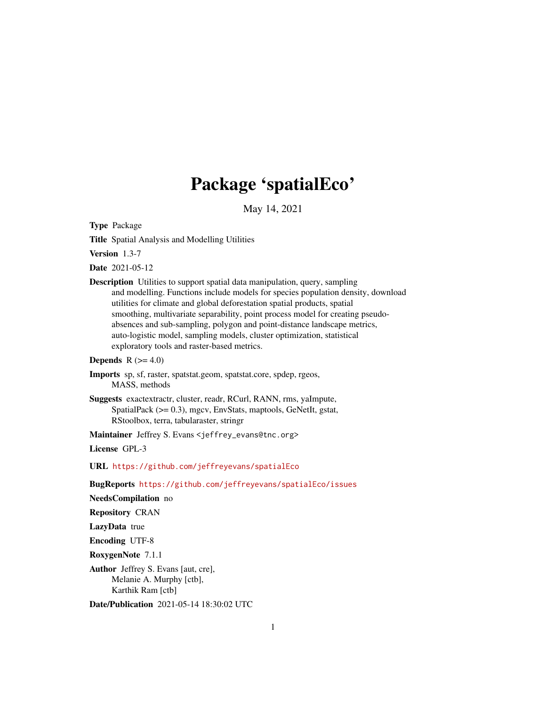# Package 'spatialEco'

May 14, 2021

<span id="page-0-0"></span>Type Package

Title Spatial Analysis and Modelling Utilities

Version 1.3-7

Date 2021-05-12

Description Utilities to support spatial data manipulation, query, sampling and modelling. Functions include models for species population density, download utilities for climate and global deforestation spatial products, spatial smoothing, multivariate separability, point process model for creating pseudoabsences and sub-sampling, polygon and point-distance landscape metrics, auto-logistic model, sampling models, cluster optimization, statistical exploratory tools and raster-based metrics.

### **Depends**  $R$  ( $>= 4.0$ )

- Imports sp, sf, raster, spatstat.geom, spatstat.core, spdep, rgeos, MASS, methods
- Suggests exactextractr, cluster, readr, RCurl, RANN, rms, yaImpute, SpatialPack (>= 0.3), mgcv, EnvStats, maptools, GeNetIt, gstat, RStoolbox, terra, tabularaster, stringr

Maintainer Jeffrey S. Evans <jeffrey\_evans@tnc.org>

License GPL-3

URL <https://github.com/jeffreyevans/spatialEco>

BugReports <https://github.com/jeffreyevans/spatialEco/issues>

NeedsCompilation no

Repository CRAN

LazyData true

Encoding UTF-8

RoxygenNote 7.1.1

Author Jeffrey S. Evans [aut, cre], Melanie A. Murphy [ctb], Karthik Ram [ctb]

Date/Publication 2021-05-14 18:30:02 UTC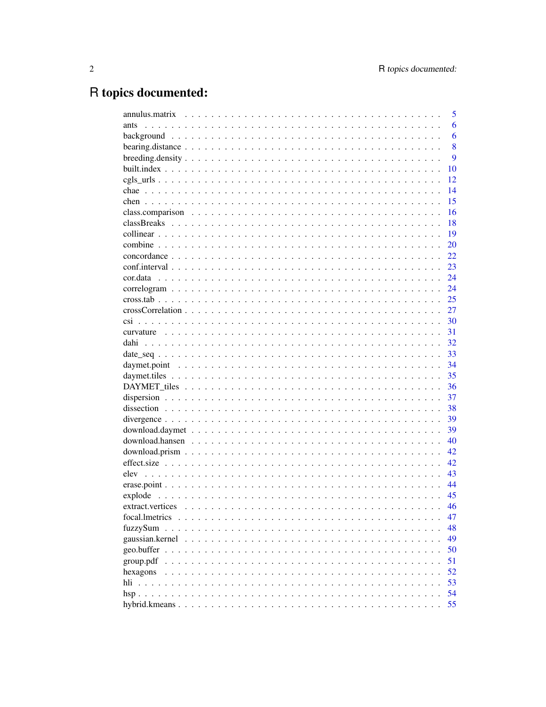## R topics documented:

|                                                                                                                          |  |  |  |  |  |  |  |  |  |  |  |  |  | 5   |
|--------------------------------------------------------------------------------------------------------------------------|--|--|--|--|--|--|--|--|--|--|--|--|--|-----|
| ants                                                                                                                     |  |  |  |  |  |  |  |  |  |  |  |  |  | 6   |
|                                                                                                                          |  |  |  |  |  |  |  |  |  |  |  |  |  | 6   |
|                                                                                                                          |  |  |  |  |  |  |  |  |  |  |  |  |  | 8   |
| $breeding.density \dots \dots \dots \dots \dots \dots \dots \dots \dots \dots \dots \dots \dots \dots \dots \dots \dots$ |  |  |  |  |  |  |  |  |  |  |  |  |  | 9   |
|                                                                                                                          |  |  |  |  |  |  |  |  |  |  |  |  |  | 10  |
|                                                                                                                          |  |  |  |  |  |  |  |  |  |  |  |  |  | 12  |
|                                                                                                                          |  |  |  |  |  |  |  |  |  |  |  |  |  | 14  |
|                                                                                                                          |  |  |  |  |  |  |  |  |  |  |  |  |  | 15  |
|                                                                                                                          |  |  |  |  |  |  |  |  |  |  |  |  |  | 16  |
|                                                                                                                          |  |  |  |  |  |  |  |  |  |  |  |  |  | 18  |
|                                                                                                                          |  |  |  |  |  |  |  |  |  |  |  |  |  | 19  |
|                                                                                                                          |  |  |  |  |  |  |  |  |  |  |  |  |  | 20  |
|                                                                                                                          |  |  |  |  |  |  |  |  |  |  |  |  |  | 22  |
|                                                                                                                          |  |  |  |  |  |  |  |  |  |  |  |  |  | 23  |
|                                                                                                                          |  |  |  |  |  |  |  |  |  |  |  |  |  | 24  |
|                                                                                                                          |  |  |  |  |  |  |  |  |  |  |  |  |  | 24  |
|                                                                                                                          |  |  |  |  |  |  |  |  |  |  |  |  |  | 25  |
|                                                                                                                          |  |  |  |  |  |  |  |  |  |  |  |  |  | 27  |
|                                                                                                                          |  |  |  |  |  |  |  |  |  |  |  |  |  | 30  |
|                                                                                                                          |  |  |  |  |  |  |  |  |  |  |  |  |  | 31  |
|                                                                                                                          |  |  |  |  |  |  |  |  |  |  |  |  |  | 32  |
|                                                                                                                          |  |  |  |  |  |  |  |  |  |  |  |  |  | 33  |
|                                                                                                                          |  |  |  |  |  |  |  |  |  |  |  |  |  | 34  |
|                                                                                                                          |  |  |  |  |  |  |  |  |  |  |  |  |  | 35  |
|                                                                                                                          |  |  |  |  |  |  |  |  |  |  |  |  |  | 36  |
|                                                                                                                          |  |  |  |  |  |  |  |  |  |  |  |  |  | 37  |
|                                                                                                                          |  |  |  |  |  |  |  |  |  |  |  |  |  | 38  |
|                                                                                                                          |  |  |  |  |  |  |  |  |  |  |  |  |  | 39  |
|                                                                                                                          |  |  |  |  |  |  |  |  |  |  |  |  |  | 39  |
|                                                                                                                          |  |  |  |  |  |  |  |  |  |  |  |  |  | 40  |
|                                                                                                                          |  |  |  |  |  |  |  |  |  |  |  |  |  | 42. |
|                                                                                                                          |  |  |  |  |  |  |  |  |  |  |  |  |  | 42  |
|                                                                                                                          |  |  |  |  |  |  |  |  |  |  |  |  |  | 43  |
|                                                                                                                          |  |  |  |  |  |  |  |  |  |  |  |  |  | 44  |
|                                                                                                                          |  |  |  |  |  |  |  |  |  |  |  |  |  | 45  |
|                                                                                                                          |  |  |  |  |  |  |  |  |  |  |  |  |  | 46  |
| $extract. vertices \dots \dots \dots \dots \dots \dots \dots \dots \dots \dots \dots \dots \dots \dots \dots \dots$      |  |  |  |  |  |  |  |  |  |  |  |  |  |     |
|                                                                                                                          |  |  |  |  |  |  |  |  |  |  |  |  |  | 47  |
| fuzzySum                                                                                                                 |  |  |  |  |  |  |  |  |  |  |  |  |  | 48  |
|                                                                                                                          |  |  |  |  |  |  |  |  |  |  |  |  |  | 49  |
|                                                                                                                          |  |  |  |  |  |  |  |  |  |  |  |  |  | 50  |
| group.pdf                                                                                                                |  |  |  |  |  |  |  |  |  |  |  |  |  | 51  |
| hexagons                                                                                                                 |  |  |  |  |  |  |  |  |  |  |  |  |  | 52  |
|                                                                                                                          |  |  |  |  |  |  |  |  |  |  |  |  |  | 53  |
|                                                                                                                          |  |  |  |  |  |  |  |  |  |  |  |  |  | 54  |
|                                                                                                                          |  |  |  |  |  |  |  |  |  |  |  |  |  | 55  |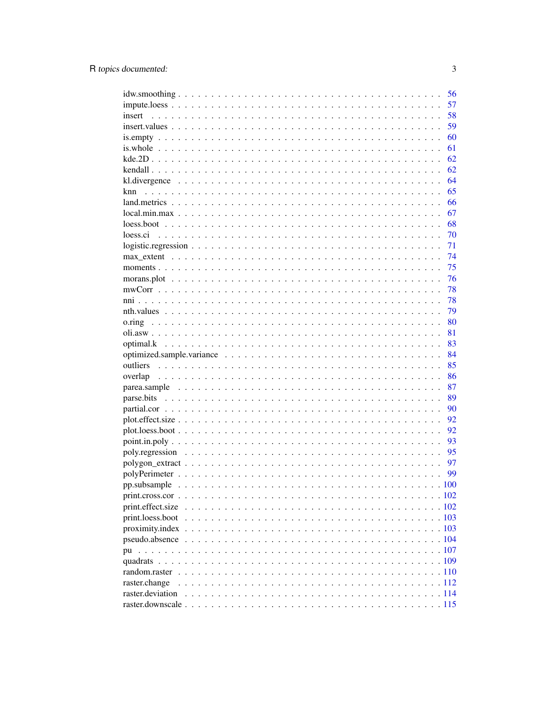|                                                                                                    | 56 |
|----------------------------------------------------------------------------------------------------|----|
|                                                                                                    | 57 |
| insert                                                                                             | 58 |
|                                                                                                    | 59 |
|                                                                                                    | 60 |
|                                                                                                    | 61 |
|                                                                                                    | 62 |
|                                                                                                    | 62 |
|                                                                                                    | 64 |
| knn                                                                                                | 65 |
|                                                                                                    | 66 |
|                                                                                                    | 67 |
|                                                                                                    | 68 |
| loess.ci                                                                                           | 70 |
| $logistic regression \ldots \ldots \ldots \ldots \ldots \ldots \ldots \ldots \ldots \ldots \ldots$ | 71 |
|                                                                                                    | 74 |
|                                                                                                    | 75 |
|                                                                                                    | 76 |
|                                                                                                    | 78 |
|                                                                                                    | 78 |
|                                                                                                    | 79 |
|                                                                                                    | 80 |
|                                                                                                    | 81 |
|                                                                                                    | 83 |
|                                                                                                    | 84 |
|                                                                                                    | 85 |
|                                                                                                    |    |
|                                                                                                    | 86 |
| overlap                                                                                            | 87 |
|                                                                                                    | 89 |
|                                                                                                    | 90 |
|                                                                                                    | 92 |
|                                                                                                    | 92 |
|                                                                                                    | 93 |
|                                                                                                    | 95 |
|                                                                                                    | 97 |
|                                                                                                    | 99 |
|                                                                                                    |    |
|                                                                                                    |    |
|                                                                                                    |    |
| print.effect.size                                                                                  |    |
| print.loess.boot                                                                                   |    |
|                                                                                                    |    |
| pu                                                                                                 |    |
|                                                                                                    |    |
|                                                                                                    |    |
| raster.change                                                                                      |    |
| raster.deviation                                                                                   |    |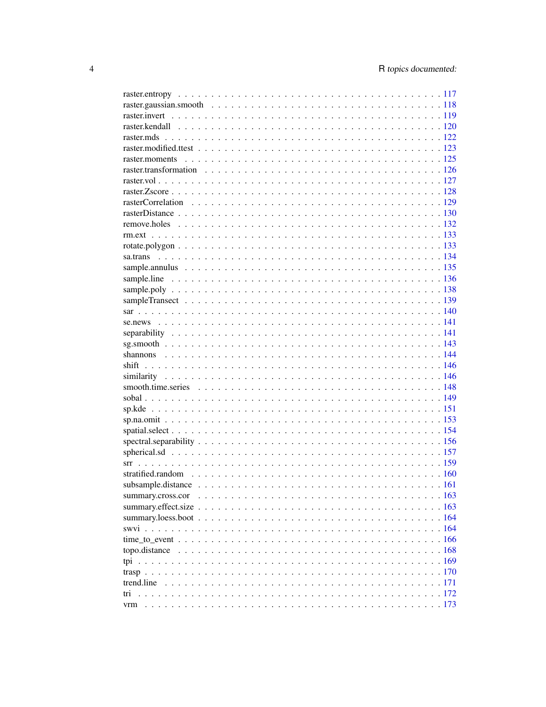| trend.line |  |  |  |  |  |  |  |  |  |  |  |  |     |
|------------|--|--|--|--|--|--|--|--|--|--|--|--|-----|
| tri        |  |  |  |  |  |  |  |  |  |  |  |  |     |
| vrm        |  |  |  |  |  |  |  |  |  |  |  |  | 173 |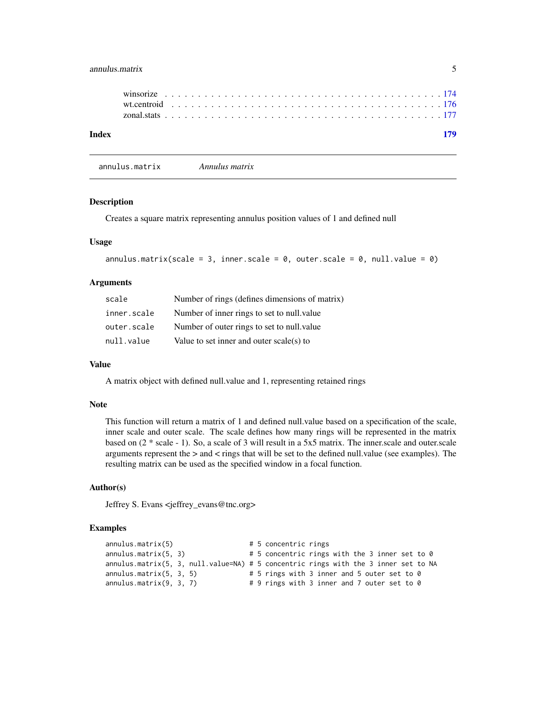### <span id="page-4-0"></span>annulus.matrix 5

| Index |  |  |  |  |  |  |  |  |  |  |  |  |  |  |  |  |  |  |  |  | 170 |  |
|-------|--|--|--|--|--|--|--|--|--|--|--|--|--|--|--|--|--|--|--|--|-----|--|
|       |  |  |  |  |  |  |  |  |  |  |  |  |  |  |  |  |  |  |  |  |     |  |

#### annulus.matrix *Annulus matrix*

#### Description

Creates a square matrix representing annulus position values of 1 and defined null

#### Usage

```
annulus.matrix(scale = 3, inner.scale = 0, outer.scale = 0, null.value = 0)
```
#### Arguments

| scale       | Number of rings (defines dimensions of matrix) |
|-------------|------------------------------------------------|
| inner.scale | Number of inner rings to set to null value     |
| outer.scale | Number of outer rings to set to null value     |
| null.value  | Value to set inner and outer scale(s) to       |

### Value

A matrix object with defined null.value and 1, representing retained rings

### Note

This function will return a matrix of 1 and defined null.value based on a specification of the scale, inner scale and outer scale. The scale defines how many rings will be represented in the matrix based on (2 \* scale - 1). So, a scale of 3 will result in a 5x5 matrix. The inner.scale and outer.scale arguments represent the  $>$  and  $<$  rings that will be set to the defined null.value (see examples). The resulting matrix can be used as the specified window in a focal function.

#### Author(s)

Jeffrey S. Evans <jeffrey\_evans@tnc.org>

```
annulus.matrix(5) # 5 concentric rings
annulus.matrix(5, 3) \qquad # 5 concentric rings with the 3 inner set to 0
annulus.matrix(5, 3, null.value=NA) # 5 concentric rings with the 3 inner set to NA
annulus.matrix(5, 3, 5) # 5 rings with 3 inner and 5 outer set to 0
annulus.matrix(9, 3, 7) \qquad # 9 rings with 3 inner and 7 outer set to 0
```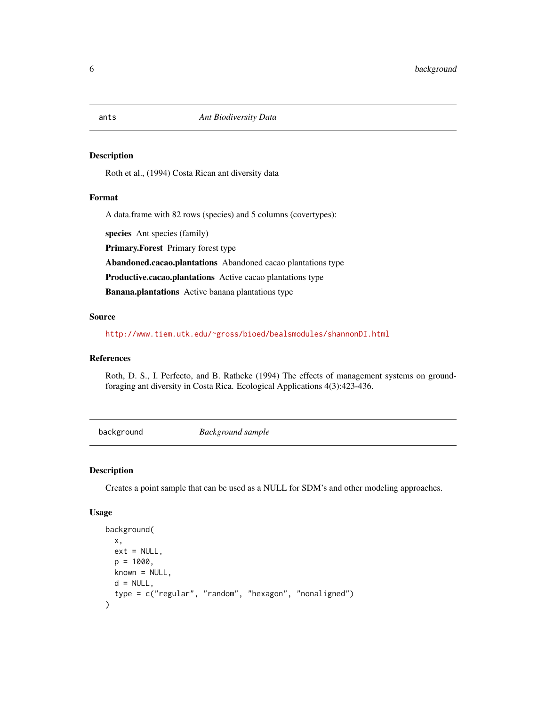#### Description

Roth et al., (1994) Costa Rican ant diversity data

#### Format

A data.frame with 82 rows (species) and 5 columns (covertypes):

species Ant species (family)

Primary.Forest Primary forest type

Abandoned.cacao.plantations Abandoned cacao plantations type

Productive.cacao.plantations Active cacao plantations type

Banana.plantations Active banana plantations type

### Source

<http://www.tiem.utk.edu/~gross/bioed/bealsmodules/shannonDI.html>

### References

Roth, D. S., I. Perfecto, and B. Rathcke (1994) The effects of management systems on groundforaging ant diversity in Costa Rica. Ecological Applications 4(3):423-436.

background *Background sample*

### Description

Creates a point sample that can be used as a NULL for SDM's and other modeling approaches.

#### Usage

```
background(
 x,
 ext = NULL,p = 1000.
 known = NULL,d = NULL,type = c("regular", "random", "hexagon", "nonaligned")
)
```
<span id="page-5-0"></span>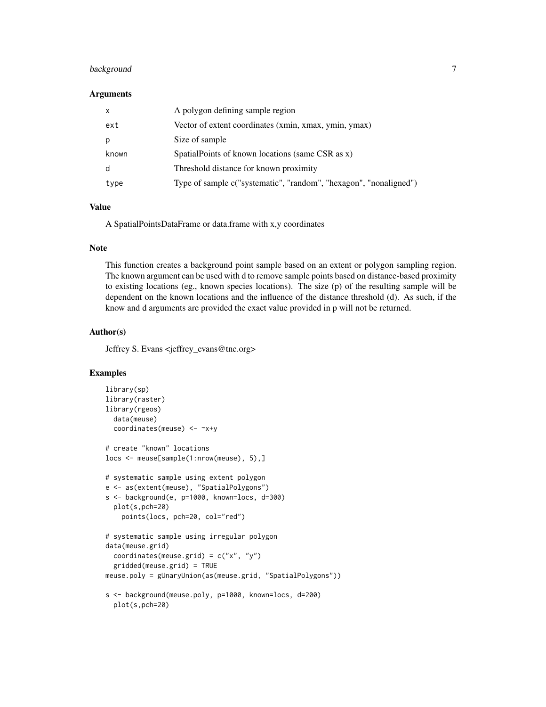### background 7

#### Arguments

| $\mathsf{x}$ | A polygon defining sample region                                  |
|--------------|-------------------------------------------------------------------|
| ext          | Vector of extent coordinates (xmin, xmax, ymin, ymax)             |
|              | Size of sample                                                    |
| known        | SpatialPoints of known locations (same CSR as x)                  |
| d            | Threshold distance for known proximity                            |
| type         | Type of sample c("systematic", "random", "hexagon", "nonaligned") |

### Value

A SpatialPointsDataFrame or data.frame with x,y coordinates

#### Note

This function creates a background point sample based on an extent or polygon sampling region. The known argument can be used with d to remove sample points based on distance-based proximity to existing locations (eg., known species locations). The size (p) of the resulting sample will be dependent on the known locations and the influence of the distance threshold (d). As such, if the know and d arguments are provided the exact value provided in p will not be returned.

### Author(s)

Jeffrey S. Evans <jeffrey\_evans@tnc.org>

```
library(sp)
library(raster)
library(rgeos)
  data(meuse)
  coordinates(meuse) <- ~x+y
# create "known" locations
locs <- meuse[sample(1:nrow(meuse), 5),]
# systematic sample using extent polygon
e <- as(extent(meuse), "SpatialPolygons")
s <- background(e, p=1000, known=locs, d=300)
  plot(s,pch=20)
    points(locs, pch=20, col="red")
# systematic sample using irregular polygon
data(meuse.grid)
  coordinates(meuse.grid) = c("x", "y")gridded(meuse.grid) = TRUE
meuse.poly = gUnaryUnion(as(meuse.grid, "SpatialPolygons"))
s <- background(meuse.poly, p=1000, known=locs, d=200)
  plot(s,pch=20)
```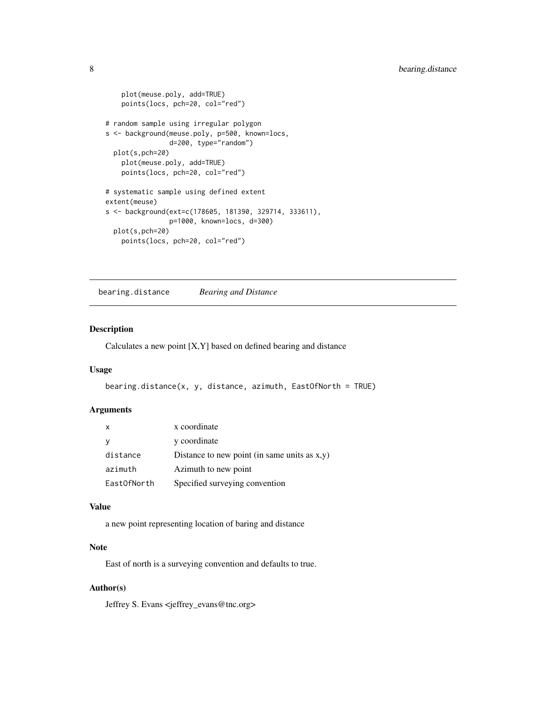```
plot(meuse.poly, add=TRUE)
   points(locs, pch=20, col="red")
# random sample using irregular polygon
s <- background(meuse.poly, p=500, known=locs,
               d=200, type="random")
 plot(s,pch=20)
   plot(meuse.poly, add=TRUE)
   points(locs, pch=20, col="red")
# systematic sample using defined extent
extent(meuse)
s <- background(ext=c(178605, 181390, 329714, 333611),
                p=1000, known=locs, d=300)
 plot(s,pch=20)
   points(locs, pch=20, col="red")
```
bearing.distance *Bearing and Distance*

### Description

Calculates a new point [X,Y] based on defined bearing and distance

#### Usage

```
bearing.distance(x, y, distance, azimuth, EastOfNorth = TRUE)
```
#### Arguments

| $\mathsf{x}$ | x coordinate                                    |
|--------------|-------------------------------------------------|
| <sub>V</sub> | y coordinate                                    |
| distance     | Distance to new point (in same units as $x,y$ ) |
| azimuth      | Azimuth to new point                            |
| East0fNorth  | Specified surveying convention                  |

### Value

a new point representing location of baring and distance

### Note

East of north is a surveying convention and defaults to true.

### Author(s)

Jeffrey S. Evans <jeffrey\_evans@tnc.org>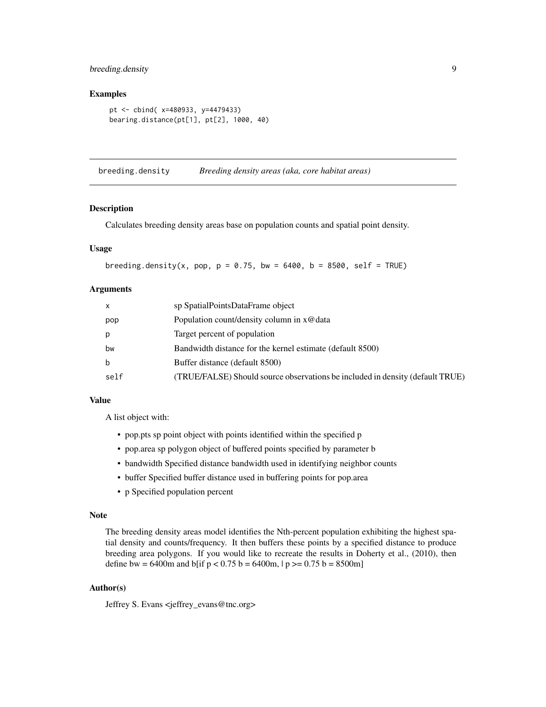## <span id="page-8-0"></span>breeding.density 9

### Examples

```
pt <- cbind( x=480933, y=4479433)
bearing.distance(pt[1], pt[2], 1000, 40)
```
breeding.density *Breeding density areas (aka, core habitat areas)*

#### Description

Calculates breeding density areas base on population counts and spatial point density.

### Usage

breeding.density(x, pop,  $p = 0.75$ , bw = 6400, b = 8500, self = TRUE)

### Arguments

| $\mathsf{x}$ | sp SpatialPointsDataFrame object                                              |
|--------------|-------------------------------------------------------------------------------|
| pop          | Population count/density column in $x \omega$ data                            |
| p            | Target percent of population                                                  |
| bw           | Bandwidth distance for the kernel estimate (default 8500)                     |
| b            | Buffer distance (default 8500)                                                |
| self         | (TRUE/FALSE) Should source observations be included in density (default TRUE) |

### Value

A list object with:

- pop.pts sp point object with points identified within the specified p
- pop.area sp polygon object of buffered points specified by parameter b
- bandwidth Specified distance bandwidth used in identifying neighbor counts
- buffer Specified buffer distance used in buffering points for pop.area
- p Specified population percent

### Note

The breeding density areas model identifies the Nth-percent population exhibiting the highest spatial density and counts/frequency. It then buffers these points by a specified distance to produce breeding area polygons. If you would like to recreate the results in Doherty et al., (2010), then define bw = 6400m and b[if  $p < 0.75$  b = 6400m,  $|p > = 0.75$  b = 8500m]

### Author(s)

Jeffrey S. Evans <jeffrey\_evans@tnc.org>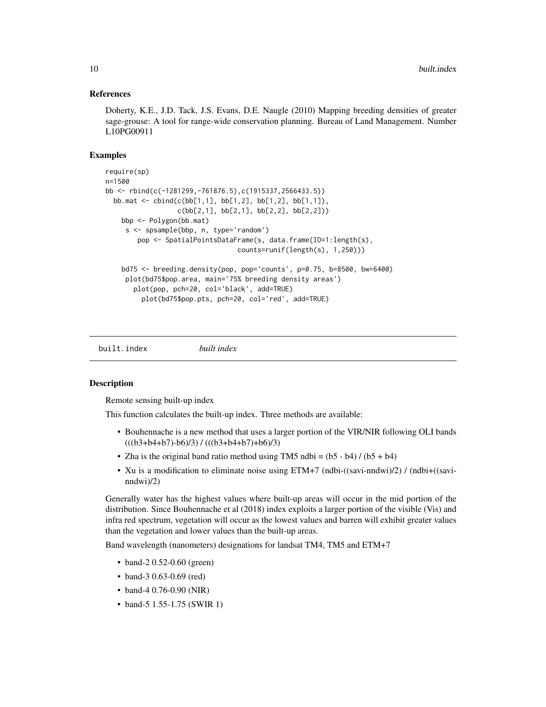#### <span id="page-9-0"></span>References

Doherty, K.E., J.D. Tack, J.S. Evans, D.E. Naugle (2010) Mapping breeding densities of greater sage-grouse: A tool for range-wide conservation planning. Bureau of Land Management. Number L10PG00911

#### Examples

```
require(sp)
n=1500
bb <- rbind(c(-1281299,-761876.5),c(1915337,2566433.5))
 bb.mat <- cbind(c(bb[1,1], bb[1,2], bb[1,2], bb[1,1]),
                  c(bb[2,1], bb[2,1], bb[2,2], bb[2,2]))
   bbp <- Polygon(bb.mat)
    s <- spsample(bbp, n, type='random')
       pop <- SpatialPointsDataFrame(s, data.frame(ID=1:length(s),
                                 counts=runif(length(s), 1,250)))
   bd75 <- breeding.density(pop, pop='counts', p=0.75, b=8500, bw=6400)
    plot(bd75$pop.area, main='75% breeding density areas')
      plot(pop, pch=20, col='black', add=TRUE)
        plot(bd75$pop.pts, pch=20, col='red', add=TRUE)
```
built.index *built index*

### Description

Remote sensing built-up index

This function calculates the built-up index. Three methods are available:

- Bouhennache is a new method that uses a larger portion of the VIR/NIR following OLI bands  $(((b3+b4+b7)-b6)/3) / (((b3+b4+b7)+b6)/3)$
- Zha is the original band ratio method using TM5 ndbi =  $(b5 b4) / (b5 + b4)$
- Xu is a modification to eliminate noise using ETM+7 (ndbi-((savi-nndwi)/2) / (ndbi+((savinndwi)/2)

Generally water has the highest values where built-up areas will occur in the mid portion of the distribution. Since Bouhennache et al (2018) index exploits a larger portion of the visible (Vis) and infra red spectrum, vegetation will occur as the lowest values and barren will exhibit greater values than the vegetation and lower values than the built-up areas.

Band wavelength (nanometers) designations for landsat TM4, TM5 and ETM+7

- band-2 0.52-0.60 (green)
- band-3 0.63-0.69 (red)
- band-4 0.76-0.90 (NIR)
- band-5 1.55-1.75 (SWIR 1)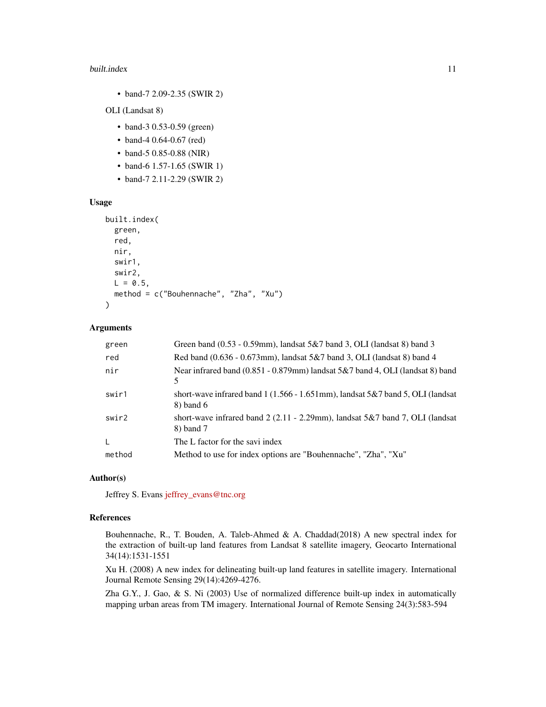#### built.index 11

• band-7 2.09-2.35 (SWIR 2)

OLI (Landsat 8)

- band-3 0.53-0.59 (green)
- band-4 0.64-0.67 (red)
- band-5 0.85-0.88 (NIR)
- band-6 1.57-1.65 (SWIR 1)
- band-7 2.11-2.29 (SWIR 2)

#### Usage

```
built.index(
  green,
  red,
  nir,
  swir1,
  swir2,
  L = 0.5,
  method = c("Bouhennache", "Zha", "Xu")
\mathcal{E}
```
### Arguments

| green  | Green band $(0.53 - 0.59$ mm), landsat $5&7$ band 3, OLI (landsat 8) band 3                    |
|--------|------------------------------------------------------------------------------------------------|
| red    | Red band $(0.636 - 0.673$ mm), landsat $5&7$ band 3, OLI (landsat 8) band 4                    |
| nir    | Near infrared band (0.851 - 0.879mm) landsat 5&7 band 4, OLI (landsat 8) band<br>5             |
| swir1  | short-wave infrared band 1 (1.566 - 1.651mm), landsat $5\&7$ band 5, OLI (landsat<br>8) band 6 |
| swir2  | short-wave infrared band 2 (2.11 - 2.29mm), landsat $5&7$ band 7, OLI (landsat<br>8) band 7    |
| L      | The L factor for the savi index                                                                |
| method | Method to use for index options are "Bouhennache", "Zha", "Xu"                                 |

#### Author(s)

Jeffrey S. Evans [jeffrey\\_evans@tnc.org](mailto:jeffrey_evans@tnc.org)

#### References

Bouhennache, R., T. Bouden, A. Taleb-Ahmed & A. Chaddad(2018) A new spectral index for the extraction of built-up land features from Landsat 8 satellite imagery, Geocarto International 34(14):1531-1551

Xu H. (2008) A new index for delineating built-up land features in satellite imagery. International Journal Remote Sensing 29(14):4269-4276.

Zha G.Y., J. Gao, & S. Ni (2003) Use of normalized difference built-up index in automatically mapping urban areas from TM imagery. International Journal of Remote Sensing 24(3):583-594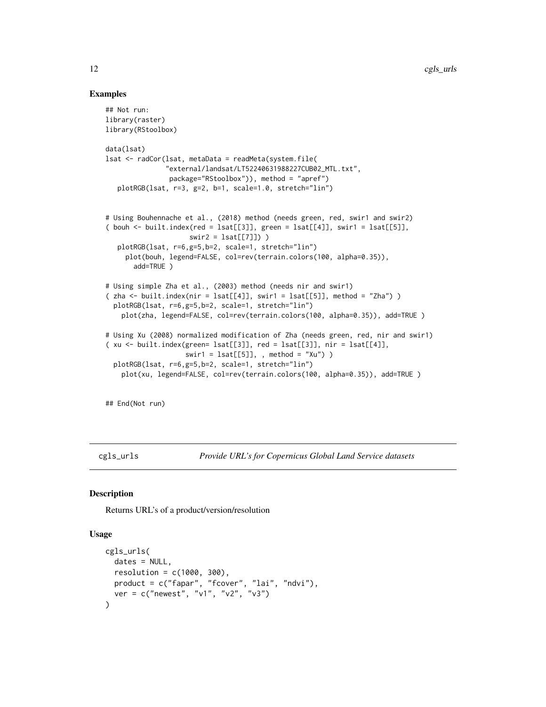### Examples

```
## Not run:
library(raster)
library(RStoolbox)
data(lsat)
lsat <- radCor(lsat, metaData = readMeta(system.file(
               "external/landsat/LT52240631988227CUB02_MTL.txt",
                package="RStoolbox")), method = "apref")
   plotRGB(lsat, r=3, g=2, b=1, scale=1.0, stretch="lin")
# Using Bouhennache et al., (2018) method (needs green, red, swir1 and swir2)
( bouh \le built.index(red = lsat[[3]], green = lsat[[4]], swir1 = lsat[[5]],
                     swin2 = last[[7]])
   plotRGB(lsat, r=6,g=5,b=2, scale=1, stretch="lin")
     plot(bouh, legend=FALSE, col=rev(terrain.colors(100, alpha=0.35)),
       add=TRUE )
# Using simple Zha et al., (2003) method (needs nir and swir1)
( zha <- built.index(nir = lsat[[4]], swir1 = lsat[[5]], method = "Zha") )
  plotRGB(lsat, r=6,g=5,b=2, scale=1, stretch="lin")
    plot(zha, legend=FALSE, col=rev(terrain.colors(100, alpha=0.35)), add=TRUE )
# Using Xu (2008) normalized modification of Zha (needs green, red, nir and swir1)
( xu <- built.index(green= lsat[[3]], red = lsat[[3]], nir = lsat[[4]],
                    swir1 = lsat[[5]],, method = "Xu") )
  plotRGB(lsat, r=6,g=5,b=2, scale=1, stretch="lin")
    plot(xu, legend=FALSE, col=rev(terrain.colors(100, alpha=0.35)), add=TRUE )
```
## End(Not run)

cgls\_urls *Provide URL's for Copernicus Global Land Service datasets*

### Description

Returns URL's of a product/version/resolution

### Usage

```
cgls_urls(
 dates = NULL,resolution = c(1000, 300),product = c("fapar", "fcover", "lai", "ndvi"),
  ver = c("newest", "v1", "v2", "v3")
)
```
<span id="page-11-0"></span>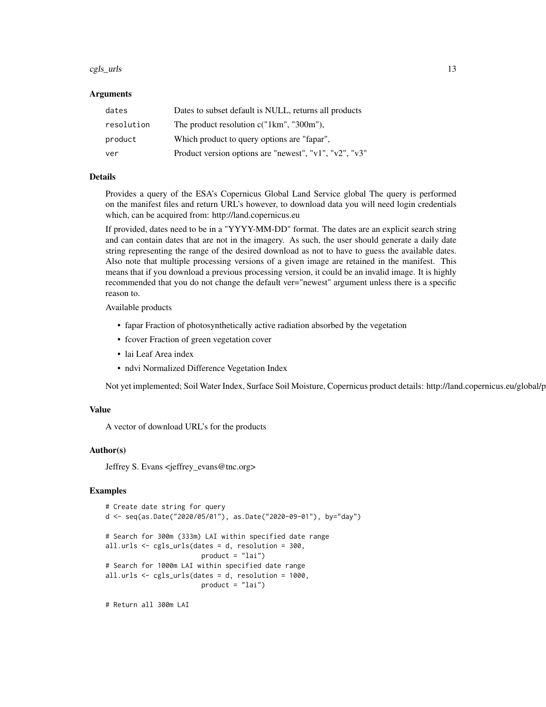#### $\text{cgls\_urls}$  13

#### Arguments

| dates      | Dates to subset default is NULL, returns all products              |
|------------|--------------------------------------------------------------------|
| resolution | The product resolution c("1km", "300m"),                           |
| product    | Which product to query options are "fapar",                        |
| ver        | Product version options are "newest", " $v1$ ", " $v2$ ", " $v3$ " |

### Details

Provides a query of the ESA's Copernicus Global Land Service global The query is performed on the manifest files and return URL's however, to download data you will need login credentials which, can be acquired from: http://land.copernicus.eu

If provided, dates need to be in a "YYYY-MM-DD" format. The dates are an explicit search string and can contain dates that are not in the imagery. As such, the user should generate a daily date string representing the range of the desired download as not to have to guess the available dates. Also note that multiple processing versions of a given image are retained in the manifest. This means that if you download a previous processing version, it could be an invalid image. It is highly recommended that you do not change the default ver="newest" argument unless there is a specific reason to.

Available products

- fapar Fraction of photosynthetically active radiation absorbed by the vegetation
- fcover Fraction of green vegetation cover
- lai Leaf Area index
- ndvi Normalized Difference Vegetation Index

Not yet implemented; Soil Water Index, Surface Soil Moisture, Copernicus product details: http://land.copernicus.eu/global/p

#### Value

A vector of download URL's for the products

### Author(s)

Jeffrey S. Evans <jeffrey\_evans@tnc.org>

#### Examples

```
# Create date string for query
d <- seq(as.Date("2020/05/01"), as.Date("2020-09-01"), by="day")
# Search for 300m (333m) LAI within specified date range
all.urls <- cgls_urls(dates = d, resolution = 300,
                       product = "lai")
# Search for 1000m LAI within specified date range
all.urls <- cgls_urls(dates = d, resolution = 1000,
                       product = "lai")
```
# Return all 300m LAI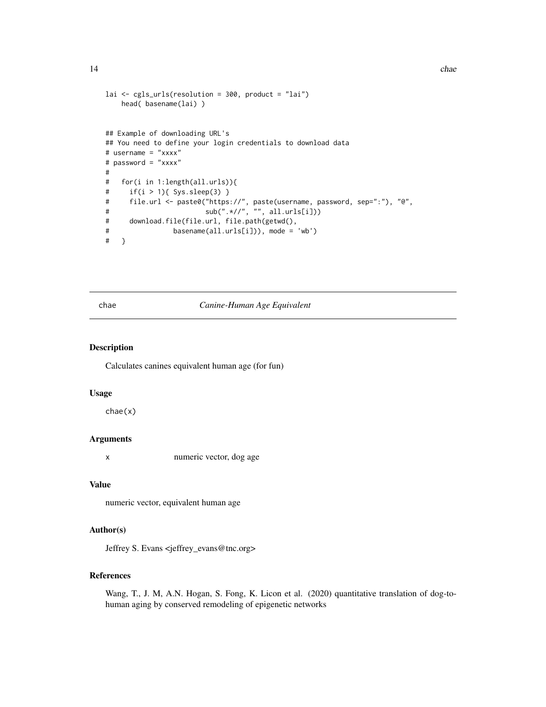```
lai <- cgls_urls(resolution = 300, product = "lai")
   head( basename(lai) )
## Example of downloading URL's
## You need to define your login credentials to download data
# username = "xxxx"
# password = "xxxx"
#
# for(i in 1:length(all.urls)){
# if(i > 1){ Sys.sleep(3) }
# file.url <- paste0("https://", paste(username, password, sep=":"), "@",
# sub(".*//", "", all.urls[i]))
# download.file(file.url, file.path(getwd(),
# basename(all.urls[i])), mode = 'wb')
# }
```
chae *Canine-Human Age Equivalent*

#### Description

Calculates canines equivalent human age (for fun)

#### Usage

chae(x)

### Arguments

x numeric vector, dog age

#### Value

numeric vector, equivalent human age

### Author(s)

Jeffrey S. Evans <jeffrey\_evans@tnc.org>

### References

Wang, T., J. M, A.N. Hogan, S. Fong, K. Licon et al. (2020) quantitative translation of dog-tohuman aging by conserved remodeling of epigenetic networks

<span id="page-13-0"></span>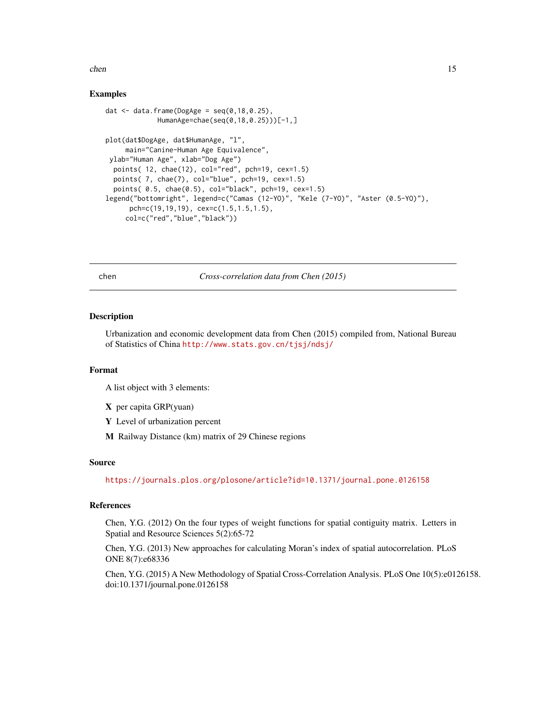#### <span id="page-14-0"></span>chen 15

### Examples

```
dat \leq data.frame(DogAge = seq(0,18,0.25),
             HumanAge=chae(seq(0,18,0.25)))[-1,]
plot(dat$DogAge, dat$HumanAge, "l",
     main="Canine-Human Age Equivalence",
ylab="Human Age", xlab="Dog Age")
 points( 12, chae(12), col="red", pch=19, cex=1.5)
 points( 7, chae(7), col="blue", pch=19, cex=1.5)
 points( 0.5, chae(0.5), col="black", pch=19, cex=1.5)
legend("bottomright", legend=c("Camas (12-YO)", "Kele (7-YO)", "Aster (0.5-YO)"),
     pch=c(19,19,19), cex=c(1.5,1.5,1.5),
     col=c("red","blue","black"))
```
chen *Cross-correlation data from Chen (2015)*

#### Description

Urbanization and economic development data from Chen (2015) compiled from, National Bureau of Statistics of China <http://www.stats.gov.cn/tjsj/ndsj/>

#### Format

A list object with 3 elements:

- X per capita GRP(yuan)
- Y Level of urbanization percent
- M Railway Distance (km) matrix of 29 Chinese regions

### Source

<https://journals.plos.org/plosone/article?id=10.1371/journal.pone.0126158>

### References

Chen, Y.G. (2012) On the four types of weight functions for spatial contiguity matrix. Letters in Spatial and Resource Sciences 5(2):65-72

Chen, Y.G. (2013) New approaches for calculating Moran's index of spatial autocorrelation. PLoS ONE 8(7):e68336

Chen, Y.G. (2015) A New Methodology of Spatial Cross-Correlation Analysis. PLoS One 10(5):e0126158. doi:10.1371/journal.pone.0126158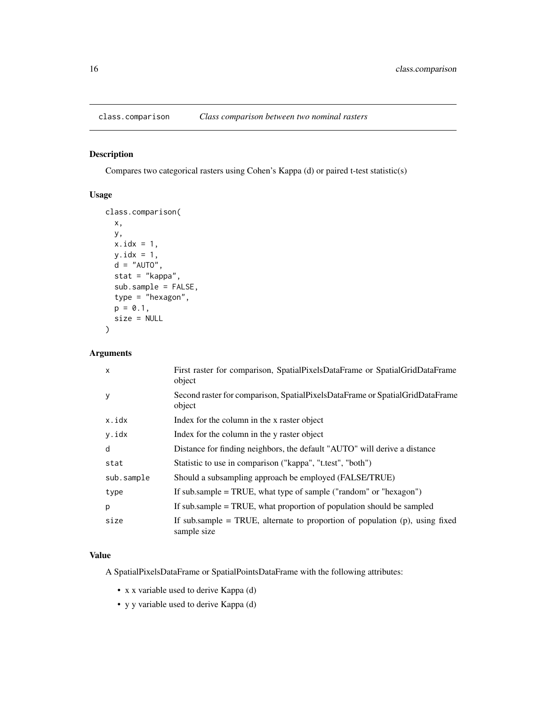<span id="page-15-0"></span>

### Description

Compares two categorical rasters using Cohen's Kappa (d) or paired t-test statistic(s)

### Usage

```
class.comparison(
 x,
 y,
 x.idx = 1,
 y.idx = 1,
 d = "AUTO",stat = "kappa",
  sub.sample = FALSE,
  type = "hexagon",
 p = 0.1,
  size = NULL
)
```
### Arguments

| $\mathsf{x}$ | First raster for comparison, SpatialPixelsDataFrame or SpatialGridDataFrame<br>object         |
|--------------|-----------------------------------------------------------------------------------------------|
| У            | Second raster for comparison, SpatialPixelsDataFrame or SpatialGridDataFrame<br>object        |
| x.idx        | Index for the column in the x raster object                                                   |
| y.idx        | Index for the column in the y raster object                                                   |
| d            | Distance for finding neighbors, the default "AUTO" will derive a distance                     |
| stat         | Statistic to use in comparison ("kappa", "t.test", "both")                                    |
| sub.sample   | Should a subsampling approach be employed (FALSE/TRUE)                                        |
| type         | If sub.sample $=$ TRUE, what type of sample ("random" or "hexagon")                           |
| p            | If sub sample = TRUE, what proportion of population should be sampled                         |
| size         | If subsample = TRUE, alternate to proportion of population $(p)$ , using fixed<br>sample size |

### Value

A SpatialPixelsDataFrame or SpatialPointsDataFrame with the following attributes:

- x x variable used to derive Kappa (d)
- y y variable used to derive Kappa (d)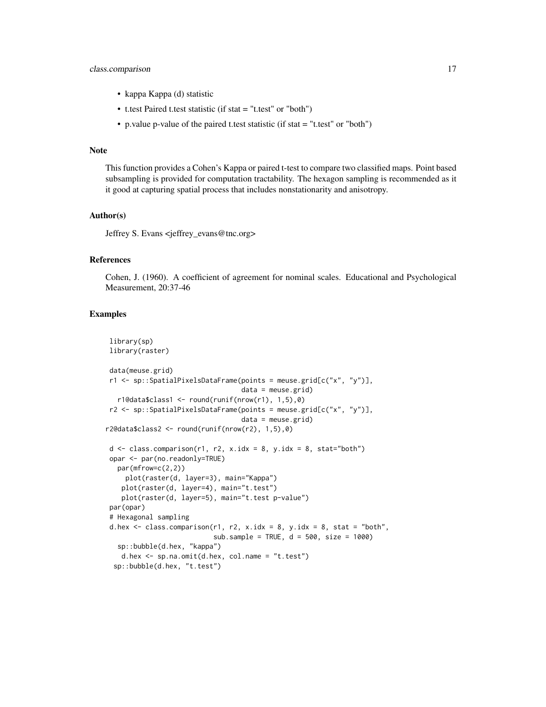### class.comparison 17

- kappa Kappa (d) statistic
- t.test Paired t.test statistic (if stat = "t.test" or "both")
- p.value p-value of the paired t.test statistic (if stat = "t.test" or "both")

#### Note

This function provides a Cohen's Kappa or paired t-test to compare two classified maps. Point based subsampling is provided for computation tractability. The hexagon sampling is recommended as it it good at capturing spatial process that includes nonstationarity and anisotropy.

#### Author(s)

Jeffrey S. Evans <jeffrey\_evans@tnc.org>

### References

Cohen, J. (1960). A coefficient of agreement for nominal scales. Educational and Psychological Measurement, 20:37-46

```
library(sp)
library(raster)
data(meuse.grid)
r1 <- sp::SpatialPixelsDataFrame(points = meuse.grid[c("x", "y")],
                                  data = meuse.grid)
  r1@data$class1 <- round(runif(nrow(r1), 1,5),0)
r2 \leq sp::SpatialPixelsDataFrame(points = mouse.grid[c("x", "y"))],data = meuse.grid)
r2@data$class2 <- round(runif(nrow(r2), 1,5),0)
d \leq class.compilemath>comparison(r1, r2, x.idx = 8, y.idx = 8, stat="both")opar <- par(no.readonly=TRUE)
  par(mfrow=c(2,2))
    plot(raster(d, layer=3), main="Kappa")
   plot(raster(d, layer=4), main="t.test")
   plot(raster(d, layer=5), main="t.test p-value")
par(opar)
# Hexagonal sampling
d.hex \leq class.comparison(r1, r2, x.idx = 8, y.idx = 8, stat = "both",
                           sub.sample = TRUE, d = 500, size = 1000)
  sp::bubble(d.hex, "kappa")
   d.hex <- sp.na.omit(d.hex, col.name = "t.test")
 sp::bubble(d.hex, "t.test")
```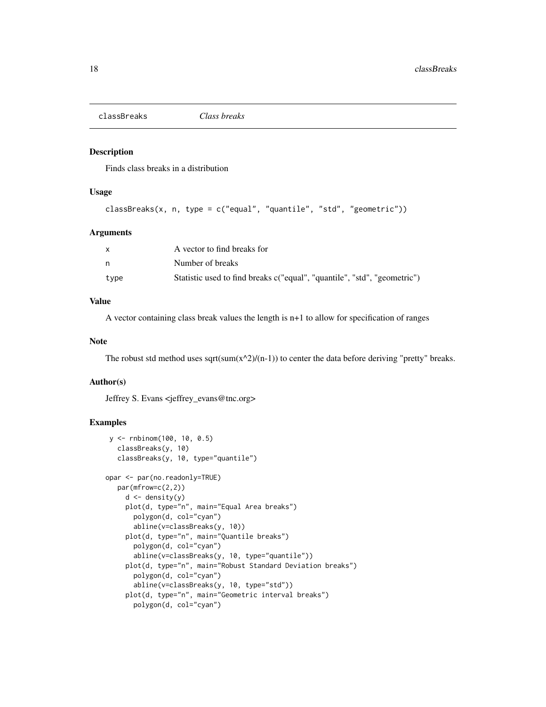<span id="page-17-0"></span>classBreaks *Class breaks*

### Description

Finds class breaks in a distribution

### Usage

```
classBreaks(x, n, type = c("equal", "quantile", "std", "geometric"))
```
#### Arguments

|      | A vector to find breaks for                                              |
|------|--------------------------------------------------------------------------|
| n    | Number of breaks                                                         |
| type | Statistic used to find breaks c("equal", "quantile", "std", "geometric") |

#### Value

A vector containing class break values the length is n+1 to allow for specification of ranges

#### Note

The robust std method uses sqrt(sum(x^2)/(n-1)) to center the data before deriving "pretty" breaks.

### Author(s)

Jeffrey S. Evans <jeffrey\_evans@tnc.org>

```
y <- rnbinom(100, 10, 0.5)
  classBreaks(y, 10)
  classBreaks(y, 10, type="quantile")
opar <- par(no.readonly=TRUE)
  par(mfrow=c(2,2))
    d \leftarrow density(y)plot(d, type="n", main="Equal Area breaks")
       polygon(d, col="cyan")
       abline(v=classBreaks(y, 10))
     plot(d, type="n", main="Quantile breaks")
       polygon(d, col="cyan")
       abline(v=classBreaks(y, 10, type="quantile"))
     plot(d, type="n", main="Robust Standard Deviation breaks")
       polygon(d, col="cyan")
       abline(v=classBreaks(y, 10, type="std"))
     plot(d, type="n", main="Geometric interval breaks")
       polygon(d, col="cyan")
```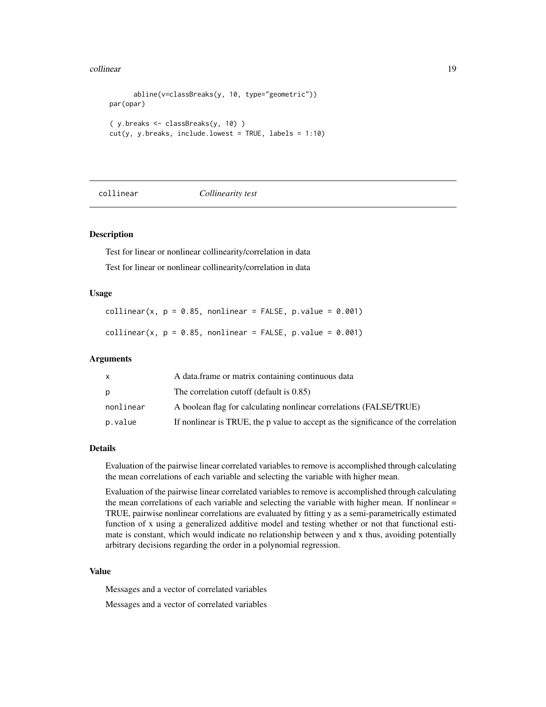#### <span id="page-18-0"></span>collinear and the collinear collinear and the collinear and the collinear and the collinear and the collinear  $19$

```
abline(v=classBreaks(y, 10, type="geometric"))
par(opar)
( y.breaks <- classBreaks(y, 10) )
cut(y, y.breaks, include.lowest = TRUE, labels = 1:10)
```
#### collinear *Collinearity test*

### Description

Test for linear or nonlinear collinearity/correlation in data Test for linear or nonlinear collinearity/correlation in data

#### Usage

collinear(x,  $p = 0.85$ , nonlinear = FALSE, p.value = 0.001) collinear(x,  $p = 0.85$ , nonlinear = FALSE,  $p.value = 0.001$ )

#### Arguments

| x         | A data frame or matrix containing continuous data                                  |
|-----------|------------------------------------------------------------------------------------|
| D         | The correlation cutoff (default is 0.85)                                           |
| nonlinear | A boolean flag for calculating nonlinear correlations (FALSE/TRUE)                 |
| p.value   | If nonlinear is TRUE, the p value to accept as the significance of the correlation |

#### Details

Evaluation of the pairwise linear correlated variables to remove is accomplished through calculating the mean correlations of each variable and selecting the variable with higher mean.

Evaluation of the pairwise linear correlated variables to remove is accomplished through calculating the mean correlations of each variable and selecting the variable with higher mean. If nonlinear = TRUE, pairwise nonlinear correlations are evaluated by fitting y as a semi-parametrically estimated function of x using a generalized additive model and testing whether or not that functional estimate is constant, which would indicate no relationship between y and x thus, avoiding potentially arbitrary decisions regarding the order in a polynomial regression.

### Value

Messages and a vector of correlated variables

Messages and a vector of correlated variables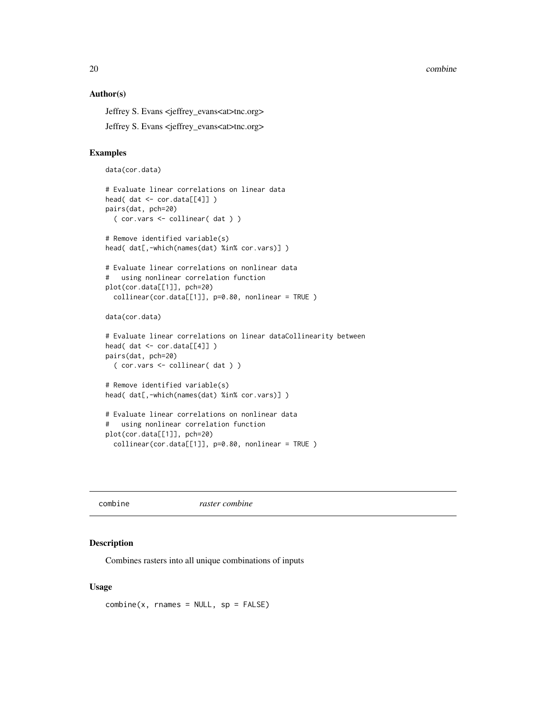<span id="page-19-0"></span>20 combine

#### Author(s)

Jeffrey S. Evans <jeffrey\_evans<at>tnc.org>

Jeffrey S. Evans <jeffrey\_evans<at>tnc.org>

#### Examples

```
data(cor.data)
```

```
# Evaluate linear correlations on linear data
head( dat <- cor.data[[4]] )
pairs(dat, pch=20)
  ( cor.vars <- collinear( dat ) )
# Remove identified variable(s)
head( dat[,-which(names(dat) %in% cor.vars)])
# Evaluate linear correlations on nonlinear data
# using nonlinear correlation function
plot(cor.data[[1]], pch=20)
  collinear(cor.data[[1]], p=0.80, nonlinear = TRUE )
data(cor.data)
# Evaluate linear correlations on linear dataCollinearity between
head( dat <- cor.data[[4]] )
pairs(dat, pch=20)
  ( cor.vars <- collinear( dat ) )
# Remove identified variable(s)
head( dat[,-which(names(dat) %in% cor.vars)] )
# Evaluate linear correlations on nonlinear data
# using nonlinear correlation function
plot(cor.data[[1]], pch=20)
  collinear(cor.data[[1]], p=0.80, nonlinear = TRUE )
```
combine *raster combine*

#### Description

Combines rasters into all unique combinations of inputs

#### Usage

 $combine(x, \text{ } \text{names} = \text{NULL}, \text{ } \text{sp} = \text{FALSE})$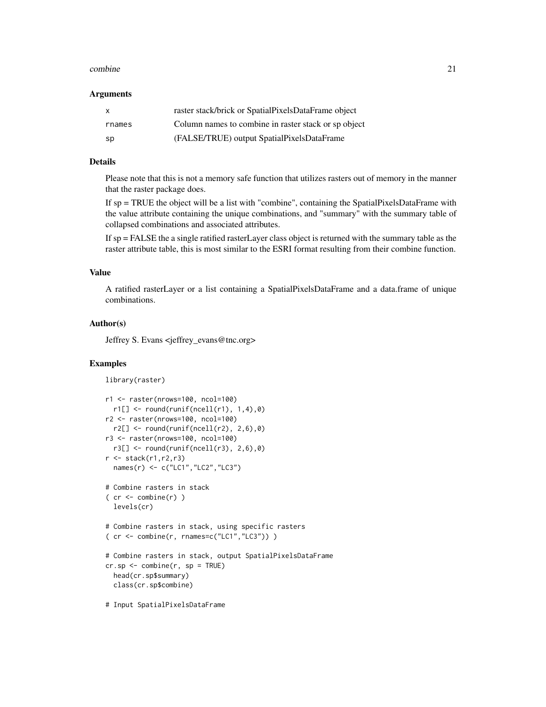#### combine 21

#### Arguments

| X      | raster stack/brick or SpatialPixelsDataFrame object  |
|--------|------------------------------------------------------|
| rnames | Column names to combine in raster stack or sp object |
| -SD    | (FALSE/TRUE) output SpatialPixelsDataFrame           |

### Details

Please note that this is not a memory safe function that utilizes rasters out of memory in the manner that the raster package does.

If sp = TRUE the object will be a list with "combine", containing the SpatialPixelsDataFrame with the value attribute containing the unique combinations, and "summary" with the summary table of collapsed combinations and associated attributes.

If sp = FALSE the a single ratified rasterLayer class object is returned with the summary table as the raster attribute table, this is most similar to the ESRI format resulting from their combine function.

### Value

A ratified rasterLayer or a list containing a SpatialPixelsDataFrame and a data.frame of unique combinations.

### Author(s)

Jeffrey S. Evans <jeffrey\_evans@tnc.org>

```
library(raster)
```

```
r1 <- raster(nrows=100, ncol=100)
  r1[] \leftarrow round(runit(ncell(r1), 1, 4), 0)r2 <- raster(nrows=100, ncol=100)
  r2[] \le round(runif(ncell(r2), 2,6),0)
r3 <- raster(nrows=100, ncol=100)
  r3[] \leftarrow round(runit(ncell(r3), 2,6), 0)r <- stack(r1,r2,r3)
  names(r) <- c("LC1","LC2","LC3")
# Combine rasters in stack
( cr \leq combine(r))
  levels(cr)
# Combine rasters in stack, using specific rasters
( cr <- combine(r, rnames=c("LC1","LC3")) )
# Combine rasters in stack, output SpatialPixelsDataFrame
cr.sp <- combine(r, sp = TRUE)
  head(cr.sp$summary)
  class(cr.sp$combine)
```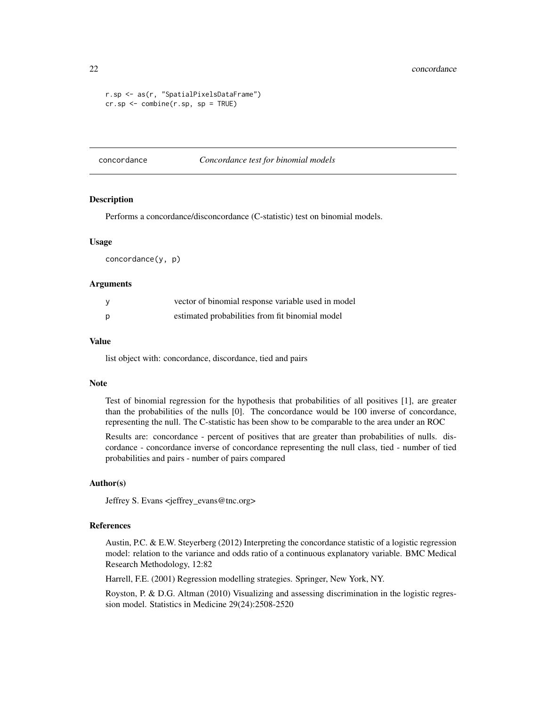```
r.sp <- as(r, "SpatialPixelsDataFrame")
cr.sp \leq combine(r.sp, sp = TRUE)
```
concordance *Concordance test for binomial models*

### Description

Performs a concordance/disconcordance (C-statistic) test on binomial models.

#### Usage

concordance(y, p)

#### Arguments

|   | vector of binomial response variable used in model |
|---|----------------------------------------------------|
| p | estimated probabilities from fit binomial model    |

#### Value

list object with: concordance, discordance, tied and pairs

### Note

Test of binomial regression for the hypothesis that probabilities of all positives [1], are greater than the probabilities of the nulls [0]. The concordance would be 100 inverse of concordance, representing the null. The C-statistic has been show to be comparable to the area under an ROC

Results are: concordance - percent of positives that are greater than probabilities of nulls. discordance - concordance inverse of concordance representing the null class, tied - number of tied probabilities and pairs - number of pairs compared

#### Author(s)

Jeffrey S. Evans <jeffrey\_evans@tnc.org>

### References

Austin, P.C. & E.W. Steyerberg (2012) Interpreting the concordance statistic of a logistic regression model: relation to the variance and odds ratio of a continuous explanatory variable. BMC Medical Research Methodology, 12:82

Harrell, F.E. (2001) Regression modelling strategies. Springer, New York, NY.

Royston, P. & D.G. Altman (2010) Visualizing and assessing discrimination in the logistic regression model. Statistics in Medicine 29(24):2508-2520

<span id="page-21-0"></span>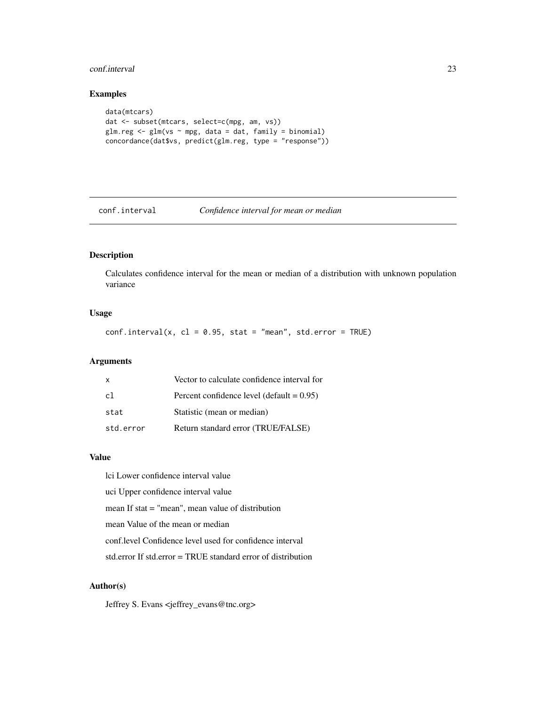#### <span id="page-22-0"></span>conf.interval 23

### Examples

```
data(mtcars)
dat <- subset(mtcars, select=c(mpg, am, vs))
glm.reg <- glm(vs ~ mpg, data = dat, family = binomial)
concordance(dat$vs, predict(glm.reg, type = "response"))
```
conf.interval *Confidence interval for mean or median*

### Description

Calculates confidence interval for the mean or median of a distribution with unknown population variance

#### Usage

 $conf.interval(x, cl = 0.95, stat = "mean", std_error = TRUE)$ 

### Arguments

| $\mathsf{x}$ | Vector to calculate confidence interval for  |
|--------------|----------------------------------------------|
| c1           | Percent confidence level (default $= 0.95$ ) |
| stat         | Statistic (mean or median)                   |
| std.error    | Return standard error (TRUE/FALSE)           |

### Value

lci Lower confidence interval value uci Upper confidence interval value mean If stat = "mean", mean value of distribution mean Value of the mean or median conf.level Confidence level used for confidence interval std.error If std.error = TRUE standard error of distribution

### Author(s)

Jeffrey S. Evans <jeffrey\_evans@tnc.org>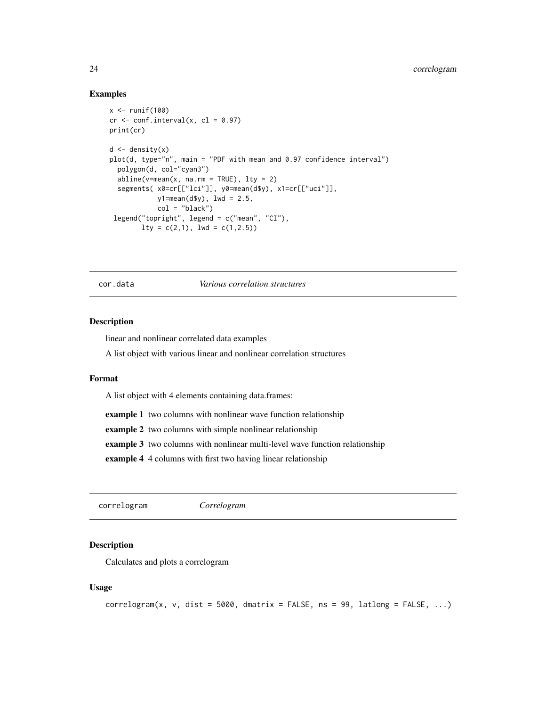#### <span id="page-23-0"></span>Examples

```
x \leftarrow runif(100)cr < -conf.interval(x, cl = 0.97)print(cr)
d \leftarrow density(x)plot(d, type="n", main = "PDF with mean and 0.97 confidence interval")
  polygon(d, col="cyan3")
  abline(y=mean(x, na.rm = TRUE), lty = 2)segments( x0=cr[["lci"]], y0=mean(d$y), x1=cr[["uci"]],
            y1 = mean(dfy), 1wd = 2.5,
            col = "black")legend("topright", legend = c("mean", "CI"),
        lty = c(2,1), lwd = c(1,2.5))
```
cor.data *Various correlation structures*

#### Description

linear and nonlinear correlated data examples

A list object with various linear and nonlinear correlation structures

#### Format

A list object with 4 elements containing data.frames:

example 1 two columns with nonlinear wave function relationship

example 2 two columns with simple nonlinear relationship

example 3 two columns with nonlinear multi-level wave function relationship

example 4 4 columns with first two having linear relationship

correlogram *Correlogram*

### Description

Calculates and plots a correlogram

### Usage

```
correlogram(x, v, dist = 5000, dmatrix = FALSE, ns = 99, latalog = FALSE, ...)
```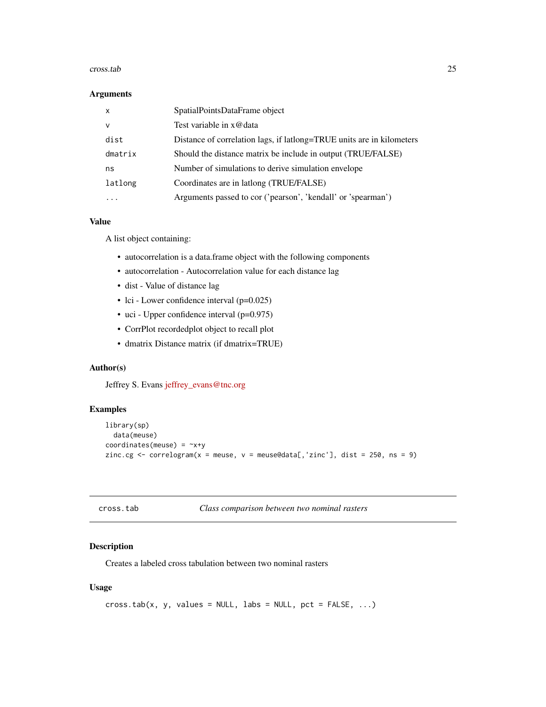#### <span id="page-24-0"></span>cross.tab 25

#### Arguments

| $\times$ | SpatialPointsDataFrame object                                         |
|----------|-----------------------------------------------------------------------|
| v        | Test variable in x@data                                               |
| dist     | Distance of correlation lags, if lattong=TRUE units are in kilometers |
| dmatrix  | Should the distance matrix be include in output (TRUE/FALSE)          |
| ns       | Number of simulations to derive simulation envelope                   |
| latlong  | Coordinates are in lationg (TRUE/FALSE)                               |
|          | Arguments passed to cor ('pearson', 'kendall' or 'spearman')          |

### Value

A list object containing:

- autocorrelation is a data.frame object with the following components
- autocorrelation Autocorrelation value for each distance lag
- dist Value of distance lag
- lci Lower confidence interval (p=0.025)
- uci Upper confidence interval (p=0.975)
- CorrPlot recordedplot object to recall plot
- dmatrix Distance matrix (if dmatrix=TRUE)

### Author(s)

Jeffrey S. Evans [jeffrey\\_evans@tnc.org](mailto:jeffrey_evans@tnc.org)

### Examples

```
library(sp)
  data(meuse)
coordinates(meuse) = -x+yzinc.cg \leq correlogram(x = meuse, v = meuse@data[,'zinc'], dist = 250, ns = 9)
```

| cross.tab |  |  |
|-----------|--|--|
|-----------|--|--|

```
Class comparison between two nominal rasters
```
### Description

Creates a labeled cross tabulation between two nominal rasters

### Usage

```
cross.tab(x, y, values = NULL, labs = NULL, pot = FALSE, ...)
```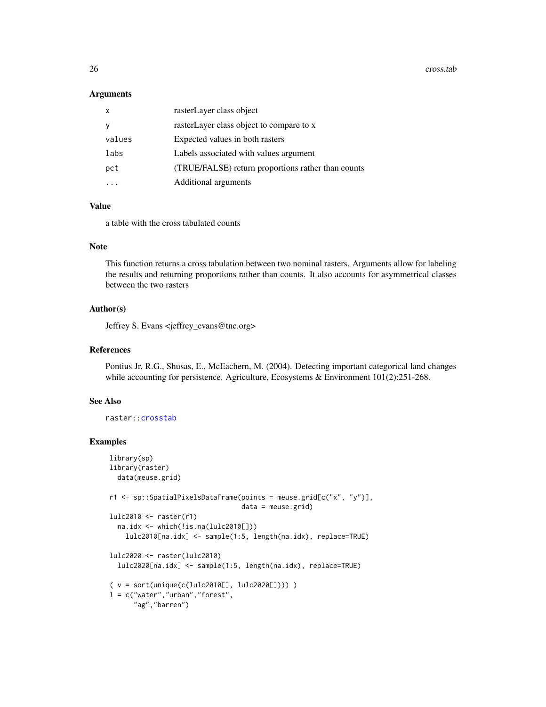26 cross.tab

#### Arguments

| X      | rasterLayer class object                           |
|--------|----------------------------------------------------|
|        | rasterLayer class object to compare to x           |
| values | Expected values in both rasters                    |
| labs   | Labels associated with values argument             |
| pct    | (TRUE/FALSE) return proportions rather than counts |
|        | Additional arguments                               |

### Value

a table with the cross tabulated counts

#### Note

This function returns a cross tabulation between two nominal rasters. Arguments allow for labeling the results and returning proportions rather than counts. It also accounts for asymmetrical classes between the two rasters

### Author(s)

Jeffrey S. Evans <jeffrey\_evans@tnc.org>

### References

Pontius Jr, R.G., Shusas, E., McEachern, M. (2004). Detecting important categorical land changes while accounting for persistence. Agriculture, Ecosystems & Environment 101(2):251-268.

#### See Also

raster:[:crosstab](#page-0-0)

```
library(sp)
library(raster)
 data(meuse.grid)
r1 <- sp::SpatialPixelsDataFrame(points = meuse.grid[c("x", "y")],
                                data = meuse.grid)
lulc2010 <- raster(r1)
  na.idx <- which(!is.na(lulc2010[]))
    lulc2010[na.idx] <- sample(1:5, length(na.idx), replace=TRUE)
lulc2020 <- raster(lulc2010)
 lulc2020[na.idx] <- sample(1:5, length(na.idx), replace=TRUE)
( v = sort(unique(c(lulc2010[], lulc2020[]))) )
l = c("water", "urban", "forest","ag","barren")
```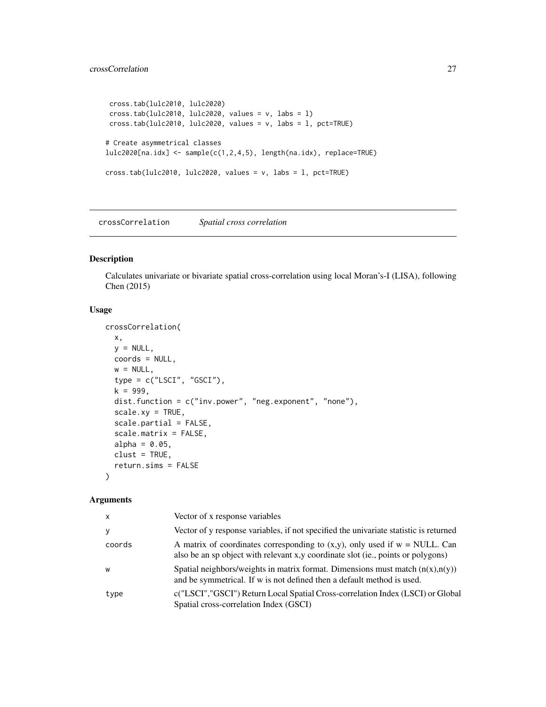```
cross.tab(lulc2010, lulc2020)
cross.tab(lulc2010, lulc2020, values = v, labs = l)
cross.tab(lulc2010, lulc2020, values = v, labs = l, pct=TRUE)
# Create asymmetrical classes
lulc2020[na.idx] <- sample(c(1,2,4,5), length(na.idx), replace=TRUE)
cross.tab(lulc2010, lulc2020, values = v, labs = l, pct=TRUE)
```
crossCorrelation *Spatial cross correlation*

#### Description

Calculates univariate or bivariate spatial cross-correlation using local Moran's-I (LISA), following Chen (2015)

### Usage

```
crossCorrelation(
 x,
 y = NULL,coords = NULL,
 w = NULL,type = c("LSCI", "GSCI"),
  k = 999,
  dist.function = c("inv.power", "neg.exponent", "none"),
  scalexy = TRUE,scale.partial = FALSE,
  scale.matrix = FALSE,
  alpha = 0.05,
 clust = TRUE,
  return.sims = FALSE
\lambda
```
### Arguments

| $\mathsf{x}$ | Vector of x response variables                                                                                                                                         |
|--------------|------------------------------------------------------------------------------------------------------------------------------------------------------------------------|
| У            | Vector of y response variables, if not specified the univariate statistic is returned                                                                                  |
| coords       | A matrix of coordinates corresponding to $(x, y)$ , only used if $w = NULL$ . Can<br>also be an sp object with relevant x, y coordinate slot (ie., points or polygons) |
| W            | Spatial neighbors/weights in matrix format. Dimensions must match $(n(x),n(y))$<br>and be symmetrical. If w is not defined then a default method is used.              |
| type         | c("LSCI","GSCI") Return Local Spatial Cross-correlation Index (LSCI) or Global<br>Spatial cross-correlation Index (GSCI)                                               |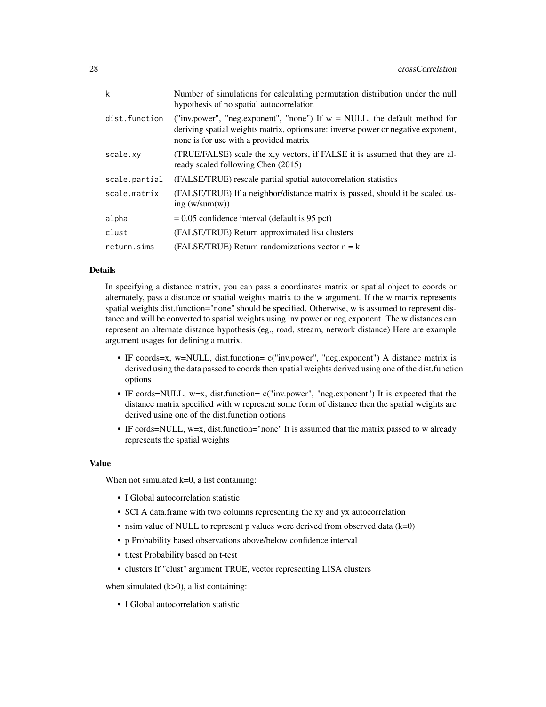| k             | Number of simulations for calculating permutation distribution under the null<br>hypothesis of no spatial autocorrelation                                                                                   |
|---------------|-------------------------------------------------------------------------------------------------------------------------------------------------------------------------------------------------------------|
| dist.function | ("inv.power", "neg.exponent", "none") If $w = NULL$ , the default method for<br>deriving spatial weights matrix, options are: inverse power or negative exponent,<br>none is for use with a provided matrix |
| scale.xy      | (TRUE/FALSE) scale the x,y vectors, if FALSE it is assumed that they are al-<br>ready scaled following Chen (2015)                                                                                          |
| scale.partial | (FALSE/TRUE) rescale partial spatial autocorrelation statistics                                                                                                                                             |
| scale.matrix  | (FALSE/TRUE) If a neighbor/distance matrix is passed, should it be scaled us-<br>ing $(w/\text{sum}(w))$                                                                                                    |
| alpha         | $= 0.05$ confidence interval (default is 95 pct)                                                                                                                                                            |
| clust         | (FALSE/TRUE) Return approximated lisa clusters                                                                                                                                                              |
| return.sims   | (FALSE/TRUE) Return randomizations vector $n = k$                                                                                                                                                           |

### Details

In specifying a distance matrix, you can pass a coordinates matrix or spatial object to coords or alternately, pass a distance or spatial weights matrix to the w argument. If the w matrix represents spatial weights dist.function="none" should be specified. Otherwise, w is assumed to represent distance and will be converted to spatial weights using inv.power or neg.exponent. The w distances can represent an alternate distance hypothesis (eg., road, stream, network distance) Here are example argument usages for defining a matrix.

- IF coords=x, w=NULL, dist.function= c("inv.power", "neg.exponent") A distance matrix is derived using the data passed to coords then spatial weights derived using one of the dist.function options
- IF cords=NULL, w=x, dist.function= c("inv.power", "neg.exponent") It is expected that the distance matrix specified with w represent some form of distance then the spatial weights are derived using one of the dist.function options
- IF cords=NULL, w=x, dist.function="none" It is assumed that the matrix passed to w already represents the spatial weights

#### Value

When not simulated  $k=0$ , a list containing:

- I Global autocorrelation statistic
- SCI A data.frame with two columns representing the xy and yx autocorrelation
- nsim value of NULL to represent p values were derived from observed data  $(k=0)$
- p Probability based observations above/below confidence interval
- t.test Probability based on t-test
- clusters If "clust" argument TRUE, vector representing LISA clusters

when simulated  $(k>0)$ , a list containing:

• I Global autocorrelation statistic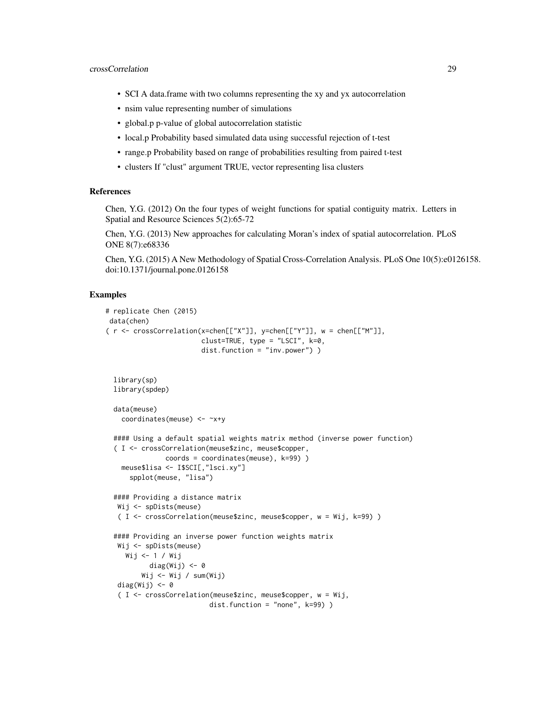- SCI A data.frame with two columns representing the xy and yx autocorrelation
- nsim value representing number of simulations
- global.p p-value of global autocorrelation statistic
- local.p Probability based simulated data using successful rejection of t-test
- range.p Probability based on range of probabilities resulting from paired t-test
- clusters If "clust" argument TRUE, vector representing lisa clusters

### References

Chen, Y.G. (2012) On the four types of weight functions for spatial contiguity matrix. Letters in Spatial and Resource Sciences 5(2):65-72

Chen, Y.G. (2013) New approaches for calculating Moran's index of spatial autocorrelation. PLoS ONE 8(7):e68336

Chen, Y.G. (2015) A New Methodology of Spatial Cross-Correlation Analysis. PLoS One 10(5):e0126158. doi:10.1371/journal.pone.0126158

```
# replicate Chen (2015)
data(chen)
( r <- crossCorrelation(x=chen[["X"]], y=chen[["Y"]], w = chen[["M"]],
                        clust=TRUE, type = "LSCI", k=0,
                        dist.function = "inv.power") )
 library(sp)
 library(spdep)
 data(meuse)
   coordinates(meuse) <- ~x+y
 #### Using a default spatial weights matrix method (inverse power function)
  ( I <- crossCorrelation(meuse$zinc, meuse$copper,
              coords = coordinates(meuse), k=99) )
   meuse$lisa <- I$SCI[,"lsci.xy"]
     spplot(meuse, "lisa")
 #### Providing a distance matrix
  Wij <- spDists(meuse)
   ( I <- crossCorrelation(meuse$zinc, meuse$copper, w = Wij, k=99) )
  #### Providing an inverse power function weights matrix
  Wij <- spDists(meuse)
    Wij <- 1 / Wij
          diag(Wij) <- 0
        Wij <- Wij / sum(Wij)
  diag(Wij) <-0( I <- crossCorrelation(meuse$zinc, meuse$copper, w = Wij,
                          dist.function = "none", k=99) )
```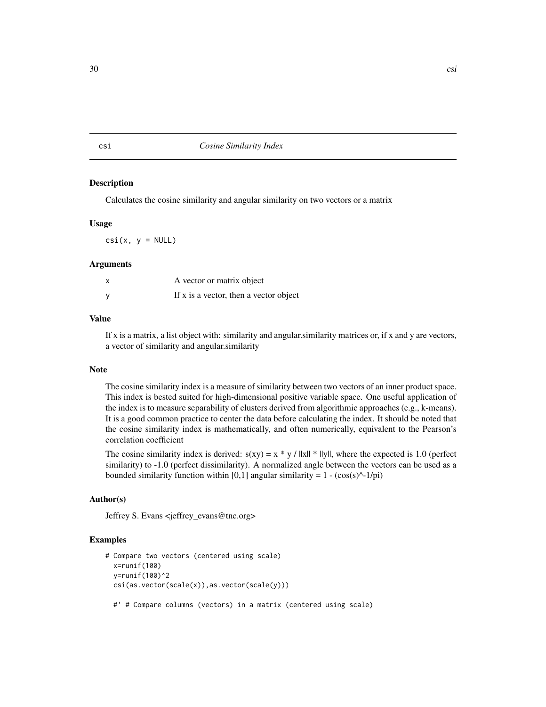<span id="page-29-0"></span>csi *Cosine Similarity Index*

#### **Description**

Calculates the cosine similarity and angular similarity on two vectors or a matrix

#### Usage

 $csi(x, y = NULL)$ 

### Arguments

| A vector or matrix object              |
|----------------------------------------|
| If x is a vector, then a vector object |

### Value

If x is a matrix, a list object with: similarity and angular.similarity matrices or, if x and y are vectors, a vector of similarity and angular.similarity

#### Note

The cosine similarity index is a measure of similarity between two vectors of an inner product space. This index is bested suited for high-dimensional positive variable space. One useful application of the index is to measure separability of clusters derived from algorithmic approaches (e.g., k-means). It is a good common practice to center the data before calculating the index. It should be noted that the cosine similarity index is mathematically, and often numerically, equivalent to the Pearson's correlation coefficient

The cosine similarity index is derived:  $s(xy) = x * y / ||x|| * ||y||$ , where the expected is 1.0 (perfect similarity) to -1.0 (perfect dissimilarity). A normalized angle between the vectors can be used as a bounded similarity function within [0,1] angular similarity =  $1 - (cos(s)^{(-1/pi)})$ 

### Author(s)

Jeffrey S. Evans <jeffrey\_evans@tnc.org>

```
# Compare two vectors (centered using scale)
 x=runif(100)
 y=runif(100)^2
 csi(as.vector(scale(x)),as.vector(scale(y)))
 #' # Compare columns (vectors) in a matrix (centered using scale)
```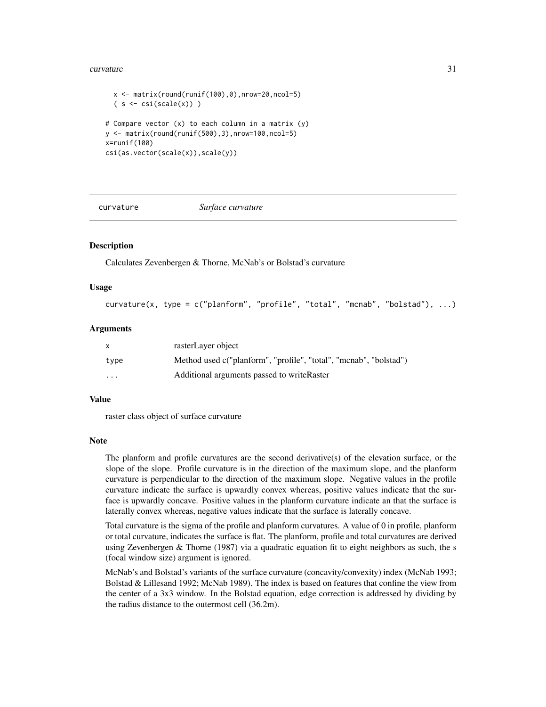#### <span id="page-30-0"></span>curvature 31

```
x \leftarrow \text{matrix}(\text{round}(\text{runif}(100), 0), \text{now=20}, \text{ncol=5})(s \leq \text{csi}(\text{scale}(x)))# Compare vector (x) to each column in a matrix (y)
y \le - matrix(round(runif(500),3),nrow=100,ncol=5)
x=runif(100)
csi(as.vector(scale(x)),scale(y))
```
curvature *Surface curvature*

### Description

Calculates Zevenbergen & Thorne, McNab's or Bolstad's curvature

#### Usage

```
curvature(x, type = c("planform", "profile", "total", "mcnab", "bolstad"), ...)
```
### Arguments

| X       | rasterLayer object                                                |
|---------|-------------------------------------------------------------------|
| type    | Method used c("planform", "profile", "total", "mcnab", "bolstad") |
| $\cdot$ | Additional arguments passed to write Raster                       |

#### Value

raster class object of surface curvature

### Note

The planform and profile curvatures are the second derivative(s) of the elevation surface, or the slope of the slope. Profile curvature is in the direction of the maximum slope, and the planform curvature is perpendicular to the direction of the maximum slope. Negative values in the profile curvature indicate the surface is upwardly convex whereas, positive values indicate that the surface is upwardly concave. Positive values in the planform curvature indicate an that the surface is laterally convex whereas, negative values indicate that the surface is laterally concave.

Total curvature is the sigma of the profile and planform curvatures. A value of 0 in profile, planform or total curvature, indicates the surface is flat. The planform, profile and total curvatures are derived using Zevenbergen  $&$  Thorne (1987) via a quadratic equation fit to eight neighbors as such, the s (focal window size) argument is ignored.

McNab's and Bolstad's variants of the surface curvature (concavity/convexity) index (McNab 1993; Bolstad & Lillesand 1992; McNab 1989). The index is based on features that confine the view from the center of a 3x3 window. In the Bolstad equation, edge correction is addressed by dividing by the radius distance to the outermost cell (36.2m).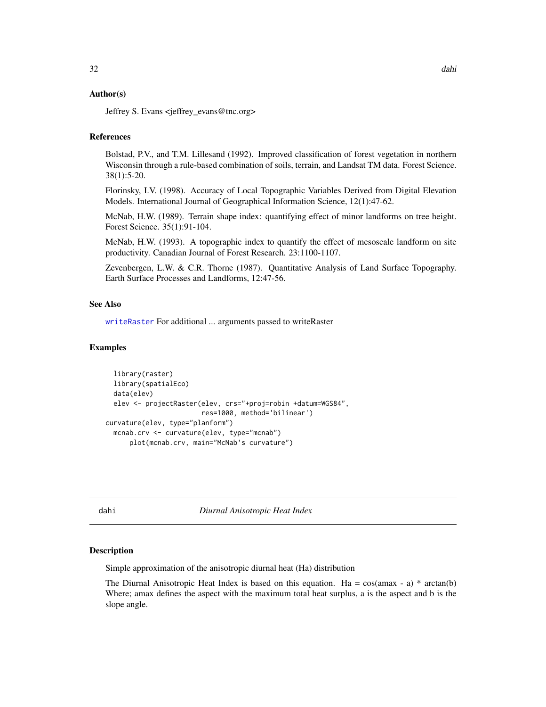### <span id="page-31-0"></span>Author(s)

Jeffrey S. Evans <jeffrey\_evans@tnc.org>

### References

Bolstad, P.V., and T.M. Lillesand (1992). Improved classification of forest vegetation in northern Wisconsin through a rule-based combination of soils, terrain, and Landsat TM data. Forest Science. 38(1):5-20.

Florinsky, I.V. (1998). Accuracy of Local Topographic Variables Derived from Digital Elevation Models. International Journal of Geographical Information Science, 12(1):47-62.

McNab, H.W. (1989). Terrain shape index: quantifying effect of minor landforms on tree height. Forest Science. 35(1):91-104.

McNab, H.W. (1993). A topographic index to quantify the effect of mesoscale landform on site productivity. Canadian Journal of Forest Research. 23:1100-1107.

Zevenbergen, L.W. & C.R. Thorne (1987). Quantitative Analysis of Land Surface Topography. Earth Surface Processes and Landforms, 12:47-56.

### See Also

[writeRaster](#page-0-0) For additional ... arguments passed to writeRaster

#### Examples

```
library(raster)
 library(spatialEco)
 data(elev)
 elev <- projectRaster(elev, crs="+proj=robin +datum=WGS84",
                        res=1000, method='bilinear')
curvature(elev, type="planform")
 mcnab.crv <- curvature(elev, type="mcnab")
     plot(mcnab.crv, main="McNab's curvature")
```
dahi *Diurnal Anisotropic Heat Index*

#### **Description**

Simple approximation of the anisotropic diurnal heat (Ha) distribution

The Diurnal Anisotropic Heat Index is based on this equation. Ha =  $cos( amax - a) * arctan(b)$ Where; amax defines the aspect with the maximum total heat surplus, a is the aspect and b is the slope angle.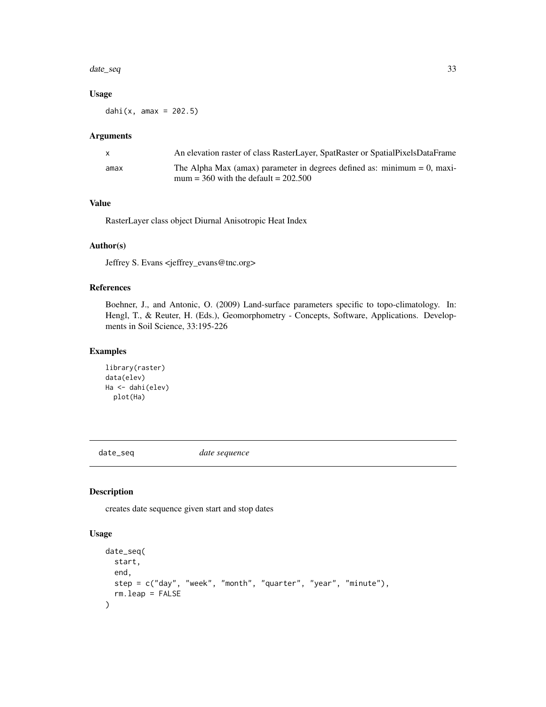#### <span id="page-32-0"></span>date\_seq 33

### Usage

dahi $(x, \text{ amax} = 202.5)$ 

#### Arguments

|      | An elevation raster of class RasterLayer, SpatRaster or SpatialPixelsDataFrame                                          |
|------|-------------------------------------------------------------------------------------------------------------------------|
| amax | The Alpha Max (amax) parameter in degrees defined as: minimum $= 0$ , maxi-<br>mum = $360$ with the default = $202.500$ |

### Value

RasterLayer class object Diurnal Anisotropic Heat Index

### Author(s)

Jeffrey S. Evans <jeffrey\_evans@tnc.org>

#### References

Boehner, J., and Antonic, O. (2009) Land-surface parameters specific to topo-climatology. In: Hengl, T., & Reuter, H. (Eds.), Geomorphometry - Concepts, Software, Applications. Developments in Soil Science, 33:195-226

#### Examples

```
library(raster)
data(elev)
Ha <- dahi(elev)
  plot(Ha)
```
date\_seq *date sequence*

### Description

creates date sequence given start and stop dates

#### Usage

```
date_seq(
  start,
  end,
  step = c("day", "week", "month", "quarter", "year", "minute"),
  rm.leap = FALSE
\mathcal{E}
```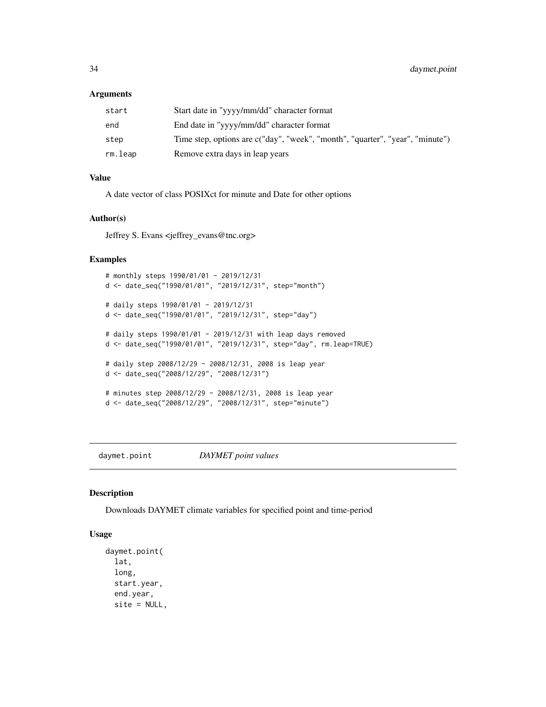#### <span id="page-33-0"></span>Arguments

| start   | Start date in "yyyy/mm/dd" character format                                   |
|---------|-------------------------------------------------------------------------------|
| end     | End date in "yyyy/mm/dd" character format                                     |
| step    | Time step, options are c("day", "week", "month", "quarter", "year", "minute") |
| rm.leap | Remove extra days in leap years                                               |

### Value

A date vector of class POSIXct for minute and Date for other options

#### Author(s)

Jeffrey S. Evans <jeffrey\_evans@tnc.org>

### Examples

```
# monthly steps 1990/01/01 - 2019/12/31
d <- date_seq("1990/01/01", "2019/12/31", step="month")
# daily steps 1990/01/01 - 2019/12/31
d <- date_seq("1990/01/01", "2019/12/31", step="day")
# daily steps 1990/01/01 - 2019/12/31 with leap days removed
d <- date_seq("1990/01/01", "2019/12/31", step="day", rm.leap=TRUE)
# daily step 2008/12/29 - 2008/12/31, 2008 is leap year
d <- date_seq("2008/12/29", "2008/12/31")
# minutes step 2008/12/29 - 2008/12/31, 2008 is leap year
d <- date_seq("2008/12/29", "2008/12/31", step="minute")
```
daymet.point *DAYMET point values*

### Description

Downloads DAYMET climate variables for specified point and time-period

#### Usage

```
daymet.point(
  lat,
  long,
  start.year,
  end.year,
 site = NULL,
```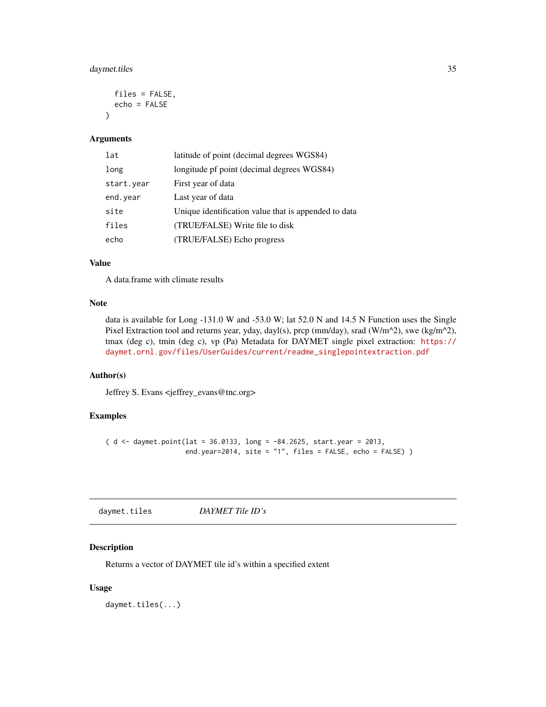### <span id="page-34-0"></span>daymet.tiles 35

```
files = FALSE,
  echo = FALSE
\lambda
```
#### Arguments

| lat        | latitude of point (decimal degrees WGS84)            |
|------------|------------------------------------------------------|
| long       | longitude pf point (decimal degrees WGS84)           |
| start.year | First year of data                                   |
| end. year  | Last year of data                                    |
| site       | Unique identification value that is appended to data |
| files      | (TRUE/FALSE) Write file to disk                      |
| echo       | (TRUE/FALSE) Echo progress                           |

#### Value

A data.frame with climate results

#### Note

data is available for Long -131.0 W and -53.0 W; lat 52.0 N and 14.5 N Function uses the Single Pixel Extraction tool and returns year, yday, dayl(s), prcp (mm/day), srad (W/m^2), swe (kg/m^2), tmax (deg c), tmin (deg c), vp (Pa) Metadata for DAYMET single pixel extraction: [https://](https://daymet.ornl.gov/files/UserGuides/current/readme_singlepointextraction.pdf) [daymet.ornl.gov/files/UserGuides/current/readme\\_singlepointextraction.pdf](https://daymet.ornl.gov/files/UserGuides/current/readme_singlepointextraction.pdf)

### Author(s)

Jeffrey S. Evans <jeffrey\_evans@tnc.org>

### Examples

(  $d \leq 2013$ , dumet.point(lat = 36.0133, long = -84.2625, start.year = 2013, end.year=2014, site = "1", files = FALSE, echo = FALSE) )

daymet.tiles *DAYMET Tile ID's*

### Description

Returns a vector of DAYMET tile id's within a specified extent

### Usage

daymet.tiles(...)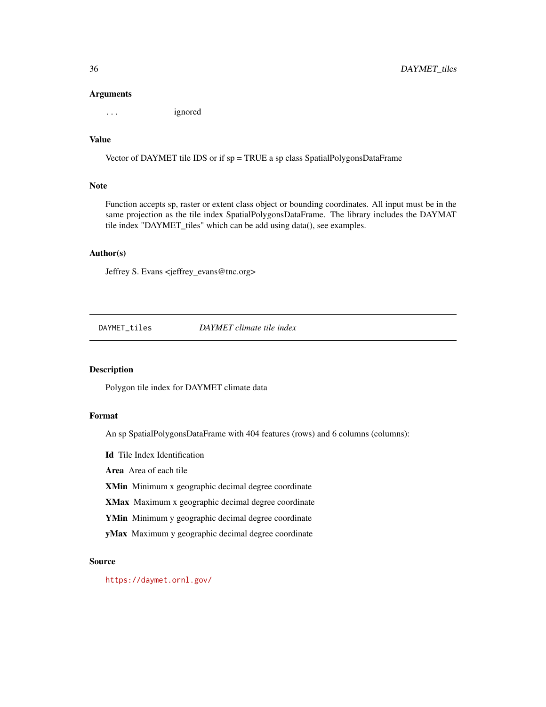#### Arguments

... ignored

### Value

Vector of DAYMET tile IDS or if sp = TRUE a sp class SpatialPolygonsDataFrame

### Note

Function accepts sp, raster or extent class object or bounding coordinates. All input must be in the same projection as the tile index SpatialPolygonsDataFrame. The library includes the DAYMAT tile index "DAYMET\_tiles" which can be add using data(), see examples.

#### Author(s)

Jeffrey S. Evans <jeffrey\_evans@tnc.org>

DAYMET\_tiles *DAYMET climate tile index*

#### Description

Polygon tile index for DAYMET climate data

### Format

An sp SpatialPolygonsDataFrame with 404 features (rows) and 6 columns (columns):

Id Tile Index Identification

Area Area of each tile

XMin Minimum x geographic decimal degree coordinate

XMax Maximum x geographic decimal degree coordinate

YMin Minimum y geographic decimal degree coordinate

yMax Maximum y geographic decimal degree coordinate

### Source

<https://daymet.ornl.gov/>

<span id="page-35-0"></span>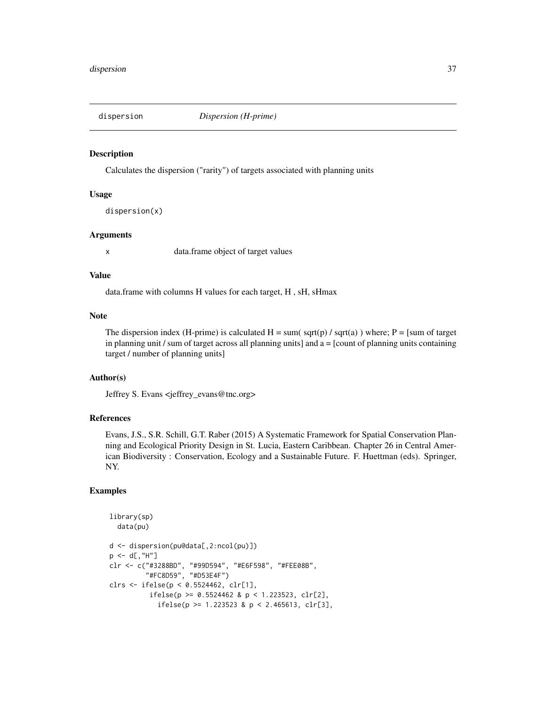Calculates the dispersion ("rarity") of targets associated with planning units

## Usage

dispersion(x)

# Arguments

x data.frame object of target values

## Value

data.frame with columns H values for each target, H , sH, sHmax

#### Note

The dispersion index (H-prime) is calculated  $H = sum(sqrt(p) / sqrt(a))$  where;  $P = [sum of target]$ in planning unit  $\ell$  sum of target across all planning units] and  $a =$  [count of planning units containing target / number of planning units]

# Author(s)

Jeffrey S. Evans <jeffrey\_evans@tnc.org>

# References

Evans, J.S., S.R. Schill, G.T. Raber (2015) A Systematic Framework for Spatial Conservation Planning and Ecological Priority Design in St. Lucia, Eastern Caribbean. Chapter 26 in Central American Biodiversity : Conservation, Ecology and a Sustainable Future. F. Huettman (eds). Springer, NY.

```
library(sp)
  data(pu)
d <- dispersion(pu@data[,2:ncol(pu)])
p \leq -d[,"H"]
clr <- c("#3288BD", "#99D594", "#E6F598", "#FEE08B",
         "#FC8D59", "#D53E4F")
clrs <- ifelse(p < 0.5524462, clr[1],
          ifelse(p >= 0.5524462 & p < 1.223523, clr[2],
            ifelse(p >= 1.223523 & p < 2.465613, clr[3],
```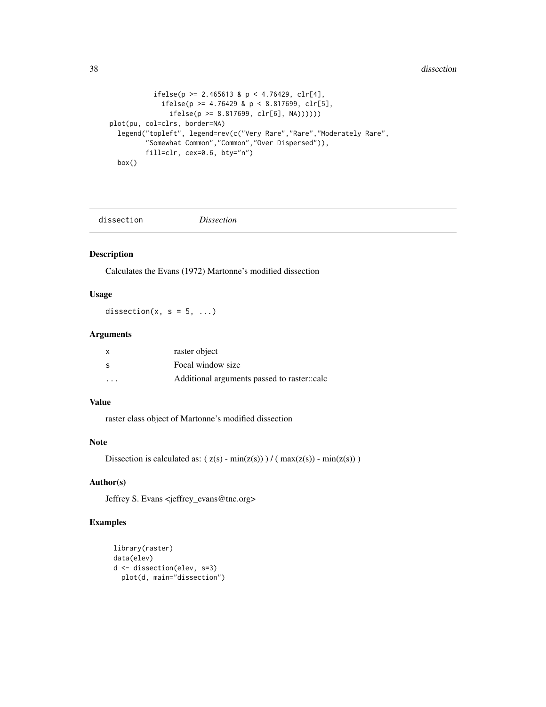```
ifelse(p \ge 2.465613 \& p \le 4.76429, clr[4],
             ifelse(p >= 4.76429 & p < 8.817699, clr[5],
               ifelse(p >= 8.817699, clr[6], NA))))))
plot(pu, col=clrs, border=NA)
  legend("topleft", legend=rev(c("Very Rare","Rare","Moderately Rare",
         "Somewhat Common","Common","Over Dispersed")),
         fill=clr, cex=0.6, bty="n")
  box()
```
dissection *Dissection*

#### Description

Calculates the Evans (1972) Martonne's modified dissection

# Usage

dissection(x,  $s = 5, ...$ )

## Arguments

| $\mathsf{x}$            | raster object                               |
|-------------------------|---------------------------------------------|
| -S                      | Focal window size                           |
| $\cdot$ $\cdot$ $\cdot$ | Additional arguments passed to raster::calc |

# Value

raster class object of Martonne's modified dissection

# Note

Dissection is calculated as:  $(z(s) - min(z(s))) / (max(z(s)) - min(z(s)))$ 

#### Author(s)

Jeffrey S. Evans <jeffrey\_evans@tnc.org>

```
library(raster)
data(elev)
d <- dissection(elev, s=3)
 plot(d, main="dissection")
```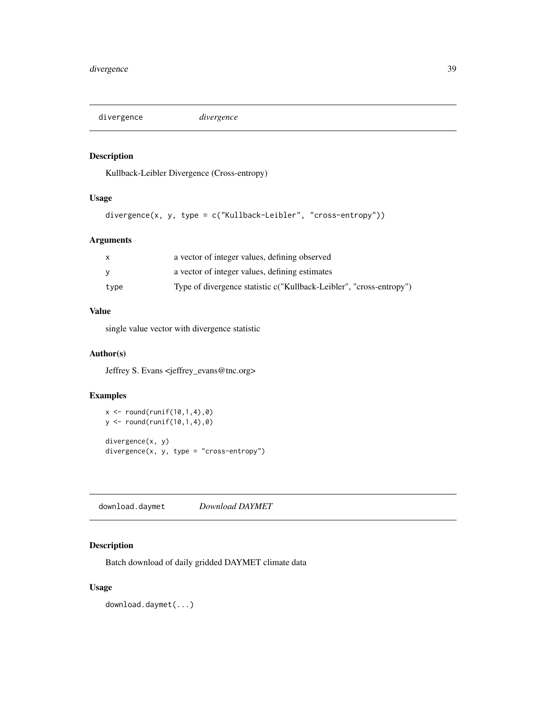divergence *divergence*

# Description

Kullback-Leibler Divergence (Cross-entropy)

## Usage

```
divergence(x, y, type = c("Kullback-Leibler", "cross-entropy"))
```
# Arguments

| $\mathsf{x}$ | a vector of integer values, defining observed                       |
|--------------|---------------------------------------------------------------------|
| <b>V</b>     | a vector of integer values, defining estimates                      |
| type         | Type of divergence statistic c("Kullback-Leibler", "cross-entropy") |

# Value

single value vector with divergence statistic

# Author(s)

Jeffrey S. Evans <jeffrey\_evans@tnc.org>

# Examples

```
x \le round(runif(10,1,4),0)
y <- round(runif(10,1,4),0)
divergence(x, y)
divergence(x, y, type = "cross-entropy")
```
download.daymet *Download DAYMET*

# Description

Batch download of daily gridded DAYMET climate data

# Usage

download.daymet(...)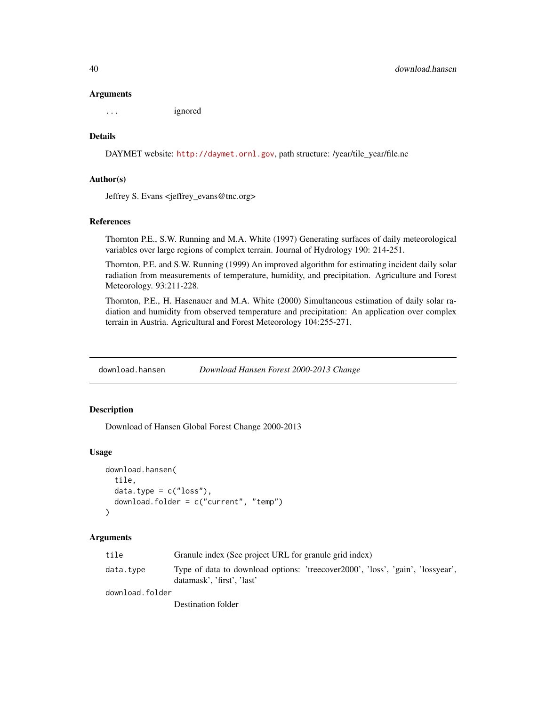#### Arguments

... ignored

## Details

DAYMET website: <http://daymet.ornl.gov>, path structure: /year/tile\_year/file.nc

## Author(s)

Jeffrey S. Evans <jeffrey\_evans@tnc.org>

## References

Thornton P.E., S.W. Running and M.A. White (1997) Generating surfaces of daily meteorological variables over large regions of complex terrain. Journal of Hydrology 190: 214-251.

Thornton, P.E. and S.W. Running (1999) An improved algorithm for estimating incident daily solar radiation from measurements of temperature, humidity, and precipitation. Agriculture and Forest Meteorology. 93:211-228.

Thornton, P.E., H. Hasenauer and M.A. White (2000) Simultaneous estimation of daily solar radiation and humidity from observed temperature and precipitation: An application over complex terrain in Austria. Agricultural and Forest Meteorology 104:255-271.

download.hansen *Download Hansen Forest 2000-2013 Change*

#### **Description**

Download of Hansen Global Forest Change 2000-2013

#### Usage

```
download.hansen(
  tile,
  data.type = c("loss"),download.folder = c("current", "temp")
\lambda
```
## **Arguments**

| tile            | Granule index (See project URL for granule grid index)                                                       |  |
|-----------------|--------------------------------------------------------------------------------------------------------------|--|
| data.type       | Type of data to download options: 'treecover2000', 'loss', 'gain', 'lossyear',<br>datamask'. 'first'. 'last' |  |
| download.folder |                                                                                                              |  |
|                 |                                                                                                              |  |

Destination folder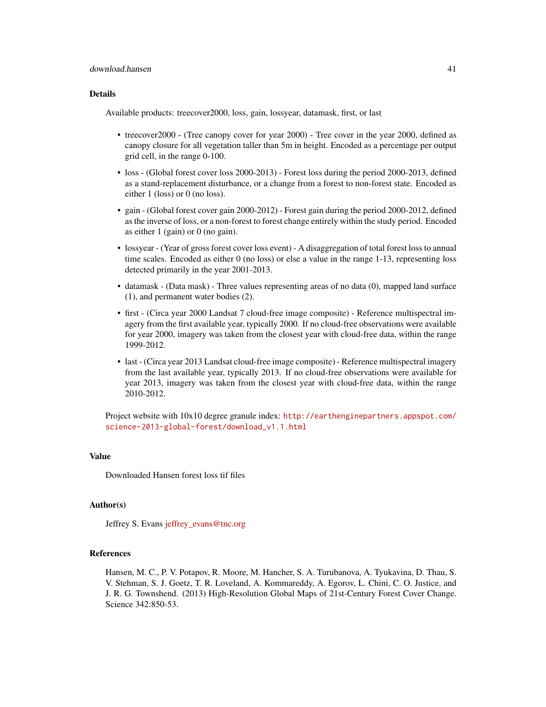#### Details

Available products: treecover2000, loss, gain, lossyear, datamask, first, or last

- treecover2000 (Tree canopy cover for year 2000) Tree cover in the year 2000, defined as canopy closure for all vegetation taller than 5m in height. Encoded as a percentage per output grid cell, in the range 0-100.
- loss (Global forest cover loss 2000-2013) Forest loss during the period 2000-2013, defined as a stand-replacement disturbance, or a change from a forest to non-forest state. Encoded as either 1 (loss) or 0 (no loss).
- gain (Global forest cover gain 2000-2012) Forest gain during the period 2000-2012, defined as the inverse of loss, or a non-forest to forest change entirely within the study period. Encoded as either 1 (gain) or 0 (no gain).
- lossyear (Year of gross forest cover loss event) A disaggregation of total forest loss to annual time scales. Encoded as either 0 (no loss) or else a value in the range 1-13, representing loss detected primarily in the year 2001-2013.
- datamask (Data mask) Three values representing areas of no data (0), mapped land surface (1), and permanent water bodies (2).
- first (Circa year 2000 Landsat 7 cloud-free image composite) Reference multispectral imagery from the first available year, typically 2000. If no cloud-free observations were available for year 2000, imagery was taken from the closest year with cloud-free data, within the range 1999-2012.
- last (Circa year 2013 Landsat cloud-free image composite) Reference multispectral imagery from the last available year, typically 2013. If no cloud-free observations were available for year 2013, imagery was taken from the closest year with cloud-free data, within the range 2010-2012.

Project website with 10x10 degree granule index: [http://earthenginepartners.appspot.com/](http://earthenginepartners.appspot.com/science-2013-global-forest/download_v1.1.html) [science-2013-global-forest/download\\_v1.1.html](http://earthenginepartners.appspot.com/science-2013-global-forest/download_v1.1.html)

## Value

Downloaded Hansen forest loss tif files

# Author(s)

Jeffrey S. Evans [jeffrey\\_evans@tnc.org](mailto:jeffrey_evans@tnc.org)

## References

Hansen, M. C., P. V. Potapov, R. Moore, M. Hancher, S. A. Turubanova, A. Tyukavina, D. Thau, S. V. Stehman, S. J. Goetz, T. R. Loveland, A. Kommareddy, A. Egorov, L. Chini, C. O. Justice, and J. R. G. Townshend. (2013) High-Resolution Global Maps of 21st-Century Forest Cover Change. Science 342:850-53.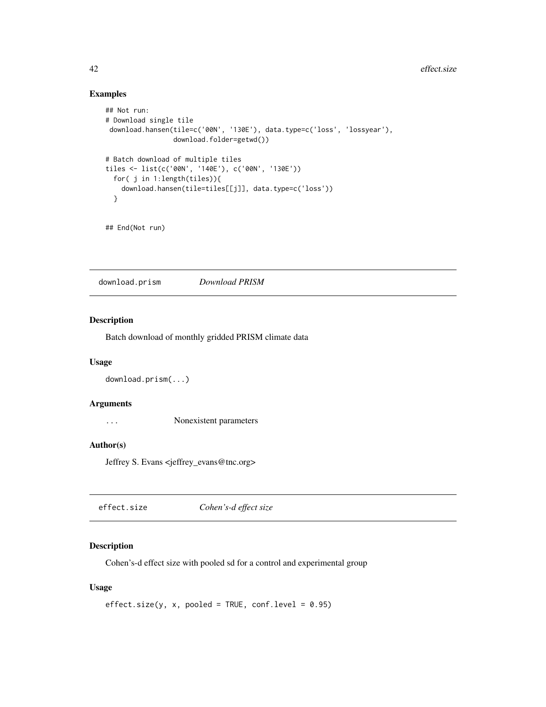# Examples

```
## Not run:
# Download single tile
download.hansen(tile=c('00N', '130E'), data.type=c('loss', 'lossyear'),
                download.folder=getwd())
# Batch download of multiple tiles
tiles <- list(c('00N', '140E'), c('00N', '130E'))
 for( j in 1:length(tiles)){
   download.hansen(tile=tiles[[j]], data.type=c('loss'))
 }
```

```
## End(Not run)
```
download.prism *Download PRISM*

## Description

Batch download of monthly gridded PRISM climate data

#### Usage

```
download.prism(...)
```
## Arguments

... Nonexistent parameters

#### Author(s)

Jeffrey S. Evans <jeffrey\_evans@tnc.org>

| effect.size | Cohen's-d effect size |  |
|-------------|-----------------------|--|
|-------------|-----------------------|--|

# Description

Cohen's-d effect size with pooled sd for a control and experimental group

# Usage

```
effect.size(y, x, pooled = TRUE, conf.level = 0.95)
```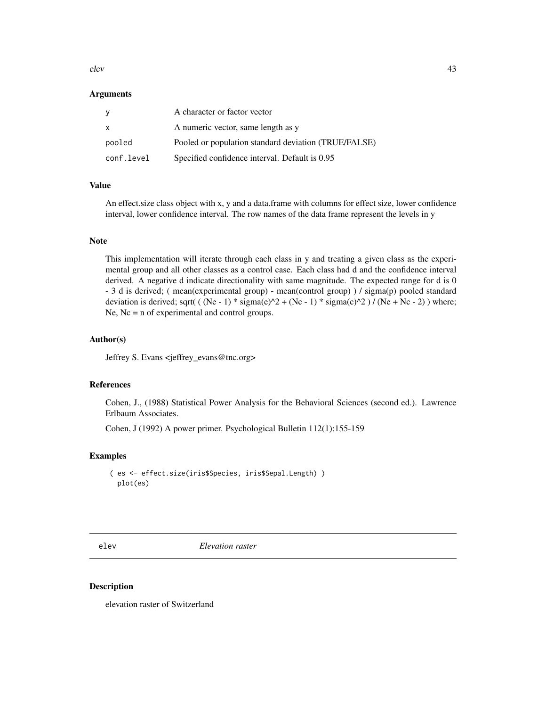elev 43

## Arguments

| У          | A character or factor vector                         |
|------------|------------------------------------------------------|
| X          | A numeric vector, same length as y                   |
| pooled     | Pooled or population standard deviation (TRUE/FALSE) |
| conf.level | Specified confidence interval. Default is 0.95       |

## Value

An effect.size class object with x, y and a data.frame with columns for effect size, lower confidence interval, lower confidence interval. The row names of the data frame represent the levels in y

# Note

This implementation will iterate through each class in y and treating a given class as the experimental group and all other classes as a control case. Each class had d and the confidence interval derived. A negative d indicate directionality with same magnitude. The expected range for d is 0 - 3 d is derived; ( mean(experimental group) - mean(control group) ) / sigma(p) pooled standard deviation is derived; sqrt( ( (Ne - 1) \* sigma(e)^2 + (Nc - 1) \* sigma(c)^2 ) / (Ne + Nc - 2) ) where; Ne, Nc = n of experimental and control groups.

## Author(s)

Jeffrey S. Evans <jeffrey\_evans@tnc.org>

## References

Cohen, J., (1988) Statistical Power Analysis for the Behavioral Sciences (second ed.). Lawrence Erlbaum Associates.

Cohen, J (1992) A power primer. Psychological Bulletin 112(1):155-159

# Examples

```
( es <- effect.size(iris$Species, iris$Sepal.Length) )
 plot(es)
```
elev *Elevation raster*

#### Description

elevation raster of Switzerland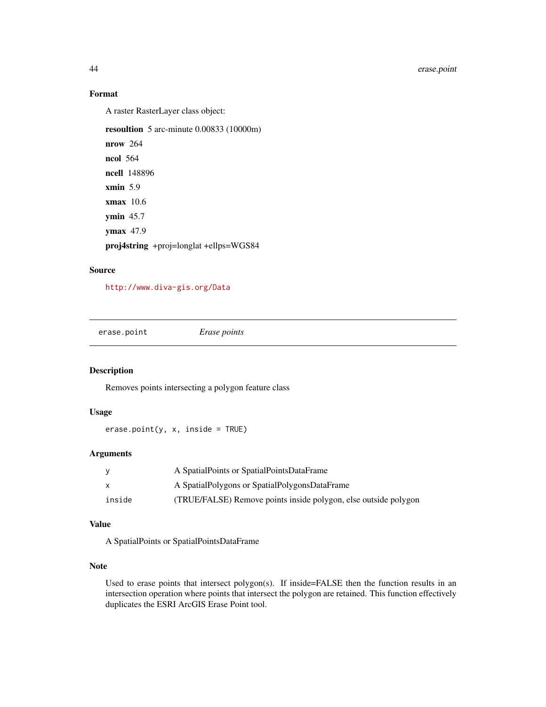# Format

A raster RasterLayer class object:

resoultion 5 arc-minute 0.00833 (10000m)

nrow 264 ncol 564 ncell 148896 xmin 5.9 xmax 10.6 ymin 45.7 ymax 47.9 proj4string +proj=longlat +ellps=WGS84

# Source

<http://www.diva-gis.org/Data>

erase.point *Erase points*

## Description

Removes points intersecting a polygon feature class

#### Usage

 $erase.point(y, x, inside = TRUE)$ 

# Arguments

|        | A SpatialPoints or SpatialPointsDataFrame                       |
|--------|-----------------------------------------------------------------|
|        | A SpatialPolygons or SpatialPolygonsDataFrame                   |
| inside | (TRUE/FALSE) Remove points inside polygon, else outside polygon |

## Value

A SpatialPoints or SpatialPointsDataFrame

## Note

Used to erase points that intersect polygon(s). If inside=FALSE then the function results in an intersection operation where points that intersect the polygon are retained. This function effectively duplicates the ESRI ArcGIS Erase Point tool.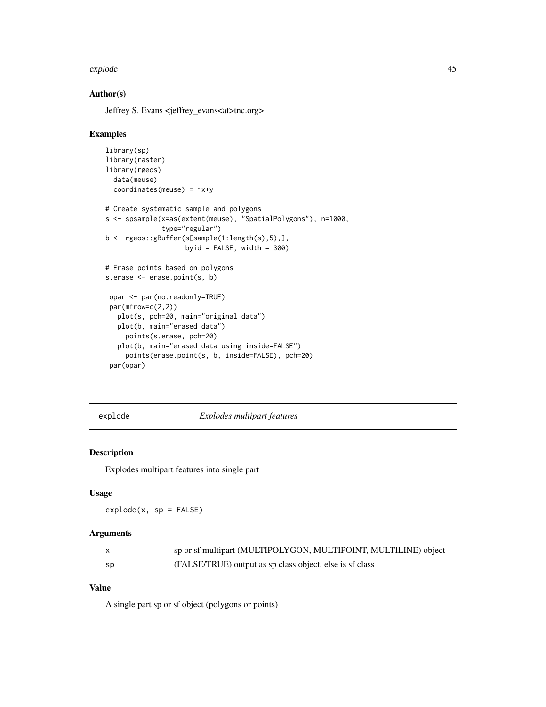#### explode that the set of the set of the set of the set of the set of the set of the set of the set of the set of the set of the set of the set of the set of the set of the set of the set of the set of the set of the set of

## Author(s)

Jeffrey S. Evans <jeffrey\_evans<at>tnc.org>

#### Examples

```
library(sp)
library(raster)
library(rgeos)
  data(meuse)
  coordinates(meuse) = -x+y# Create systematic sample and polygons
s <- spsample(x=as(extent(meuse), "SpatialPolygons"), n=1000,
              type="regular")
b <- rgeos::gBuffer(s[sample(1:length(s),5),],
                    byid = FALSE, width = 300)
# Erase points based on polygons
s.erase <- erase.point(s, b)
 opar <- par(no.readonly=TRUE)
 par(mfrow=c(2,2))
  plot(s, pch=20, main="original data")
  plot(b, main="erased data")
    points(s.erase, pch=20)
   plot(b, main="erased data using inside=FALSE")
    points(erase.point(s, b, inside=FALSE), pch=20)
 par(opar)
```
explode *Explodes multipart features*

# Description

Explodes multipart features into single part

## Usage

explode(x, sp = FALSE)

#### Arguments

| X.   | sp or sf multipart (MULTIPOLYGON, MULTIPOINT, MULTILINE) object |
|------|-----------------------------------------------------------------|
| - SD | (FALSE/TRUE) output as sp class object, else is sf class        |

# Value

A single part sp or sf object (polygons or points)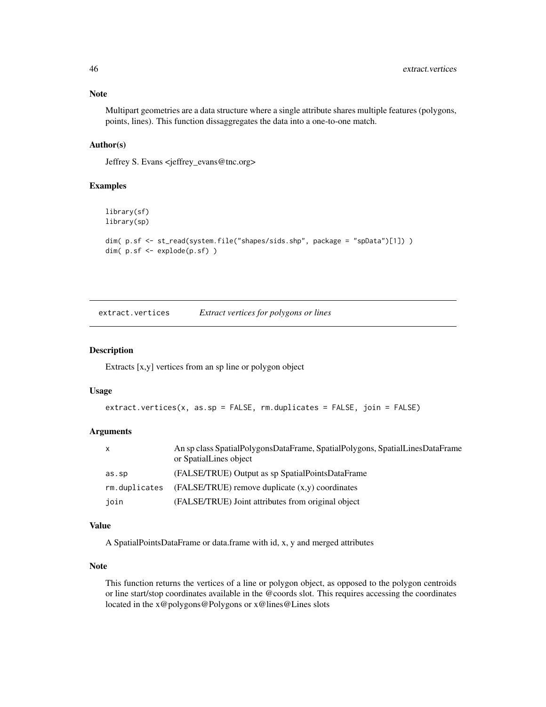Multipart geometries are a data structure where a single attribute shares multiple features (polygons, points, lines). This function dissaggregates the data into a one-to-one match.

# Author(s)

Jeffrey S. Evans <jeffrey\_evans@tnc.org>

## Examples

```
library(sf)
library(sp)
dim( p.sf <- st_read(system.file("shapes/sids.shp", package = "spData")[1]) )
dim( p.sf <- explode(p.sf) )
```
extract.vertices *Extract vertices for polygons or lines*

## Description

Extracts [x,y] vertices from an sp line or polygon object

#### Usage

```
extract.vertices(x, as.sp = FALSE, rm.duplicates = FALSE, join = FALSE)
```
# Arguments

| X             | An sp class SpatialPolygonsDataFrame, SpatialPolygons, SpatialLinesDataFrame<br>or SpatialLines object |
|---------------|--------------------------------------------------------------------------------------------------------|
| as.sp         | (FALSE/TRUE) Output as sp SpatialPointsDataFrame                                                       |
| rm.duplicates | $(FALSE/TRUE)$ remove duplicate $(x,y)$ coordinates                                                    |
| join          | (FALSE/TRUE) Joint attributes from original object                                                     |

## Value

A SpatialPointsDataFrame or data.frame with id, x, y and merged attributes

## Note

This function returns the vertices of a line or polygon object, as opposed to the polygon centroids or line start/stop coordinates available in the @coords slot. This requires accessing the coordinates located in the x@polygons@Polygons or x@lines@Lines slots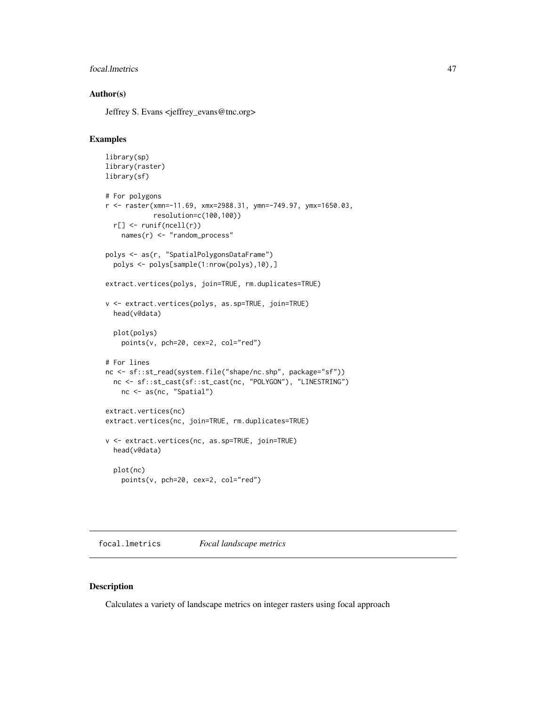# focal.lmetrics 47

## Author(s)

Jeffrey S. Evans <jeffrey\_evans@tnc.org>

#### Examples

```
library(sp)
library(raster)
library(sf)
# For polygons
r <- raster(xmn=-11.69, xmx=2988.31, ymn=-749.97, ymx=1650.03,
            resolution=c(100,100))
  r[] <- runif(ncell(r))
    names(r) <- "random_process"
polys <- as(r, "SpatialPolygonsDataFrame")
  polys <- polys[sample(1:nrow(polys),10),]
extract.vertices(polys, join=TRUE, rm.duplicates=TRUE)
v <- extract.vertices(polys, as.sp=TRUE, join=TRUE)
  head(v@data)
  plot(polys)
    points(v, pch=20, cex=2, col="red")
# For lines
nc <- sf::st_read(system.file("shape/nc.shp", package="sf"))
 nc <- sf::st_cast(sf::st_cast(nc, "POLYGON"), "LINESTRING")
   nc <- as(nc, "Spatial")
extract.vertices(nc)
extract.vertices(nc, join=TRUE, rm.duplicates=TRUE)
v <- extract.vertices(nc, as.sp=TRUE, join=TRUE)
  head(v@data)
  plot(nc)
    points(v, pch=20, cex=2, col="red")
```
focal.lmetrics *Focal landscape metrics*

#### Description

Calculates a variety of landscape metrics on integer rasters using focal approach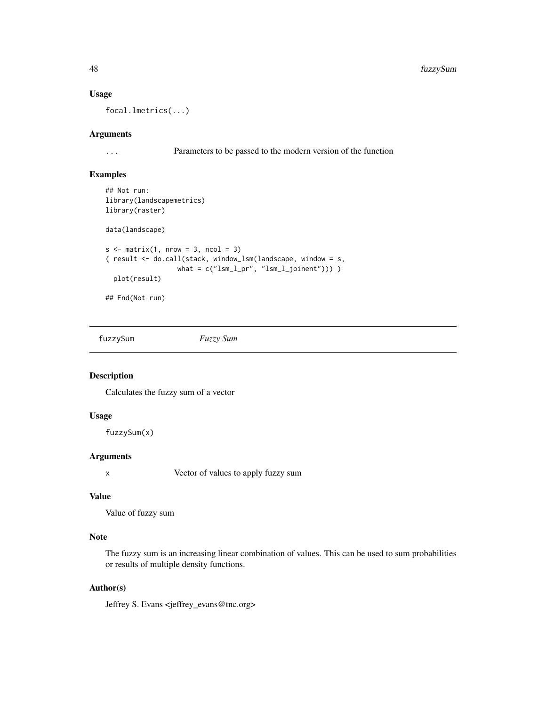#### Usage

focal.lmetrics(...)

## Arguments

... Parameters to be passed to the modern version of the function

## Examples

```
## Not run:
library(landscapemetrics)
library(raster)
data(landscape)
s \le matrix(1, nrow = 3, ncol = 3)
( result <- do.call(stack, window_lsm(landscape, window = s,
                      \label{eq:what} \begin{array}{ll} \text{what = c("lsm_l_p", "lsm_l_jjoinent"))) \end{array}plot(result)
## End(Not run)
```
fuzzySum *Fuzzy Sum*

# Description

Calculates the fuzzy sum of a vector

# Usage

fuzzySum(x)

# Arguments

x Vector of values to apply fuzzy sum

# Value

Value of fuzzy sum

## Note

The fuzzy sum is an increasing linear combination of values. This can be used to sum probabilities or results of multiple density functions.

# Author(s)

Jeffrey S. Evans <jeffrey\_evans@tnc.org>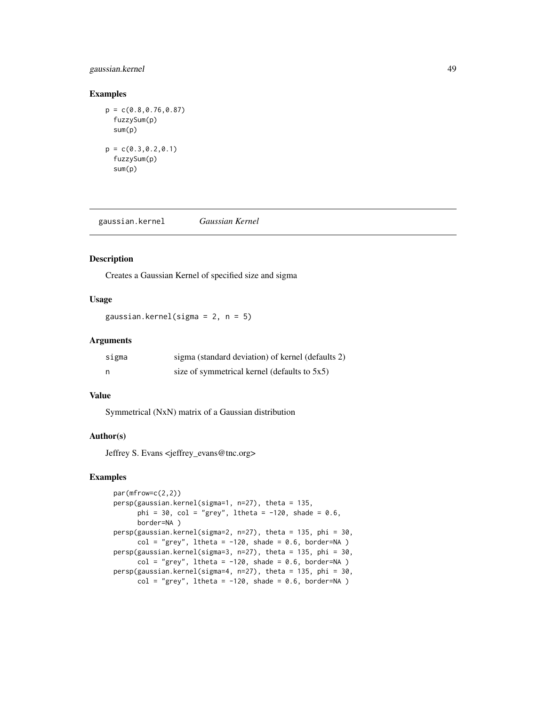# gaussian.kernel 49

#### Examples

```
p = c(0.8, 0.76, 0.87)fuzzySum(p)
 sum(p)
p = c(0.3, 0.2, 0.1)fuzzySum(p)
 sum(p)
```
gaussian.kernel *Gaussian Kernel*

## Description

Creates a Gaussian Kernel of specified size and sigma

# Usage

gaussian.kernel(sigma = 2, n = 5)

#### Arguments

| sigma | sigma (standard deviation) of kernel (defaults 2) |
|-------|---------------------------------------------------|
|       | size of symmetrical kernel (defaults to 5x5)      |

#### Value

Symmetrical (NxN) matrix of a Gaussian distribution

# Author(s)

Jeffrey S. Evans <jeffrey\_evans@tnc.org>

```
par(mfrow=c(2,2))
persp(gaussian.kernel(sigma=1, n=27), theta = 135,
      phi = 30, col = "grey", ltheta = -120, shade = 0.6,
      border=NA )
persp(gaussian.kernel(sigma=2, n=27), theta = 135, phi = 30,
      col = "grey", ltheta = -120, shade = 0.6, border=NA )
persp(gaussian.kernel(sigma=3, n=27), theta = 135, phi = 30,
      col = "grey", ltheta = -120, shade = 0.6, border=NA )
persp(gaussian.kernel(sigma=4, n=27), theta = 135, phi = 30,
      col = "grey", ltheta = -120, shade = 0.6, border=NA)
```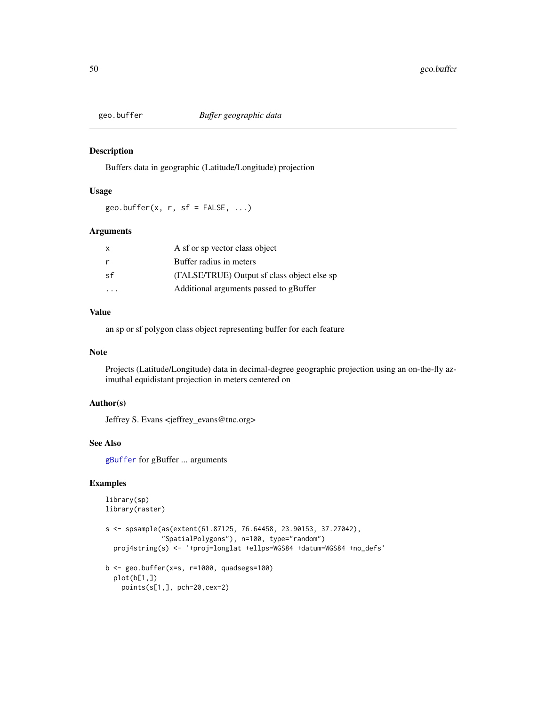Buffers data in geographic (Latitude/Longitude) projection

# Usage

geo.buffer(x, r, sf =  $FALSE, ...$ )

# Arguments

| X  | A sf or sp vector class object              |
|----|---------------------------------------------|
| r  | Buffer radius in meters                     |
| sf | (FALSE/TRUE) Output sf class object else sp |
|    | Additional arguments passed to gBuffer      |
|    |                                             |

# Value

an sp or sf polygon class object representing buffer for each feature

## Note

Projects (Latitude/Longitude) data in decimal-degree geographic projection using an on-the-fly azimuthal equidistant projection in meters centered on

# Author(s)

Jeffrey S. Evans <jeffrey\_evans@tnc.org>

## See Also

[gBuffer](#page-0-0) for gBuffer ... arguments

```
library(sp)
library(raster)
s <- spsample(as(extent(61.87125, 76.64458, 23.90153, 37.27042),
              "SpatialPolygons"), n=100, type="random")
  proj4string(s) <- '+proj=longlat +ellps=WGS84 +datum=WGS84 +no_defs'
b \leq geo.buffer(x=s, r=1000, quadsegs=100)
  plot(b[1,])
   points(s[1,], pch=20,cex=2)
```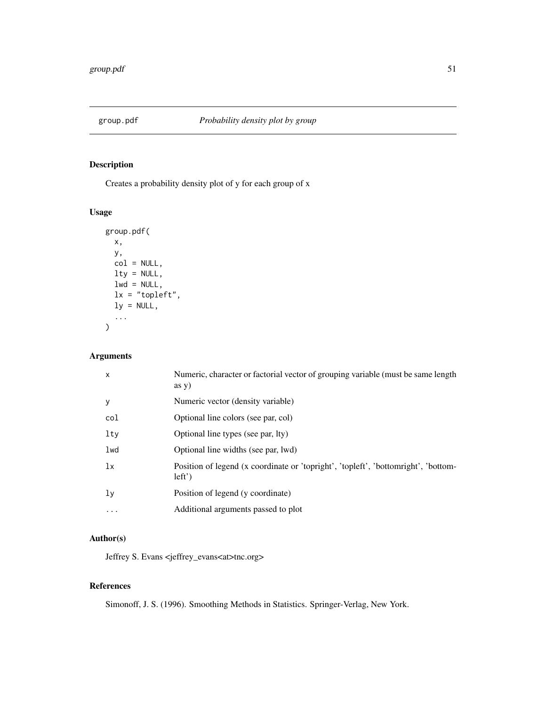Creates a probability density plot of y for each group of x

# Usage

```
group.pdf(
 x,
 y,
 col = NULL,lty = NULL,lwd = NULL,lx = "topleft",
 ly = NULL,...
)
```
# Arguments

| $\mathsf{x}$ | Numeric, character or factorial vector of grouping variable (must be same length<br>$\frac{1}{2}$ as y) |
|--------------|---------------------------------------------------------------------------------------------------------|
| y            | Numeric vector (density variable)                                                                       |
| col          | Optional line colors (see par, col)                                                                     |
| lty          | Optional line types (see par, lty)                                                                      |
| lwd          | Optional line widths (see par, lwd)                                                                     |
| lx           | Position of legend (x coordinate or 'topright', 'topleft', 'bottomright', 'bottom-<br>$left'$ )         |
| 1y           | Position of legend (y coordinate)                                                                       |
| .            | Additional arguments passed to plot                                                                     |

# Author(s)

Jeffrey S. Evans <jeffrey\_evans<at>tnc.org>

# References

Simonoff, J. S. (1996). Smoothing Methods in Statistics. Springer-Verlag, New York.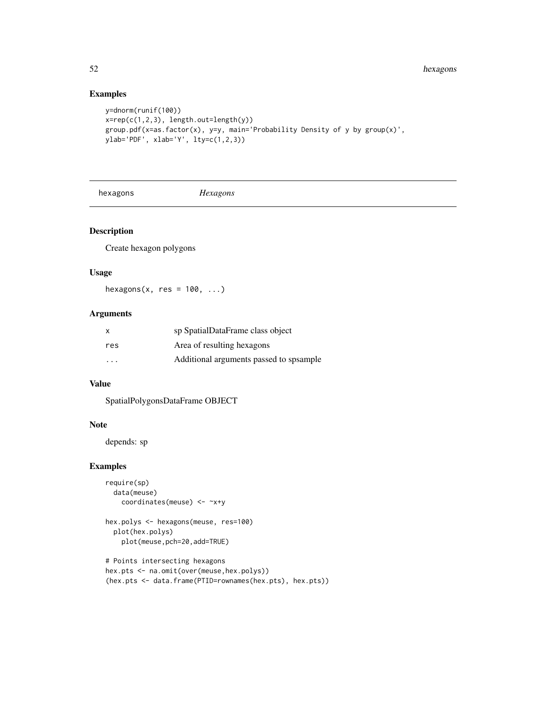# Examples

```
y=dnorm(runif(100))
x = rep(c(1,2,3), length.out = length(y))group.pdf(x=as.factor(x), y=y, main='Probability Density of y by group(x)',
ylab='PDF', xlab='Y', lty=c(1,2,3))
```
hexagons *Hexagons*

# Description

Create hexagon polygons

## Usage

hexagons(x, res =  $100, ...$ )

# Arguments

| $\mathsf{x}$ | sp SpatialDataFrame class object         |
|--------------|------------------------------------------|
| res          | Area of resulting hexagons               |
| .            | Additional arguments passed to spsample. |

## Value

SpatialPolygonsDataFrame OBJECT

## Note

depends: sp

```
require(sp)
  data(meuse)
   coordinates(meuse) <- ~x+y
hex.polys <- hexagons(meuse, res=100)
  plot(hex.polys)
   plot(meuse,pch=20,add=TRUE)
# Points intersecting hexagons
hex.pts <- na.omit(over(meuse,hex.polys))
(hex.pts <- data.frame(PTID=rownames(hex.pts), hex.pts))
```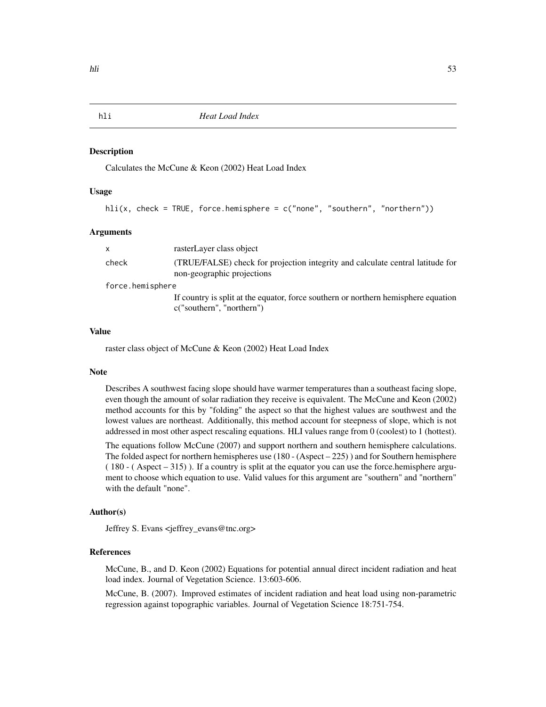Calculates the McCune & Keon (2002) Heat Load Index

## Usage

hli(x, check = TRUE, force.hemisphere = c("none", "southern", "northern"))

#### Arguments

|                  | x     | rasterLayer class object                                                                                        |
|------------------|-------|-----------------------------------------------------------------------------------------------------------------|
|                  | check | (TRUE/FALSE) check for projection integrity and calculate central latitude for<br>non-geographic projections    |
| force.hemisphere |       |                                                                                                                 |
|                  |       | If country is split at the equator, force southern or northern hemisphere equation<br>c("southern", "northern") |
|                  |       |                                                                                                                 |

#### Value

raster class object of McCune & Keon (2002) Heat Load Index

#### Note

Describes A southwest facing slope should have warmer temperatures than a southeast facing slope, even though the amount of solar radiation they receive is equivalent. The McCune and Keon (2002) method accounts for this by "folding" the aspect so that the highest values are southwest and the lowest values are northeast. Additionally, this method account for steepness of slope, which is not addressed in most other aspect rescaling equations. HLI values range from 0 (coolest) to 1 (hottest).

The equations follow McCune (2007) and support northern and southern hemisphere calculations. The folded aspect for northern hemispheres use (180 - (Aspect – 225) ) and for Southern hemisphere ( 180 - ( Aspect – 315) ). If a country is split at the equator you can use the force.hemisphere argument to choose which equation to use. Valid values for this argument are "southern" and "northern" with the default "none".

## Author(s)

Jeffrey S. Evans <jeffrey\_evans@tnc.org>

# References

McCune, B., and D. Keon (2002) Equations for potential annual direct incident radiation and heat load index. Journal of Vegetation Science. 13:603-606.

McCune, B. (2007). Improved estimates of incident radiation and heat load using non-parametric regression against topographic variables. Journal of Vegetation Science 18:751-754.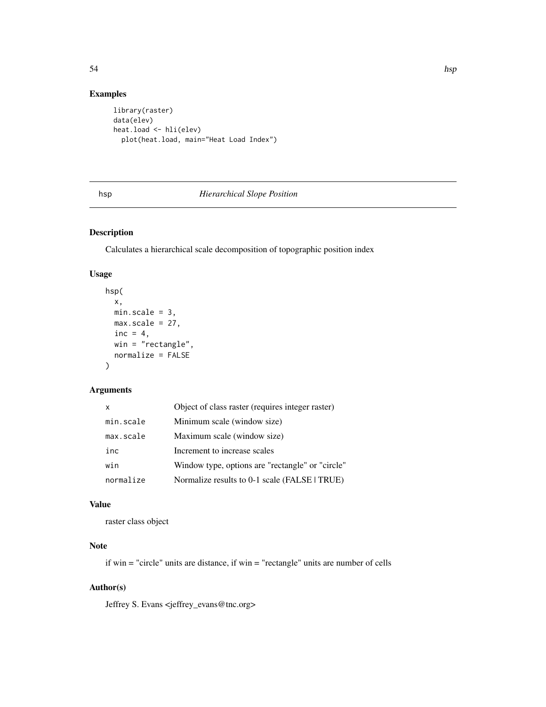# Examples

```
library(raster)
data(elev)
heat.load <- hli(elev)
 plot(heat.load, main="Heat Load Index")
```
# hsp *Hierarchical Slope Position*

# Description

Calculates a hierarchical scale decomposition of topographic position index

## Usage

```
hsp(
  x,
 minscale = 3,max.scale = 27,
 inc = 4,
 win = "rectangle",
 normalize = FALSE
)
```
# Arguments

| X         | Object of class raster (requires integer raster) |
|-----------|--------------------------------------------------|
| min.scale | Minimum scale (window size)                      |
| max.scale | Maximum scale (window size)                      |
| inc       | Increment to increase scales                     |
| win       | Window type, options are "rectangle" or "circle" |
| normalize | Normalize results to 0-1 scale (FALSE   TRUE)    |

#### Value

raster class object

# Note

if win = "circle" units are distance, if win = "rectangle" units are number of cells

# Author(s)

Jeffrey S. Evans <jeffrey\_evans@tnc.org>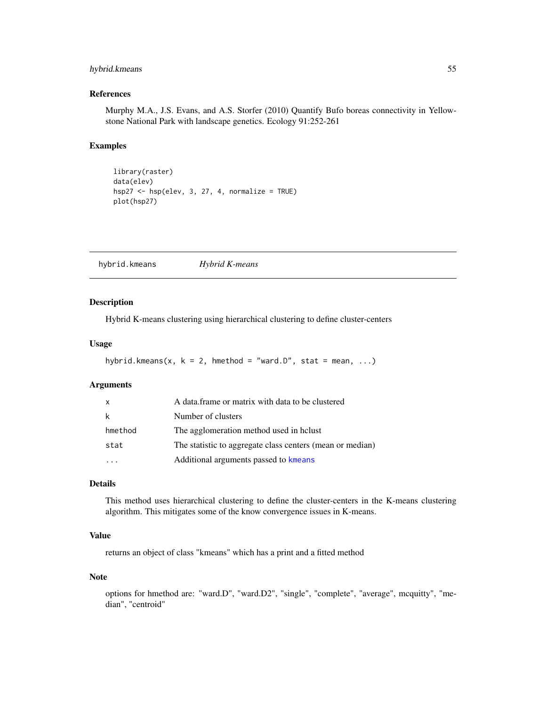# hybrid.kmeans 55

# References

Murphy M.A., J.S. Evans, and A.S. Storfer (2010) Quantify Bufo boreas connectivity in Yellowstone National Park with landscape genetics. Ecology 91:252-261

## Examples

```
library(raster)
data(elev)
hsp27 <- hsp(elev, 3, 27, 4, normalize = TRUE)
plot(hsp27)
```
hybrid.kmeans *Hybrid K-means*

## Description

Hybrid K-means clustering using hierarchical clustering to define cluster-centers

#### Usage

```
hybrid.kmeans(x, k = 2, hmethod = "ward.D", stat = mean, ...)
```
## Arguments

| X       | A data frame or matrix with data to be clustered          |
|---------|-----------------------------------------------------------|
| k       | Number of clusters                                        |
| hmethod | The agglomeration method used in holust                   |
| stat    | The statistic to aggregate class centers (mean or median) |
|         | Additional arguments passed to kmeans                     |

## Details

This method uses hierarchical clustering to define the cluster-centers in the K-means clustering algorithm. This mitigates some of the know convergence issues in K-means.

# Value

returns an object of class "kmeans" which has a print and a fitted method

#### Note

options for hmethod are: "ward.D", "ward.D2", "single", "complete", "average", mcquitty", "median", "centroid"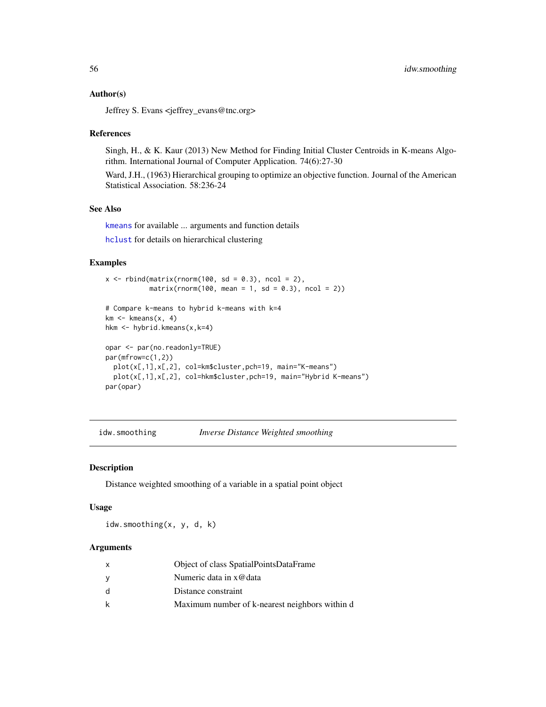#### Author(s)

Jeffrey S. Evans <jeffrey\_evans@tnc.org>

#### References

Singh, H., & K. Kaur (2013) New Method for Finding Initial Cluster Centroids in K-means Algorithm. International Journal of Computer Application. 74(6):27-30

Ward, J.H., (1963) Hierarchical grouping to optimize an objective function. Journal of the American Statistical Association. 58:236-24

## See Also

[kmeans](#page-0-0) for available ... arguments and function details

[hclust](#page-0-0) for details on hierarchical clustering

## Examples

```
x \le rbind(matrix(rnorm(100, sd = 0.3), ncol = 2),
           matrix(rnorm(100, mean = 1, sd = 0.3), ncol = 2))# Compare k-means to hybrid k-means with k=4
km \le - kmeans(x, 4)hkm <- hybrid.kmeans(x,k=4)
opar <- par(no.readonly=TRUE)
par(mfrow=c(1,2))
  plot(x[,1],x[,2], col=km$cluster,pch=19, main="K-means")
  plot(x[,1],x[,2], col=hkm$cluster,pch=19, main="Hybrid K-means")
par(opar)
```
idw.smoothing *Inverse Distance Weighted smoothing*

#### Description

Distance weighted smoothing of a variable in a spatial point object

#### Usage

idw.smoothing(x, y, d, k)

| x            | Object of class SpatialPointsDataFrame         |
|--------------|------------------------------------------------|
| y            | Numeric data in x@data                         |
| <sub>d</sub> | Distance constraint                            |
| k            | Maximum number of k-nearest neighbors within d |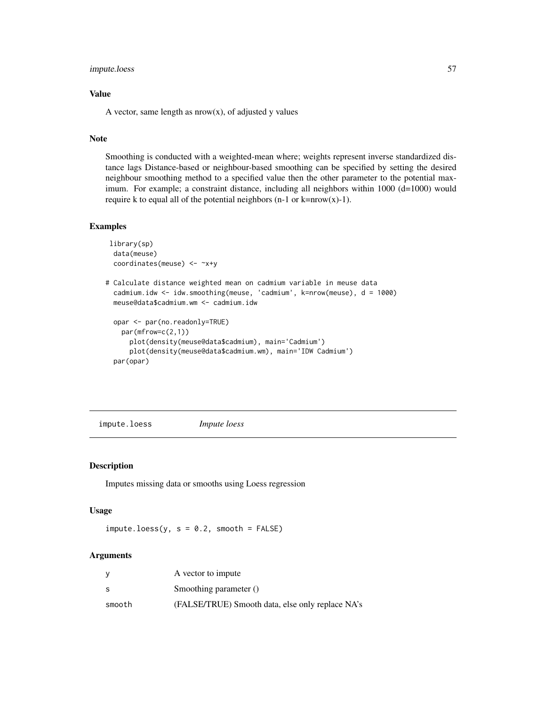## impute.loess 57

# Value

A vector, same length as  $nrow(x)$ , of adjusted y values

#### Note

Smoothing is conducted with a weighted-mean where; weights represent inverse standardized distance lags Distance-based or neighbour-based smoothing can be specified by setting the desired neighbour smoothing method to a specified value then the other parameter to the potential maximum. For example; a constraint distance, including all neighbors within 1000 (d=1000) would require k to equal all of the potential neighbors (n-1 or k=nrow(x)-1).

# Examples

```
library(sp)
 data(meuse)
 coordinates(meuse) <- ~x+y
# Calculate distance weighted mean on cadmium variable in meuse data
 cadmium.idw <- idw.smoothing(meuse, 'cadmium', k=nrow(meuse), d = 1000)
 meuse@data$cadmium.wm <- cadmium.idw
 opar <- par(no.readonly=TRUE)
   par(mfrow=c(2,1))
     plot(density(meuse@data$cadmium), main='Cadmium')
     plot(density(meuse@data$cadmium.wm), main='IDW Cadmium')
 par(opar)
```
impute.loess *Impute loess*

## Description

Imputes missing data or smooths using Loess regression

## Usage

 $impute.loess(y, s = 0.2, smooth = FALSE)$ 

| V      | A vector to impute                               |
|--------|--------------------------------------------------|
| S      | Smoothing parameter ()                           |
| smooth | (FALSE/TRUE) Smooth data, else only replace NA's |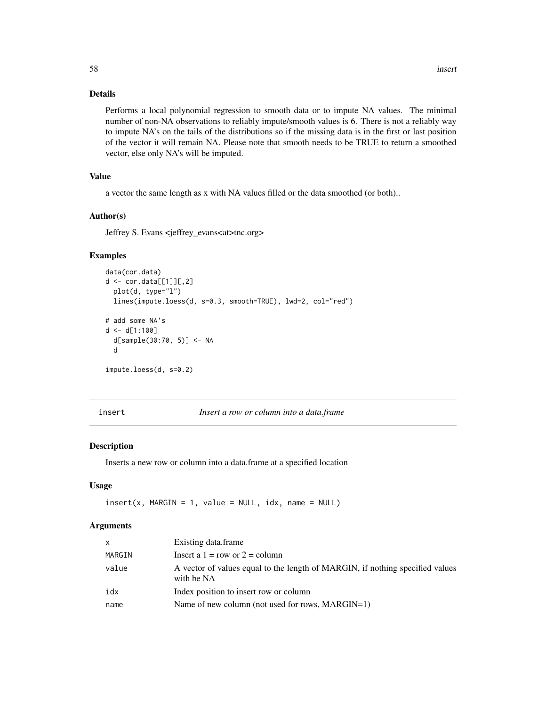# Details

Performs a local polynomial regression to smooth data or to impute NA values. The minimal number of non-NA observations to reliably impute/smooth values is 6. There is not a reliably way to impute NA's on the tails of the distributions so if the missing data is in the first or last position of the vector it will remain NA. Please note that smooth needs to be TRUE to return a smoothed vector, else only NA's will be imputed.

# Value

a vector the same length as x with NA values filled or the data smoothed (or both)..

## Author(s)

Jeffrey S. Evans <jeffrey\_evans<at>tnc.org>

# Examples

```
data(cor.data)
d \leftarrow cor.data[[1]][,2]plot(d, type="l")
  lines(impute.loess(d, s=0.3, smooth=TRUE), lwd=2, col="red")
# add some NA's
d \leq d[1:100]d[sample(30:70, 5)] <- NA
  d
impute.loess(d, s=0.2)
```
insert *Insert a row or column into a data.frame*

## Description

Inserts a new row or column into a data.frame at a specified location

#### Usage

 $insert(x, MARGIN = 1, value = NULL, idx, name = NULL)$ 

| $\mathsf{x}$ | Existing data.frame                                                                         |
|--------------|---------------------------------------------------------------------------------------------|
| MARGIN       | Insert a $1 = row$ or $2 = column$                                                          |
| value        | A vector of values equal to the length of MARGIN, if nothing specified values<br>with be NA |
| idx          | Index position to insert row or column                                                      |
| name         | Name of new column (not used for rows, MARGIN=1)                                            |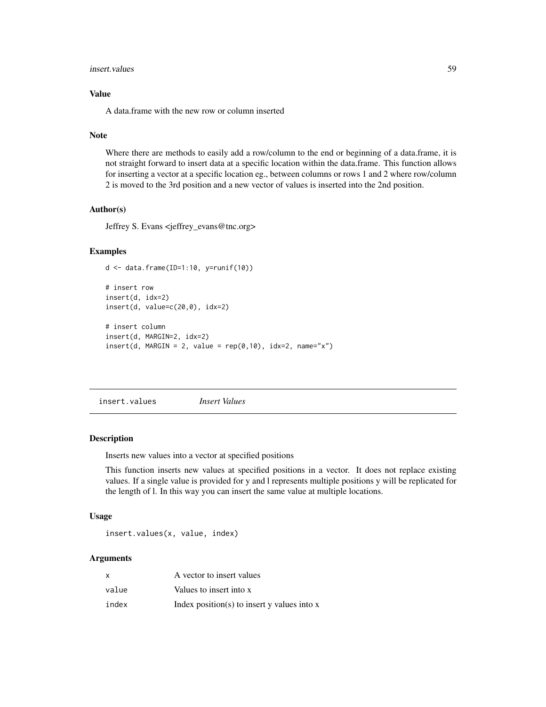#### insert.values 59

# Value

A data.frame with the new row or column inserted

#### Note

Where there are methods to easily add a row/column to the end or beginning of a data.frame, it is not straight forward to insert data at a specific location within the data.frame. This function allows for inserting a vector at a specific location eg., between columns or rows 1 and 2 where row/column 2 is moved to the 3rd position and a new vector of values is inserted into the 2nd position.

#### Author(s)

Jeffrey S. Evans <jeffrey\_evans@tnc.org>

#### Examples

```
d <- data.frame(ID=1:10, y=runif(10))
```

```
# insert row
insert(d, idx=2)
insert(d, value=c(20,0), idx=2)# insert column
insert(d, MARGIN=2, idx=2)
insert(d, MARGIN = 2, value = rep(0,10), idx=2, name="x")
```
insert.values *Insert Values*

#### Description

Inserts new values into a vector at specified positions

This function inserts new values at specified positions in a vector. It does not replace existing values. If a single value is provided for y and l represents multiple positions y will be replicated for the length of l. In this way you can insert the same value at multiple locations.

## Usage

```
insert.values(x, value, index)
```

| x     | A vector to insert values                       |
|-------|-------------------------------------------------|
| value | Values to insert into x                         |
| index | Index position(s) to insert $y$ values into $x$ |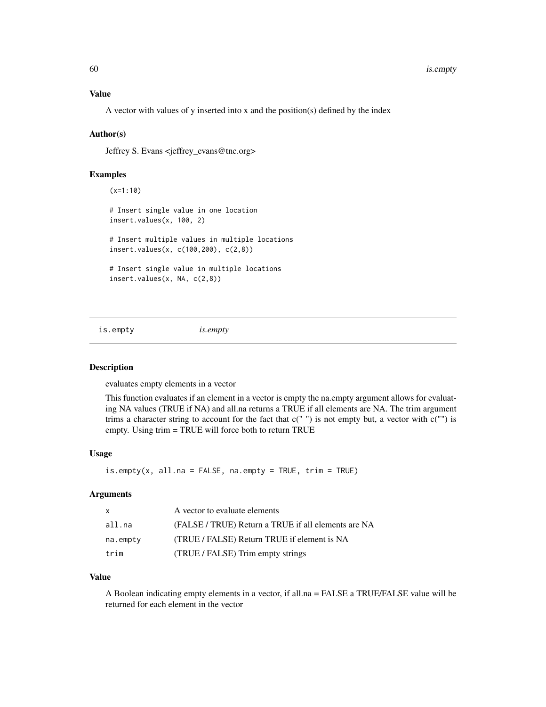#### Value

A vector with values of y inserted into x and the position(s) defined by the index

#### Author(s)

Jeffrey S. Evans <jeffrey\_evans@tnc.org>

## Examples

(x=1:10) # Insert single value in one location insert.values(x, 100, 2) # Insert multiple values in multiple locations insert.values(x, c(100,200), c(2,8)) # Insert single value in multiple locations insert.values(x, NA, c(2,8))

is.empty *is.empty*

## Description

evaluates empty elements in a vector

This function evaluates if an element in a vector is empty the na.empty argument allows for evaluating NA values (TRUE if NA) and all.na returns a TRUE if all elements are NA. The trim argument trims a character string to account for the fact that  $c("")$  is not empty but, a vector with  $c("")$  is empty. Using trim = TRUE will force both to return TRUE

#### Usage

 $is.empty(x, all.na = FALSE, na.empty = TRUE, trim = TRUE)$ 

## **Arguments**

| $\mathsf{x}$ | A vector to evaluate elements                       |
|--------------|-----------------------------------------------------|
| all.na       | (FALSE / TRUE) Return a TRUE if all elements are NA |
| na.empty     | (TRUE / FALSE) Return TRUE if element is NA         |
| trim         | (TRUE / FALSE) Trim empty strings                   |

## Value

A Boolean indicating empty elements in a vector, if all.na = FALSE a TRUE/FALSE value will be returned for each element in the vector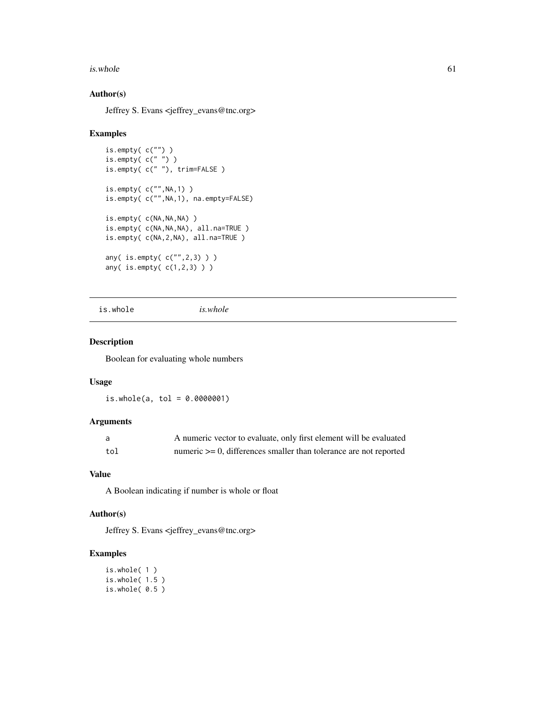#### $is. whole$  61

# Author(s)

Jeffrey S. Evans <jeffrey\_evans@tnc.org>

#### Examples

```
is.empty( c("") )
is.empty( c(" ") )
is.empty( c(" "), trim=FALSE )
is.empty( c("",NA,1) )
is.empty( c("",NA,1), na.empty=FALSE)
is.empty( c(NA,NA,NA) )
is.empty( c(NA,NA,NA), all.na=TRUE )
is.empty( c(NA,2,NA), all.na=TRUE )
any( is.empty( c("",2,3) ) )
any( is.empty( c(1,2,3) ) )
```
is.whole *is.whole*

## Description

Boolean for evaluating whole numbers

## Usage

 $is.$ whole(a, tol = 0.0000001)

# Arguments

|     | A numeric vector to evaluate, only first element will be evaluated     |
|-----|------------------------------------------------------------------------|
| tol | numeric $\geq 0$ , differences smaller than tolerance are not reported |

# Value

A Boolean indicating if number is whole or float

## Author(s)

Jeffrey S. Evans <jeffrey\_evans@tnc.org>

```
is.whole( 1 )
is.whole( 1.5 )
is.whole( 0.5 )
```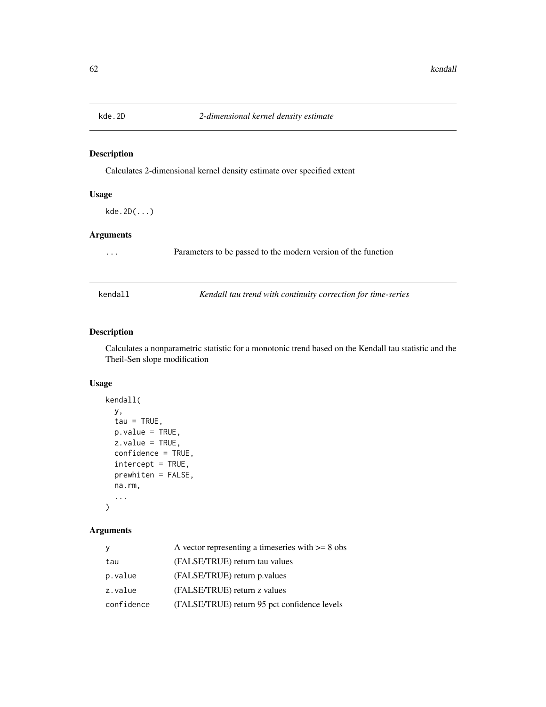Calculates 2-dimensional kernel density estimate over specified extent

# Usage

kde.2D(...)

## Arguments

... Parameters to be passed to the modern version of the function

kendall *Kendall tau trend with continuity correction for time-series*

# Description

Calculates a nonparametric statistic for a monotonic trend based on the Kendall tau statistic and the Theil-Sen slope modification

## Usage

```
kendall(
  y,
  tau = TRUE,p.value = TRUE,
  z.value = TRUE,
  confidence = TRUE,
  intercept = TRUE,
 prewhiten = FALSE,
  na.rm,
  ...
\mathcal{L}
```

| У          | A vector representing a timeseries with $>= 8$ obs |
|------------|----------------------------------------------------|
| tau        | (FALSE/TRUE) return tau values                     |
| p.value    | (FALSE/TRUE) return p.values                       |
| z.value    | (FALSE/TRUE) return z values                       |
| confidence | (FALSE/TRUE) return 95 pct confidence levels       |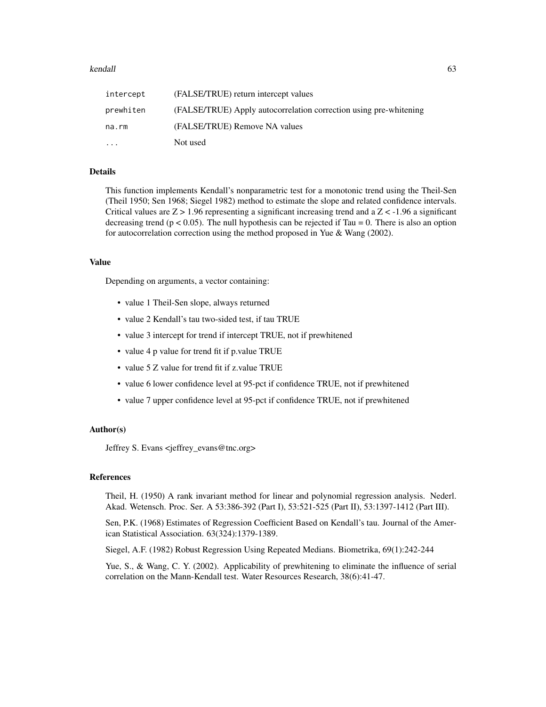## kendall<sup>3</sup> kendall<sup>3</sup> and the set of the set of the set of the set of the set of the set of the set of the set of the set of the set of the set of the set of the set of the set of the set of the set of the set of the set o

| intercept | (FALSE/TRUE) return intercept values                              |
|-----------|-------------------------------------------------------------------|
| prewhiten | (FALSE/TRUE) Apply autocorrelation correction using pre-whitening |
| na.rm     | (FALSE/TRUE) Remove NA values                                     |
| $\cdots$  | Not used                                                          |

## Details

This function implements Kendall's nonparametric test for a monotonic trend using the Theil-Sen (Theil 1950; Sen 1968; Siegel 1982) method to estimate the slope and related confidence intervals. Critical values are  $Z > 1.96$  representing a significant increasing trend and a  $Z < -1.96$  a significant decreasing trend ( $p < 0.05$ ). The null hypothesis can be rejected if Tau = 0. There is also an option for autocorrelation correction using the method proposed in Yue & Wang (2002).

#### Value

Depending on arguments, a vector containing:

- value 1 Theil-Sen slope, always returned
- value 2 Kendall's tau two-sided test, if tau TRUE
- value 3 intercept for trend if intercept TRUE, not if prewhitened
- value 4 p value for trend fit if p.value TRUE
- value 5 Z value for trend fit if z.value TRUE
- value 6 lower confidence level at 95-pct if confidence TRUE, not if prewhitened
- value 7 upper confidence level at 95-pct if confidence TRUE, not if prewhitened

## Author(s)

Jeffrey S. Evans <jeffrey\_evans@tnc.org>

# References

Theil, H. (1950) A rank invariant method for linear and polynomial regression analysis. Nederl. Akad. Wetensch. Proc. Ser. A 53:386-392 (Part I), 53:521-525 (Part II), 53:1397-1412 (Part III).

Sen, P.K. (1968) Estimates of Regression Coefficient Based on Kendall's tau. Journal of the American Statistical Association. 63(324):1379-1389.

Siegel, A.F. (1982) Robust Regression Using Repeated Medians. Biometrika, 69(1):242-244

Yue, S., & Wang, C. Y. (2002). Applicability of prewhitening to eliminate the influence of serial correlation on the Mann-Kendall test. Water Resources Research, 38(6):41-47.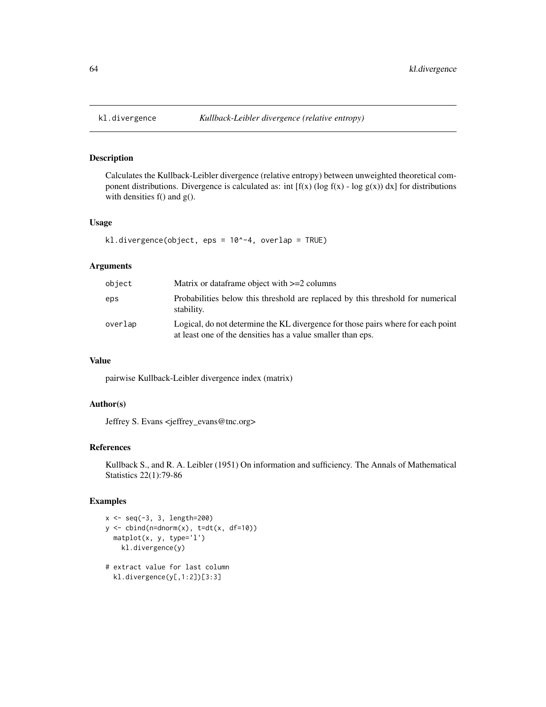Calculates the Kullback-Leibler divergence (relative entropy) between unweighted theoretical component distributions. Divergence is calculated as: int  $[f(x) (\log f(x) - \log g(x)) dx]$  for distributions with densities f() and g().

#### Usage

```
kl.divergence(object, eps = 10^-4, overlap = TRUE)
```
#### Arguments

| object  | Matrix or dataframe object with $>=2$ columns                                                                                                   |
|---------|-------------------------------------------------------------------------------------------------------------------------------------------------|
| eps     | Probabilities below this threshold are replaced by this threshold for numerical<br>stability.                                                   |
| overlap | Logical, do not determine the KL divergence for those pairs where for each point<br>at least one of the densities has a value smaller than eps. |

## Value

pairwise Kullback-Leibler divergence index (matrix)

# Author(s)

Jeffrey S. Evans <jeffrey\_evans@tnc.org>

## References

Kullback S., and R. A. Leibler (1951) On information and sufficiency. The Annals of Mathematical Statistics 22(1):79-86

```
x \le - seq(-3, 3, length=200)
y \leftarrow \text{cbind}(n=\text{dnorm}(x), \text{ t=dt}(x, df=10))matplot(x, y, type='l')
    kl.divergence(y)
# extract value for last column
```

```
kl.divergence(y[,1:2])[3:3]
```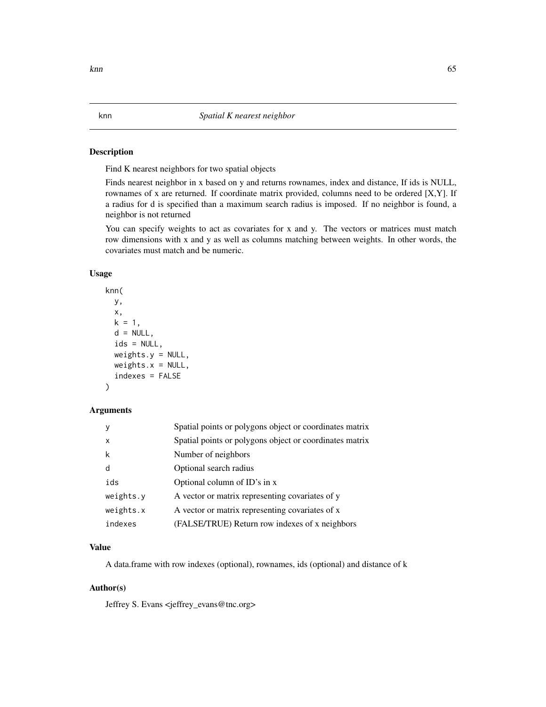Find K nearest neighbors for two spatial objects

Finds nearest neighbor in x based on y and returns rownames, index and distance, If ids is NULL, rownames of x are returned. If coordinate matrix provided, columns need to be ordered [X,Y]. If a radius for d is specified than a maximum search radius is imposed. If no neighbor is found, a neighbor is not returned

You can specify weights to act as covariates for x and y. The vectors or matrices must match row dimensions with x and y as well as columns matching between weights. In other words, the covariates must match and be numeric.

#### Usage

```
knn(
 y,
 x,
 k = 1,d = NULL,ids = NULL,weights.y = NULL,weights.x = NULL,indexes = FALSE
)
```
## Arguments

|                           | Spatial points or polygons object or coordinates matrix |
|---------------------------|---------------------------------------------------------|
| $\boldsymbol{\mathsf{x}}$ | Spatial points or polygons object or coordinates matrix |
| k                         | Number of neighbors                                     |
| d                         | Optional search radius                                  |
| ids                       | Optional column of ID's in x                            |
| weights.y                 | A vector or matrix representing covariates of y         |
| weights.x                 | A vector or matrix representing covariates of x         |
| indexes                   | (FALSE/TRUE) Return row indexes of x neighbors          |

# Value

A data.frame with row indexes (optional), rownames, ids (optional) and distance of k

## Author(s)

Jeffrey S. Evans <jeffrey\_evans@tnc.org>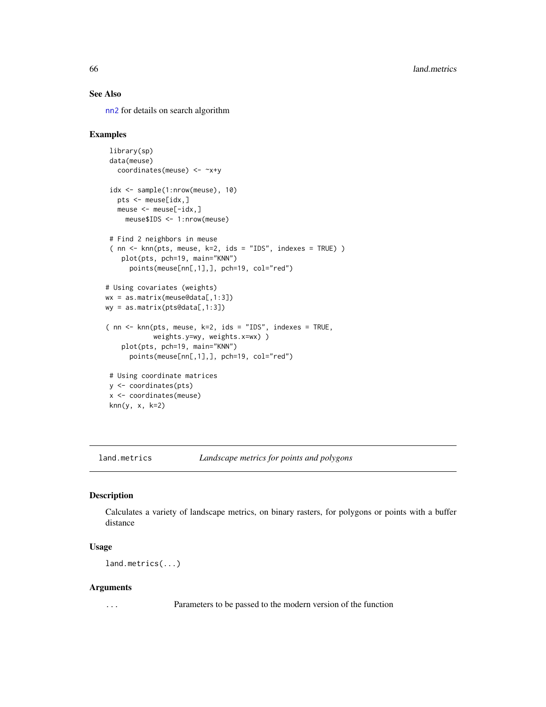# See Also

[nn2](#page-0-0) for details on search algorithm

#### Examples

```
library(sp)
data(meuse)
  coordinates(meuse) <- ~x+y
idx <- sample(1:nrow(meuse), 10)
  pts <- meuse[idx,]
  meuse <- meuse[-idx,]
    meuse$IDS <- 1:nrow(meuse)
# Find 2 neighbors in meuse
 ( nn <- knn(pts, meuse, k=2, ids = "IDS", indexes = TRUE) )
   plot(pts, pch=19, main="KNN")
     points(meuse[nn[,1],], pch=19, col="red")
# Using covariates (weights)
wx = as.matrix(meuse@data[,1:3])
wy = as.matrix(pts@data[,1:3])
( nn <- knn(pts, meuse, k=2, ids = "IDS", indexes = TRUE,
           weights.y=wy, weights.x=wx) )
   plot(pts, pch=19, main="KNN")
     points(meuse[nn[,1],], pch=19, col="red")
# Using coordinate matrices
y <- coordinates(pts)
x <- coordinates(meuse)
knn(y, x, k=2)
```
land.metrics *Landscape metrics for points and polygons*

## Description

Calculates a variety of landscape metrics, on binary rasters, for polygons or points with a buffer distance

#### Usage

land.metrics(...)

#### Arguments

... Parameters to be passed to the modern version of the function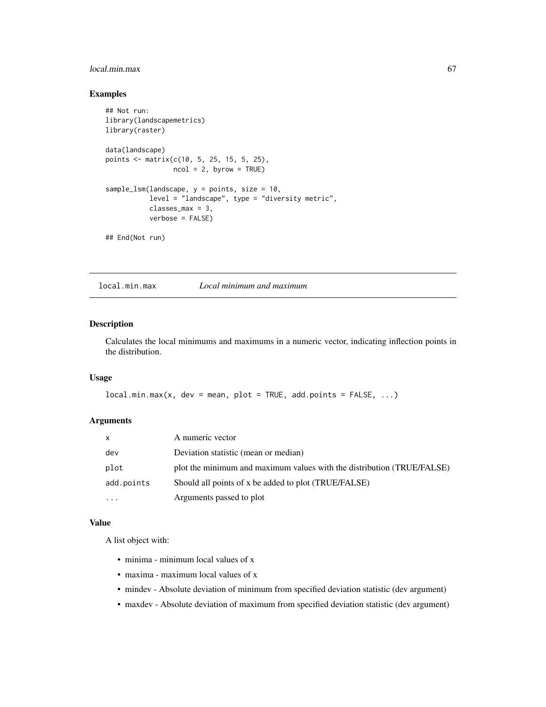# local.min.max 67

# Examples

```
## Not run:
library(landscapemetrics)
library(raster)
data(landscape)
points <- matrix(c(10, 5, 25, 15, 5, 25),
                 ncol = 2, byrow = TRUE)
sample_lsm(landscape, y = points, size = 10,
           level = "landscape", type = "diversity metric",
           classes_max = 3,
           verbose = FALSE)
## End(Not run)
```
local.min.max *Local minimum and maximum*

# Description

Calculates the local minimums and maximums in a numeric vector, indicating inflection points in the distribution.

# Usage

```
local.min.max(x, dev = mean, plot = TRUE, add.points = FALSE, ...)
```
# Arguments

| $\mathsf{x}$      | A numeric vector                                                       |
|-------------------|------------------------------------------------------------------------|
| dev               | Deviation statistic (mean or median)                                   |
| plot              | plot the minimum and maximum values with the distribution (TRUE/FALSE) |
| add.points        | Should all points of x be added to plot (TRUE/FALSE)                   |
| $\cdot\cdot\cdot$ | Arguments passed to plot                                               |

#### Value

A list object with:

- minima minimum local values of x
- maxima maximum local values of x
- mindev Absolute deviation of minimum from specified deviation statistic (dev argument)
- maxdev Absolute deviation of maximum from specified deviation statistic (dev argument)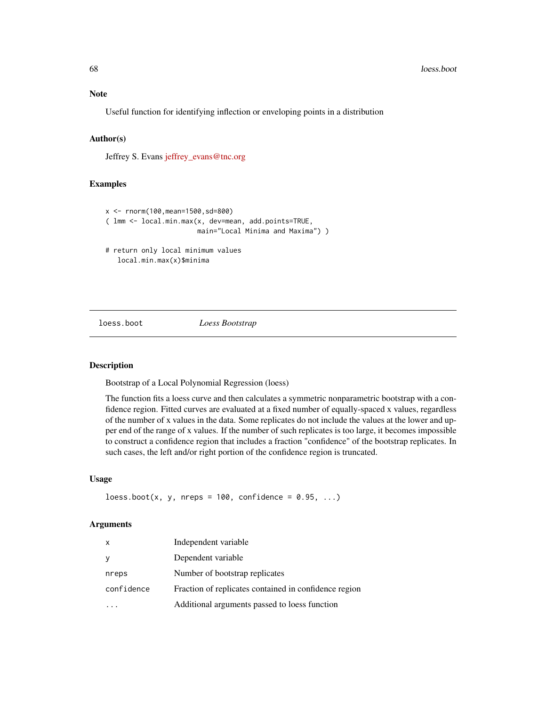Useful function for identifying inflection or enveloping points in a distribution

## Author(s)

Jeffrey S. Evans [jeffrey\\_evans@tnc.org](mailto:jeffrey_evans@tnc.org)

## Examples

```
x <- rnorm(100,mean=1500,sd=800)
( lmm <- local.min.max(x, dev=mean, add.points=TRUE,
                       main="Local Minima and Maxima") )
# return only local minimum values
  local.min.max(x)$minima
```
# loess.boot *Loess Bootstrap*

#### Description

Bootstrap of a Local Polynomial Regression (loess)

The function fits a loess curve and then calculates a symmetric nonparametric bootstrap with a confidence region. Fitted curves are evaluated at a fixed number of equally-spaced x values, regardless of the number of x values in the data. Some replicates do not include the values at the lower and upper end of the range of x values. If the number of such replicates is too large, it becomes impossible to construct a confidence region that includes a fraction "confidence" of the bootstrap replicates. In such cases, the left and/or right portion of the confidence region is truncated.

## Usage

 $\text{loess.boot}(x, y, nreps = 100, \text{ confidence} = 0.95, ...)$ 

| X          | Independent variable                                  |
|------------|-------------------------------------------------------|
|            | Dependent variable                                    |
| nreps      | Number of bootstrap replicates                        |
| confidence | Fraction of replicates contained in confidence region |
|            | Additional arguments passed to loess function         |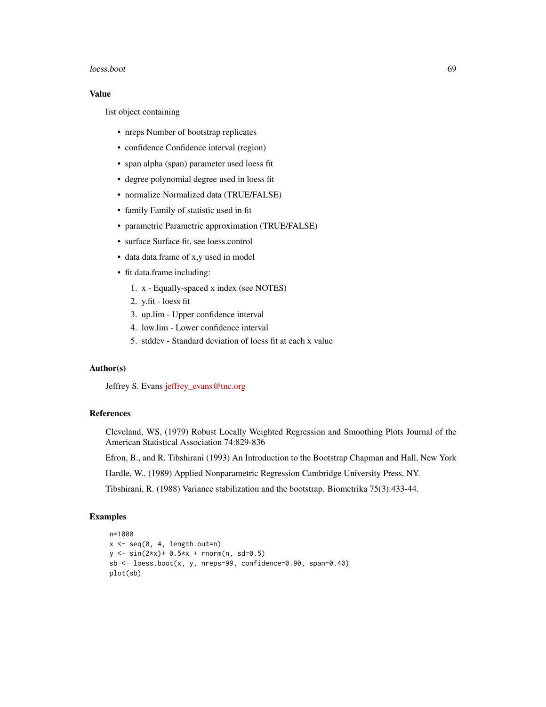#### loess.boot 69

## Value

list object containing

- nreps Number of bootstrap replicates
- confidence Confidence interval (region)
- span alpha (span) parameter used loess fit
- degree polynomial degree used in loess fit
- normalize Normalized data (TRUE/FALSE)
- family Family of statistic used in fit
- parametric Parametric approximation (TRUE/FALSE)
- surface Surface fit, see loess.control
- data data.frame of x,y used in model
- fit data.frame including:
	- 1. x Equally-spaced x index (see NOTES)
	- 2. y.fit loess fit
	- 3. up.lim Upper confidence interval
	- 4. low.lim Lower confidence interval
	- 5. stddev Standard deviation of loess fit at each x value

# Author(s)

Jeffrey S. Evans [jeffrey\\_evans@tnc.org](mailto:jeffrey_evans@tnc.org)

# References

Cleveland, WS, (1979) Robust Locally Weighted Regression and Smoothing Plots Journal of the American Statistical Association 74:829-836

Efron, B., and R. Tibshirani (1993) An Introduction to the Bootstrap Chapman and Hall, New York

Hardle, W., (1989) Applied Nonparametric Regression Cambridge University Press, NY.

Tibshirani, R. (1988) Variance stabilization and the bootstrap. Biometrika 75(3):433-44.

```
n=1000
x \leftarrow \text{seq}(0, 4, \text{length.out=n})y \le -\sin(2*x) + 0.5*x + \text{norm}(n, sd=0.5)sb \leq loess.boot(x, y, nreps=99, confidence=0.90, span=0.40)
plot(sb)
```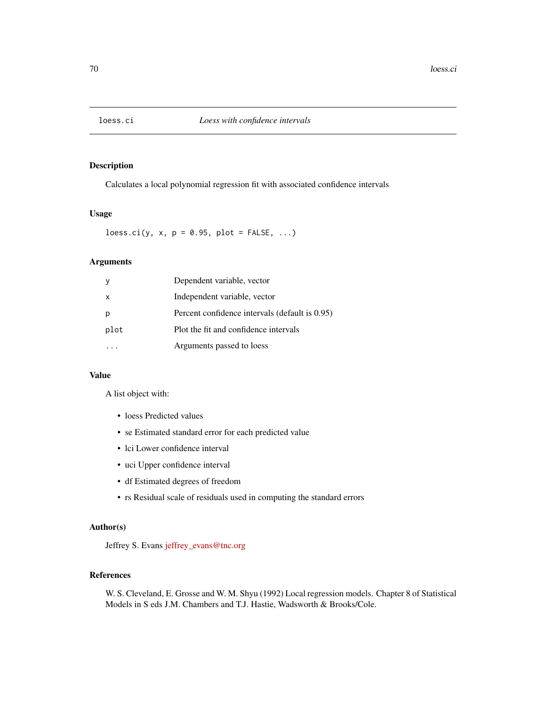Calculates a local polynomial regression fit with associated confidence intervals

## Usage

loess.ci(y, x,  $p = 0.95$ ,  $plot = FALSE, ...)$ 

# Arguments

|          | Dependent variable, vector                     |
|----------|------------------------------------------------|
| $\times$ | Independent variable, vector                   |
| p        | Percent confidence intervals (default is 0.95) |
| plot     | Plot the fit and confidence intervals          |
|          | Arguments passed to loess                      |

# Value

A list object with:

- loess Predicted values
- se Estimated standard error for each predicted value
- lci Lower confidence interval
- uci Upper confidence interval
- df Estimated degrees of freedom
- rs Residual scale of residuals used in computing the standard errors

## Author(s)

Jeffrey S. Evans [jeffrey\\_evans@tnc.org](mailto:jeffrey_evans@tnc.org)

## References

W. S. Cleveland, E. Grosse and W. M. Shyu (1992) Local regression models. Chapter 8 of Statistical Models in S eds J.M. Chambers and T.J. Hastie, Wadsworth & Brooks/Cole.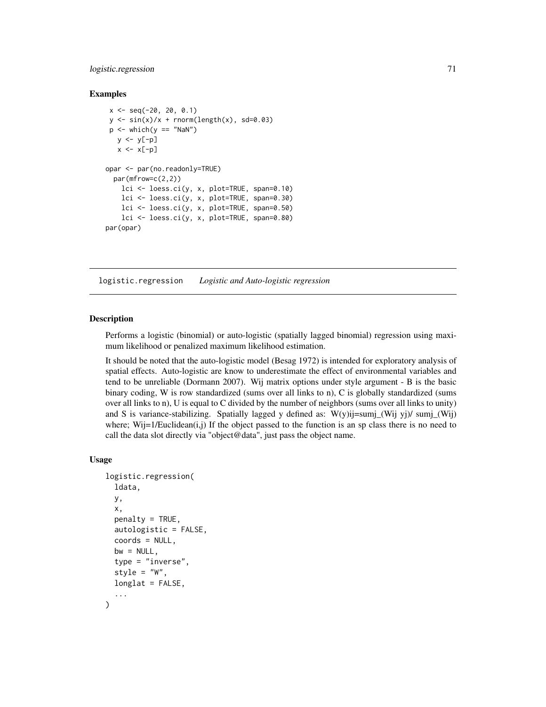## logistic.regression 71

#### Examples

```
x \le - seq(-20, 20, 0.1)
y \le -\sin(x)/x + \text{norm}(\text{length}(x), \text{ sd=0.03})p \le - which(y == "NaN")
   y \leftarrow y[-p]x \leftarrow x[-p]opar <- par(no.readonly=TRUE)
  par(mfrow=c(2,2))
    lci <- loess.ci(y, x, plot=TRUE, span=0.10)
    lci <- loess.ci(y, x, plot=TRUE, span=0.30)
    lci <- loess.ci(y, x, plot=TRUE, span=0.50)
    lci <- loess.ci(y, x, plot=TRUE, span=0.80)
par(opar)
```
logistic.regression *Logistic and Auto-logistic regression*

## **Description**

Performs a logistic (binomial) or auto-logistic (spatially lagged binomial) regression using maximum likelihood or penalized maximum likelihood estimation.

It should be noted that the auto-logistic model (Besag 1972) is intended for exploratory analysis of spatial effects. Auto-logistic are know to underestimate the effect of environmental variables and tend to be unreliable (Dormann 2007). Wij matrix options under style argument - B is the basic binary coding, W is row standardized (sums over all links to n), C is globally standardized (sums over all links to n), U is equal to C divided by the number of neighbors (sums over all links to unity) and S is variance-stabilizing. Spatially lagged y defined as:  $W(y)ij = sumj(Wij y) / sumj(Wij)$ where; Wij=1/Euclidean(i,j) If the object passed to the function is an sp class there is no need to call the data slot directly via "object@data", just pass the object name.

## Usage

```
logistic.regression(
  ldata,
  y,
  x,
  penalty = TRUE,
  autologistic = FALSE,
  coords = NULL,
  bw = NULL,
  type = "inverse",
  style = "W".longlat = FALSE,...
)
```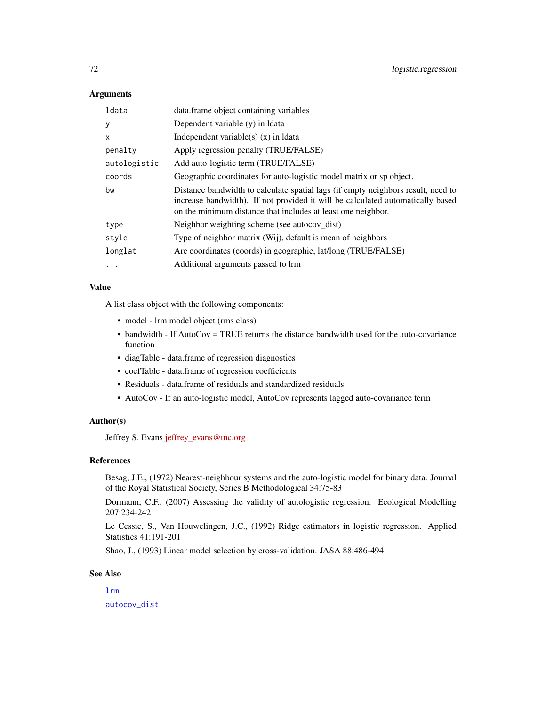## **Arguments**

| ldata        | data.frame object containing variables                                                                                                                                                                                             |
|--------------|------------------------------------------------------------------------------------------------------------------------------------------------------------------------------------------------------------------------------------|
| У            | Dependent variable (y) in Idata                                                                                                                                                                                                    |
| X            | Independent variable(s) $(x)$ in Idata                                                                                                                                                                                             |
| penalty      | Apply regression penalty (TRUE/FALSE)                                                                                                                                                                                              |
| autologistic | Add auto-logistic term (TRUE/FALSE)                                                                                                                                                                                                |
| coords       | Geographic coordinates for auto-logistic model matrix or sp object.                                                                                                                                                                |
| bw           | Distance bandwidth to calculate spatial lags (if empty neighbors result, need to<br>increase bandwidth). If not provided it will be calculated automatically based<br>on the minimum distance that includes at least one neighbor. |
| type         | Neighbor weighting scheme (see autocov_dist)                                                                                                                                                                                       |
| style        | Type of neighbor matrix (Wij), default is mean of neighbors                                                                                                                                                                        |
| longlat      | Are coordinates (coords) in geographic, lat/long (TRUE/FALSE)                                                                                                                                                                      |
| $\cdots$     | Additional arguments passed to lrm                                                                                                                                                                                                 |

#### Value

A list class object with the following components:

- model lrm model object (rms class)
- bandwidth If AutoCov = TRUE returns the distance bandwidth used for the auto-covariance function
- diagTable data.frame of regression diagnostics
- coefTable data.frame of regression coefficients
- Residuals data.frame of residuals and standardized residuals
- AutoCov If an auto-logistic model, AutoCov represents lagged auto-covariance term

## Author(s)

Jeffrey S. Evans [jeffrey\\_evans@tnc.org](mailto:jeffrey_evans@tnc.org)

## References

Besag, J.E., (1972) Nearest-neighbour systems and the auto-logistic model for binary data. Journal of the Royal Statistical Society, Series B Methodological 34:75-83

Dormann, C.F., (2007) Assessing the validity of autologistic regression. Ecological Modelling 207:234-242

Le Cessie, S., Van Houwelingen, J.C., (1992) Ridge estimators in logistic regression. Applied Statistics 41:191-201

Shao, J., (1993) Linear model selection by cross-validation. JASA 88:486-494

# See Also

[lrm](#page-0-0) [autocov\\_dist](#page-0-0)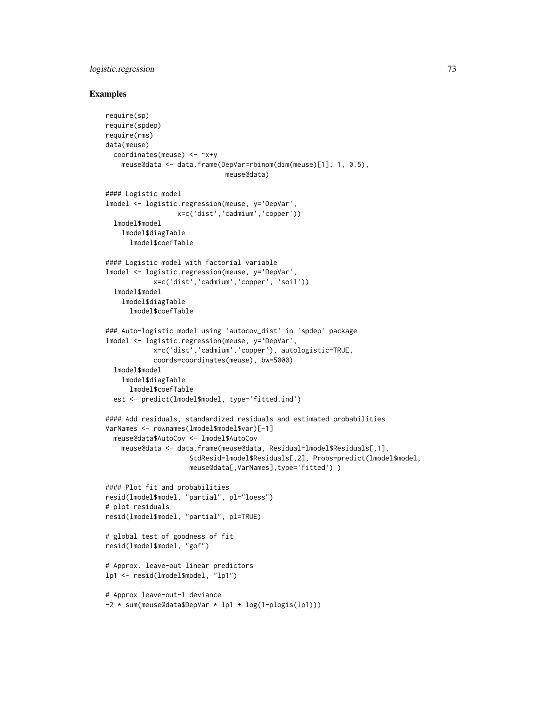# logistic.regression 73

```
require(sp)
require(spdep)
require(rms)
data(meuse)
  coordinates(meuse) <- ~x+y
    meuse@data <- data.frame(DepVar=rbinom(dim(meuse)[1], 1, 0.5),
                              meuse@data)
#### Logistic model
lmodel <- logistic.regression(meuse, y='DepVar',
                  x=c('dist','cadmium','copper'))
  lmodel$model
    lmodel$diagTable
      lmodel$coefTable
#### Logistic model with factorial variable
lmodel <- logistic.regression(meuse, y='DepVar',
            x=c('dist','cadmium','copper', 'soil'))
  lmodel$model
    lmodel$diagTable
      lmodel$coefTable
### Auto-logistic model using 'autocov_dist' in 'spdep' package
lmodel <- logistic.regression(meuse, y='DepVar',
            x=c('dist','cadmium','copper'), autologistic=TRUE,
            coords=coordinates(meuse), bw=5000)
  lmodel$model
   lmodel$diagTable
      lmodel$coefTable
  est <- predict(lmodel$model, type='fitted.ind')
#### Add residuals, standardized residuals and estimated probabilities
VarNames <- rownames(lmodel$model$var)[-1]
  meuse@data$AutoCov <- lmodel$AutoCov
    meuse@data <- data.frame(meuse@data, Residual=lmodel$Residuals[,1],
                     StdResid=lmodel$Residuals[,2], Probs=predict(lmodel$model,
                     meuse@data[,VarNames],type='fitted') )
#### Plot fit and probabilities
resid(lmodel$model, "partial", pl="loess")
# plot residuals
resid(lmodel$model, "partial", pl=TRUE)
# global test of goodness of fit
resid(lmodel$model, "gof")
# Approx. leave-out linear predictors
lp1 <- resid(lmodel$model, "lp1")
# Approx leave-out-1 deviance
-2 * sum(meuse@data$DepVar * lp1 + log(1-plogis(lp1)))
```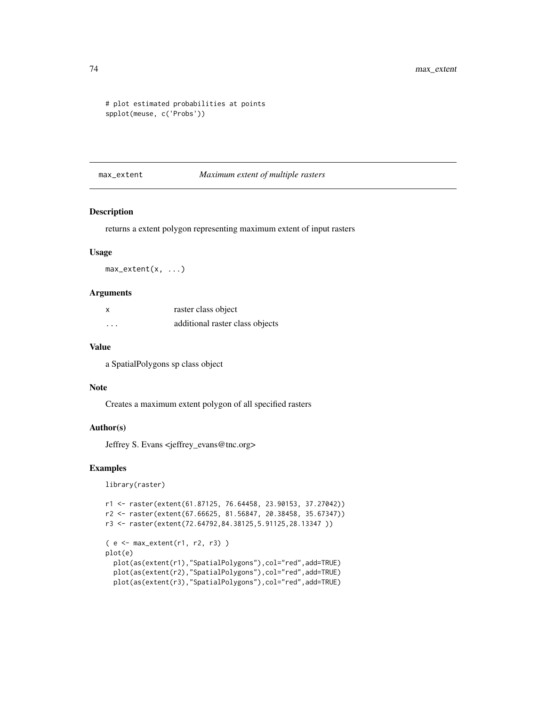```
# plot estimated probabilities at points
spplot(meuse, c('Probs'))
```
# max\_extent *Maximum extent of multiple rasters*

# Description

returns a extent polygon representing maximum extent of input rasters

#### Usage

max\_extent(x, ...)

#### Arguments

| x                       | raster class object             |
|-------------------------|---------------------------------|
| $\cdot$ $\cdot$ $\cdot$ | additional raster class objects |

#### Value

a SpatialPolygons sp class object

#### Note

Creates a maximum extent polygon of all specified rasters

## Author(s)

Jeffrey S. Evans <jeffrey\_evans@tnc.org>

#### Examples

library(raster)

```
r1 <- raster(extent(61.87125, 76.64458, 23.90153, 37.27042))
r2 <- raster(extent(67.66625, 81.56847, 20.38458, 35.67347))
r3 <- raster(extent(72.64792,84.38125,5.91125,28.13347 ))
( e <- max_extent(r1, r2, r3) )
plot(e)
  plot(as(extent(r1),"SpatialPolygons"),col="red",add=TRUE)
  plot(as(extent(r2),"SpatialPolygons"),col="red",add=TRUE)
  plot(as(extent(r3),"SpatialPolygons"),col="red",add=TRUE)
```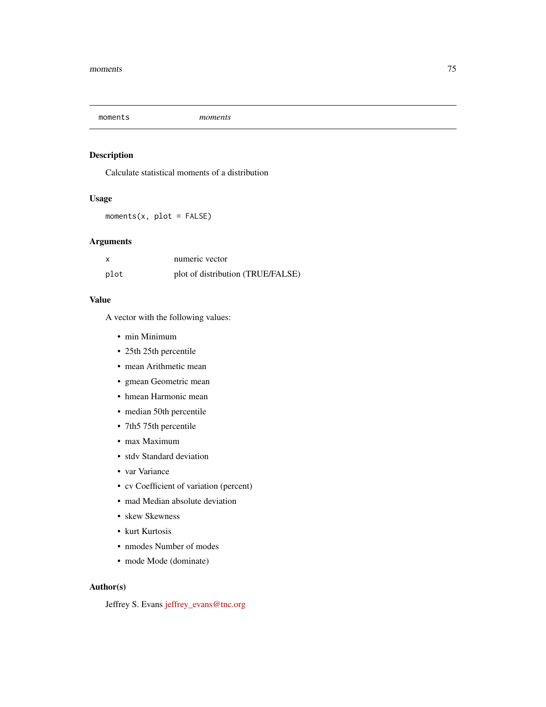# Description

Calculate statistical moments of a distribution

# Usage

 $moments(x, plot = FALSE)$ 

# Arguments

| x    | numeric vector                    |
|------|-----------------------------------|
| plot | plot of distribution (TRUE/FALSE) |

# Value

A vector with the following values:

- min Minimum
- 25th 25th percentile
- mean Arithmetic mean
- gmean Geometric mean
- hmean Harmonic mean
- median 50th percentile
- 7th5 75th percentile
- max Maximum
- stdv Standard deviation
- var Variance
- cv Coefficient of variation (percent)
- mad Median absolute deviation
- skew Skewness
- kurt Kurtosis
- nmodes Number of modes
- mode Mode (dominate)

# Author(s)

Jeffrey S. Evans [jeffrey\\_evans@tnc.org](mailto:jeffrey_evans@tnc.org)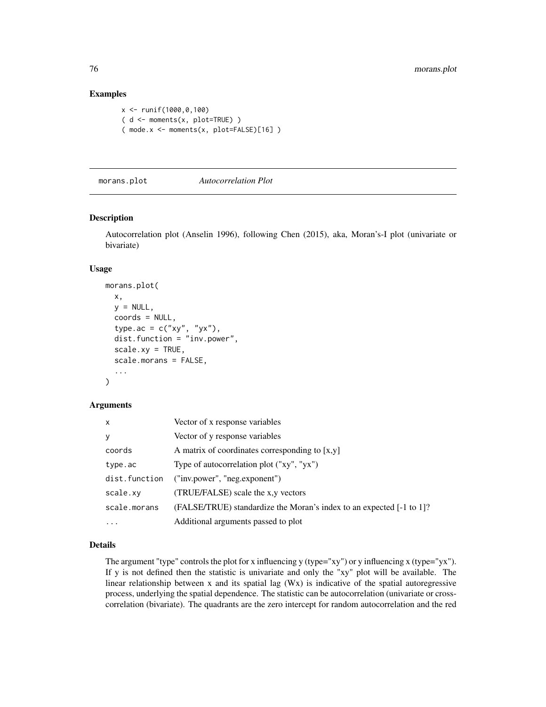# Examples

```
x <- runif(1000,0,100)
(d \leq m \text{ moments}(x, plot=True) )( mode.x <- moments(x, plot=FALSE)[16] )
```
morans.plot *Autocorrelation Plot*

### Description

Autocorrelation plot (Anselin 1996), following Chen (2015), aka, Moran's-I plot (univariate or bivariate)

#### Usage

```
morans.plot(
  x,
 y = NULL,coords = NULL,
  type.ac = c("xy", "yx"),
  dist.function = "inv.power",
  scale(xy = TRUE,scale.morans = FALSE,
  ...
)
```
#### Arguments

| $\mathsf{x}$  | Vector of x response variables                                       |
|---------------|----------------------------------------------------------------------|
| y             | Vector of y response variables                                       |
| coords        | A matrix of coordinates corresponding to $[x, y]$                    |
| type.ac       | Type of autocorrelation plot ("xy", "yx")                            |
| dist.function | ("inv.power", "neg.exponent")                                        |
| scale.xy      | (TRUE/FALSE) scale the x,y vectors                                   |
| scale.morans  | (FALSE/TRUE) standardize the Moran's index to an expected [-1 to 1]? |
|               | Additional arguments passed to plot                                  |

# Details

The argument "type" controls the plot for x influencing y (type="xy") or y influencing x (type="yx"). If y is not defined then the statistic is univariate and only the "xy" plot will be available. The linear relationship between x and its spatial lag (Wx) is indicative of the spatial autoregressive process, underlying the spatial dependence. The statistic can be autocorrelation (univariate or crosscorrelation (bivariate). The quadrants are the zero intercept for random autocorrelation and the red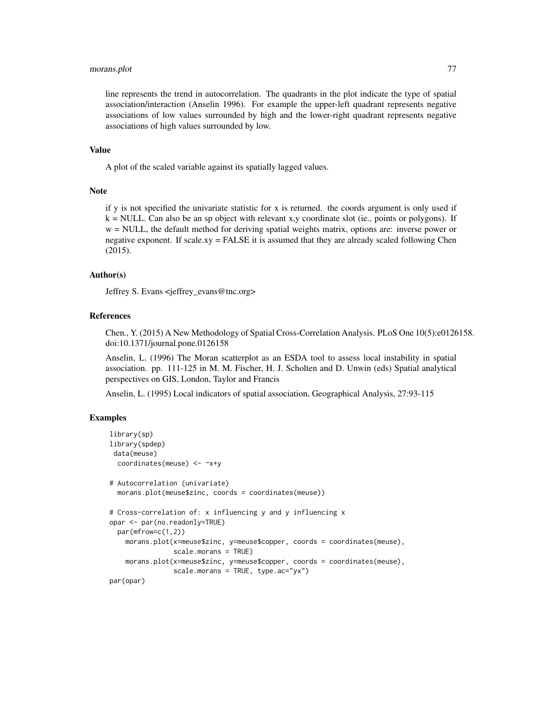# morans.plot 77

line represents the trend in autocorrelation. The quadrants in the plot indicate the type of spatial association/interaction (Anselin 1996). For example the upper-left quadrant represents negative associations of low values surrounded by high and the lower-right quadrant represents negative associations of high values surrounded by low.

#### Value

A plot of the scaled variable against its spatially lagged values.

#### Note

if y is not specified the univariate statistic for x is returned. the coords argument is only used if  $k = NULL$ . Can also be an sp object with relevant x,y coordinate slot (ie., points or polygons). If w = NULL, the default method for deriving spatial weights matrix, options are: inverse power or negative exponent. If scale.xy = FALSE it is assumed that they are already scaled following Chen (2015).

# Author(s)

Jeffrey S. Evans <jeffrey\_evans@tnc.org>

## References

Chen., Y. (2015) A New Methodology of Spatial Cross-Correlation Analysis. PLoS One 10(5):e0126158. doi:10.1371/journal.pone.0126158

Anselin, L. (1996) The Moran scatterplot as an ESDA tool to assess local instability in spatial association. pp. 111-125 in M. M. Fischer, H. J. Scholten and D. Unwin (eds) Spatial analytical perspectives on GIS, London, Taylor and Francis

Anselin, L. (1995) Local indicators of spatial association, Geographical Analysis, 27:93-115

```
library(sp)
library(spdep)
data(meuse)
 coordinates(meuse) <- ~x+y
# Autocorrelation (univariate)
  morans.plot(meuse$zinc, coords = coordinates(meuse))
# Cross-correlation of: x influencing y and y influencing x
opar <- par(no.readonly=TRUE)
  par(mfrow=c(1,2))
    morans.plot(x=meuse$zinc, y=meuse$copper, coords = coordinates(meuse),
                scale.morans = TRUE)
    morans.plot(x=meuse$zinc, y=meuse$copper, coords = coordinates(meuse),
                scale.morans = TRUE, type.ac="yx")
par(opar)
```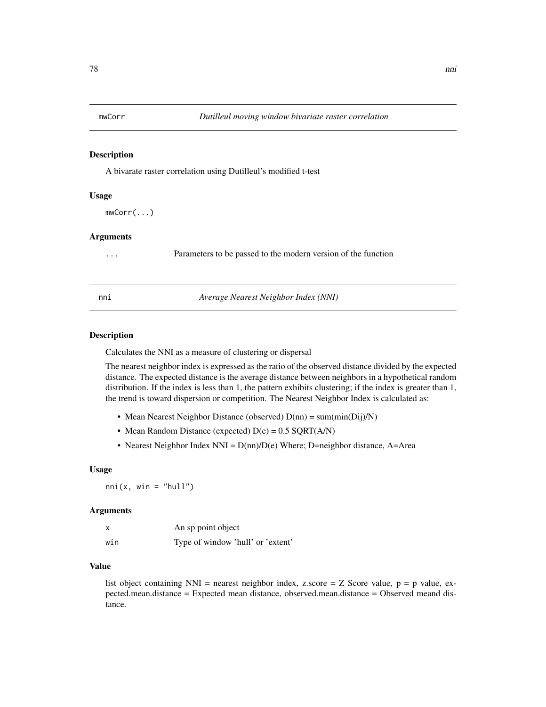#### Description

A bivarate raster correlation using Dutilleul's modified t-test

# Usage

mwCorr(...)

#### **Arguments**

... Parameters to be passed to the modern version of the function

|  | nnı | Average Nearest Neighbor Index (NNI) |  |
|--|-----|--------------------------------------|--|
|--|-----|--------------------------------------|--|

#### Description

Calculates the NNI as a measure of clustering or dispersal

The nearest neighbor index is expressed as the ratio of the observed distance divided by the expected distance. The expected distance is the average distance between neighbors in a hypothetical random distribution. If the index is less than 1, the pattern exhibits clustering; if the index is greater than 1, the trend is toward dispersion or competition. The Nearest Neighbor Index is calculated as:

- Mean Nearest Neighbor Distance (observed)  $D(nn) = sum(min(Dij)/N)$
- Mean Random Distance (expected)  $D(e) = 0.5$  SQRT(A/N)
- Nearest Neighbor Index NNI =  $D$ (nn)/ $D$ (e) Where; D=neighbor distance, A=Area

#### Usage

 $nni(x, win = "hull")$ 

#### Arguments

|     | An sp point object                |
|-----|-----------------------------------|
| win | Type of window 'hull' or 'extent' |

# Value

list object containing NNI = nearest neighbor index, z.score =  $Z$  Score value,  $p = p$  value, expected.mean.distance = Expected mean distance, observed.mean.distance = Observed meand distance.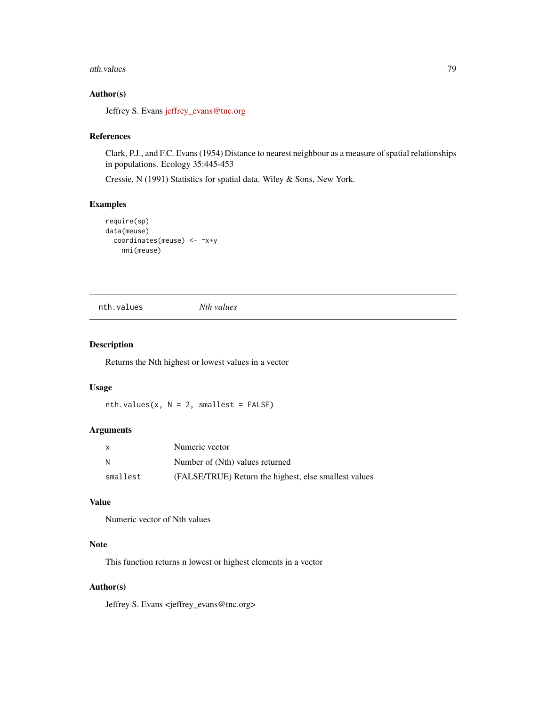#### nth.values 79

# Author(s)

Jeffrey S. Evans [jeffrey\\_evans@tnc.org](mailto:jeffrey_evans@tnc.org)

#### References

Clark, P.J., and F.C. Evans (1954) Distance to nearest neighbour as a measure of spatial relationships in populations. Ecology 35:445-453

Cressie, N (1991) Statistics for spatial data. Wiley & Sons, New York.

### Examples

```
require(sp)
data(meuse)
 coordinates(meuse) <- ~x+y
   nni(meuse)
```
nth.values *Nth values*

# Description

Returns the Nth highest or lowest values in a vector

## Usage

 $nth.values(x, N = 2, smallest = FALSE)$ 

# Arguments

| X        | Numeric vector                                        |
|----------|-------------------------------------------------------|
| N        | Number of (Nth) values returned                       |
| smallest | (FALSE/TRUE) Return the highest, else smallest values |

# Value

Numeric vector of Nth values

# Note

This function returns n lowest or highest elements in a vector

#### Author(s)

Jeffrey S. Evans <jeffrey\_evans@tnc.org>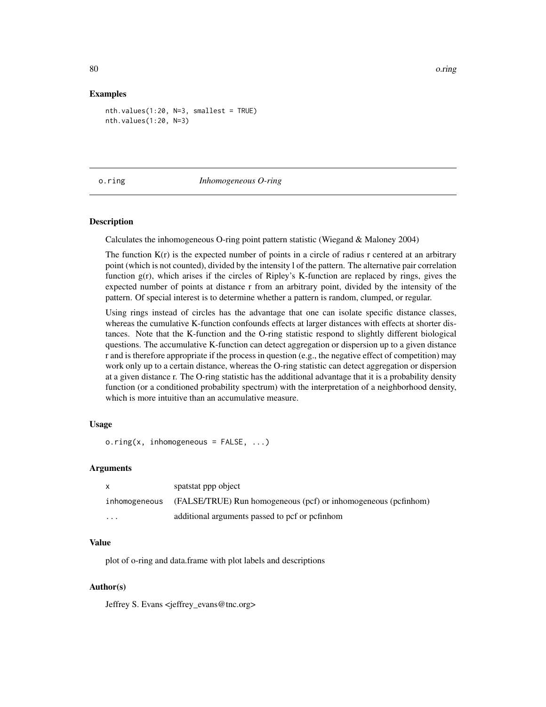#### Examples

```
nth.values(1:20, N=3, smallest = TRUE)
nth.values(1:20, N=3)
```
#### o.ring *Inhomogeneous O-ring*

## **Description**

Calculates the inhomogeneous O-ring point pattern statistic (Wiegand & Maloney 2004)

The function  $K(r)$  is the expected number of points in a circle of radius r centered at an arbitrary point (which is not counted), divided by the intensity l of the pattern. The alternative pair correlation function g(r), which arises if the circles of Ripley's K-function are replaced by rings, gives the expected number of points at distance r from an arbitrary point, divided by the intensity of the pattern. Of special interest is to determine whether a pattern is random, clumped, or regular.

Using rings instead of circles has the advantage that one can isolate specific distance classes, whereas the cumulative K-function confounds effects at larger distances with effects at shorter distances. Note that the K-function and the O-ring statistic respond to slightly different biological questions. The accumulative K-function can detect aggregation or dispersion up to a given distance r and is therefore appropriate if the process in question (e.g., the negative effect of competition) may work only up to a certain distance, whereas the O-ring statistic can detect aggregation or dispersion at a given distance r. The O-ring statistic has the additional advantage that it is a probability density function (or a conditioned probability spectrum) with the interpretation of a neighborhood density, which is more intuitive than an accumulative measure.

### Usage

 $o.ring(x, inhomogeneous = FALSE, ...)$ 

### Arguments

|               | spatstat ppp object                                            |
|---------------|----------------------------------------------------------------|
| inhomogeneous | (FALSE/TRUE) Run homogeneous (pcf) or inhomogeneous (pcfinhom) |
| $\cdots$      | additional arguments passed to pcf or pcfinhom                 |

#### Value

plot of o-ring and data.frame with plot labels and descriptions

# Author(s)

Jeffrey S. Evans <jeffrey\_evans@tnc.org>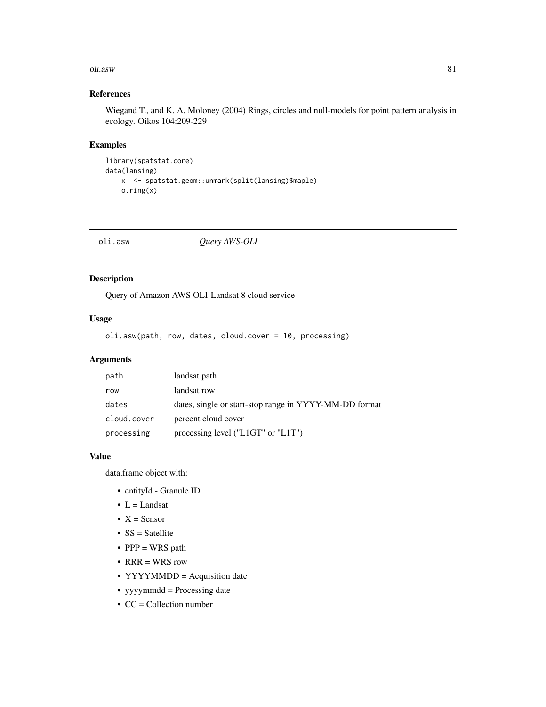#### oli.asw 81

# References

Wiegand T., and K. A. Moloney (2004) Rings, circles and null-models for point pattern analysis in ecology. Oikos 104:209-229

# Examples

```
library(spatstat.core)
data(lansing)
   x <- spatstat.geom::unmark(split(lansing)$maple)
   o.ring(x)
```

| oli.asw<br>Query AWS-OLI |  |
|--------------------------|--|
|--------------------------|--|

# Description

Query of Amazon AWS OLI-Landsat 8 cloud service

# Usage

oli.asw(path, row, dates, cloud.cover = 10, processing)

# Arguments

| path        | landsat path                                           |
|-------------|--------------------------------------------------------|
| row         | landsat row                                            |
| dates       | dates, single or start-stop range in YYYY-MM-DD format |
| cloud.cover | percent cloud cover                                    |
| processing  | processing level (" $L1GT$ " or " $L1T$ ")             |

# Value

data.frame object with:

- entityId Granule ID
- $L =$ Landsat
- $X =$  Sensor
- SS = Satellite
- $PPP = WRS$  path
- RRR = WRS row
- YYYYMMDD = Acquisition date
- yyyymmdd = Processing date
- CC = Collection number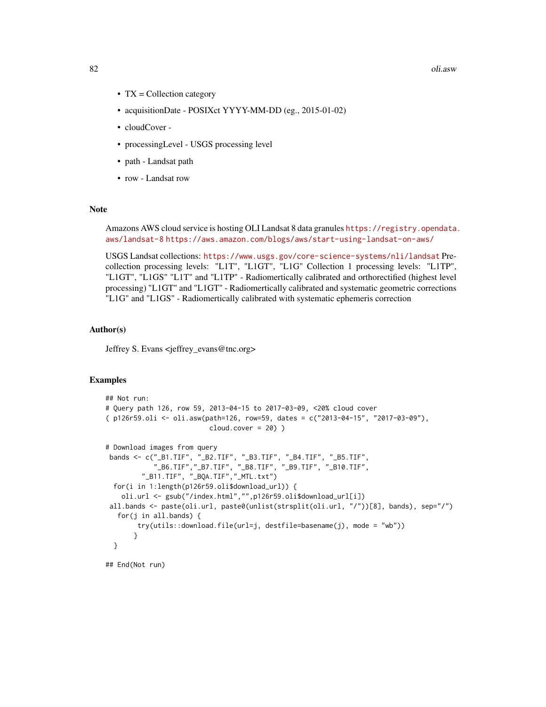82 oli.asw

- TX = Collection category
- acquisitionDate POSIXct YYYY-MM-DD (eg., 2015-01-02)
- cloudCover -
- processingLevel USGS processing level
- path Landsat path
- row Landsat row

#### Note

Amazons AWS cloud service is hosting OLI Landsat 8 data granules [https://registry.opendata.](https://registry.opendata.aws/landsat-8) [aws/landsat-8](https://registry.opendata.aws/landsat-8) <https://aws.amazon.com/blogs/aws/start-using-landsat-on-aws/>

USGS Landsat collections: <https://www.usgs.gov/core-science-systems/nli/landsat> Precollection processing levels: "L1T", "L1GT", "L1G" Collection 1 processing levels: "L1TP", "L1GT", "L1GS" "L1T" and "L1TP" - Radiomertically calibrated and orthorectified (highest level processing) "L1GT" and "L1GT" - Radiomertically calibrated and systematic geometric corrections "L1G" and "L1GS" - Radiomertically calibrated with systematic ephemeris correction

#### Author(s)

Jeffrey S. Evans <jeffrey\_evans@tnc.org>

#### Examples

```
## Not run:
# Query path 126, row 59, 2013-04-15 to 2017-03-09, <20% cloud cover
( p126r59.oli <- oli.asw(path=126, row=59, dates = c("2013-04-15", "2017-03-09"),
                          cloud.cover = 20) )
# Download images from query
 bands <- c("_B1.TIF", "_B2.TIF", "_B3.TIF", "_B4.TIF", "_B5.TIF",
            "_B6.TIF","_B7.TIF", "_B8.TIF", "_B9.TIF", "_B10.TIF",
         "_B11.TIF", "_BQA.TIF","_MTL.txt")
 for(i in 1:length(p126r59.oli$download_url)) {
   oli.url <- gsub("/index.html","",p126r59.oli$download_url[i])
 all.bands <- paste(oli.url, paste0(unlist(strsplit(oli.url, "/"))[8], bands), sep="/")
   for(j in all.bands) {
       try(utils::download.file(url=j, destfile=basename(j), mode = "wb"))
      }
 }
```
## End(Not run)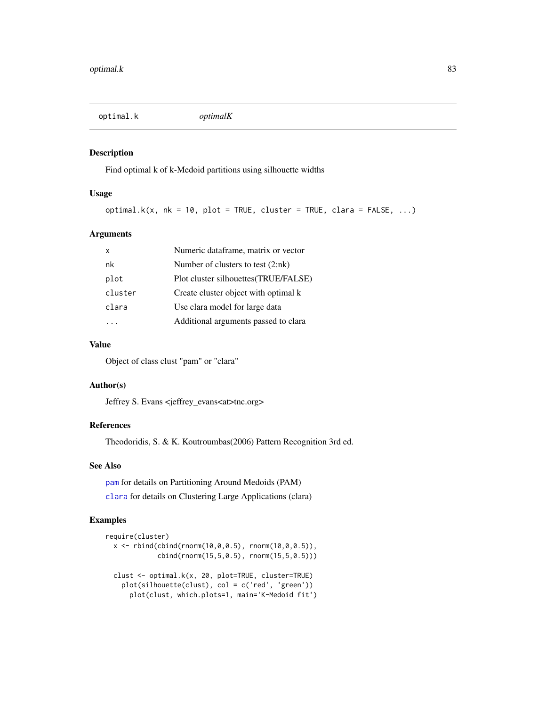optimal.k *optimalK*

#### Description

Find optimal k of k-Medoid partitions using silhouette widths

### Usage

```
optimal.k(x, nk = 10, plot = TRUE, cluster = TRUE, clara = FALSE, \ldots)
```
## Arguments

| x       | Numeric dataframe, matrix or vector   |
|---------|---------------------------------------|
| nk      | Number of clusters to test $(2:nk)$   |
| plot    | Plot cluster silhouettes (TRUE/FALSE) |
| cluster | Create cluster object with optimal k  |
| clara   | Use clara model for large data        |
|         | Additional arguments passed to clara  |

# Value

Object of class clust "pam" or "clara"

# Author(s)

Jeffrey S. Evans <jeffrey\_evans<at>tnc.org>

# References

Theodoridis, S. & K. Koutroumbas(2006) Pattern Recognition 3rd ed.

# See Also

[pam](#page-0-0) for details on Partitioning Around Medoids (PAM) [clara](#page-0-0) for details on Clustering Large Applications (clara)

```
require(cluster)
 x \le rbind(cbind(rnorm(10,0,0.5), rnorm(10,0,0.5)),
             cbind(rnorm(15,5,0.5), rnorm(15,5,0.5)))
 clust <- optimal.k(x, 20, plot=TRUE, cluster=TRUE)
   plot(silhouette(clust), col = c('red', 'green'))
     plot(clust, which.plots=1, main='K-Medoid fit')
```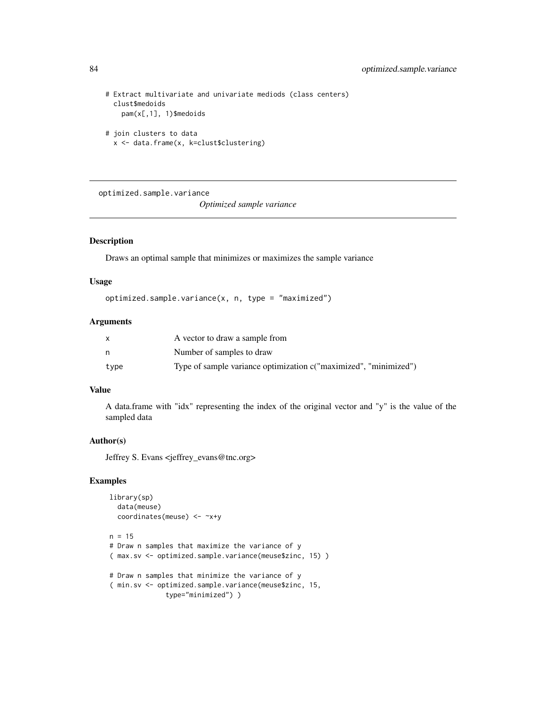```
# Extract multivariate and univariate mediods (class centers)
 clust$medoids
   pam(x[,1], 1)$medoids
# join clusters to data
```
x <- data.frame(x, k=clust\$clustering)

optimized.sample.variance *Optimized sample variance*

# Description

Draws an optimal sample that minimizes or maximizes the sample variance

#### Usage

optimized.sample.variance(x, n, type = "maximized")

# Arguments

|      | A vector to draw a sample from                                   |
|------|------------------------------------------------------------------|
|      | Number of samples to draw                                        |
| type | Type of sample variance optimization c("maximized", "minimized") |

# Value

A data.frame with "idx" representing the index of the original vector and "y" is the value of the sampled data

# Author(s)

Jeffrey S. Evans <jeffrey\_evans@tnc.org>

```
library(sp)
  data(meuse)
  coordinates(meuse) <- ~x+y
n = 15# Draw n samples that maximize the variance of y
( max.sv <- optimized.sample.variance(meuse$zinc, 15) )
# Draw n samples that minimize the variance of y
( min.sv <- optimized.sample.variance(meuse$zinc, 15,
              type="minimized") )
```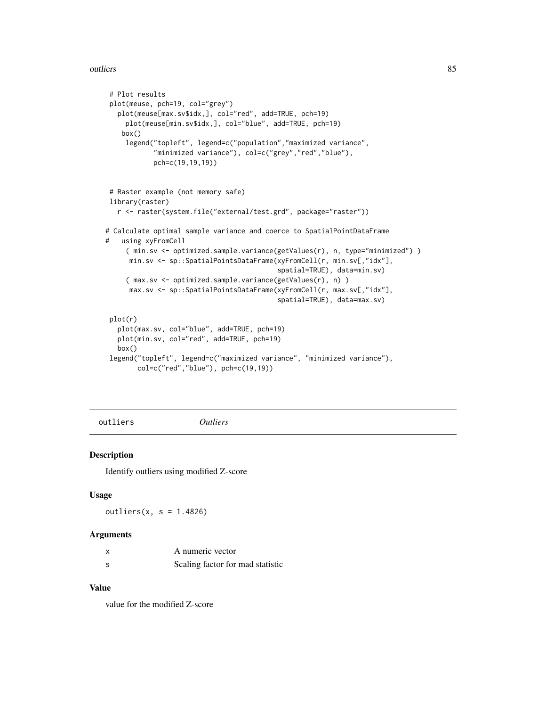#### outliers 85

```
# Plot results
plot(meuse, pch=19, col="grey")
  plot(meuse[max.sv$idx,], col="red", add=TRUE, pch=19)
     plot(meuse[min.sv$idx,], col="blue", add=TRUE, pch=19)
    box()
    legend("topleft", legend=c("population","maximized variance",
            "minimized variance"), col=c("grey","red","blue"),
            pch=c(19,19,19))
 # Raster example (not memory safe)
library(raster)
   r <- raster(system.file("external/test.grd", package="raster"))
# Calculate optimal sample variance and coerce to SpatialPointDataFrame
# using xyFromCell
     ( min.sv <- optimized.sample.variance(getValues(r), n, type="minimized") )
     min.sv <- sp::SpatialPointsDataFrame(xyFromCell(r, min.sv[,"idx"],
                                           spatial=TRUE), data=min.sv)
     ( max.sv <- optimized.sample.variance(getValues(r), n) )
     max.sv <- sp::SpatialPointsDataFrame(xyFromCell(r, max.sv[,"idx"],
                                           spatial=TRUE), data=max.sv)
plot(r)
  plot(max.sv, col="blue", add=TRUE, pch=19)
  plot(min.sv, col="red", add=TRUE, pch=19)
  box()
 legend("topleft", legend=c("maximized variance", "minimized variance"),
       col=c("red","blue"), pch=c(19,19))
```
outliers *Outliers*

# Description

Identify outliers using modified Z-score

#### Usage

outliers $(x, s = 1.4826)$ 

#### Arguments

|     | A numeric vector                 |
|-----|----------------------------------|
| - S | Scaling factor for mad statistic |

# Value

value for the modified Z-score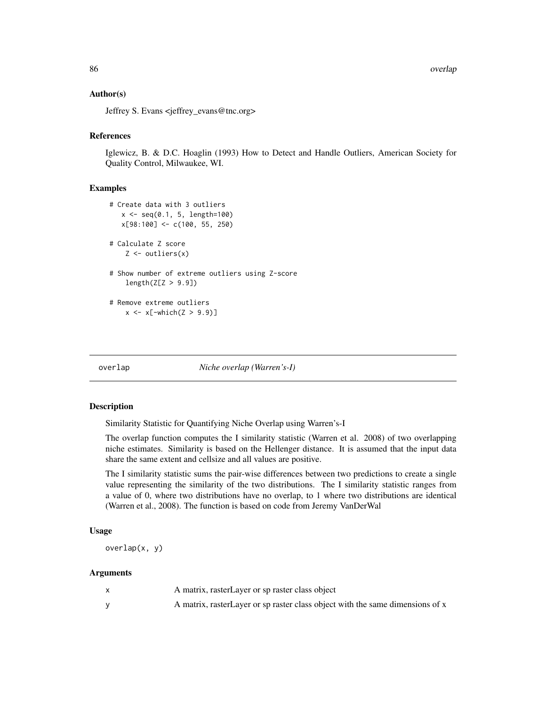## Author(s)

Jeffrey S. Evans <jeffrey\_evans@tnc.org>

#### References

Iglewicz, B. & D.C. Hoaglin (1993) How to Detect and Handle Outliers, American Society for Quality Control, Milwaukee, WI.

#### Examples

```
# Create data with 3 outliers
   x \leq -\text{seq}(0.1, 5, \text{length}=100)x[98:100] <- c(100, 55, 250)
# Calculate Z score
    Z \leftarrow \text{outliers}(x)# Show number of extreme outliers using Z-score
    length(Z[Z > 9.9])# Remove extreme outliers
    x \le -x[-which(Z > 9.9)]
```
overlap *Niche overlap (Warren's-I)*

#### Description

Similarity Statistic for Quantifying Niche Overlap using Warren's-I

The overlap function computes the I similarity statistic (Warren et al. 2008) of two overlapping niche estimates. Similarity is based on the Hellenger distance. It is assumed that the input data share the same extent and cellsize and all values are positive.

The I similarity statistic sums the pair-wise differences between two predictions to create a single value representing the similarity of the two distributions. The I similarity statistic ranges from a value of 0, where two distributions have no overlap, to 1 where two distributions are identical (Warren et al., 2008). The function is based on code from Jeremy VanDerWal

# Usage

overlap(x, y)

#### Arguments

| A matrix, rasterLayer or sp raster class object                                |
|--------------------------------------------------------------------------------|
| A matrix, raster Layer or sp raster class object with the same dimensions of x |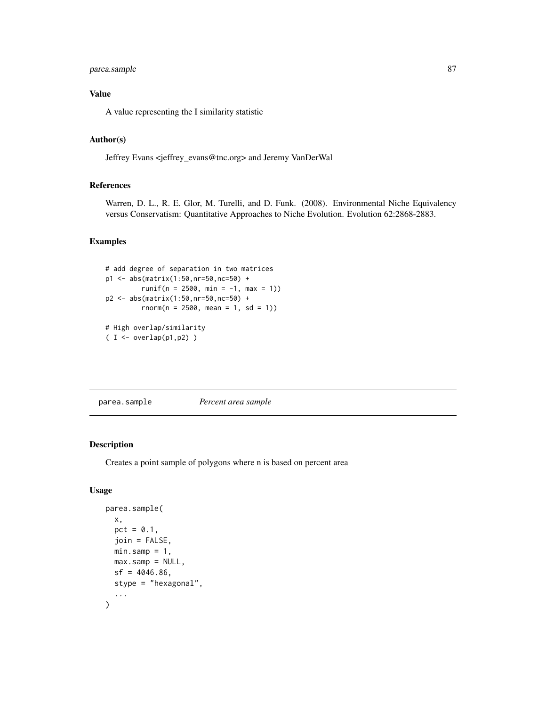# parea.sample 87

# Value

A value representing the I similarity statistic

# Author(s)

Jeffrey Evans <jeffrey\_evans@tnc.org> and Jeremy VanDerWal

#### References

Warren, D. L., R. E. Glor, M. Turelli, and D. Funk. (2008). Environmental Niche Equivalency versus Conservatism: Quantitative Approaches to Niche Evolution. Evolution 62:2868-2883.

# Examples

```
# add degree of separation in two matrices
p1 <- abs(matrix(1:50,nr=50,nc=50) +
        runif(n = 2500, min = -1, max = 1))
p2 <- abs(matrix(1:50,nr=50,nc=50) +
        rnorm(n = 2500, mean = 1, sd = 1)# High overlap/similarity
( I < -overlap(p1,p2) )
```

```
parea.sample Percent area sample
```
# Description

Creates a point sample of polygons where n is based on percent area

# Usage

```
parea.sample(
  x,
  pct = 0.1,
  join = FALSE,
  min.sump = 1,
  max.sump = NULL,sf = 4046.86,
  stype = "hexagonal",
  ...
\mathcal{E}
```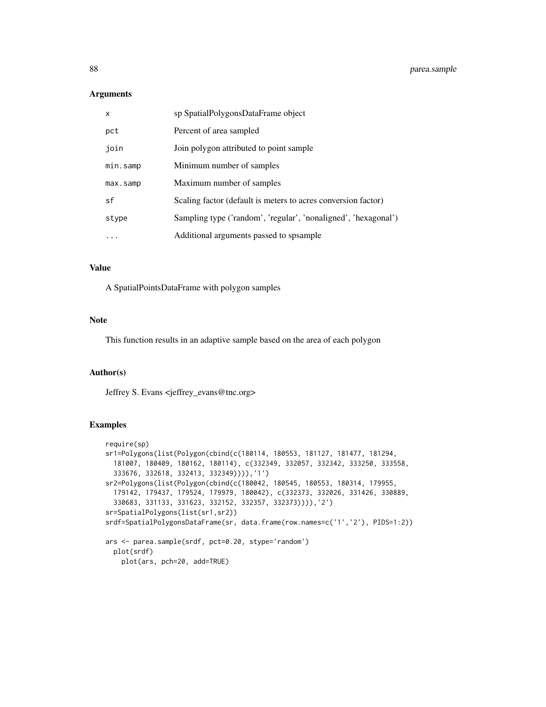#### Arguments

| $\mathsf{x}$ | sp SpatialPolygonsDataFrame object                             |
|--------------|----------------------------------------------------------------|
| pct          | Percent of area sampled                                        |
| join         | Join polygon attributed to point sample                        |
| min.samp     | Minimum number of samples                                      |
| max.samp     | Maximum number of samples                                      |
| sf           | Scaling factor (default is meters to acres conversion factor)  |
| stype        | Sampling type ('random', 'regular', 'nonaligned', 'hexagonal') |
| $\ddotsc$    | Additional arguments passed to spsample                        |

# Value

A SpatialPointsDataFrame with polygon samples

#### Note

This function results in an adaptive sample based on the area of each polygon

# Author(s)

Jeffrey S. Evans <jeffrey\_evans@tnc.org>

```
require(sp)
sr1=Polygons(list(Polygon(cbind(c(180114, 180553, 181127, 181477, 181294,
  181007, 180409, 180162, 180114), c(332349, 332057, 332342, 333250, 333558,
  333676, 332618, 332413, 332349)))),'1')
sr2=Polygons(list(Polygon(cbind(c(180042, 180545, 180553, 180314, 179955,
  179142, 179437, 179524, 179979, 180042), c(332373, 332026, 331426, 330889,
  330683, 331133, 331623, 332152, 332357, 332373)))),'2')
sr=SpatialPolygons(list(sr1,sr2))
srdf=SpatialPolygonsDataFrame(sr, data.frame(row.names=c('1','2'), PIDS=1:2))
ars <- parea.sample(srdf, pct=0.20, stype='random')
  plot(srdf)
   plot(ars, pch=20, add=TRUE)
```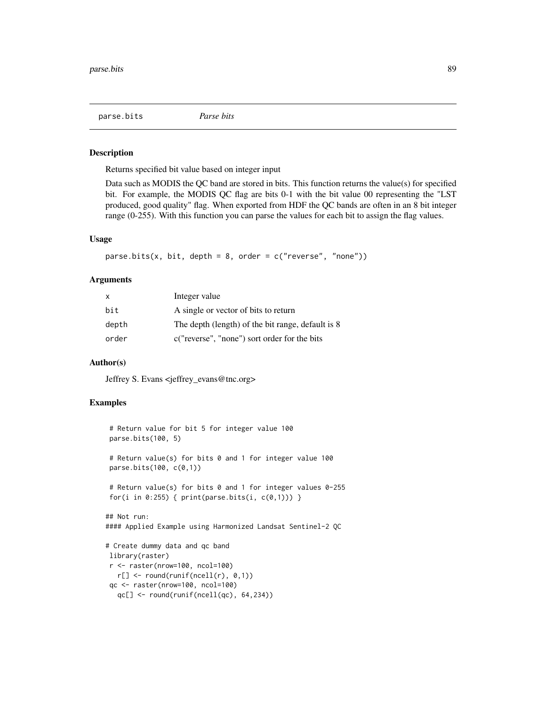#### Description

Returns specified bit value based on integer input

Data such as MODIS the QC band are stored in bits. This function returns the value(s) for specified bit. For example, the MODIS QC flag are bits 0-1 with the bit value 00 representing the "LST produced, good quality" flag. When exported from HDF the QC bands are often in an 8 bit integer range (0-255). With this function you can parse the values for each bit to assign the flag values.

#### Usage

parse.bits(x, bit, depth = 8, order =  $c("reverse", "none"))$ 

#### Arguments

| X     | Integer value                                     |
|-------|---------------------------------------------------|
| bit   | A single or vector of bits to return              |
| depth | The depth (length) of the bit range, default is 8 |
| order | c("reverse", "none") sort order for the bits      |

#### Author(s)

Jeffrey S. Evans <jeffrey\_evans@tnc.org>

```
# Return value for bit 5 for integer value 100
parse.bits(100, 5)
# Return value(s) for bits 0 and 1 for integer value 100
parse.bits(100, c(0,1))
 # Return value(s) for bits 0 and 1 for integer values 0-255
for(i in 0:255) { print(parse.bits(i, c(0,1))) }
## Not run:
#### Applied Example using Harmonized Landsat Sentinel-2 QC
# Create dummy data and qc band
library(raster)
r <- raster(nrow=100, ncol=100)
  r[] \leftarrow round(runif(ncell(r), 0,1))qc <- raster(nrow=100, ncol=100)
  qc[] \leftarrow round(runif(ncell(qc), 64, 234))
```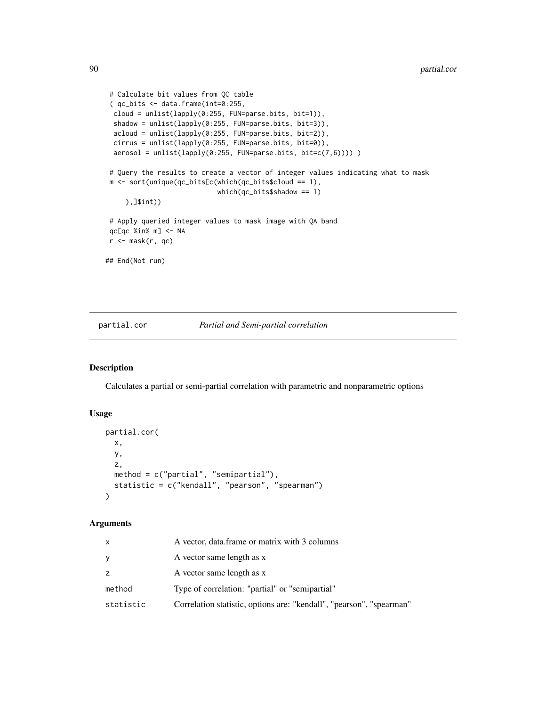```
# Calculate bit values from QC table
 (qc\_bits < - data frame(int=0:255,cloud = unlist(lapply(0:255, FUN=parse.bits, bit=1)),
 shadow = unlist(lapply(0:255, FUN=parse.bits, bit=3)),
 acloud = unlist(lapply(0:255, FUN=parse.bits, bit=2)),
 cirrus = unlist(lapply(0:255, FUN=parse.bits, bit=0)),
 aerosol = unlist(lapply(0:255, FUN=parse.bits, bit=c(7,6))))# Query the results to create a vector of integer values indicating what to mask
m <- sort(unique(qc_bits[c(which(qc_bits$cloud == 1),
                            which(qc_bits$shadow == 1)
    ),]$int))
 # Apply queried integer values to mask image with QA band
qc[qc %in% m] <- NA
r <- mask(r, qc)
## End(Not run)
```
### partial.cor *Partial and Semi-partial correlation*

# Description

Calculates a partial or semi-partial correlation with parametric and nonparametric options

# Usage

```
partial.cor(
  x,
  y,
  z,
  method = c("partial", "semipartial"),
  statistic = c("kendall", "pearson", "spearman")
\mathcal{E}
```
#### Arguments

| x         | A vector, data frame or matrix with 3 columns                        |
|-----------|----------------------------------------------------------------------|
|           | A vector same length as x                                            |
| Z.        | A vector same length as x                                            |
| method    | Type of correlation: "partial" or "semipartial"                      |
| statistic | Correlation statistic, options are: "kendall", "pearson", "spearman" |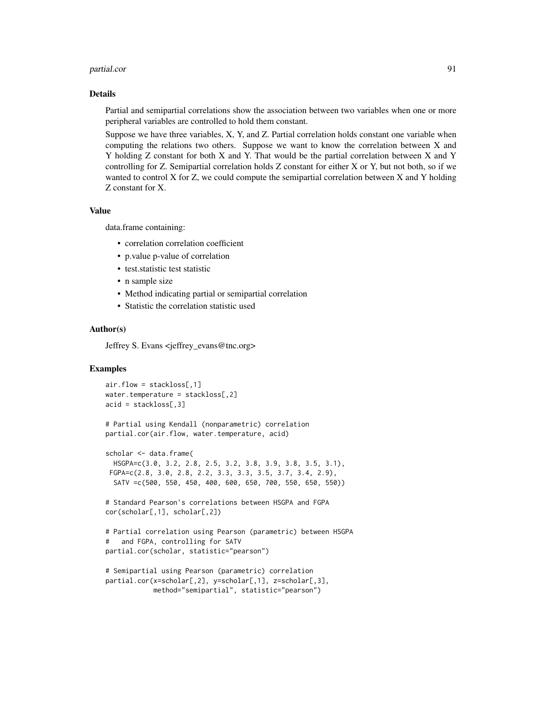#### partial.cor 91

#### Details

Partial and semipartial correlations show the association between two variables when one or more peripheral variables are controlled to hold them constant.

Suppose we have three variables, X, Y, and Z. Partial correlation holds constant one variable when computing the relations two others. Suppose we want to know the correlation between X and Y holding Z constant for both X and Y. That would be the partial correlation between X and Y controlling for Z. Semipartial correlation holds Z constant for either X or Y, but not both, so if we wanted to control X for Z, we could compute the semipartial correlation between X and Y holding Z constant for X.

# Value

data.frame containing:

- correlation correlation coefficient
- p.value p-value of correlation
- test.statistic test statistic
- n sample size
- Method indicating partial or semipartial correlation
- Statistic the correlation statistic used

# Author(s)

Jeffrey S. Evans <jeffrey\_evans@tnc.org>

```
air.flow = stackloss[,1]
water.temperature = stackloss[,2]
acid = stackloss[, 3]# Partial using Kendall (nonparametric) correlation
partial.cor(air.flow, water.temperature, acid)
scholar <- data.frame(
 HSGPA=c(3.0, 3.2, 2.8, 2.5, 3.2, 3.8, 3.9, 3.8, 3.5, 3.1),
 FGPA=c(2.8, 3.0, 2.8, 2.2, 3.3, 3.3, 3.5, 3.7, 3.4, 2.9),
  SATV =c(500, 550, 450, 400, 600, 650, 700, 550, 650, 550))
# Standard Pearson's correlations between HSGPA and FGPA
cor(scholar[,1], scholar[,2])
# Partial correlation using Pearson (parametric) between HSGPA
# and FGPA, controlling for SATV
partial.cor(scholar, statistic="pearson")
# Semipartial using Pearson (parametric) correlation
partial.cor(x=scholar[,2], y=scholar[,1], z=scholar[,3],
            method="semipartial", statistic="pearson")
```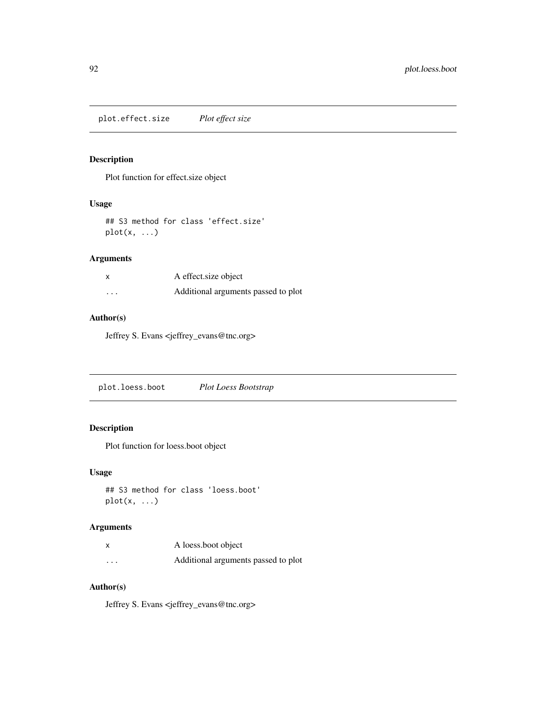plot.effect.size *Plot effect size*

# Description

Plot function for effect.size object

# Usage

```
## S3 method for class 'effect.size'
plot(x, \ldots)
```
# Arguments

|                      | A effect size object                |
|----------------------|-------------------------------------|
| $\ddot{\phantom{0}}$ | Additional arguments passed to plot |

# Author(s)

Jeffrey S. Evans <jeffrey\_evans@tnc.org>

|--|

# Description

Plot function for loess.boot object

# Usage

```
## S3 method for class 'loess.boot'
plot(x, \ldots)
```
# Arguments

|          | A loess boot object                 |
|----------|-------------------------------------|
| $\cdots$ | Additional arguments passed to plot |

# Author(s)

Jeffrey S. Evans <jeffrey\_evans@tnc.org>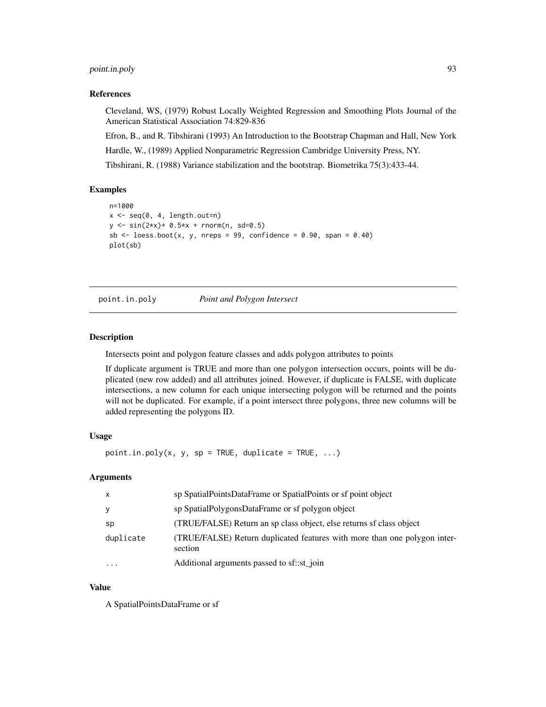# point.in.poly 93

#### References

Cleveland, WS, (1979) Robust Locally Weighted Regression and Smoothing Plots Journal of the American Statistical Association 74:829-836

Efron, B., and R. Tibshirani (1993) An Introduction to the Bootstrap Chapman and Hall, New York Hardle, W., (1989) Applied Nonparametric Regression Cambridge University Press, NY.

Tibshirani, R. (1988) Variance stabilization and the bootstrap. Biometrika 75(3):433-44.

# Examples

```
n=1000
x \leftarrow seq(0, 4, length.out=n)y \le -\sin(2*x) + 0.5*x + \text{norm}(n, sd=0.5)sb \le loess.boot(x, y, nreps = 99, confidence = 0.90, span = 0.40)
plot(sb)
```
point.in.poly *Point and Polygon Intersect*

### Description

Intersects point and polygon feature classes and adds polygon attributes to points

If duplicate argument is TRUE and more than one polygon intersection occurs, points will be duplicated (new row added) and all attributes joined. However, if duplicate is FALSE, with duplicate intersections, a new column for each unique intersecting polygon will be returned and the points will not be duplicated. For example, if a point intersect three polygons, three new columns will be added representing the polygons ID.

### Usage

 $point.in.poly(x, y, sp = TRUE, duplicate = TRUE, ...)$ 

#### Arguments

| $\mathsf{x}$ | sp SpatialPointsDataFrame or SpatialPoints or sf point object                        |
|--------------|--------------------------------------------------------------------------------------|
| y            | sp SpatialPolygonsDataFrame or sf polygon object                                     |
| sp           | (TRUE/FALSE) Return an sp class object, else returns sf class object                 |
| duplicate    | (TRUE/FALSE) Return duplicated features with more than one polygon inter-<br>section |
| $\cdots$     | Additional arguments passed to sf::st_join                                           |

#### Value

A SpatialPointsDataFrame or sf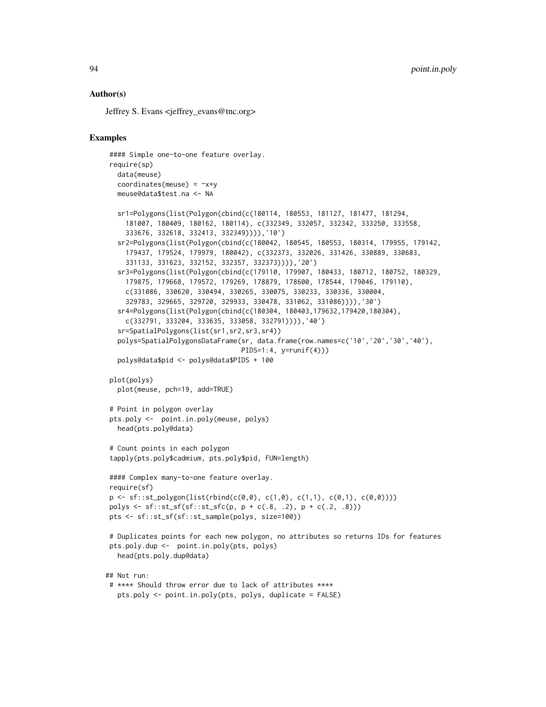## Author(s)

Jeffrey S. Evans <jeffrey\_evans@tnc.org>

```
#### Simple one-to-one feature overlay.
require(sp)
  data(meuse)
  coordinates(meuse) = ~x+y
  meuse@data$test.na <- NA
  sr1=Polygons(list(Polygon(cbind(c(180114, 180553, 181127, 181477, 181294,
    181007, 180409, 180162, 180114), c(332349, 332057, 332342, 333250, 333558,
    333676, 332618, 332413, 332349)))),'10')
  sr2=Polygons(list(Polygon(cbind(c(180042, 180545, 180553, 180314, 179955, 179142,
    179437, 179524, 179979, 180042), c(332373, 332026, 331426, 330889, 330683,
    331133, 331623, 332152, 332357, 332373)))),'20')
  sr3=Polygons(list(Polygon(cbind(c(179110, 179907, 180433, 180712, 180752, 180329,
    179875, 179668, 179572, 179269, 178879, 178600, 178544, 179046, 179110),
    c(331086, 330620, 330494, 330265, 330075, 330233, 330336, 330004,
     329783, 329665, 329720, 329933, 330478, 331062, 331086)))),'30')
  sr4=Polygons(list(Polygon(cbind(c(180304, 180403,179632,179420,180304),
    c(332791, 333204, 333635, 333058, 332791)))),'40')
  sr=SpatialPolygons(list(sr1,sr2,sr3,sr4))
  polys=SpatialPolygonsDataFrame(sr, data.frame(row.names=c('10','20','30','40'),
                                  PIDS=1:4, y=runif(4))polys@data$pid <- polys@data$PIDS + 100
plot(polys)
  plot(meuse, pch=19, add=TRUE)
# Point in polygon overlay
pts.poly <- point.in.poly(meuse, polys)
  head(pts.poly@data)
# Count points in each polygon
tapply(pts.poly$cadmium, pts.poly$pid, FUN=length)
#### Complex many-to-one feature overlay.
require(sf)
p \leftarrow sf::st\_polygon(list(rbind(c(0,0), c(1,0), c(1,1), c(0,1), c(0,0))))polys <- sf:st\_sf(sf::st\_sfc(p, p + c(.8, .2), p + c(.2, .8)))pts <- sf::st_sf(sf::st_sample(polys, size=100))
# Duplicates points for each new polygon, no attributes so returns IDs for features
pts.poly.dup <- point.in.poly(pts, polys)
  head(pts.poly.dup@data)
## Not run:
# **** Should throw error due to lack of attributes ****
  pts.poly <- point.in.poly(pts, polys, duplicate = FALSE)
```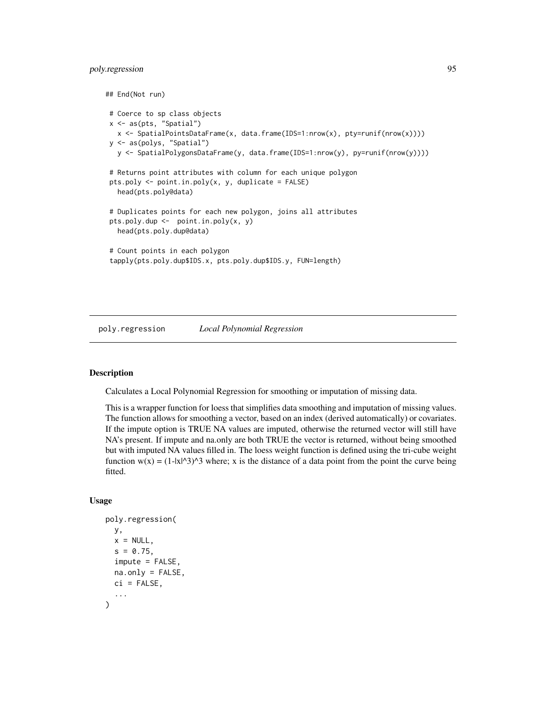# poly.regression 95

```
## End(Not run)
# Coerce to sp class objects
x <- as(pts, "Spatial")
  x <- SpatialPointsDataFrame(x, data.frame(IDS=1:nrow(x), pty=runif(nrow(x))))
y <- as(polys, "Spatial")
  y <- SpatialPolygonsDataFrame(y, data.frame(IDS=1:nrow(y), py=runif(nrow(y))))
# Returns point attributes with column for each unique polygon
pts.poly <- point.in.poly(x, y, duplicate = FALSE)
  head(pts.poly@data)
# Duplicates points for each new polygon, joins all attributes
pts.poly.dup <- point.in.poly(x, y)
  head(pts.poly.dup@data)
# Count points in each polygon
tapply(pts.poly.dup$IDS.x, pts.poly.dup$IDS.y, FUN=length)
```
poly.regression *Local Polynomial Regression*

# Description

Calculates a Local Polynomial Regression for smoothing or imputation of missing data.

This is a wrapper function for loess that simplifies data smoothing and imputation of missing values. The function allows for smoothing a vector, based on an index (derived automatically) or covariates. If the impute option is TRUE NA values are imputed, otherwise the returned vector will still have NA's present. If impute and na.only are both TRUE the vector is returned, without being smoothed but with imputed NA values filled in. The loess weight function is defined using the tri-cube weight function  $w(x) = (1-|x|^{x})^{3}$  where; x is the distance of a data point from the point the curve being fitted.

#### Usage

```
poly.regression(
 y,
 x = NULL,s = 0.75,
  impute = FALSE,
 na.only = FALSE,
 ci = FALSE,...
)
```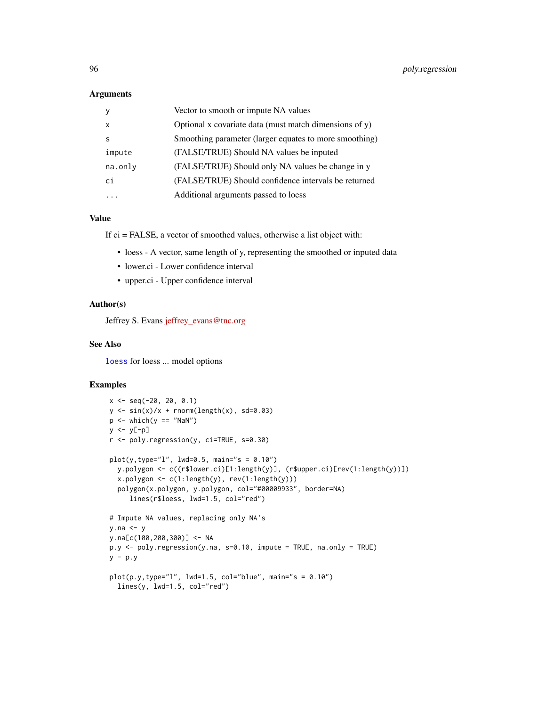#### Arguments

|              | Vector to smooth or impute NA values                      |
|--------------|-----------------------------------------------------------|
| $\mathsf{x}$ | Optional x covariate data (must match dimensions of $y$ ) |
| S            | Smoothing parameter (larger equates to more smoothing)    |
| impute       | (FALSE/TRUE) Should NA values be inputed                  |
| na.only      | (FALSE/TRUE) Should only NA values be change in y         |
| ci           | (FALSE/TRUE) Should confidence intervals be returned      |
|              | Additional arguments passed to loess                      |

## Value

If ci = FALSE, a vector of smoothed values, otherwise a list object with:

- loess A vector, same length of y, representing the smoothed or inputed data
- lower.ci Lower confidence interval
- upper.ci Upper confidence interval

# Author(s)

Jeffrey S. Evans [jeffrey\\_evans@tnc.org](mailto:jeffrey_evans@tnc.org)

# See Also

[loess](#page-0-0) for loess ... model options

```
x \le - seq(-20, 20, 0.1)
y \le -\sin(x)/x + \text{norm}(\text{length}(x), \text{ sd=0.03})p \leftarrow \text{which}(y == \text{"NaN"})y \leftarrow y[-p]r <- poly.regression(y, ci=TRUE, s=0.30)
plot(y, type="1", lwd=0.5, main="s = 0.10")y.polygon <- c((r$lower.ci)[1:length(y)], (r$upper.ci)[rev(1:length(y))])
  x.polygon <- c(1:length(y), rev(1:length(y)))
  polygon(x.polygon, y.polygon, col="#00009933", border=NA)
     lines(r$loess, lwd=1.5, col="red")
# Impute NA values, replacing only NA's
y.na <- y
y.na[c(100,200,300)] <- NA
p.y \leq poly-regression(y,na, s=0.10, impute = TRUE, na-only = TRUE)y - p.yplot(p.y, type="1", lwd=1.5, col="blue", main="s = 0.10")lines(y, lwd=1.5, col="red")
```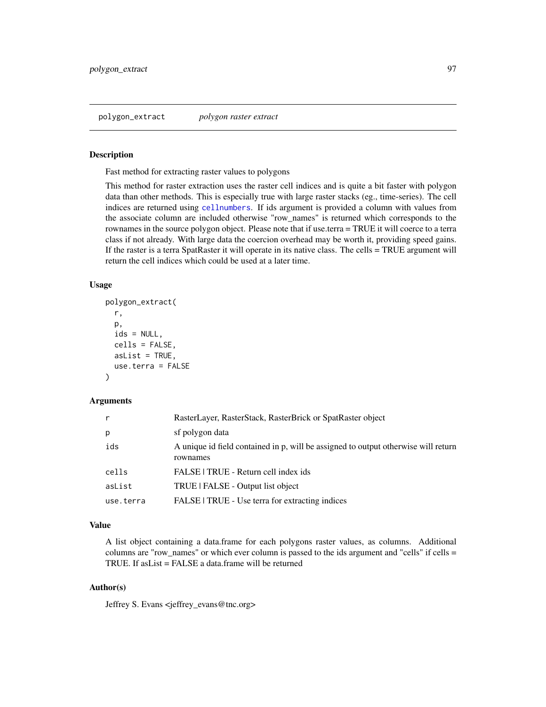#### Description

Fast method for extracting raster values to polygons

This method for raster extraction uses the raster cell indices and is quite a bit faster with polygon data than other methods. This is especially true with large raster stacks (eg., time-series). The cell indices are returned using [cellnumbers](#page-0-0). If ids argument is provided a column with values from the associate column are included otherwise "row\_names" is returned which corresponds to the rownames in the source polygon object. Please note that if use.terra = TRUE it will coerce to a terra class if not already. With large data the coercion overhead may be worth it, providing speed gains. If the raster is a terra SpatRaster it will operate in its native class. The cells = TRUE argument will return the cell indices which could be used at a later time.

#### Usage

```
polygon_extract(
  r,
 p,
  ids = NULL,cells = FALSE,
  asList = TRUE,use.terra = FALSE
)
```
#### Arguments

| r         | RasterLayer, RasterStack, RasterBrick or SpatRaster object                                     |
|-----------|------------------------------------------------------------------------------------------------|
| р         | sf polygon data                                                                                |
| ids       | A unique id field contained in p, will be assigned to output otherwise will return<br>rownames |
| cells     | FALSE   TRUE - Return cell index ids                                                           |
| asList    | TRUE   FALSE - Output list object                                                              |
| use.terra | FALSE   TRUE - Use terra for extracting indices                                                |

### Value

A list object containing a data.frame for each polygons raster values, as columns. Additional columns are "row\_names" or which ever column is passed to the ids argument and "cells" if cells = TRUE. If asList = FALSE a data.frame will be returned

# Author(s)

Jeffrey S. Evans <jeffrey\_evans@tnc.org>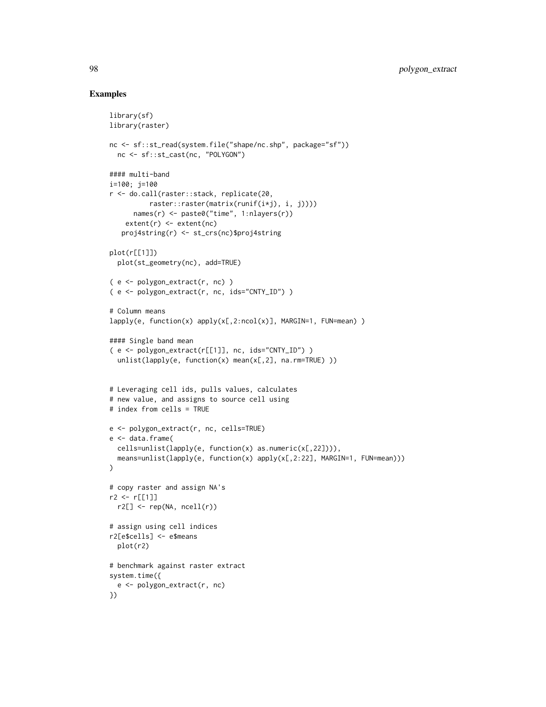```
library(sf)
library(raster)
nc <- sf::st_read(system.file("shape/nc.shp", package="sf"))
 nc <- sf::st_cast(nc, "POLYGON")
#### multi-band
i=100; j=100
r <- do.call(raster::stack, replicate(20,
          raster::raster(matrix(runif(i*j), i, j))))
      names(r) <- paste0("time", 1:nlayers(r))
    extent(r) < - extent(nc)proj4string(r) <- st_crs(nc)$proj4string
plot(r[[1]])
  plot(st_geometry(nc), add=TRUE)
( e <- polygon_extract(r, nc) )
( e <- polygon_extract(r, nc, ids="CNTY_ID") )
# Column means
lapply(e, function(x) apply(x[,2:ncol(x)], MARGIN=1, FUN=mean) )
#### Single band mean
( e <- polygon_extract(r[[1]], nc, ids="CNTY_ID") )
 unlist(lapply(e, function(x) mean(x[, 2], na.rm=True))# Leveraging cell ids, pulls values, calculates
# new value, and assigns to source cell using
# index from cells = TRUE
e <- polygon_extract(r, nc, cells=TRUE)
e <- data.frame(
  cells=unlist(lapply(e, function(x) as.numeric(x[,22]))),
 means=unlist(lapply(e, function(x) apply(x[,2:22], MARGIN=1, FUN=mean)))
\lambda# copy raster and assign NA's
r2 <- r[[1]]
 r2[] \leftarrow rep(NA, ncell(r))# assign using cell indices
r2[e$cells] <- e$means
 plot(r2)
# benchmark against raster extract
system.time({
  e <- polygon_extract(r, nc)
})
```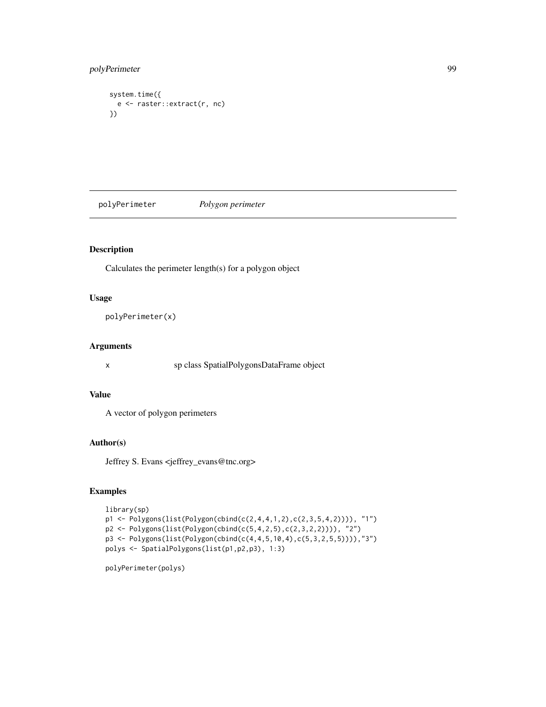# polyPerimeter 99

```
system.time({
 e <- raster::extract(r, nc)
})
```
polyPerimeter *Polygon perimeter*

# Description

Calculates the perimeter length(s) for a polygon object

# Usage

```
polyPerimeter(x)
```
# Arguments

x sp class SpatialPolygonsDataFrame object

# Value

A vector of polygon perimeters

## Author(s)

Jeffrey S. Evans <jeffrey\_evans@tnc.org>

# Examples

```
library(sp)
p1 <- Polygons(list(Polygon(cbind(c(2,4,4,1,2),c(2,3,5,4,2)))), "1")
p2 <- Polygons(list(Polygon(cbind(c(5,4,2,5),c(2,3,2,2)))), "2")
p3 <- Polygons(list(Polygon(cbind(c(4,4,5,10,4),c(5,3,2,5,5)))),"3")
polys <- SpatialPolygons(list(p1,p2,p3), 1:3)
```
polyPerimeter(polys)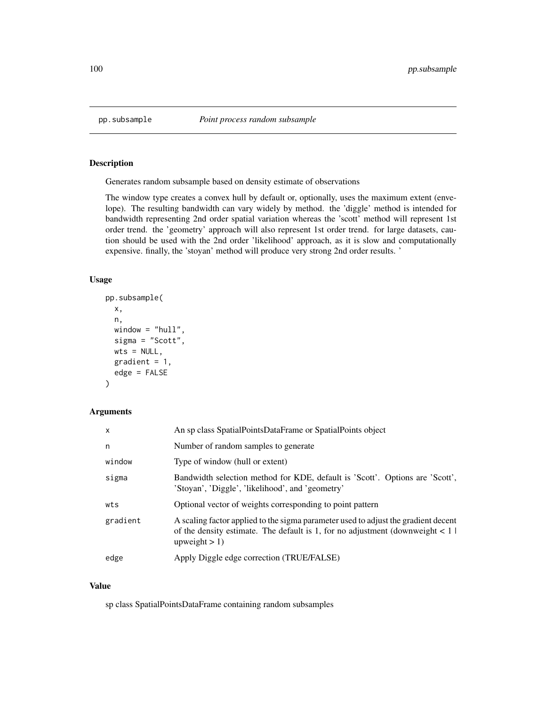# Description

Generates random subsample based on density estimate of observations

The window type creates a convex hull by default or, optionally, uses the maximum extent (envelope). The resulting bandwidth can vary widely by method. the 'diggle' method is intended for bandwidth representing 2nd order spatial variation whereas the 'scott' method will represent 1st order trend. the 'geometry' approach will also represent 1st order trend. for large datasets, caution should be used with the 2nd order 'likelihood' approach, as it is slow and computationally expensive. finally, the 'stoyan' method will produce very strong 2nd order results. '

# Usage

```
pp.subsample(
  x,
 n,
 window = "hull",
  sigma = "Scott",
 wts = NULL,gradient = 1,
 edge = FALSE
)
```
# Arguments

| $\mathsf{x}$ | An sp class SpatialPointsDataFrame or SpatialPoints object                                                                                                                                   |
|--------------|----------------------------------------------------------------------------------------------------------------------------------------------------------------------------------------------|
| n            | Number of random samples to generate                                                                                                                                                         |
| window       | Type of window (hull or extent)                                                                                                                                                              |
| sigma        | Bandwidth selection method for KDE, default is 'Scott'. Options are 'Scott',<br>'Stoyan', 'Diggle', 'likelihood', and 'geometry'                                                             |
| wts          | Optional vector of weights corresponding to point pattern                                                                                                                                    |
| gradient     | A scaling factor applied to the sigma parameter used to adjust the gradient decent<br>of the density estimate. The default is 1, for no adjustment (downweight $\lt 1$ )<br>upweight $> 1$ ) |
| edge         | Apply Diggle edge correction (TRUE/FALSE)                                                                                                                                                    |

#### Value

sp class SpatialPointsDataFrame containing random subsamples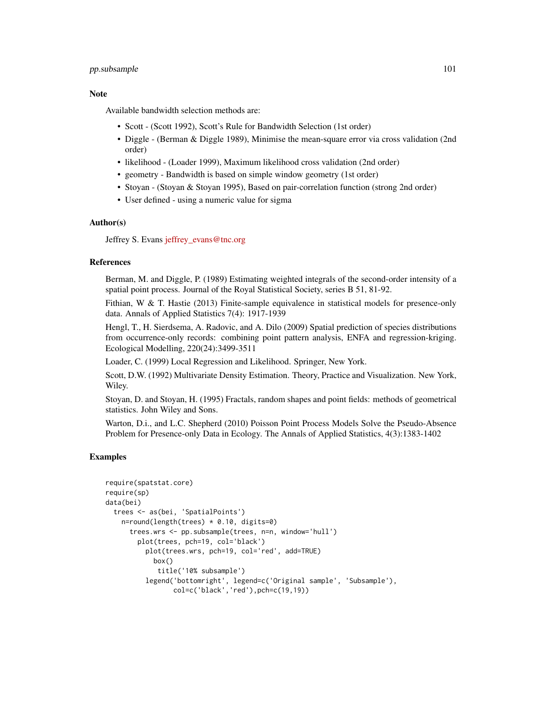# pp.subsample 101

#### **Note**

Available bandwidth selection methods are:

- Scott (Scott 1992), Scott's Rule for Bandwidth Selection (1st order)
- Diggle (Berman & Diggle 1989), Minimise the mean-square error via cross validation (2nd order)
- likelihood (Loader 1999), Maximum likelihood cross validation (2nd order)
- geometry Bandwidth is based on simple window geometry (1st order)
- Stoyan (Stoyan & Stoyan 1995), Based on pair-correlation function (strong 2nd order)
- User defined using a numeric value for sigma

#### Author(s)

Jeffrey S. Evans [jeffrey\\_evans@tnc.org](mailto:jeffrey_evans@tnc.org)

#### References

Berman, M. and Diggle, P. (1989) Estimating weighted integrals of the second-order intensity of a spatial point process. Journal of the Royal Statistical Society, series B 51, 81-92.

Fithian, W  $\&$  T. Hastie (2013) Finite-sample equivalence in statistical models for presence-only data. Annals of Applied Statistics 7(4): 1917-1939

Hengl, T., H. Sierdsema, A. Radovic, and A. Dilo (2009) Spatial prediction of species distributions from occurrence-only records: combining point pattern analysis, ENFA and regression-kriging. Ecological Modelling, 220(24):3499-3511

Loader, C. (1999) Local Regression and Likelihood. Springer, New York.

Scott, D.W. (1992) Multivariate Density Estimation. Theory, Practice and Visualization. New York, Wiley.

Stoyan, D. and Stoyan, H. (1995) Fractals, random shapes and point fields: methods of geometrical statistics. John Wiley and Sons.

Warton, D.i., and L.C. Shepherd (2010) Poisson Point Process Models Solve the Pseudo-Absence Problem for Presence-only Data in Ecology. The Annals of Applied Statistics, 4(3):1383-1402

```
require(spatstat.core)
require(sp)
data(bei)
 trees <- as(bei, 'SpatialPoints')
    n=round(length(trees) * 0.10, digits=0)
      trees.wrs <- pp.subsample(trees, n=n, window='hull')
        plot(trees, pch=19, col='black')
          plot(trees.wrs, pch=19, col='red', add=TRUE)
            box()
             title('10% subsample')
          legend('bottomright', legend=c('Original sample', 'Subsample'),
                 col=c('black','red'),pch=c(19,19))
```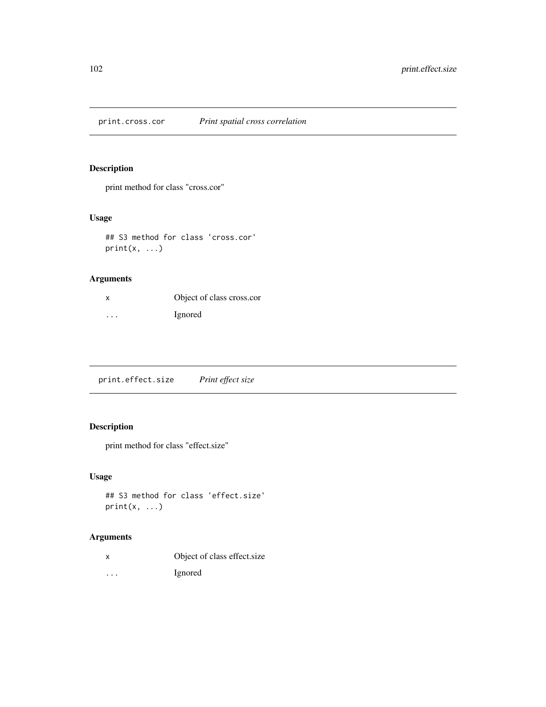print.cross.cor *Print spatial cross correlation*

# Description

print method for class "cross.cor"

# Usage

```
## S3 method for class 'cross.cor'
print(x, \ldots)
```
# Arguments

|   | Object of class cross.cor |
|---|---------------------------|
| . | <i>Ignored</i>            |

print.effect.size *Print effect size*

# Description

print method for class "effect.size"

# Usage

```
## S3 method for class 'effect.size'
print(x, \ldots)
```
# Arguments

| Object of class effect.size |  |
|-----------------------------|--|
|                             |  |

... Ignored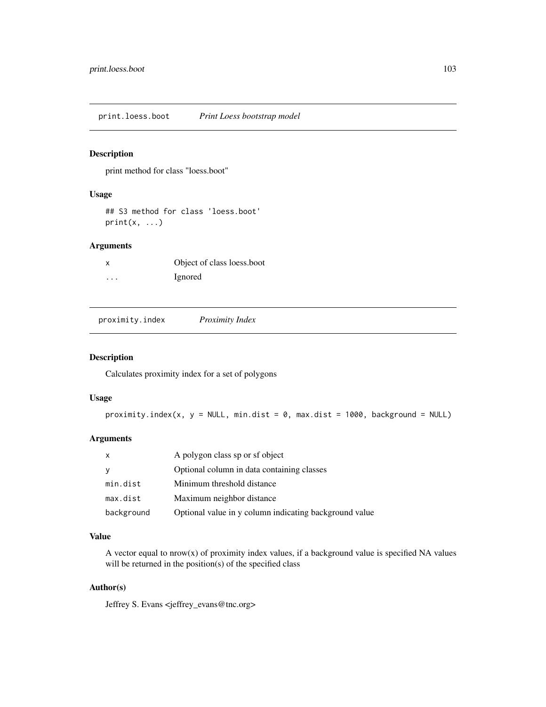print.loess.boot *Print Loess bootstrap model*

# Description

print method for class "loess.boot"

# Usage

## S3 method for class 'loess.boot'  $print(x, \ldots)$ 

# Arguments

|   | Object of class loess.boot |
|---|----------------------------|
| . | <i>l</i> gnored            |

proximity.index *Proximity Index*

### Description

Calculates proximity index for a set of polygons

# Usage

proximity.index(x,  $y = NULL$ , min.dist = 0, max.dist = 1000, background = NULL)

## Arguments

| X          | A polygon class sp or sf object                        |
|------------|--------------------------------------------------------|
| <b>y</b>   | Optional column in data containing classes             |
| min.dist   | Minimum threshold distance                             |
| max.dist   | Maximum neighbor distance                              |
| background | Optional value in y column indicating background value |

# Value

A vector equal to  $nrow(x)$  of proximity index values, if a background value is specified NA values will be returned in the position(s) of the specified class

# Author(s)

Jeffrey S. Evans <jeffrey\_evans@tnc.org>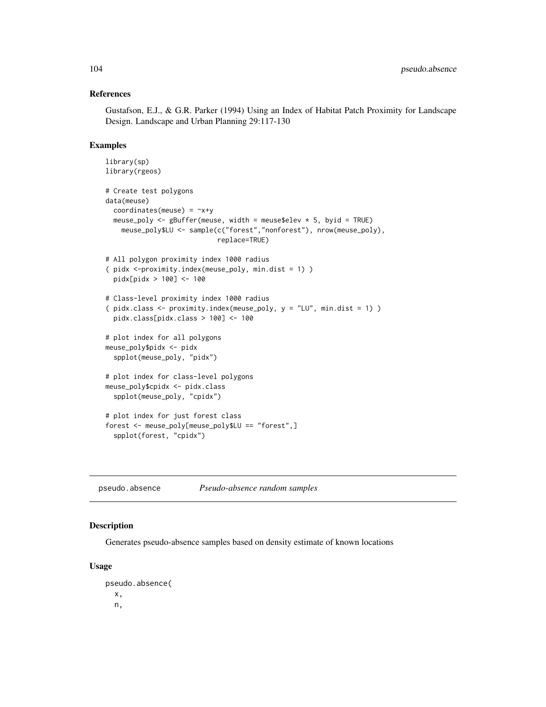### References

Gustafson, E.J., & G.R. Parker (1994) Using an Index of Habitat Patch Proximity for Landscape Design. Landscape and Urban Planning 29:117-130

# Examples

```
library(sp)
library(rgeos)
# Create test polygons
data(meuse)
 coordinates(meuse) = -x+ymeuse_poly <- gBuffer(meuse, width = meuse$elev * 5, byid = TRUE)
   meuse_poly$LU <- sample(c("forest","nonforest"), nrow(meuse_poly),
                            replace=TRUE)
# All polygon proximity index 1000 radius
( pidx <-proximity.index(meuse_poly, min.dist = 1) )
 pidx[pidx > 100] <- 100
# Class-level proximity index 1000 radius
( pidx.class <- proximity.index(meuse_poly, y = "LU", min.dist = 1) )
 pidx.class[pidx.class > 100] <- 100
# plot index for all polygons
meuse_poly$pidx <- pidx
 spplot(meuse_poly, "pidx")
# plot index for class-level polygons
meuse_poly$cpidx <- pidx.class
 spplot(meuse_poly, "cpidx")
# plot index for just forest class
forest <- meuse_poly[meuse_poly$LU == "forest",]
 spplot(forest, "cpidx")
```
pseudo.absence *Pseudo-absence random samples*

#### Description

Generates pseudo-absence samples based on density estimate of known locations

#### Usage

pseudo.absence( x, n,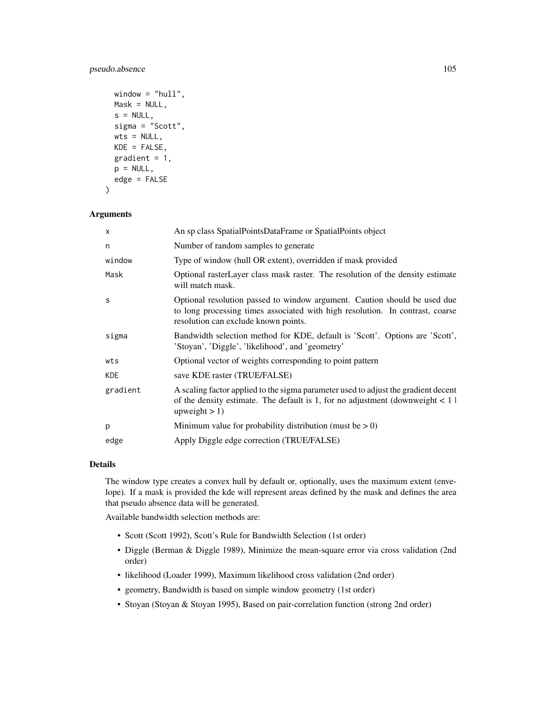# pseudo.absence 105

```
window = "hull",Mask = NULL,s = NULL,
sigma = "Scott",
wts = NULL,KDE = FALSE,
gradient = 1,
p = NULL,edge = FALSE
```

```
Arguments
```
 $\lambda$ 

| X          | An sp class SpatialPointsDataFrame or SpatialPoints object                                                                                                                                         |
|------------|----------------------------------------------------------------------------------------------------------------------------------------------------------------------------------------------------|
| n          | Number of random samples to generate                                                                                                                                                               |
| window     | Type of window (hull OR extent), overridden if mask provided                                                                                                                                       |
| Mask       | Optional raster Layer class mask raster. The resolution of the density estimate<br>will match mask.                                                                                                |
| S          | Optional resolution passed to window argument. Caution should be used due<br>to long processing times associated with high resolution. In contrast, coarse<br>resolution can exclude known points. |
| sigma      | Bandwidth selection method for KDE, default is 'Scott'. Options are 'Scott',<br>'Stoyan', 'Diggle', 'likelihood', and 'geometry'                                                                   |
| wts        | Optional vector of weights corresponding to point pattern                                                                                                                                          |
| <b>KDE</b> | save KDE raster (TRUE/FALSE)                                                                                                                                                                       |
| gradient   | A scaling factor applied to the sigma parameter used to adjust the gradient decent<br>of the density estimate. The default is 1, for no adjustment (downweight $< 1$ )<br>upweight $> 1$ )         |
| p          | Minimum value for probability distribution (must be $> 0$ )                                                                                                                                        |
| edge       | Apply Diggle edge correction (TRUE/FALSE)                                                                                                                                                          |

# Details

The window type creates a convex hull by default or, optionally, uses the maximum extent (envelope). If a mask is provided the kde will represent areas defined by the mask and defines the area that pseudo absence data will be generated.

Available bandwidth selection methods are:

- Scott (Scott 1992), Scott's Rule for Bandwidth Selection (1st order)
- Diggle (Berman & Diggle 1989), Minimize the mean-square error via cross validation (2nd order)
- likelihood (Loader 1999), Maximum likelihood cross validation (2nd order)
- geometry, Bandwidth is based on simple window geometry (1st order)
- Stoyan (Stoyan & Stoyan 1995), Based on pair-correlation function (strong 2nd order)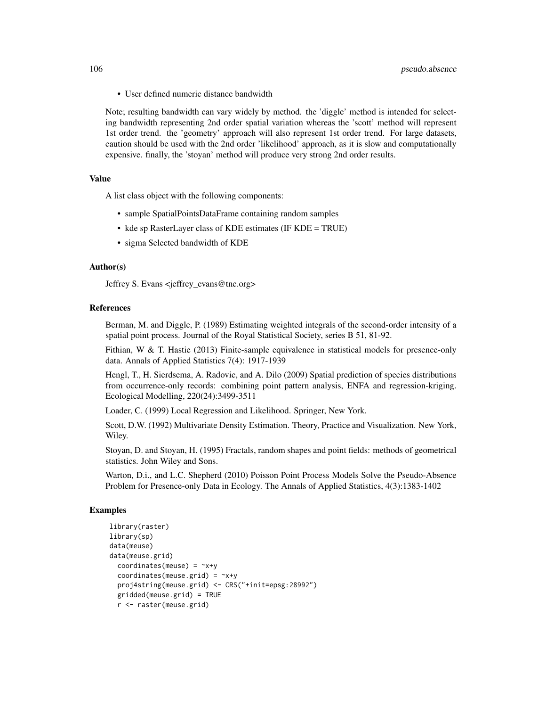• User defined numeric distance bandwidth

Note; resulting bandwidth can vary widely by method. the 'diggle' method is intended for selecting bandwidth representing 2nd order spatial variation whereas the 'scott' method will represent 1st order trend. the 'geometry' approach will also represent 1st order trend. For large datasets, caution should be used with the 2nd order 'likelihood' approach, as it is slow and computationally expensive. finally, the 'stoyan' method will produce very strong 2nd order results.

## Value

A list class object with the following components:

- sample SpatialPointsDataFrame containing random samples
- kde sp RasterLayer class of KDE estimates (IF KDE = TRUE)
- sigma Selected bandwidth of KDE

#### Author(s)

Jeffrey S. Evans <jeffrey\_evans@tnc.org>

## References

Berman, M. and Diggle, P. (1989) Estimating weighted integrals of the second-order intensity of a spatial point process. Journal of the Royal Statistical Society, series B 51, 81-92.

Fithian, W & T. Hastie (2013) Finite-sample equivalence in statistical models for presence-only data. Annals of Applied Statistics 7(4): 1917-1939

Hengl, T., H. Sierdsema, A. Radovic, and A. Dilo (2009) Spatial prediction of species distributions from occurrence-only records: combining point pattern analysis, ENFA and regression-kriging. Ecological Modelling, 220(24):3499-3511

Loader, C. (1999) Local Regression and Likelihood. Springer, New York.

Scott, D.W. (1992) Multivariate Density Estimation. Theory, Practice and Visualization. New York, Wiley.

Stoyan, D. and Stoyan, H. (1995) Fractals, random shapes and point fields: methods of geometrical statistics. John Wiley and Sons.

Warton, D.i., and L.C. Shepherd (2010) Poisson Point Process Models Solve the Pseudo-Absence Problem for Presence-only Data in Ecology. The Annals of Applied Statistics, 4(3):1383-1402

```
library(raster)
library(sp)
data(meuse)
data(meuse.grid)
 coordinates(meuse) = -x+ycoordinates(meuse.grid) = -x+yproj4string(meuse.grid) <- CRS("+init=epsg:28992")
 gridded(meuse.grid) = TRUE
 r <- raster(meuse.grid)
```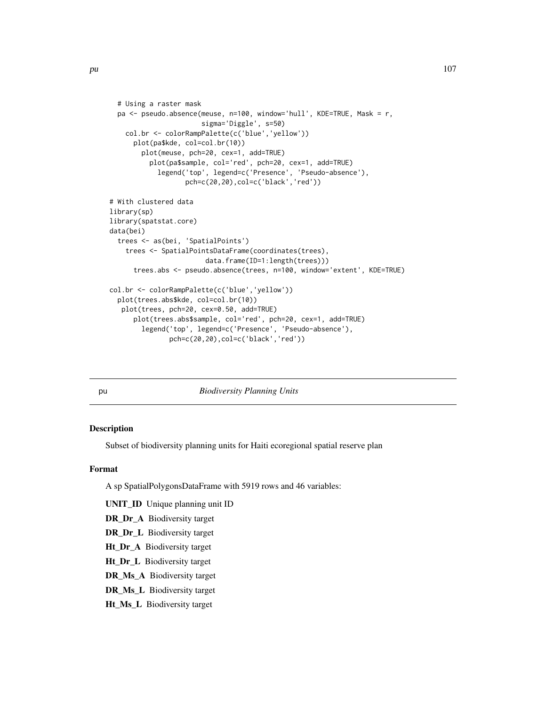```
# Using a raster mask
 pa <- pseudo.absence(meuse, n=100, window='hull', KDE=TRUE, Mask = r,
                       sigma='Diggle', s=50)
    col.br <- colorRampPalette(c('blue','yellow'))
     plot(pa$kde, col=col.br(10))
       plot(meuse, pch=20, cex=1, add=TRUE)
          plot(pa$sample, col='red', pch=20, cex=1, add=TRUE)
            legend('top', legend=c('Presence', 'Pseudo-absence'),
                   pch=c(20,20),col=c('black','red'))
# With clustered data
library(sp)
library(spatstat.core)
data(bei)
  trees <- as(bei, 'SpatialPoints')
    trees <- SpatialPointsDataFrame(coordinates(trees),
                        data.frame(ID=1:length(trees)))
     trees.abs <- pseudo.absence(trees, n=100, window='extent', KDE=TRUE)
col.br <- colorRampPalette(c('blue','yellow'))
 plot(trees.abs$kde, col=col.br(10))
  plot(trees, pch=20, cex=0.50, add=TRUE)
     plot(trees.abs$sample, col='red', pch=20, cex=1, add=TRUE)
       legend('top', legend=c('Presence', 'Pseudo-absence'),
               pch=c(20,20),col=c('black','red'))
```
pu *Biodiversity Planning Units*

#### Description

Subset of biodiversity planning units for Haiti ecoregional spatial reserve plan

#### Format

A sp SpatialPolygonsDataFrame with 5919 rows and 46 variables:

UNIT\_ID Unique planning unit ID

DR\_Dr\_A Biodiversity target

DR\_Dr\_L Biodiversity target

Ht\_Dr\_A Biodiversity target

Ht\_Dr\_L Biodiversity target

DR\_Ms\_A Biodiversity target

DR\_Ms\_L Biodiversity target

Ht\_Ms\_L Biodiversity target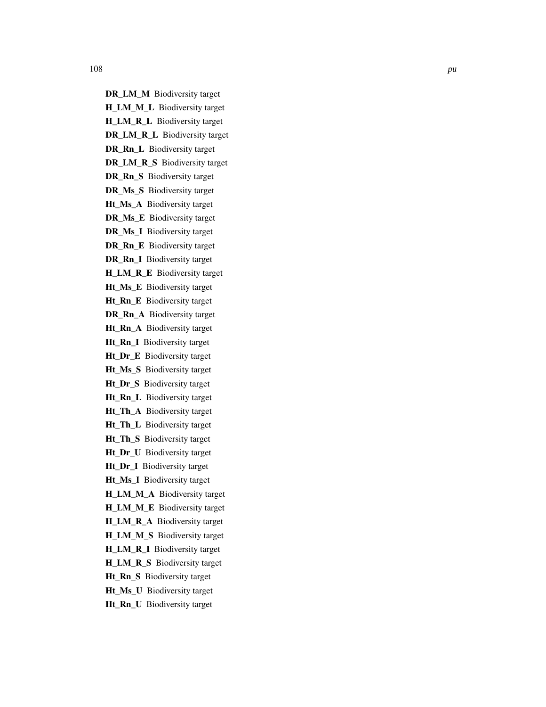H\_LM\_M\_L Biodiversity target H\_LM\_R\_L Biodiversity target DR\_LM\_R\_L Biodiversity target DR\_Rn\_L Biodiversity target DR\_LM\_R\_S Biodiversity target DR\_Rn\_S Biodiversity target DR\_Ms\_S Biodiversity target Ht\_Ms\_A Biodiversity target DR\_Ms\_E Biodiversity target DR\_Ms\_I Biodiversity target DR\_Rn\_E Biodiversity target DR\_Rn\_I Biodiversity target H\_LM\_R\_E Biodiversity target Ht\_Ms\_E Biodiversity target Ht\_Rn\_E Biodiversity target DR\_Rn\_A Biodiversity target Ht\_Rn\_A Biodiversity target Ht\_Rn\_I Biodiversity target Ht\_Dr\_E Biodiversity target Ht\_Ms\_S Biodiversity target Ht\_Dr\_S Biodiversity target Ht\_Rn\_L Biodiversity target Ht\_Th\_A Biodiversity target Ht\_Th\_L Biodiversity target Ht\_Th\_S Biodiversity target Ht\_Dr\_U Biodiversity target Ht\_Dr\_I Biodiversity target Ht\_Ms\_I Biodiversity target H\_LM\_M\_A Biodiversity target H\_LM\_M\_E Biodiversity target H\_LM\_R\_A Biodiversity target H\_LM\_M\_S Biodiversity target H\_LM\_R\_I Biodiversity target

DR\_LM\_M Biodiversity target

H\_LM\_R\_S Biodiversity target

- Ht Rn S Biodiversity target
- Ht\_Ms\_U Biodiversity target
- Ht\_Rn\_U Biodiversity target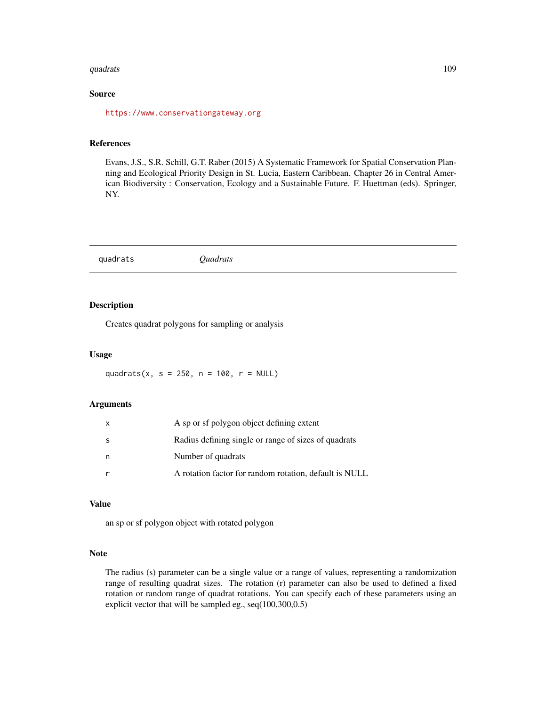#### quadrats and the contract of the contract of the contract of the contract of the contract of the contract of the contract of the contract of the contract of the contract of the contract of the contract of the contract of t

# Source

<https://www.conservationgateway.org>

#### References

Evans, J.S., S.R. Schill, G.T. Raber (2015) A Systematic Framework for Spatial Conservation Planning and Ecological Priority Design in St. Lucia, Eastern Caribbean. Chapter 26 in Central American Biodiversity : Conservation, Ecology and a Sustainable Future. F. Huettman (eds). Springer, NY.

|--|--|

# Description

Creates quadrat polygons for sampling or analysis

#### Usage

quadrats(x, s =  $250$ , n =  $100$ , r = NULL)

#### Arguments

| x | A sp or sf polygon object defining extent              |
|---|--------------------------------------------------------|
| S | Radius defining single or range of sizes of quadrats   |
| n | Number of quadrats                                     |
| r | A rotation factor for random rotation, default is NULL |

#### Value

an sp or sf polygon object with rotated polygon

#### Note

The radius (s) parameter can be a single value or a range of values, representing a randomization range of resulting quadrat sizes. The rotation (r) parameter can also be used to defined a fixed rotation or random range of quadrat rotations. You can specify each of these parameters using an explicit vector that will be sampled eg., seq(100,300,0.5)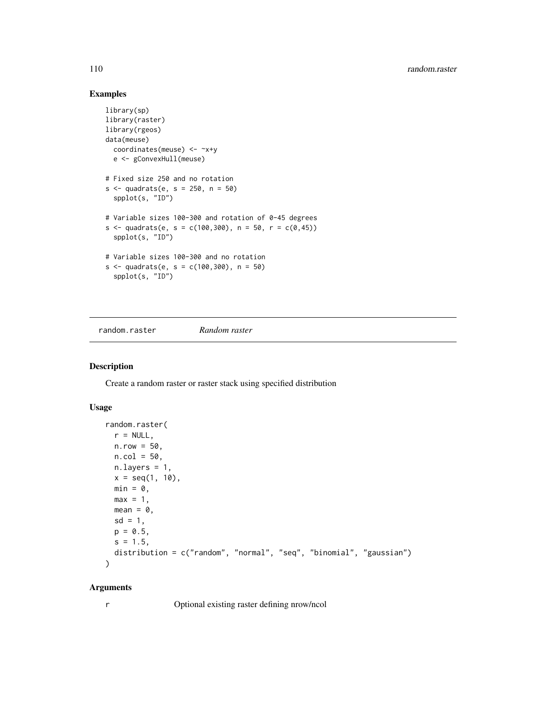# Examples

```
library(sp)
library(raster)
library(rgeos)
data(meuse)
  coordinates(meuse) <- ~x+y
  e <- gConvexHull(meuse)
# Fixed size 250 and no rotation
s < - quadrats(e, s = 250, n = 50)
  spplot(s, "ID")
# Variable sizes 100-300 and rotation of 0-45 degrees
s < - quadrats(e, s = c(100, 300), n = 50, r = c(0, 45))
  spplot(s, "ID")
# Variable sizes 100-300 and no rotation
s < - quadrats(e, s = c(100, 300), n = 50)
  spplot(s, "ID")
```
random.raster *Random raster*

#### Description

Create a random raster or raster stack using specified distribution

#### Usage

```
random.raster(
 r = NULL,n.row = 50,n.col = 50,n.layers = 1,
 x = seq(1, 10),
 min = 0,
 max = 1,
 mean = 0,
 sd = 1,
 p = 0.5,
 s = 1.5,
 distribution = c("random", "normal", "seq", "binomial", "gaussian")
)
```
#### Arguments

r Optional existing raster defining nrow/ncol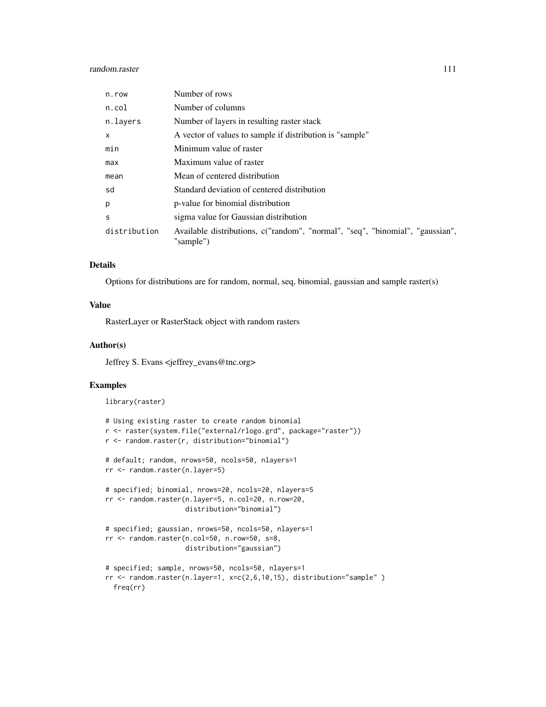# random.raster 111

| n.row        | Number of rows                                                                             |
|--------------|--------------------------------------------------------------------------------------------|
| n.col        | Number of columns                                                                          |
| n.layers     | Number of layers in resulting raster stack                                                 |
| $\mathsf{x}$ | A vector of values to sample if distribution is "sample"                                   |
| min          | Minimum value of raster                                                                    |
| max          | Maximum value of raster                                                                    |
| mean         | Mean of centered distribution                                                              |
| sd           | Standard deviation of centered distribution                                                |
| p            | p-value for binomial distribution                                                          |
| S            | sigma value for Gaussian distribution                                                      |
| distribution | Available distributions, c("random", "normal", "seq", "binomial", "gaussian",<br>"sample") |

## Details

Options for distributions are for random, normal, seq, binomial, gaussian and sample raster(s)

# Value

RasterLayer or RasterStack object with random rasters

# Author(s)

Jeffrey S. Evans <jeffrey\_evans@tnc.org>

# Examples

library(raster)

```
# Using existing raster to create random binomial
r <- raster(system.file("external/rlogo.grd", package="raster"))
r <- random.raster(r, distribution="binomial")
# default; random, nrows=50, ncols=50, nlayers=1
rr <- random.raster(n.layer=5)
# specified; binomial, nrows=20, ncols=20, nlayers=5
rr <- random.raster(n.layer=5, n.col=20, n.row=20,
                   distribution="binomial")
# specified; gaussian, nrows=50, ncols=50, nlayers=1
rr <- random.raster(n.col=50, n.row=50, s=8,
                   distribution="gaussian")
# specified; sample, nrows=50, ncols=50, nlayers=1
rr <- random.raster(n.layer=1, x=c(2,6,10,15), distribution="sample" )
 freq(rr)
```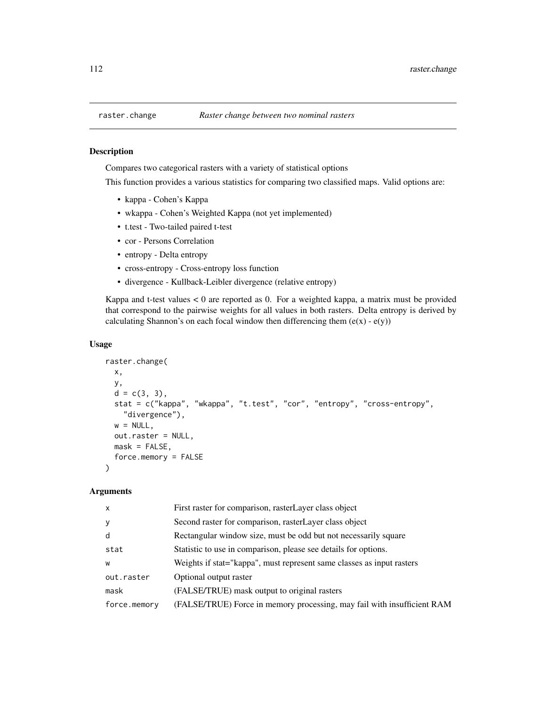# Description

Compares two categorical rasters with a variety of statistical options

This function provides a various statistics for comparing two classified maps. Valid options are:

- kappa Cohen's Kappa
- wkappa Cohen's Weighted Kappa (not yet implemented)
- t.test Two-tailed paired t-test
- cor Persons Correlation
- entropy Delta entropy
- cross-entropy Cross-entropy loss function
- divergence Kullback-Leibler divergence (relative entropy)

Kappa and t-test values  $< 0$  are reported as 0. For a weighted kappa, a matrix must be provided that correspond to the pairwise weights for all values in both rasters. Delta entropy is derived by calculating Shannon's on each focal window then differencing them  $(e(x) - e(y))$ 

# Usage

```
raster.change(
  x,
 y,
  d = c(3, 3),
  stat = c("kappa", "wkappa", "t.test", "cor", "entropy", "cross-entropy",
    "divergence"),
 w = NULL,out.raster = NULL,
 mask = FALSE,force.memory = FALSE
)
```

| First raster for comparison, rasterLayer class object                   |
|-------------------------------------------------------------------------|
| Second raster for comparison, raster Layer class object                 |
| Rectangular window size, must be odd but not necessarily square         |
| Statistic to use in comparison, please see details for options.         |
| Weights if stat="kappa", must represent same classes as input rasters   |
| Optional output raster                                                  |
| (FALSE/TRUE) mask output to original rasters                            |
| (FALSE/TRUE) Force in memory processing, may fail with insufficient RAM |
|                                                                         |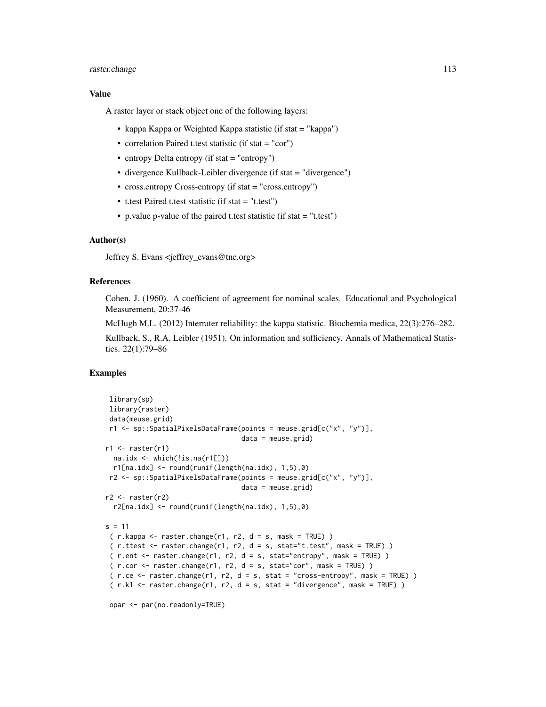# raster.change 113

#### Value

A raster layer or stack object one of the following layers:

- kappa Kappa or Weighted Kappa statistic (if stat = "kappa")
- correlation Paired t.test statistic (if stat = "cor")
- entropy Delta entropy (if stat  $=$  "entropy")
- divergence Kullback-Leibler divergence (if stat = "divergence")
- cross.entropy Cross-entropy (if stat = "cross.entropy")
- t.test Paired t.test statistic (if stat = "t.test")
- p.value p-value of the paired t.test statistic (if stat = "t.test")

## Author(s)

Jeffrey S. Evans <ieffrey\_evans@tnc.org>

#### References

Cohen, J. (1960). A coefficient of agreement for nominal scales. Educational and Psychological Measurement, 20:37-46

McHugh M.L. (2012) Interrater reliability: the kappa statistic. Biochemia medica, 22(3):276–282.

Kullback, S., R.A. Leibler (1951). On information and sufficiency. Annals of Mathematical Statistics. 22(1):79–86

## Examples

```
library(sp)
library(raster)
data(meuse.grid)
r1 <- sp::SpatialPixelsDataFrame(points = meuse.grid[c("x", "y")],
                                   data = meuse.grid)
r1 \leftarrow \text{raster}(r1)na.idx <- which(!is.na(r1[]))
 r1[na.idx] <- round(runif(length(na.idx), 1,5),0)
r2 <- sp::SpatialPixelsDataFrame(points = meuse.grid[c("x", "y")],
                                   data = meuse.grid)
r2 \leftarrow \text{raster}(r2)r2[na.idx] < -round(runif(length(na.idx), 1,5),0)s = 11(r.kappa < -raster.change(r1, r2, d = s, mask = TRUE))(r.ttest < -raster.change(r1, r2, d = s, stat='t.test", mask = TRUE))(r.\text{ent} <-raster.\text{change}(r1, r2, d = s, stat="entropy", mask = TRUE) )(r.cor < -raster.change(r1, r2, d = s, stat="cor", mask = TRUE) )( r.ce <- raster.change(r1, r2, d = s, stat = "cross-entropy", mask = TRUE) )
 (r.kl < -raster.change(r1, r2, d = s, stat = "divergence", mask = TRUE) )
```

```
opar <- par(no.readonly=TRUE)
```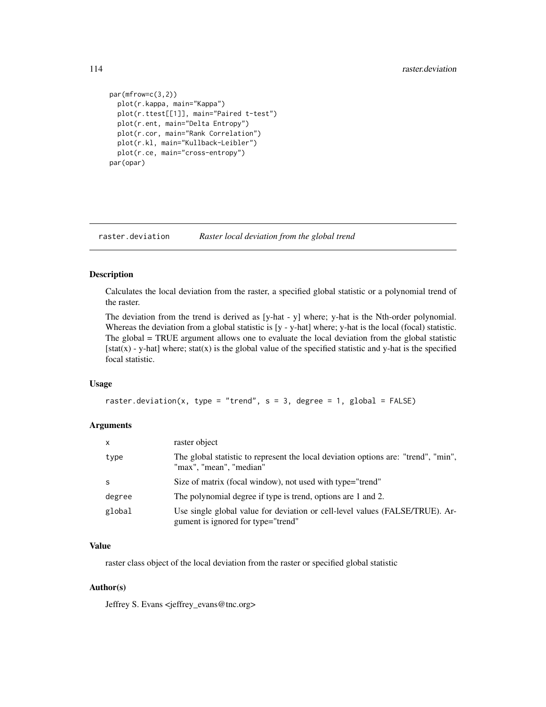```
par(mfrow=c(3,2))
  plot(r.kappa, main="Kappa")
  plot(r.ttest[[1]], main="Paired t-test")
  plot(r.ent, main="Delta Entropy")
  plot(r.cor, main="Rank Correlation")
  plot(r.kl, main="Kullback-Leibler")
  plot(r.ce, main="cross-entropy")
par(opar)
```
raster.deviation *Raster local deviation from the global trend*

# Description

Calculates the local deviation from the raster, a specified global statistic or a polynomial trend of the raster.

The deviation from the trend is derived as [y-hat - y] where; y-hat is the Nth-order polynomial. Whereas the deviation from a global statistic is  $[y - y - hat]$  where; y-hat is the local (focal) statistic. The global = TRUE argument allows one to evaluate the local deviation from the global statistic  $[stat(x) - y-hat]$  where; stat(x) is the global value of the specified statistic and y-hat is the specified focal statistic.

#### Usage

```
raster.deviation(x, type = "trend", s = 3, degree = 1, global = FALSE)
```
## Arguments

| X      | raster object                                                                                                      |
|--------|--------------------------------------------------------------------------------------------------------------------|
| type   | The global statistic to represent the local deviation options are: "trend", "min",<br>"max", "mean", "median"      |
| S      | Size of matrix (focal window), not used with type="trend"                                                          |
| degree | The polynomial degree if type is trend, options are 1 and 2.                                                       |
| global | Use single global value for deviation or cell-level values (FALSE/TRUE). Ar-<br>gument is ignored for type="trend" |

#### Value

raster class object of the local deviation from the raster or specified global statistic

## Author(s)

Jeffrey S. Evans <jeffrey\_evans@tnc.org>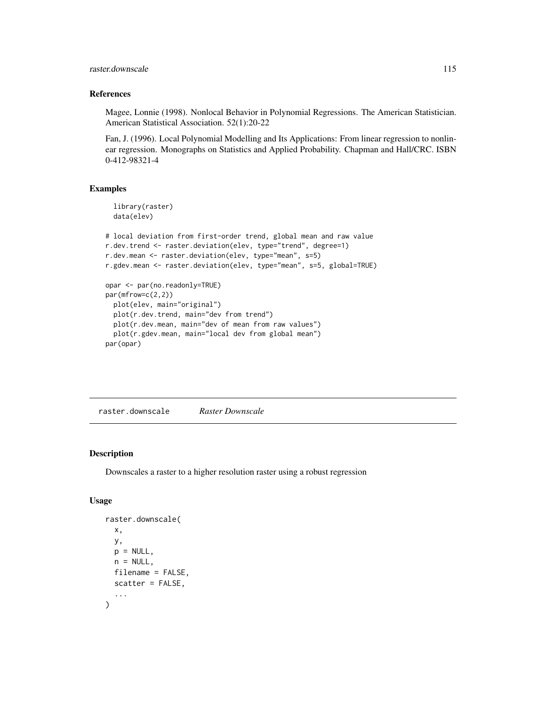raster.downscale 115

#### References

Magee, Lonnie (1998). Nonlocal Behavior in Polynomial Regressions. The American Statistician. American Statistical Association. 52(1):20-22

Fan, J. (1996). Local Polynomial Modelling and Its Applications: From linear regression to nonlinear regression. Monographs on Statistics and Applied Probability. Chapman and Hall/CRC. ISBN 0-412-98321-4

#### Examples

```
library(raster)
 data(elev)
# local deviation from first-order trend, global mean and raw value
r.dev.trend <- raster.deviation(elev, type="trend", degree=1)
r.dev.mean <- raster.deviation(elev, type="mean", s=5)
r.gdev.mean <- raster.deviation(elev, type="mean", s=5, global=TRUE)
opar <- par(no.readonly=TRUE)
par(mfrow=c(2,2))
 plot(elev, main="original")
 plot(r.dev.trend, main="dev from trend")
 plot(r.dev.mean, main="dev of mean from raw values")
 plot(r.gdev.mean, main="local dev from global mean")
par(opar)
```
raster.downscale *Raster Downscale*

#### Description

Downscales a raster to a higher resolution raster using a robust regression

```
raster.downscale(
  x,
 y,
 p = NULL,
 n = NULL,
 filename = FALSE,
  scatter = FALSE,
  ...
)
```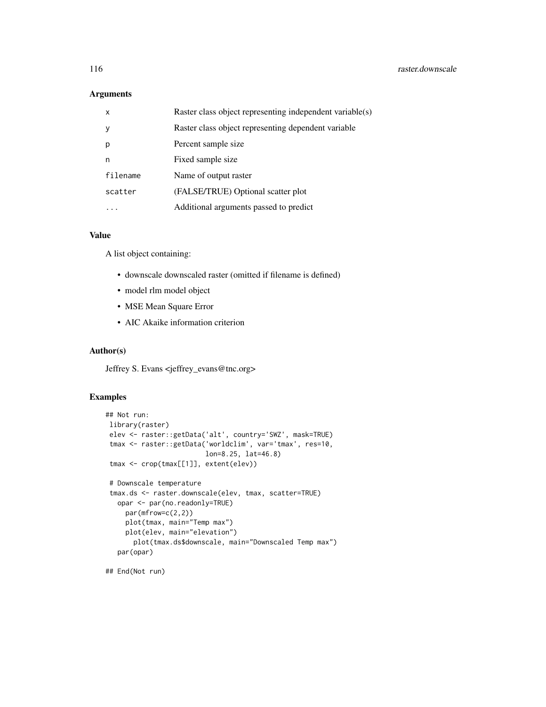## Arguments

| $\times$ | Raster class object representing independent variable(s) |
|----------|----------------------------------------------------------|
| y        | Raster class object representing dependent variable      |
| р        | Percent sample size                                      |
| n        | Fixed sample size                                        |
| filename | Name of output raster                                    |
| scatter  | (FALSE/TRUE) Optional scatter plot                       |
|          | Additional arguments passed to predict                   |

# Value

A list object containing:

- downscale downscaled raster (omitted if filename is defined)
- model rlm model object
- MSE Mean Square Error
- AIC Akaike information criterion

#### Author(s)

Jeffrey S. Evans <jeffrey\_evans@tnc.org>

# Examples

```
## Not run:
library(raster)
elev <- raster::getData('alt', country='SWZ', mask=TRUE)
tmax <- raster::getData('worldclim', var='tmax', res=10,
                        lon=8.25, lat=46.8)
tmax <- crop(tmax[[1]], extent(elev))
# Downscale temperature
tmax.ds <- raster.downscale(elev, tmax, scatter=TRUE)
  opar <- par(no.readonly=TRUE)
    par(mfrow=c(2,2))
    plot(tmax, main="Temp max")
    plot(elev, main="elevation")
      plot(tmax.ds$downscale, main="Downscaled Temp max")
  par(opar)
```
## End(Not run)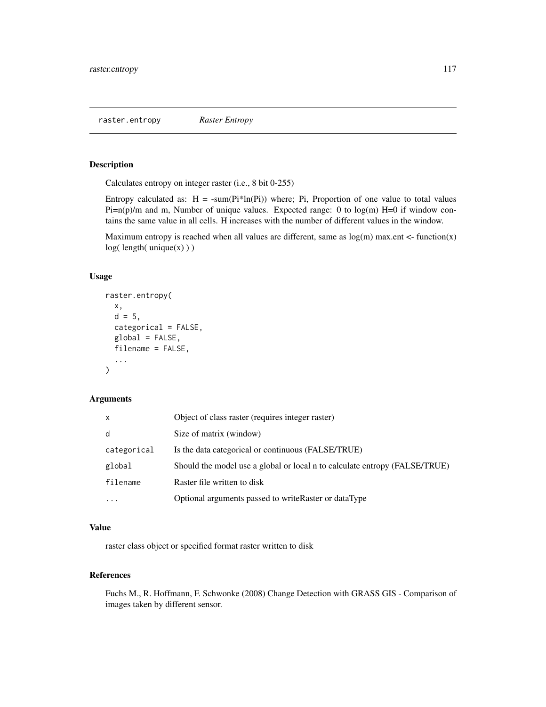raster.entropy *Raster Entropy*

# Description

Calculates entropy on integer raster (i.e., 8 bit 0-255)

Entropy calculated as:  $H = -sum(Pi*ln(Pi))$  where; Pi, Proportion of one value to total values  $Pi=n(p)/m$  and m, Number of unique values. Expected range: 0 to log(m) H=0 if window contains the same value in all cells. H increases with the number of different values in the window.

Maximum entropy is reached when all values are different, same as  $log(m)$  max.ent  $\lt$ - function(x)  $log($  length $($  unique $(x)$ )  $)$ 

# Usage

```
raster.entropy(
  x,
  d = 5,
  categorical = FALSE,
  global = FALSE,
  filename = FALSE,
  ...
\mathcal{L}
```
# Arguments

| x           | Object of class raster (requires integer raster)                           |
|-------------|----------------------------------------------------------------------------|
| d           | Size of matrix (window)                                                    |
| categorical | Is the data categorical or continuous (FALSE/TRUE)                         |
| global      | Should the model use a global or local n to calculate entropy (FALSE/TRUE) |
| filename    | Raster file written to disk                                                |
| .           | Optional arguments passed to write Raster or dataType                      |

#### Value

raster class object or specified format raster written to disk

# References

Fuchs M., R. Hoffmann, F. Schwonke (2008) Change Detection with GRASS GIS - Comparison of images taken by different sensor.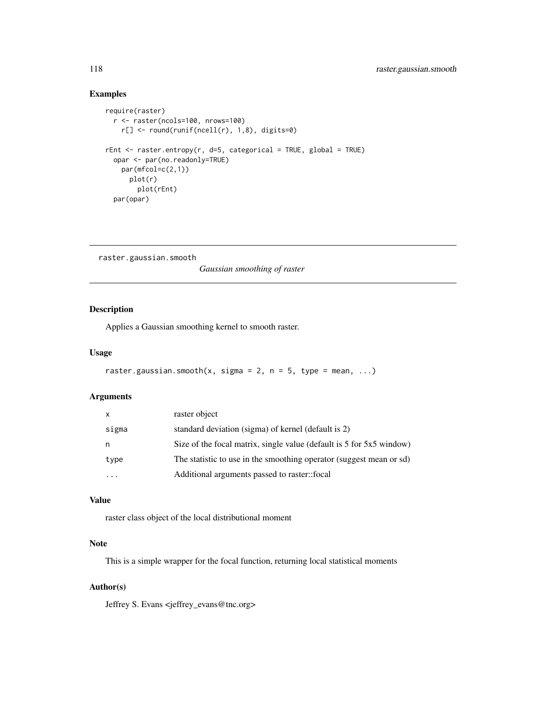# Examples

```
require(raster)
 r <- raster(ncols=100, nrows=100)
   r[] <- round(runif(ncell(r), 1,8), digits=0)
rEnt \le raster.entropy(r, d=5, categorical = TRUE, global = TRUE)
 opar <- par(no.readonly=TRUE)
   par(mfcol=c(2,1))
     plot(r)
       plot(rEnt)
 par(opar)
```
raster.gaussian.smooth

*Gaussian smoothing of raster*

# Description

Applies a Gaussian smoothing kernel to smooth raster.

# Usage

```
raster.gaussian.smooth(x, \text{sigma} = 2, n = 5, \text{type} = \text{mean}, \dots)
```
# Arguments

| X.        | raster object                                                        |
|-----------|----------------------------------------------------------------------|
| sigma     | standard deviation (sigma) of kernel (default is 2)                  |
| n         | Size of the focal matrix, single value (default is 5 for 5x5 window) |
| type      | The statistic to use in the smoothing operator (suggest mean or sd)  |
| $\ddotsc$ | Additional arguments passed to raster::focal                         |
|           |                                                                      |

# Value

raster class object of the local distributional moment

# Note

This is a simple wrapper for the focal function, returning local statistical moments

## Author(s)

Jeffrey S. Evans <jeffrey\_evans@tnc.org>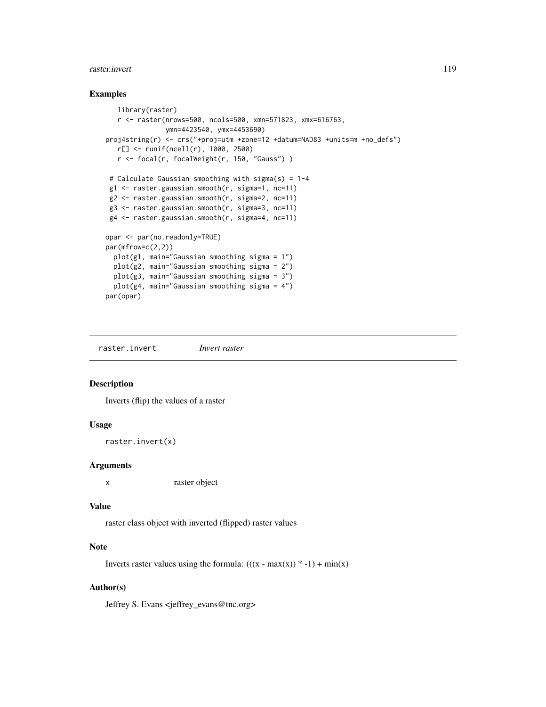#### raster.invert 119

#### Examples

```
library(raster)
  r <- raster(nrows=500, ncols=500, xmn=571823, xmx=616763,
              ymn=4423540, ymx=4453690)
proj4string(r) <- crs("+proj=utm +zone=12 +datum=NAD83 +units=m +no_defs")
  r[] <- runif(ncell(r), 1000, 2500)
  r <- focal(r, focalWeight(r, 150, "Gauss") )
# Calculate Gaussian smoothing with sigma(s) = 1-4
g1 <- raster.gaussian.smooth(r, sigma=1, nc=11)
g2 <- raster.gaussian.smooth(r, sigma=2, nc=11)
g3 <- raster.gaussian.smooth(r, sigma=3, nc=11)
g4 <- raster.gaussian.smooth(r, sigma=4, nc=11)
opar <- par(no.readonly=TRUE)
par(mfrow=c(2,2))
 plot(g1, main="Gaussian smoothing sigma = 1")
 plot(g2, main="Gaussian smoothing sigma = 2")
 plot(g3, main="Gaussian smoothing sigma = 3")
 plot(g4, main="Gaussian smoothing sigma = 4")
par(opar)
```
raster.invert *Invert raster*

#### Description

Inverts (flip) the values of a raster

## Usage

raster.invert(x)

#### Arguments

x raster object

#### Value

raster class object with inverted (flipped) raster values

## Note

Inverts raster values using the formula:  $(((x - max(x)) * -1) + min(x))$ 

# Author(s)

Jeffrey S. Evans <jeffrey\_evans@tnc.org>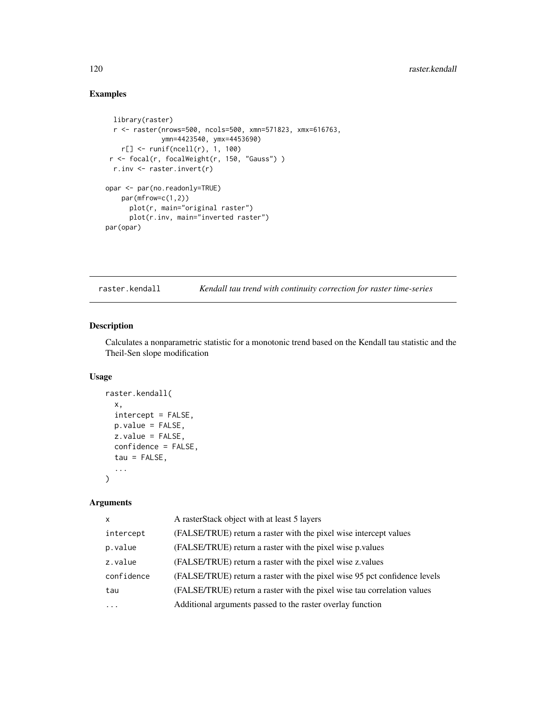# Examples

```
library(raster)
 r <- raster(nrows=500, ncols=500, xmn=571823, xmx=616763,
             ymn=4423540, ymx=4453690)
   r[] <- runif(ncell(r), 1, 100)
r <- focal(r, focalWeight(r, 150, "Gauss") )
 r.inv <- raster.invert(r)
opar <- par(no.readonly=TRUE)
   par(mfrow=c(1,2))
     plot(r, main="original raster")
     plot(r.inv, main="inverted raster")
par(opar)
```
raster.kendall *Kendall tau trend with continuity correction for raster time-series*

## Description

Calculates a nonparametric statistic for a monotonic trend based on the Kendall tau statistic and the Theil-Sen slope modification

#### Usage

```
raster.kendall(
  x,
 intercept = FALSE,
 p.value = FALSE,z.values = FALSE,confidence = FALSE,
 tau = FALSE,...
\lambda
```

| $\mathsf{x}$ | A rasterStack object with at least 5 layers                               |
|--------------|---------------------------------------------------------------------------|
| intercept    | (FALSE/TRUE) return a raster with the pixel wise intercept values         |
| p.value      | (FALSE/TRUE) return a raster with the pixel wise p.values                 |
| z.value      | (FALSE/TRUE) return a raster with the pixel wise z values                 |
| confidence   | (FALSE/TRUE) return a raster with the pixel wise 95 pct confidence levels |
| tau          | (FALSE/TRUE) return a raster with the pixel wise tau correlation values   |
| $\cdot$      | Additional arguments passed to the raster overlay function                |
|              |                                                                           |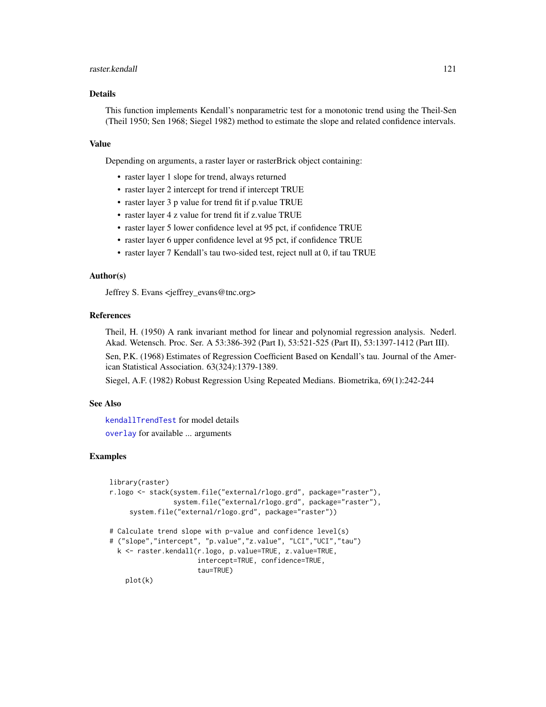#### raster.kendall 121

# Details

This function implements Kendall's nonparametric test for a monotonic trend using the Theil-Sen (Theil 1950; Sen 1968; Siegel 1982) method to estimate the slope and related confidence intervals.

#### Value

Depending on arguments, a raster layer or rasterBrick object containing:

- raster layer 1 slope for trend, always returned
- raster layer 2 intercept for trend if intercept TRUE
- raster layer 3 p value for trend fit if p.value TRUE
- raster layer 4 z value for trend fit if z.value TRUE
- raster layer 5 lower confidence level at 95 pct, if confidence TRUE
- raster layer 6 upper confidence level at 95 pct, if confidence TRUE
- raster layer 7 Kendall's tau two-sided test, reject null at 0, if tau TRUE

## Author(s)

Jeffrey S. Evans <jeffrey\_evans@tnc.org>

## References

Theil, H. (1950) A rank invariant method for linear and polynomial regression analysis. Nederl. Akad. Wetensch. Proc. Ser. A 53:386-392 (Part I), 53:521-525 (Part II), 53:1397-1412 (Part III).

Sen, P.K. (1968) Estimates of Regression Coefficient Based on Kendall's tau. Journal of the American Statistical Association. 63(324):1379-1389.

Siegel, A.F. (1982) Robust Regression Using Repeated Medians. Biometrika, 69(1):242-244

# See Also

[kendallTrendTest](#page-0-0) for model details [overlay](#page-0-0) for available ... arguments

### Examples

```
library(raster)
r.logo <- stack(system.file("external/rlogo.grd", package="raster"),
                system.file("external/rlogo.grd", package="raster"),
     system.file("external/rlogo.grd", package="raster"))
# Calculate trend slope with p-value and confidence level(s)
# ("slope","intercept", "p.value","z.value", "LCI","UCI","tau")
  k <- raster.kendall(r.logo, p.value=TRUE, z.value=TRUE,
                      intercept=TRUE, confidence=TRUE,
                      tau=TRUE)
    plot(k)
```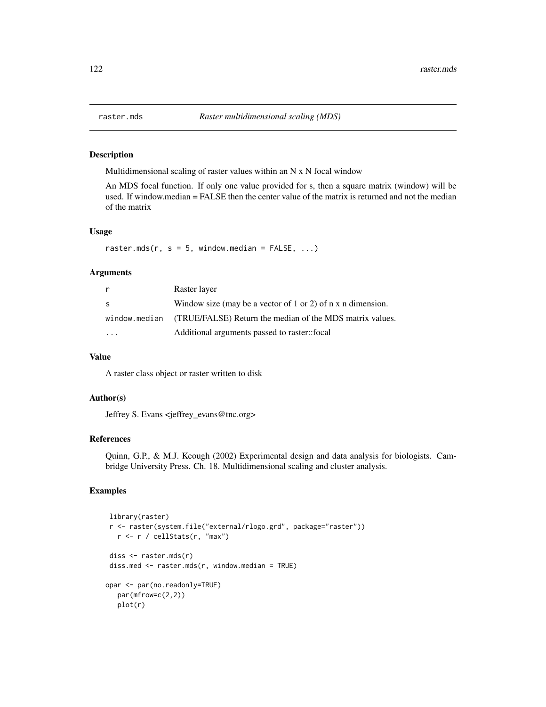#### Description

Multidimensional scaling of raster values within an N x N focal window

An MDS focal function. If only one value provided for s, then a square matrix (window) will be used. If window.median = FALSE then the center value of the matrix is returned and not the median of the matrix

## Usage

raster.mds(r,  $s = 5$ , window.median = FALSE, ...)

## **Arguments**

| r. | Raster layer                                                           |
|----|------------------------------------------------------------------------|
| -S | Window size (may be a vector of 1 or 2) of $n \times n$ dimension.     |
|    | window median (TRUE/FALSE) Return the median of the MDS matrix values. |
|    | Additional arguments passed to raster::focal                           |

## Value

A raster class object or raster written to disk

## Author(s)

Jeffrey S. Evans <jeffrey\_evans@tnc.org>

## References

Quinn, G.P., & M.J. Keough (2002) Experimental design and data analysis for biologists. Cambridge University Press. Ch. 18. Multidimensional scaling and cluster analysis.

# Examples

```
library(raster)
r <- raster(system.file("external/rlogo.grd", package="raster"))
  r <- r / cellStats(r, "max")
diss <- raster.mds(r)
diss.med <- raster.mds(r, window.median = TRUE)
opar <- par(no.readonly=TRUE)
  par(mfrow=c(2,2))
  plot(r)
```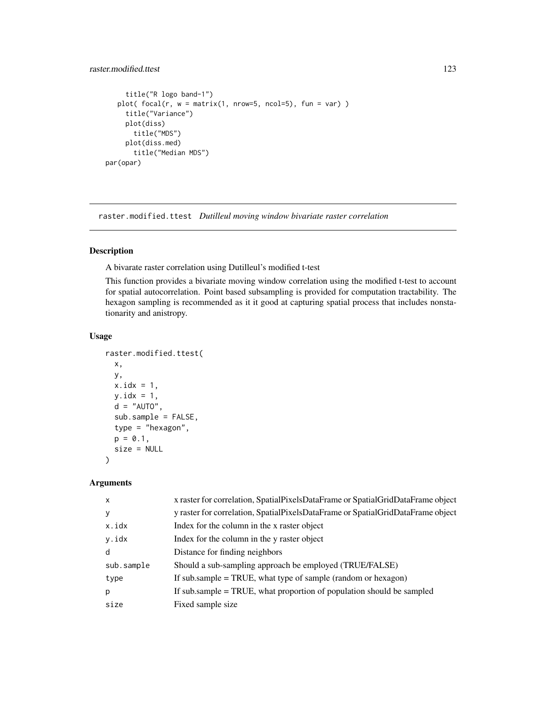# raster.modified.ttest 123

```
title("R logo band-1")
  plot( focal(r, w = matrix(1, nrow=5, ncol=5), fun = var))
     title("Variance")
    plot(diss)
      title("MDS")
     plot(diss.med)
      title("Median MDS")
par(opar)
```
raster.modified.ttest *Dutilleul moving window bivariate raster correlation*

# Description

A bivarate raster correlation using Dutilleul's modified t-test

This function provides a bivariate moving window correlation using the modified t-test to account for spatial autocorrelation. Point based subsampling is provided for computation tractability. The hexagon sampling is recommended as it it good at capturing spatial process that includes nonstationarity and anistropy.

## Usage

```
raster.modified.ttest(
 x,
 y,
 x.idx = 1,
 y.idx = 1,
 d = "AUTO",sub.sample = FALSE,
  type = "hexagon",
 p = 0.1,
 size = NULL
\lambda
```

| $\mathsf{x}$ | x raster for correlation, SpatialPixelsDataFrame or SpatialGridDataFrame object |
|--------------|---------------------------------------------------------------------------------|
| y            | y raster for correlation, SpatialPixelsDataFrame or SpatialGridDataFrame object |
| x.idx        | Index for the column in the x raster object                                     |
| y.idx        | Index for the column in the y raster object                                     |
| d            | Distance for finding neighbors                                                  |
| sub.sample   | Should a sub-sampling approach be employed (TRUE/FALSE)                         |
| type         | If sub.sample $=$ TRUE, what type of sample (random or hexagon)                 |
| p            | If sub sample = TRUE, what proportion of population should be sampled           |
| size         | Fixed sample size                                                               |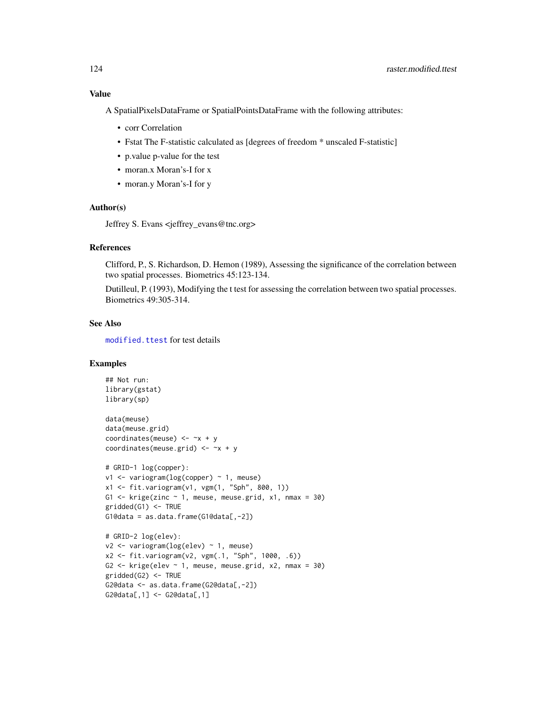Value

A SpatialPixelsDataFrame or SpatialPointsDataFrame with the following attributes:

- corr Correlation
- Fstat The F-statistic calculated as [degrees of freedom \* unscaled F-statistic]
- p.value p-value for the test
- moran.x Moran's-I for x
- moran.y Moran's-I for y

#### Author(s)

Jeffrey S. Evans <jeffrey\_evans@tnc.org>

#### References

Clifford, P., S. Richardson, D. Hemon (1989), Assessing the significance of the correlation between two spatial processes. Biometrics 45:123-134.

Dutilleul, P. (1993), Modifying the t test for assessing the correlation between two spatial processes. Biometrics 49:305-314.

# See Also

[modified.ttest](#page-0-0) for test details

# Examples

```
## Not run:
library(gstat)
library(sp)
data(meuse)
data(meuse.grid)
coordinates(meuse) <-x + ycoordinates(meuse.grid) <- ~x + y
# GRID-1 log(copper):
v1 <- variogram(log(copper) ~ 1, meuse)
x1 <- fit.variogram(v1, vgm(1, "Sph", 800, 1))
G1 \le krige(zinc \sim 1, meuse, meuse.grid, x1, nmax = 30)
gridded(G1) <- TRUE
G1@data = as.data.frame(G1@data[,-2])
# GRID-2 log(elev):
v2 <- variogram(log(elev) ~ 1, meuse)
x2 <- fit.variogram(v2, vgm(.1, "Sph", 1000, .6))
G2 \leftarrow krige(elev \sim 1, meuse, meuse.grid, x2, nmax = 30)
gridded(G2) <- TRUE
G2@data <- as.data.frame(G2@data[,-2])
G2@data[,1] <- G2@data[,1]
```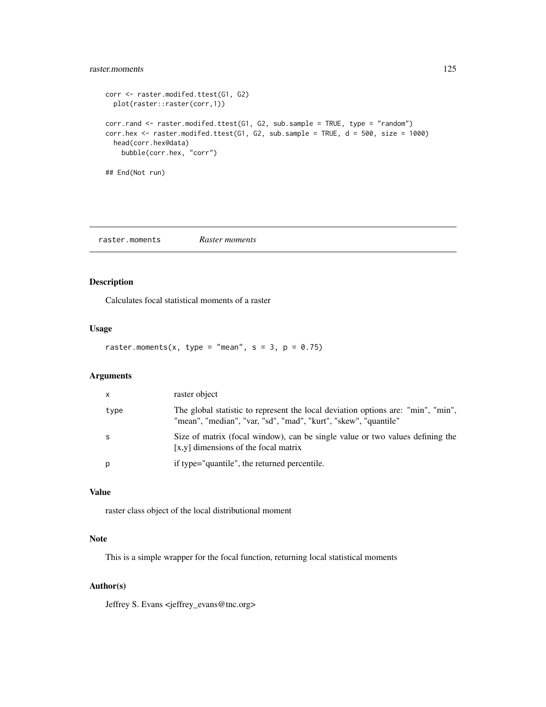# raster.moments 125

```
corr <- raster.modifed.ttest(G1, G2)
  plot(raster::raster(corr,1))
corr.rand <- raster.modifed.ttest(G1, G2, sub.sample = TRUE, type = "random")
corr.hex \leq raster.modifed.ttest(G1, G2, sub.sample = TRUE, d = 500, size = 1000)
 head(corr.hex@data)
   bubble(corr.hex, "corr")
## End(Not run)
```
raster.moments *Raster moments*

## Description

Calculates focal statistical moments of a raster

# Usage

raster.moments(x, type = "mean",  $s = 3$ ,  $p = 0.75$ )

## Arguments

| $\mathsf{x}$ | raster object                                                                                                                                       |
|--------------|-----------------------------------------------------------------------------------------------------------------------------------------------------|
| type         | The global statistic to represent the local deviation options are: "min", "min",<br>"mean", "median", "var, "sd", "mad", "kurt", "skew", "quantile" |
| - S          | Size of matrix (focal window), can be single value or two values defining the<br>$[x,y]$ dimensions of the focal matrix                             |
| р            | if type="quantile", the returned percentile.                                                                                                        |

## Value

raster class object of the local distributional moment

## Note

This is a simple wrapper for the focal function, returning local statistical moments

#### Author(s)

Jeffrey S. Evans <jeffrey\_evans@tnc.org>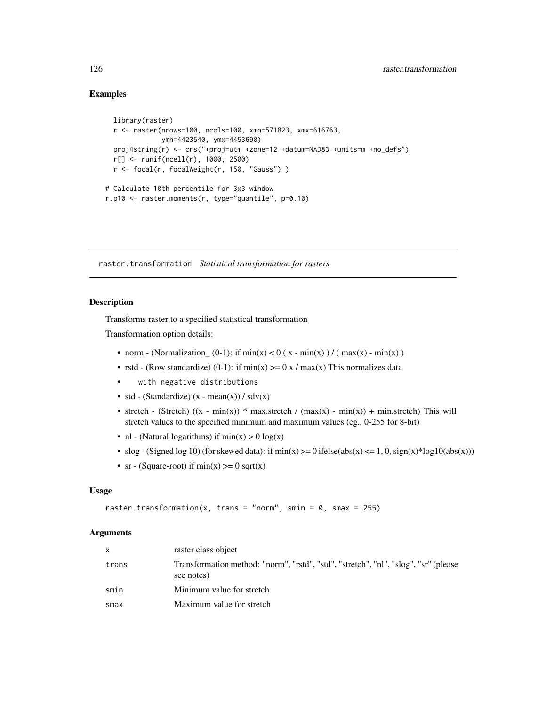## Examples

```
library(raster)
 r <- raster(nrows=100, ncols=100, xmn=571823, xmx=616763,
             ymn=4423540, ymx=4453690)
 proj4string(r) <- crs("+proj=utm +zone=12 +datum=NAD83 +units=m +no_defs")
 r[] <- runif(ncell(r), 1000, 2500)
 r <- focal(r, focalWeight(r, 150, "Gauss") )
# Calculate 10th percentile for 3x3 window
r.p10 <- raster.moments(r, type="quantile", p=0.10)
```
raster.transformation *Statistical transformation for rasters*

### Description

Transforms raster to a specified statistical transformation

Transformation option details:

- norm (Normalization  $(0-1)$ : if min(x) < 0 (x min(x)) / (max(x) min(x))
- rstd (Row standardize) (0-1): if  $min(x) >= 0 x / max(x)$  This normalizes data
- with negative distributions
- std (Standardize)  $(x mean(x)) / sdv(x)$
- stretch (Stretch)  $((x min(x)) * max.$ stretch /  $(max(x) min(x)) + min.$ stretch) This will stretch values to the specified minimum and maximum values (eg., 0-255 for 8-bit)
- nl (Natural logarithms) if  $min(x) > 0 log(x)$
- slog (Signed log 10) (for skewed data): if  $min(x)$  >= 0 ifelse(abs(x) <= 1, 0, sign(x)\*log10(abs(x)))
- sr (Square-root) if  $min(x) \ge 0$  sqrt(x)

# Usage

```
raster.transformation(x, trans = "norm", smin = 0, smax = 255)
```

| X     | raster class object                                                                               |
|-------|---------------------------------------------------------------------------------------------------|
| trans | Transformation method: "norm", "rstd", "std", "stretch", "nl", "slog", "sr" (please<br>see notes) |
| smin  | Minimum value for stretch                                                                         |
| smax  | Maximum value for stretch                                                                         |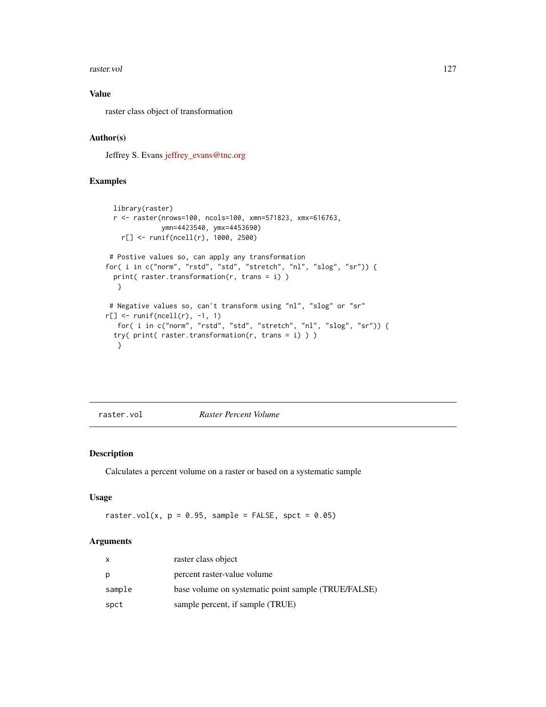#### raster.vol 127

# Value

raster class object of transformation

# Author(s)

Jeffrey S. Evans [jeffrey\\_evans@tnc.org](mailto:jeffrey_evans@tnc.org)

# Examples

```
library(raster)
 r <- raster(nrows=100, ncols=100, xmn=571823, xmx=616763,
             ymn=4423540, ymx=4453690)
   r[] <- runif(ncell(r), 1000, 2500)
# Postive values so, can apply any transformation
for( i in c("norm", "rstd", "std", "stretch", "nl", "slog", "sr")) {
 print( raster.transformation(r, trans = i) )
  }
# Negative values so, can't transform using "nl", "slog" or "sr"
r[] <- runif(ncell(r), -1, 1)
   for( i in c("norm", "rstd", "std", "stretch", "nl", "slog", "sr")) {
 try( print( raster.transformation(r, trans = i) ) )
  }
```
raster.vol *Raster Percent Volume*

## Description

Calculates a percent volume on a raster or based on a systematic sample

# Usage

raster.vol(x,  $p = 0.95$ , sample = FALSE, spct = 0.05)

| x      | raster class object                                 |
|--------|-----------------------------------------------------|
| р      | percent raster-value volume                         |
| sample | base volume on systematic point sample (TRUE/FALSE) |
| spct   | sample percent, if sample (TRUE)                    |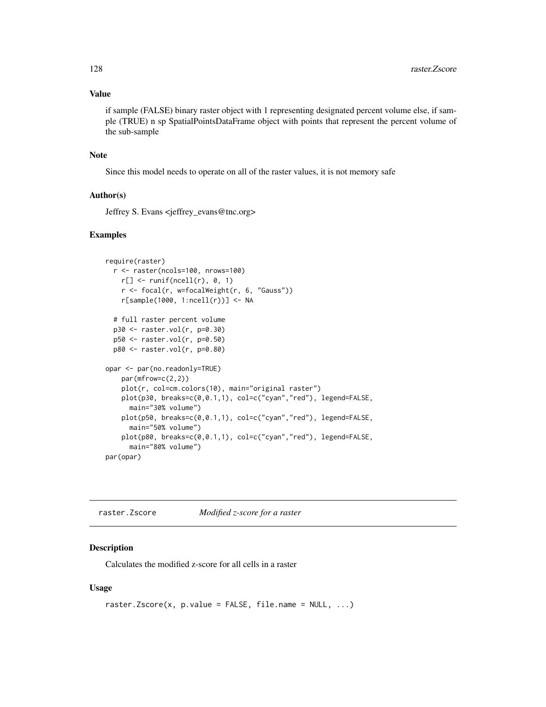# Value

if sample (FALSE) binary raster object with 1 representing designated percent volume else, if sample (TRUE) n sp SpatialPointsDataFrame object with points that represent the percent volume of the sub-sample

#### Note

Since this model needs to operate on all of the raster values, it is not memory safe

## Author(s)

Jeffrey S. Evans <jeffrey\_evans@tnc.org>

### Examples

```
require(raster)
 r <- raster(ncols=100, nrows=100)
   r[] \leftarrow runif(ncell(r), 0, 1)r <- focal(r, w=focalWeight(r, 6, "Gauss"))
   r[sample(1000, 1:ncell(r))] <- NA
 # full raster percent volume
 p30 <- raster.vol(r, p=0.30)
 p50 <- raster.vol(r, p=0.50)
 p80 <- raster.vol(r, p=0.80)
opar <- par(no.readonly=TRUE)
   par(mfrow=c(2,2))
   plot(r, col=cm.colors(10), main="original raster")
   plot(p30, breaks=c(0,0.1,1), col=c("cyan","red"), legend=FALSE,
     main="30% volume")
   plot(p50, breaks=c(0,0.1,1), col=c("cyan","red"), legend=FALSE,
      main="50% volume")
   plot(p80, breaks=c(0,0.1,1), col=c("cyan","red"), legend=FALSE,
      main="80% volume")
par(opar)
```
raster.Zscore *Modified z-score for a raster*

## Description

Calculates the modified z-score for all cells in a raster

```
raster.Zscore(x, p.value = FALSE, file.name = NULL, ...)
```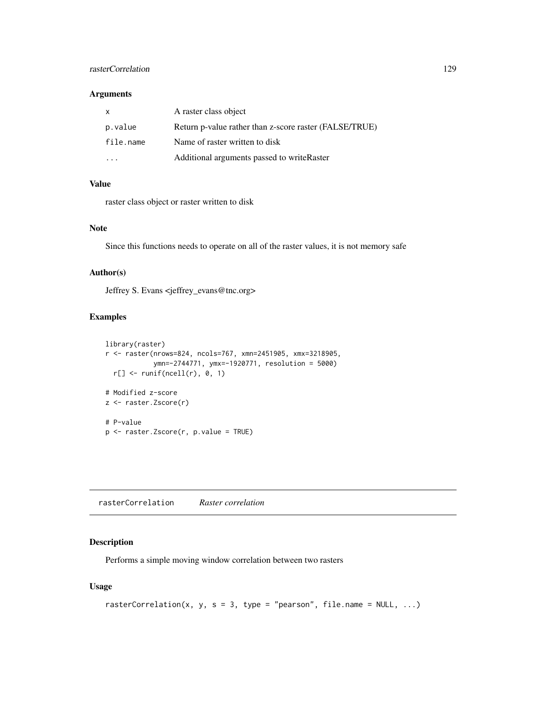# rasterCorrelation 129

## Arguments

| X         | A raster class object                                  |
|-----------|--------------------------------------------------------|
| p.value   | Return p-value rather than z-score raster (FALSE/TRUE) |
| file.name | Name of raster written to disk                         |
|           | Additional arguments passed to write Raster            |

#### Value

raster class object or raster written to disk

#### Note

Since this functions needs to operate on all of the raster values, it is not memory safe

#### Author(s)

Jeffrey S. Evans <jeffrey\_evans@tnc.org>

# Examples

```
library(raster)
r <- raster(nrows=824, ncols=767, xmn=2451905, xmx=3218905,
            ymn=-2744771, ymx=-1920771, resolution = 5000)
  r[] \leftarrow runif(ncell(r), 0, 1)# Modified z-score
z <- raster.Zscore(r)
# P-value
p <- raster.Zscore(r, p.value = TRUE)
```
rasterCorrelation *Raster correlation*

## Description

Performs a simple moving window correlation between two rasters

```
rasterCorrelation(x, y, s = 3, type = "pearson", file.name = NULL, ...)
```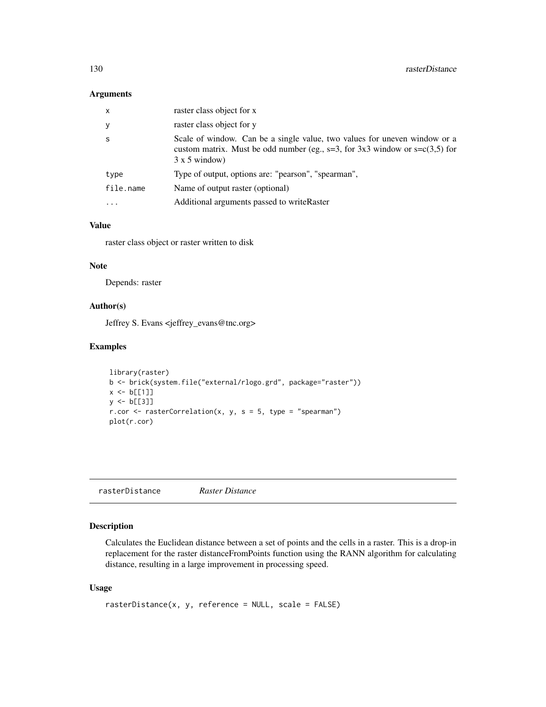## Arguments

| $\mathsf{x}$ | raster class object for x                                                                                                                                                             |
|--------------|---------------------------------------------------------------------------------------------------------------------------------------------------------------------------------------|
| y            | raster class object for y                                                                                                                                                             |
| -S           | Scale of window. Can be a single value, two values for uneven window or a<br>custom matrix. Must be odd number (eg., $s=3$ , for 3x3 window or $s=c(3,5)$ for<br>$3 \times 5$ window) |
| type         | Type of output, options are: "pearson", "spearman",                                                                                                                                   |
| file.name    | Name of output raster (optional)                                                                                                                                                      |
| $\cdots$     | Additional arguments passed to write Raster                                                                                                                                           |

# Value

raster class object or raster written to disk

#### Note

Depends: raster

## Author(s)

Jeffrey S. Evans <jeffrey\_evans@tnc.org>

### Examples

```
library(raster)
b <- brick(system.file("external/rlogo.grd", package="raster"))
x \le b[[1]]y <- b[[3]]
r.cor <- rasterCorrelation(x, y, s = 5, type = "spearman")
plot(r.cor)
```
rasterDistance *Raster Distance*

# Description

Calculates the Euclidean distance between a set of points and the cells in a raster. This is a drop-in replacement for the raster distanceFromPoints function using the RANN algorithm for calculating distance, resulting in a large improvement in processing speed.

```
rasterDistance(x, y, reference = NULL, scale = FALSE)
```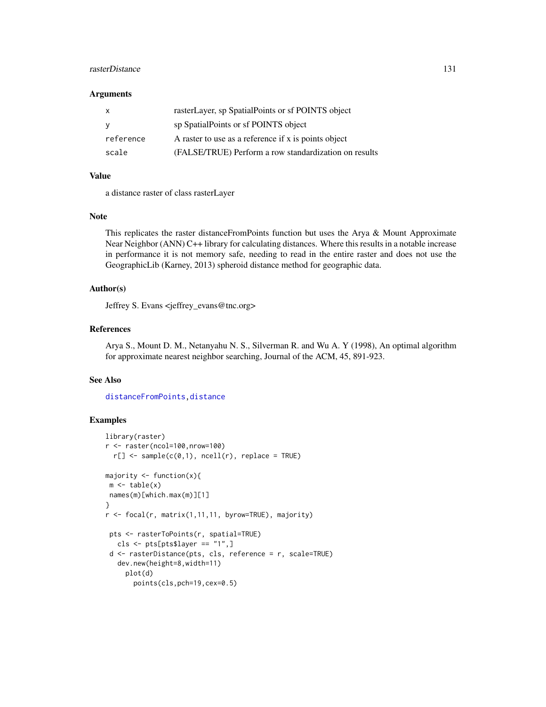# rasterDistance 131

#### **Arguments**

| x         | rasterLayer, sp SpatialPoints or sf POINTS object     |
|-----------|-------------------------------------------------------|
| <b>V</b>  | sp SpatialPoints or sf POINTS object                  |
| reference | A raster to use as a reference if x is points object  |
| scale     | (FALSE/TRUE) Perform a row standardization on results |

# Value

a distance raster of class rasterLayer

#### Note

This replicates the raster distanceFromPoints function but uses the Arya & Mount Approximate Near Neighbor (ANN) C++ library for calculating distances. Where this results in a notable increase in performance it is not memory safe, needing to read in the entire raster and does not use the GeographicLib (Karney, 2013) spheroid distance method for geographic data.

# Author(s)

Jeffrey S. Evans <jeffrey\_evans@tnc.org>

# References

Arya S., Mount D. M., Netanyahu N. S., Silverman R. and Wu A. Y (1998), An optimal algorithm for approximate nearest neighbor searching, Journal of the ACM, 45, 891-923.

# See Also

[distanceFromPoints,distance](#page-0-0)

# Examples

```
library(raster)
r <- raster(ncol=100,nrow=100)
 r[] \leftarrow sample(c(0,1), recall(r), replace = TRUE)majority <- function(x){
m \leftarrow table(x)names(m)[which.max(m)][1]
}
r <- focal(r, matrix(1,11,11, byrow=TRUE), majority)
pts <- rasterToPoints(r, spatial=TRUE)
   cls \leq pts[pts$layer == "1",]
d <- rasterDistance(pts, cls, reference = r, scale=TRUE)
   dev.new(height=8,width=11)
    plot(d)
       points(cls,pch=19,cex=0.5)
```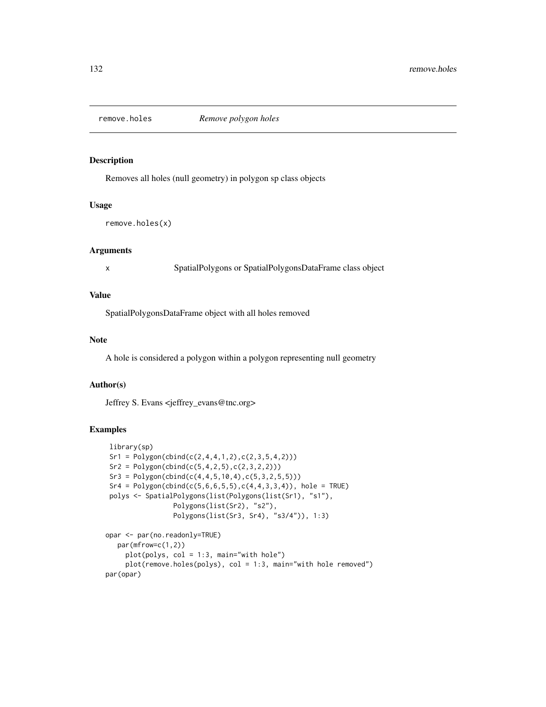#### Description

Removes all holes (null geometry) in polygon sp class objects

# Usage

remove.holes(x)

# Arguments

x SpatialPolygons or SpatialPolygonsDataFrame class object

## Value

SpatialPolygonsDataFrame object with all holes removed

# Note

A hole is considered a polygon within a polygon representing null geometry

# Author(s)

Jeffrey S. Evans <jeffrey\_evans@tnc.org>

# Examples

```
library(sp)
Sr1 = Polygon(cbind(c(2, 4, 4, 1, 2), c(2, 3, 5, 4, 2)))Sr2 = Polygon(cbind(c(5,4,2,5),c(2,3,2,2)))Sr3 = Polygon(cbind(c(4, 4, 5, 10, 4), c(5, 3, 2, 5, 5)))Sr4 = Polygon(cbind(c(5, 6, 6, 5, 5), c(4, 4, 3, 3, 4)), hole = TRUE)polys <- SpatialPolygons(list(Polygons(list(Sr1), "s1"),
                  Polygons(list(Sr2), "s2"),
                  Polygons(list(Sr3, Sr4), "s3/4")), 1:3)
opar <- par(no.readonly=TRUE)
```

```
par(mfrow=c(1,2))
    plot(polys, col = 1:3, main="with hole")
     plot(remove.holes(polys), col = 1:3, main="with hole removed")
par(opar)
```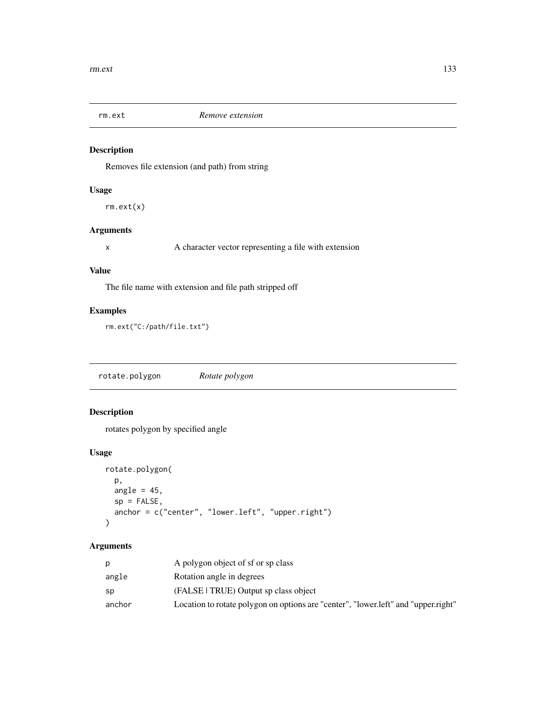# Description

Removes file extension (and path) from string

# Usage

rm.ext(x)

# Arguments

x A character vector representing a file with extension

# Value

The file name with extension and file path stripped off

# Examples

rm.ext("C:/path/file.txt")

rotate.polygon *Rotate polygon*

# Description

rotates polygon by specified angle

# Usage

```
rotate.polygon(
  p,
  angle = 45,
  sp = FALSE,anchor = c("center", "lower.left", "upper.right")
\mathcal{E}
```

|        | A polygon object of sf or sp class                                                 |
|--------|------------------------------------------------------------------------------------|
| angle  | Rotation angle in degrees                                                          |
| sp     | (FALSE TRUE) Output sp class object                                                |
| anchor | Location to rotate polygon on options are "center", "lower.left" and "upper.right" |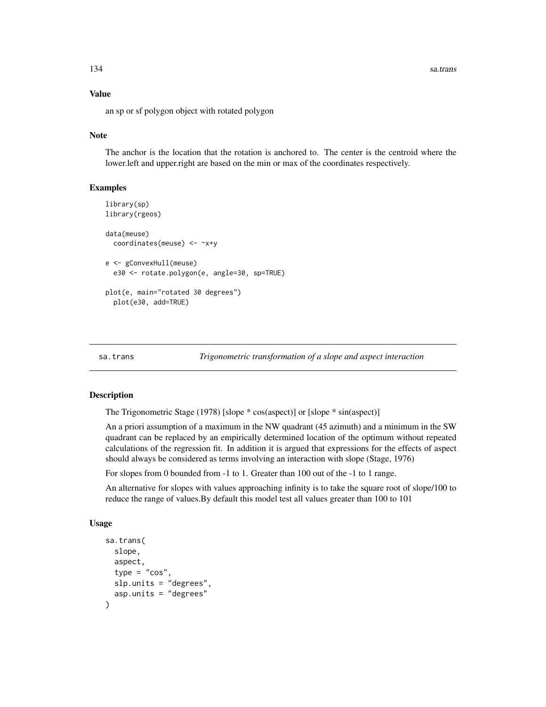# Value

an sp or sf polygon object with rotated polygon

## Note

The anchor is the location that the rotation is anchored to. The center is the centroid where the lower.left and upper.right are based on the min or max of the coordinates respectively.

## Examples

```
library(sp)
library(rgeos)
data(meuse)
 coordinates(meuse) <- ~x+y
e <- gConvexHull(meuse)
 e30 <- rotate.polygon(e, angle=30, sp=TRUE)
plot(e, main="rotated 30 degrees")
 plot(e30, add=TRUE)
```
sa.trans *Trigonometric transformation of a slope and aspect interaction*

## Description

The Trigonometric Stage (1978) [slope \* cos(aspect)] or [slope \* sin(aspect)]

An a priori assumption of a maximum in the NW quadrant (45 azimuth) and a minimum in the SW quadrant can be replaced by an empirically determined location of the optimum without repeated calculations of the regression fit. In addition it is argued that expressions for the effects of aspect should always be considered as terms involving an interaction with slope (Stage, 1976)

For slopes from 0 bounded from -1 to 1. Greater than 100 out of the -1 to 1 range.

An alternative for slopes with values approaching infinity is to take the square root of slope/100 to reduce the range of values.By default this model test all values greater than 100 to 101

```
sa.trans(
  slope,
  aspect,
  type = "cos".
  slp.units = "degrees",
  asp.units = "degrees"
)
```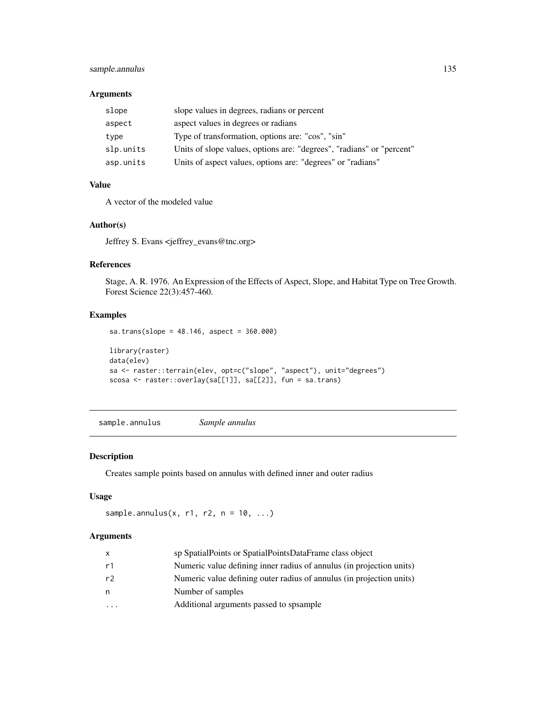# sample.annulus 135

## Arguments

| slope     | slope values in degrees, radians or percent                           |
|-----------|-----------------------------------------------------------------------|
| aspect    | aspect values in degrees or radians                                   |
| type      | Type of transformation, options are: "cos", "sin"                     |
| slp.units | Units of slope values, options are: "degrees", "radians" or "percent" |
| asp.units | Units of aspect values, options are: "degrees" or "radians"           |

# Value

A vector of the modeled value

# Author(s)

Jeffrey S. Evans <jeffrey\_evans@tnc.org>

# References

Stage, A. R. 1976. An Expression of the Effects of Aspect, Slope, and Habitat Type on Tree Growth. Forest Science 22(3):457-460.

## Examples

```
sa.trans(slope = 48.146, aspect = 360.000)
library(raster)
data(elev)
sa <- raster::terrain(elev, opt=c("slope", "aspect"), unit="degrees")
scosa <- raster::overlay(sa[[1]], sa[[2]], fun = sa.trans)
```
sample.annulus *Sample annulus*

# Description

Creates sample points based on annulus with defined inner and outer radius

# Usage

```
sample.annulus(x, r1, r2, n = 10, ...)
```

| X       | sp SpatialPoints or SpatialPointsDataFrame class object              |
|---------|----------------------------------------------------------------------|
| r1      | Numeric value defining inner radius of annulus (in projection units) |
| r2      | Numeric value defining outer radius of annulus (in projection units) |
| n       | Number of samples                                                    |
| $\cdot$ | Additional arguments passed to spsample                              |
|         |                                                                      |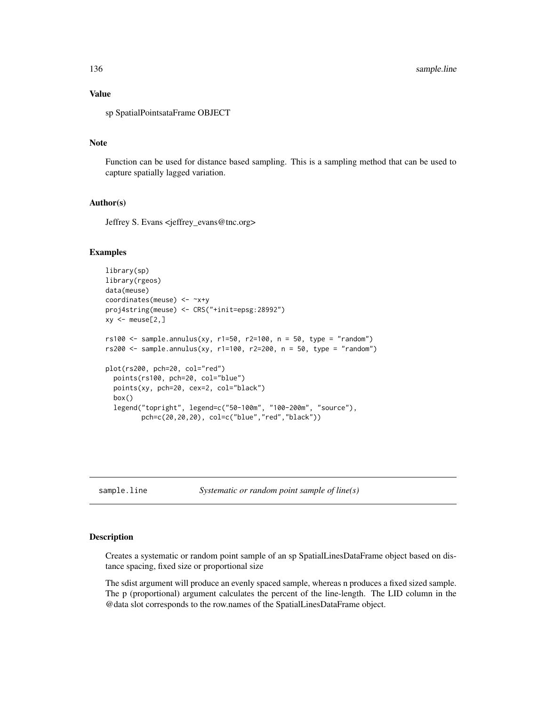# Value

sp SpatialPointsataFrame OBJECT

#### Note

Function can be used for distance based sampling. This is a sampling method that can be used to capture spatially lagged variation.

## Author(s)

Jeffrey S. Evans <jeffrey\_evans@tnc.org>

#### Examples

```
library(sp)
library(rgeos)
data(meuse)
coordinates(meuse) <- ~x+y
proj4string(meuse) <- CRS("+init=epsg:28992")
xy \le - meuse[2,]
rs100 \le sample.annulus(xy, r1=50, r2=100, n = 50, type = "random")
rs200 \leq - sample.annulus(xy, r1=100, r2=200, n = 50, type = "random")
plot(rs200, pch=20, col="red")
  points(rs100, pch=20, col="blue")
  points(xy, pch=20, cex=2, col="black")
  box()
  legend("topright", legend=c("50-100m", "100-200m", "source"),
         pch=c(20,20,20), col=c("blue","red","black"))
```
sample.line *Systematic or random point sample of line(s)*

#### **Description**

Creates a systematic or random point sample of an sp SpatialLinesDataFrame object based on distance spacing, fixed size or proportional size

The sdist argument will produce an evenly spaced sample, whereas n produces a fixed sized sample. The p (proportional) argument calculates the percent of the line-length. The LID column in the @data slot corresponds to the row.names of the SpatialLinesDataFrame object.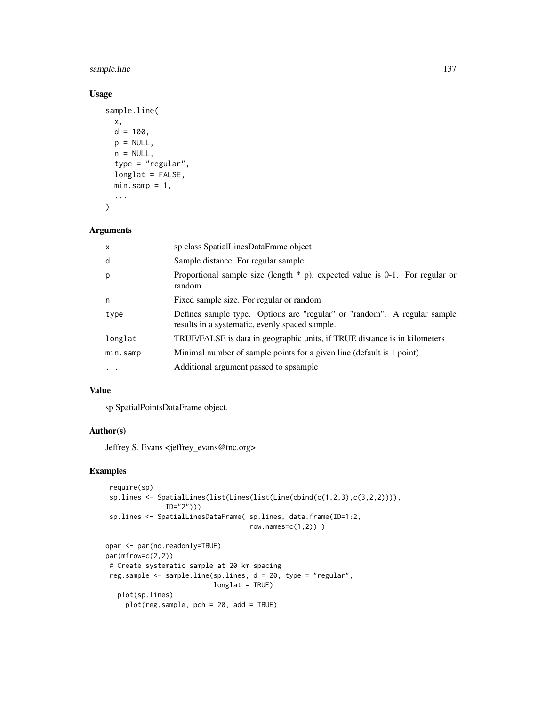# sample.line 137

# Usage

```
sample.line(
 x,
 d = 100,
 p = NULL,n = NULL,type = "regular",
 longlat = FALSE,min.sump = 1,
  ...
)
```

```
Arguments
```

| X          | sp class SpatialLinesDataFrame object                                                                                      |
|------------|----------------------------------------------------------------------------------------------------------------------------|
| d          | Sample distance. For regular sample.                                                                                       |
| p          | Proportional sample size (length $*$ p), expected value is 0-1. For regular or<br>random.                                  |
| n          | Fixed sample size. For regular or random                                                                                   |
| type       | Defines sample type. Options are "regular" or "random". A regular sample<br>results in a systematic, evenly spaced sample. |
| longlat    | TRUE/FALSE is data in geographic units, if TRUE distance is in kilometers                                                  |
| min.samp   | Minimal number of sample points for a given line (default is 1 point)                                                      |
| $\ddots$ . | Additional argument passed to spsample                                                                                     |
|            |                                                                                                                            |

### Value

sp SpatialPointsDataFrame object.

## Author(s)

Jeffrey S. Evans <jeffrey\_evans@tnc.org>

# Examples

```
require(sp)
sp.lines <- SpatialLines(list(Lines(list(Line(cbind(c(1,2,3),c(3,2,2)))),
              ID="2"))
sp.lines <- SpatialLinesDataFrame( sp.lines, data.frame(ID=1:2,
                                   row.names=c(1,2)) )
opar <- par(no.readonly=TRUE)
par(mfrow=c(2,2))
# Create systematic sample at 20 km spacing
reg.sample <- sample.line(sp.lines, d = 20, type = "regular",
                          longlat = TRUE)
  plot(sp.lines)
    plot(reg.sample, pch = 20, add = TRUE)
```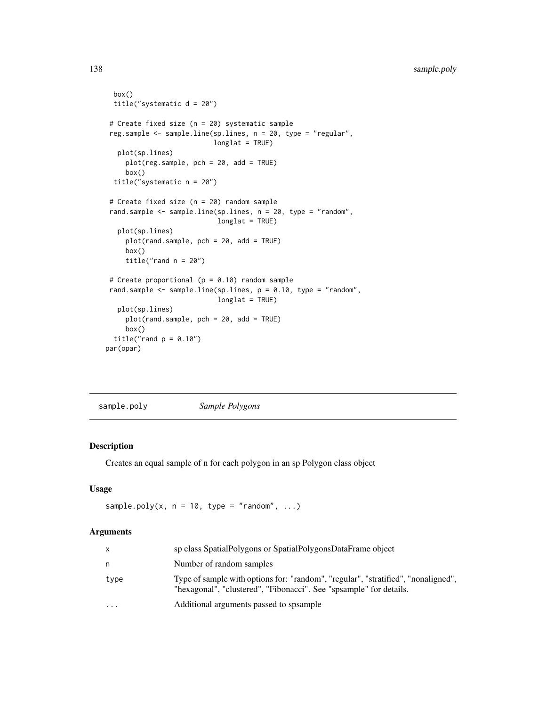```
box()
 title("systematic d = 20")
# Create fixed size (n = 20) systematic sample
reg.sample <- sample.line(sp.lines, n = 20, type = "regular",
                          longlat = TRUE)
  plot(sp.lines)
    plot(reg.sample, pch = 20, add = TRUE)
     box()
 title("systematic n = 20")
# Create fixed size (n = 20) random sample
rand.sample <- sample.line(sp.lines, n = 20, type = "random",
                            longlat = TRUE)
  plot(sp.lines)
    plot(rand.sample, pch = 20, add = TRUE)
    box()
    title("rand n = 20")
# Create proportional (p = 0.10) random sample
rand.sample <- sample.line(sp.lines, p = 0.10, type = "random",
                            longlat = TRUE)
  plot(sp.lines)
     plot(rand.sample, pch = 20, add = TRUE)
    box()
 title("rand p = 0.10")
par(opar)
```
sample.poly *Sample Polygons*

#### Description

Creates an equal sample of n for each polygon in an sp Polygon class object

#### Usage

```
sample.poly(x, n = 10, type = "random", ...)
```

| X        | sp class SpatialPolygons or SpatialPolygonsDataFrame object                                                                                             |
|----------|---------------------------------------------------------------------------------------------------------------------------------------------------------|
| n        | Number of random samples                                                                                                                                |
| type     | Type of sample with options for: "random", "regular", "stratified", "nonaligned",<br>"hexagonal", "clustered", "Fibonacci". See "spsample" for details. |
| $\cdots$ | Additional arguments passed to spsample                                                                                                                 |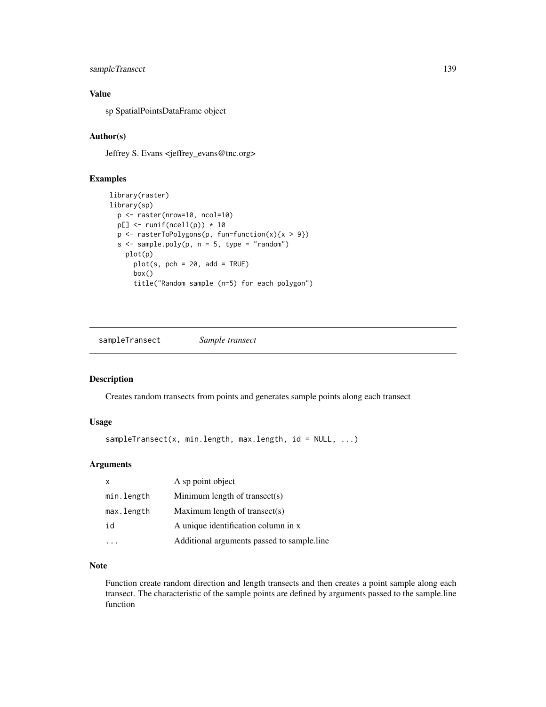# sampleTransect 139

# Value

sp SpatialPointsDataFrame object

## Author(s)

Jeffrey S. Evans <jeffrey\_evans@tnc.org>

# Examples

```
library(raster)
library(sp)
  p <- raster(nrow=10, ncol=10)
  p[] \leftarrow runif(ncell(p)) * 10p \leftarrow \text{rasterToPolygons}(p, \text{ fun=function}(x)\{x > 9\})s \leq sample.poly(p, n = 5, type = "random")
    plot(p)
      plot(s, pch = 20, add = TRUE)box()
      title("Random sample (n=5) for each polygon")
```
sampleTransect *Sample transect*

## Description

Creates random transects from points and generates sample points along each transect

# Usage

```
sampleTransect(x, min.length, max.length, id = NULL, ...)
```
## Arguments

| $\mathsf{x}$ | A sp point object                          |
|--------------|--------------------------------------------|
| min.length   | Minimum length of transect(s)              |
| max.length   | Maximum length of transect(s)              |
| id           | A unique identification column in x        |
|              | Additional arguments passed to sample.line |

# Note

Function create random direction and length transects and then creates a point sample along each transect. The characteristic of the sample points are defined by arguments passed to the sample.line function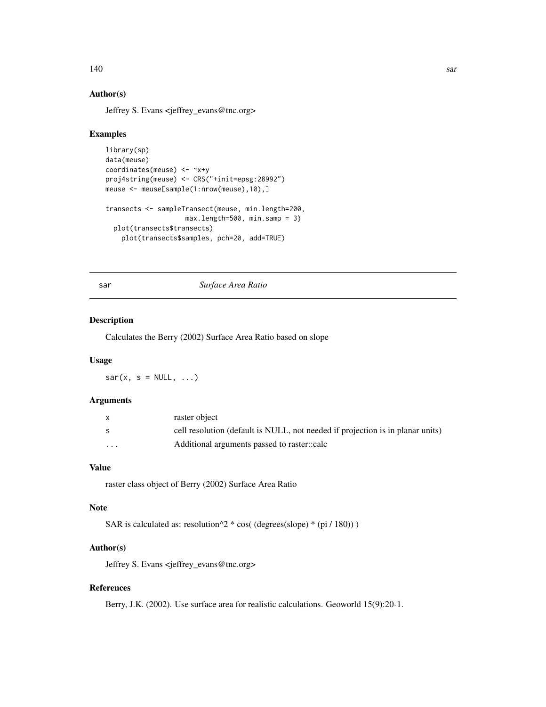# 140 sar

# Author(s)

Jeffrey S. Evans <jeffrey\_evans@tnc.org>

#### Examples

```
library(sp)
data(meuse)
coordinates(meuse) <- ~x+y
proj4string(meuse) <- CRS("+init=epsg:28992")
meuse <- meuse[sample(1:nrow(meuse),10),]
transects <- sampleTransect(meuse, min.length=200,
                    max.length=500, min.samp = 3)
  plot(transects$transects)
    plot(transects$samples, pch=20, add=TRUE)
```
sar *Surface Area Ratio*

#### Description

Calculates the Berry (2002) Surface Area Ratio based on slope

#### Usage

 $sar(x, s = NULL, ...)$ 

#### Arguments

|          | raster object                                                                  |
|----------|--------------------------------------------------------------------------------|
|          | cell resolution (default is NULL, not needed if projection is in planar units) |
| $\cdots$ | Additional arguments passed to raster.:calc                                    |

## Value

raster class object of Berry (2002) Surface Area Ratio

## Note

SAR is calculated as: resolution $\frac{\text{A}}{2}$  \* cos( (degrees(slope) \* (pi / 180)) )

# Author(s)

Jeffrey S. Evans <jeffrey\_evans@tnc.org>

# References

Berry, J.K. (2002). Use surface area for realistic calculations. Geoworld 15(9):20-1.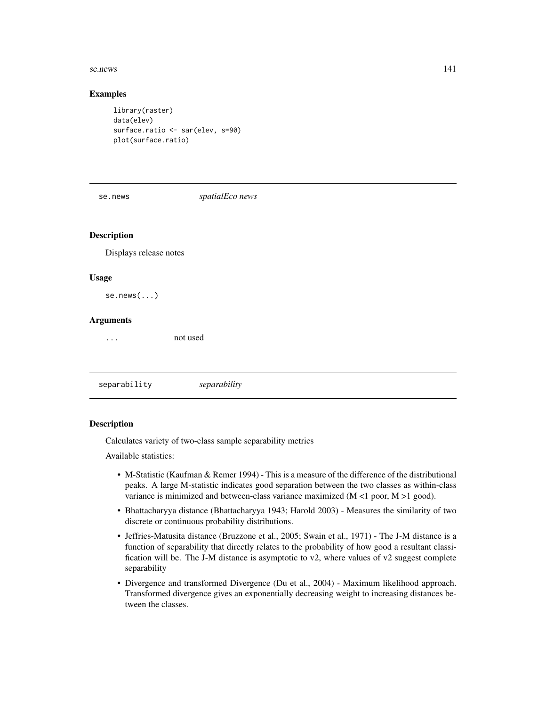#### se.news 141

#### Examples

```
library(raster)
data(elev)
surface.ratio <- sar(elev, s=90)
plot(surface.ratio)
```
se.news *spatialEco news*

# **Description**

Displays release notes

#### Usage

se.news(...)

#### Arguments

... not used

separability *separability*

#### **Description**

Calculates variety of two-class sample separability metrics

Available statistics:

- M-Statistic (Kaufman & Remer 1994) This is a measure of the difference of the distributional peaks. A large M-statistic indicates good separation between the two classes as within-class variance is minimized and between-class variance maximized (M <1 poor, M >1 good).
- Bhattacharyya distance (Bhattacharyya 1943; Harold 2003) Measures the similarity of two discrete or continuous probability distributions.
- Jeffries-Matusita distance (Bruzzone et al., 2005; Swain et al., 1971) The J-M distance is a function of separability that directly relates to the probability of how good a resultant classification will be. The J-M distance is asymptotic to v2, where values of v2 suggest complete separability
- Divergence and transformed Divergence (Du et al., 2004) Maximum likelihood approach. Transformed divergence gives an exponentially decreasing weight to increasing distances between the classes.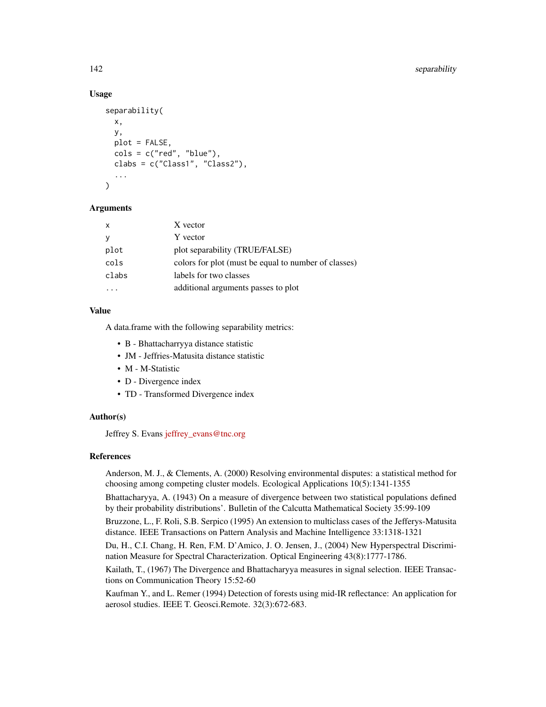## Usage

```
separability(
  x,
  y,
  plot = FALSE,
  \text{cols} = \text{c("red", "blue"),}clabs = c("Class1", "Class2"),
  ...
\lambda
```
## Arguments

| $\mathsf{x}$ | X vector                                             |
|--------------|------------------------------------------------------|
|              | Y vector                                             |
| plot         | plot separability (TRUE/FALSE)                       |
| cols         | colors for plot (must be equal to number of classes) |
| clabs        | labels for two classes                               |
|              | additional arguments passes to plot                  |

## Value

A data.frame with the following separability metrics:

- B Bhattacharryya distance statistic
- JM Jeffries-Matusita distance statistic
- M M-Statistic
- D Divergence index
- TD Transformed Divergence index

# Author(s)

Jeffrey S. Evans jeffrey evans@tnc.org

# References

Anderson, M. J., & Clements, A. (2000) Resolving environmental disputes: a statistical method for choosing among competing cluster models. Ecological Applications 10(5):1341-1355

Bhattacharyya, A. (1943) On a measure of divergence between two statistical populations defined by their probability distributions'. Bulletin of the Calcutta Mathematical Society 35:99-109

Bruzzone, L., F. Roli, S.B. Serpico (1995) An extension to multiclass cases of the Jefferys-Matusita distance. IEEE Transactions on Pattern Analysis and Machine Intelligence 33:1318-1321

Du, H., C.I. Chang, H. Ren, F.M. D'Amico, J. O. Jensen, J., (2004) New Hyperspectral Discrimination Measure for Spectral Characterization. Optical Engineering 43(8):1777-1786.

Kailath, T., (1967) The Divergence and Bhattacharyya measures in signal selection. IEEE Transactions on Communication Theory 15:52-60

Kaufman Y., and L. Remer (1994) Detection of forests using mid-IR reflectance: An application for aerosol studies. IEEE T. Geosci.Remote. 32(3):672-683.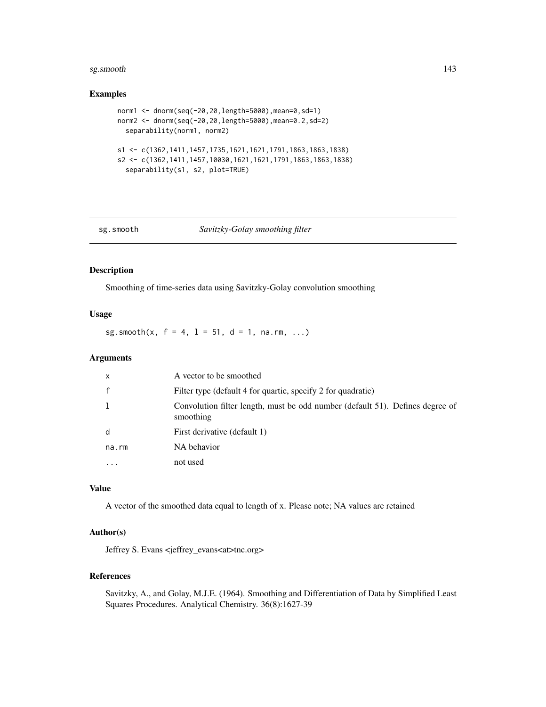#### sg.smooth and the state of the state of the state of the state of the state of the state of the state of the state of the state of the state of the state of the state of the state of the state of the state of the state of

#### Examples

```
norm1 <- dnorm(seq(-20,20,length=5000),mean=0,sd=1)
norm2 <- dnorm(seq(-20,20,length=5000),mean=0.2,sd=2)
  separability(norm1, norm2)
s1 <- c(1362,1411,1457,1735,1621,1621,1791,1863,1863,1838)
s2 <- c(1362,1411,1457,10030,1621,1621,1791,1863,1863,1838)
  separability(s1, s2, plot=TRUE)
```
## sg.smooth *Savitzky-Golay smoothing filter*

# Description

Smoothing of time-series data using Savitzky-Golay convolution smoothing

# Usage

sg.smooth(x,  $f = 4$ ,  $1 = 51$ ,  $d = 1$ , na.rm, ...)

## Arguments

| $\mathsf{x}$ | A vector to be smoothed                                                                    |
|--------------|--------------------------------------------------------------------------------------------|
| $\mathsf{f}$ | Filter type (default 4 for quartic, specify 2 for quadratic)                               |
|              | Convolution filter length, must be odd number (default 51). Defines degree of<br>smoothing |
| d            | First derivative (default 1)                                                               |
| na.rm        | NA behavior                                                                                |
|              | not used                                                                                   |

# Value

A vector of the smoothed data equal to length of x. Please note; NA values are retained

## Author(s)

Jeffrey S. Evans <jeffrey\_evans<at>tnc.org>

# References

Savitzky, A., and Golay, M.J.E. (1964). Smoothing and Differentiation of Data by Simplified Least Squares Procedures. Analytical Chemistry. 36(8):1627-39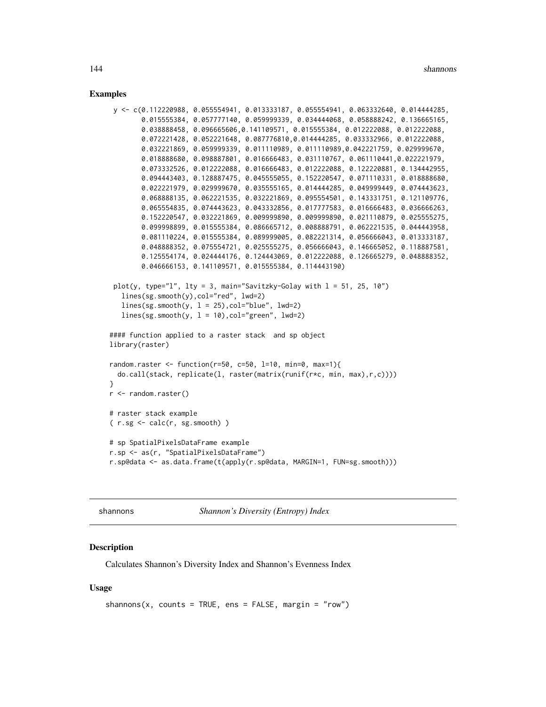#### Examples

```
y <- c(0.112220988, 0.055554941, 0.013333187, 0.055554941, 0.063332640, 0.014444285,
        0.015555384, 0.057777140, 0.059999339, 0.034444068, 0.058888242, 0.136665165,
        0.038888458, 0.096665606,0.141109571, 0.015555384, 0.012222088, 0.012222088,
        0.072221428, 0.052221648, 0.087776810,0.014444285, 0.033332966, 0.012222088,
        0.032221869, 0.059999339, 0.011110989, 0.011110989,0.042221759, 0.029999670,
        0.018888680, 0.098887801, 0.016666483, 0.031110767, 0.061110441,0.022221979,
        0.073332526, 0.012222088, 0.016666483, 0.012222088, 0.122220881, 0.134442955,
        0.094443403, 0.128887475, 0.045555055, 0.152220547, 0.071110331, 0.018888680,
        0.022221979, 0.029999670, 0.035555165, 0.014444285, 0.049999449, 0.074443623,
        0.068888135, 0.062221535, 0.032221869, 0.095554501, 0.143331751, 0.121109776,
        0.065554835, 0.074443623, 0.043332856, 0.017777583, 0.016666483, 0.036666263,
        0.152220547, 0.032221869, 0.009999890, 0.009999890, 0.021110879, 0.025555275,
       0.099998899, 0.015555384, 0.086665712, 0.008888791, 0.062221535, 0.044443958,
       0.081110224, 0.015555384, 0.089999005, 0.082221314, 0.056666043, 0.013333187,
        0.048888352, 0.075554721, 0.025555275, 0.056666043, 0.146665052, 0.118887581,
        0.125554174, 0.024444176, 0.124443069, 0.012222088, 0.126665279, 0.048888352,
        0.046666153, 0.141109571, 0.015555384, 0.114443190)
 plot(y, type="l", lty = 3, main="Savitzky-Golay with l = 51, 25, 10")
   lines(sg.smooth(y),col="red", lwd=2)
   lines(sg.smooth(y, 1 = 25), col="blue", 1wd=2)lines(sg.smooth(y, 1 = 10), col="green", 1wd=2)#### function applied to a raster stack and sp object
library(raster)
random.raster \le function(r=50, c=50, l=10, min=0, max=1){
  do.call(stack, replicate(l, raster(matrix(runif(r*c, min, max),r,c))))
}
r <- random.raster()
# raster stack example
( r.sg <- calc(r, sg.smooth) )
# sp SpatialPixelsDataFrame example
r.sp <- as(r, "SpatialPixelsDataFrame")
r.sp@data <- as.data.frame(t(apply(r.sp@data, MARGIN=1, FUN=sg.smooth)))
```
shannons *Shannon's Diversity (Entropy) Index*

## **Description**

Calculates Shannon's Diversity Index and Shannon's Evenness Index

```
shannons(x, counts = TRUE, ens = FALSE, margin = "row")
```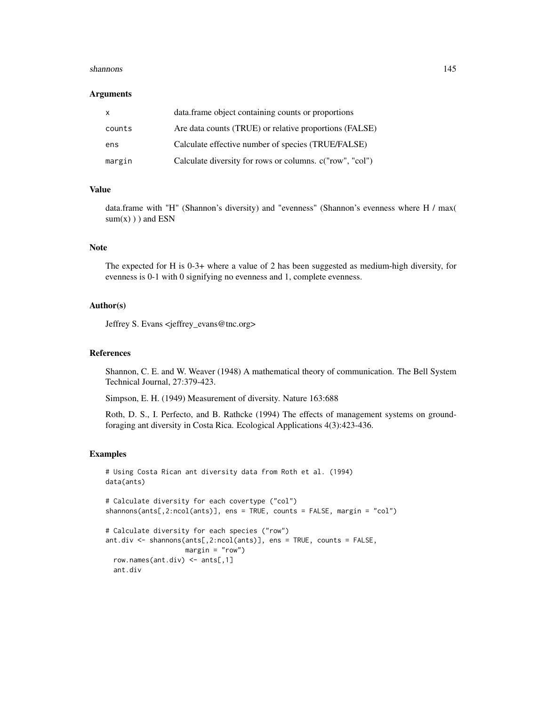#### shannons 145

#### Arguments

| X      | data.frame object containing counts or proportions       |
|--------|----------------------------------------------------------|
| counts | Are data counts (TRUE) or relative proportions (FALSE)   |
| ens    | Calculate effective number of species (TRUE/FALSE)       |
| margin | Calculate diversity for rows or columns. c("row", "col") |

# Value

data.frame with "H" (Shannon's diversity) and "evenness" (Shannon's evenness where H / max(  $sum(x)$ ) and ESN

#### Note

The expected for H is 0-3+ where a value of 2 has been suggested as medium-high diversity, for evenness is 0-1 with 0 signifying no evenness and 1, complete evenness.

#### Author(s)

Jeffrey S. Evans <jeffrey\_evans@tnc.org>

#### References

Shannon, C. E. and W. Weaver (1948) A mathematical theory of communication. The Bell System Technical Journal, 27:379-423.

Simpson, E. H. (1949) Measurement of diversity. Nature 163:688

Roth, D. S., I. Perfecto, and B. Rathcke (1994) The effects of management systems on groundforaging ant diversity in Costa Rica. Ecological Applications 4(3):423-436.

```
# Using Costa Rican ant diversity data from Roth et al. (1994)
data(ants)
# Calculate diversity for each covertype ("col")
shannons(ants[,2:ncol(ants)], ens = TRUE, counts = FALSE, margin = "col")
```

```
# Calculate diversity for each species ("row")
ant.div <- shannons(ants[,2:ncol(ants)], ens = TRUE, counts = FALSE,
                   margin = "row")
 row.names(ant.div) <- ants[,1]
 ant.div
```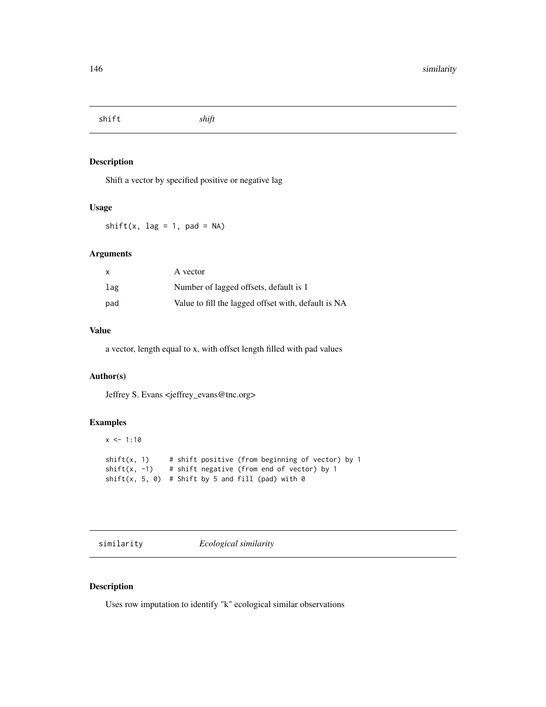<span id="page-145-0"></span>shift *shift*

# Description

Shift a vector by specified positive or negative lag

## Usage

 $shift(x, lag = 1, pad = NA)$ 

# Arguments

| X   | A vector                                            |
|-----|-----------------------------------------------------|
| lag | Number of lagged offsets, default is 1              |
| pad | Value to fill the lagged offset with, default is NA |

# Value

a vector, length equal to x, with offset length filled with pad values

# Author(s)

Jeffrey S. Evans <jeffrey\_evans@tnc.org>

# Examples

```
x \le -1:10shift(x, 1) # shift positive (from beginning of vector) by 1
shift(x, -1) # shift negative (from end of vector) by 1
shift(x, 5, 0) # Shift by 5 and fill (pad) with 0
```
similarity *Ecological similarity*

# Description

Uses row imputation to identify "k" ecological similar observations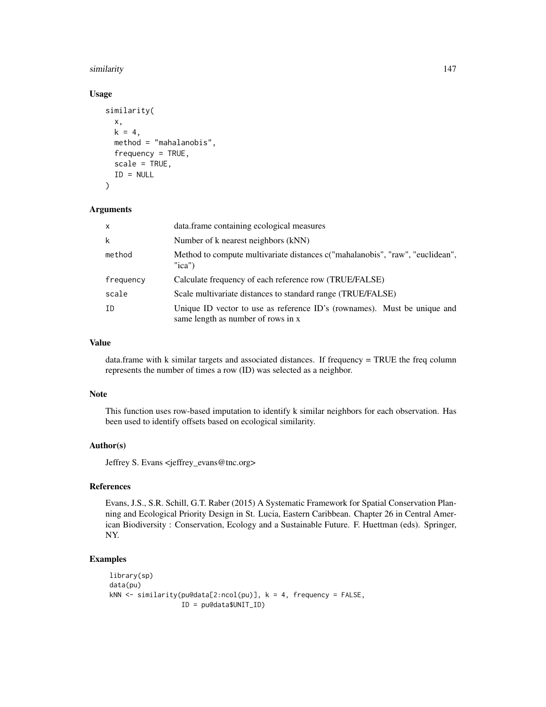#### similarity 147

### Usage

```
similarity(
 x,
 k = 4,
 method = "mahalanobis",
 frequency = TRUE,
  scale = TRUE,
 ID = NULL)
```
#### Arguments

| $\mathsf{x}$ | data.frame containing ecological measures                                                                      |
|--------------|----------------------------------------------------------------------------------------------------------------|
| k            | Number of k nearest neighbors (kNN)                                                                            |
| method       | Method to compute multivariate distances c("mahalanobis", "raw", "euclidean",<br>" $ica$ "                     |
| frequency    | Calculate frequency of each reference row (TRUE/FALSE)                                                         |
| scale        | Scale multivariate distances to standard range (TRUE/FALSE)                                                    |
| ΙD           | Unique ID vector to use as reference ID's (rownames). Must be unique and<br>same length as number of rows in x |

# Value

data.frame with k similar targets and associated distances. If frequency = TRUE the freq column represents the number of times a row (ID) was selected as a neighbor.

#### Note

This function uses row-based imputation to identify k similar neighbors for each observation. Has been used to identify offsets based on ecological similarity.

# Author(s)

Jeffrey S. Evans <jeffrey\_evans@tnc.org>

# References

Evans, J.S., S.R. Schill, G.T. Raber (2015) A Systematic Framework for Spatial Conservation Planning and Ecological Priority Design in St. Lucia, Eastern Caribbean. Chapter 26 in Central American Biodiversity : Conservation, Ecology and a Sustainable Future. F. Huettman (eds). Springer, NY.

```
library(sp)
data(pu)
kNN \le similarity(pu@data[2:ncol(pu)], k = 4, frequency = FALSE,
                  ID = pu@data$UNIT_ID)
```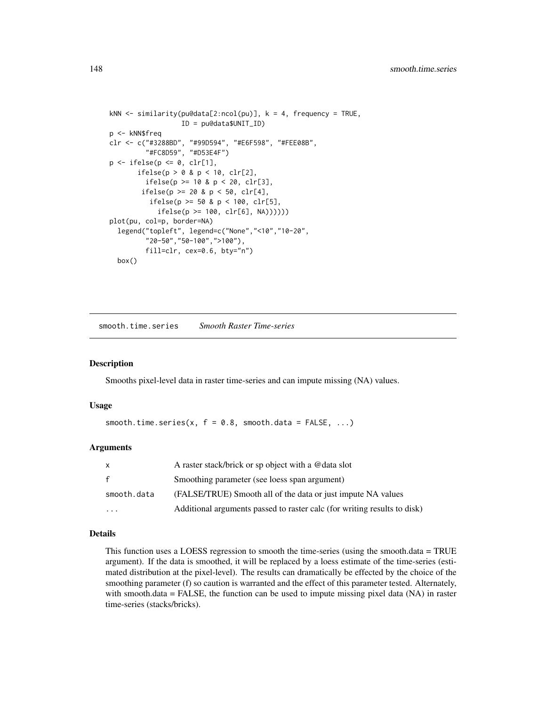```
kNN <- similarity(pu@data[2:ncol(pu)], k = 4, frequency = TRUE,
                  ID = pu@data$UNIT_ID)
p <- kNN$freq
clr <- c("#3288BD", "#99D594", "#E6F598", "#FEE08B",
         "#FC8D59", "#D53E4F")
p \leftarrow ifelse(p \leftarrow 0, clr[1],
       ifelse(p > 0 & p < 10, clr[2],
         ifelse(p >= 10 & p < 20, clr[3],
        ifelse(p >= 20 & p < 50, clr[4],
          ifelse(p > = 50 & p < 100, clr[5],
            ifelse(p >= 100, clr[6], NA))))))
plot(pu, col=p, border=NA)
  legend("topleft", legend=c("None","<10","10-20",
         "20-50","50-100",">100"),
         fill=clr, cex=0.6, bty="n")
  box()
```
smooth.time.series *Smooth Raster Time-series*

# Description

Smooths pixel-level data in raster time-series and can impute missing (NA) values.

#### Usage

```
smooth.time.series(x, f = 0.8, smooth.data = FALSE, ...)
```
#### Arguments

| X            | A raster stack/brick or sp object with a @data slot                      |
|--------------|--------------------------------------------------------------------------|
| $\mathbf{f}$ | Smoothing parameter (see loess span argument)                            |
| smooth.data  | (FALSE/TRUE) Smooth all of the data or just impute NA values             |
| .            | Additional arguments passed to raster calc (for writing results to disk) |

#### Details

This function uses a LOESS regression to smooth the time-series (using the smooth.data = TRUE argument). If the data is smoothed, it will be replaced by a loess estimate of the time-series (estimated distribution at the pixel-level). The results can dramatically be effected by the choice of the smoothing parameter (f) so caution is warranted and the effect of this parameter tested. Alternately, with smooth.data = FALSE, the function can be used to impute missing pixel data (NA) in raster time-series (stacks/bricks).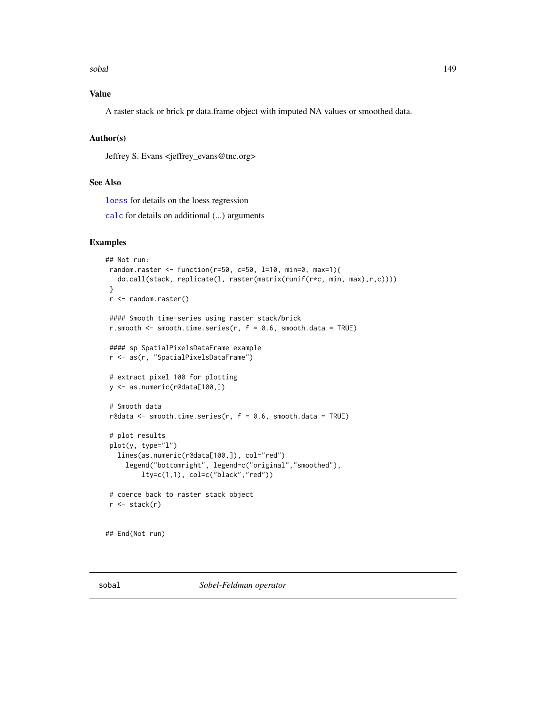<span id="page-148-0"></span>sobal 149

# Value

A raster stack or brick pr data.frame object with imputed NA values or smoothed data.

# Author(s)

Jeffrey S. Evans <jeffrey\_evans@tnc.org>

# See Also

[loess](#page-0-0) for details on the loess regression

[calc](#page-0-0) for details on additional (...) arguments

#### Examples

```
## Not run:
random.raster <- function(r=50, c=50, l=10, min=0, max=1){
  do.call(stack, replicate(l, raster(matrix(runif(r*c, min, max),r,c))))
}
r <- random.raster()
#### Smooth time-series using raster stack/brick
r.smooth \leq smooth.time.series(r, f = 0.6, smooth.data = TRUE)
#### sp SpatialPixelsDataFrame example
r <- as(r, "SpatialPixelsDataFrame")
# extract pixel 100 for plotting
y <- as.numeric(r@data[100,])
# Smooth data
r@data <- smooth.time.series(r, f = 0.6, smooth.data = TRUE)
# plot results
plot(y, type="l")
  lines(as.numeric(r@data[100,]), col="red")
     legend("bottomright", legend=c("original","smoothed"),
        lty=c(1,1), col=c("black","red"))
 # coerce back to raster stack object
r \leftarrow stack(r)## End(Not run)
```
sobal *Sobel-Feldman operator*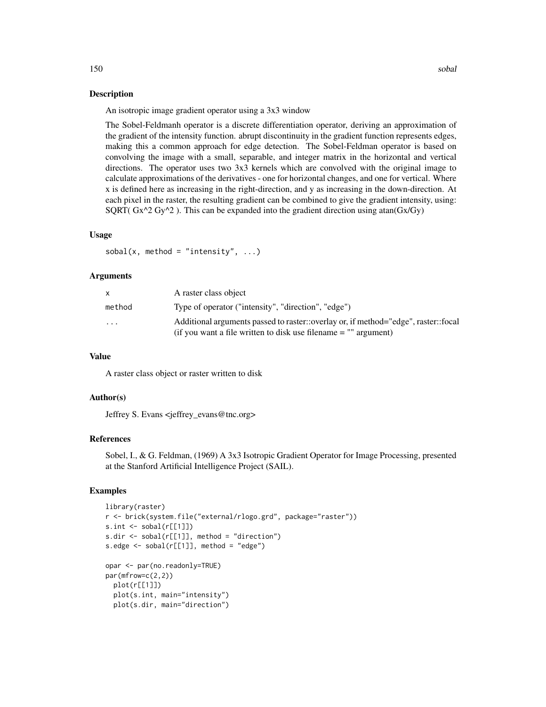#### Description

An isotropic image gradient operator using a 3x3 window

The Sobel-Feldmanh operator is a discrete differentiation operator, deriving an approximation of the gradient of the intensity function. abrupt discontinuity in the gradient function represents edges, making this a common approach for edge detection. The Sobel-Feldman operator is based on convolving the image with a small, separable, and integer matrix in the horizontal and vertical directions. The operator uses two 3x3 kernels which are convolved with the original image to calculate approximations of the derivatives - one for horizontal changes, and one for vertical. Where x is defined here as increasing in the right-direction, and y as increasing in the down-direction. At each pixel in the raster, the resulting gradient can be combined to give the gradient intensity, using: SQRT(  $Gx^2Gy^2$  ). This can be expanded into the gradient direction using atan( $Gx/Gy$ )

# Usage

sobal(x, method = "intensity",  $\dots$ )

#### Arguments

|                         | A raster class object                                                                                                                                   |
|-------------------------|---------------------------------------------------------------------------------------------------------------------------------------------------------|
| method                  | Type of operator ("intensity", "direction", "edge")                                                                                                     |
| $\cdot$ $\cdot$ $\cdot$ | Additional arguments passed to raster::overlay or, if method="edge", raster::focal<br>(if you want a file written to disk use filename $=$ "" argument) |
|                         |                                                                                                                                                         |

#### Value

A raster class object or raster written to disk

# Author(s)

Jeffrey S. Evans <jeffrey\_evans@tnc.org>

### References

Sobel, I., & G. Feldman, (1969) A 3x3 Isotropic Gradient Operator for Image Processing, presented at the Stanford Artificial Intelligence Project (SAIL).

```
library(raster)
r <- brick(system.file("external/rlogo.grd", package="raster"))
s.int <- sobal(r[[1]])
s.dir \leq sobal(r[[1]], method = "direction")
s.edge \le sobal(r[[1]], method = "edge")
opar <- par(no.readonly=TRUE)
par(mfrow=c(2,2))
  plot(r[[1]])
  plot(s.int, main="intensity")
  plot(s.dir, main="direction")
```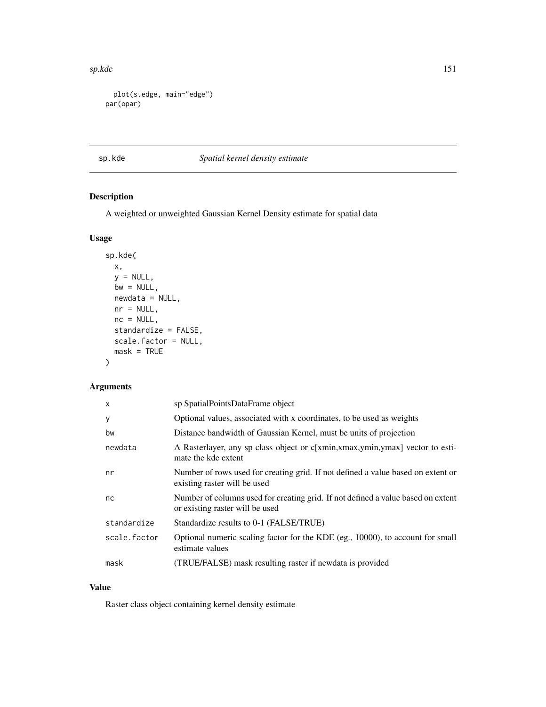<span id="page-150-0"></span>sp.kde 151

```
plot(s.edge, main="edge")
par(opar)
```
# sp.kde *Spatial kernel density estimate*

# Description

A weighted or unweighted Gaussian Kernel Density estimate for spatial data

# Usage

```
sp.kde(
 x,
 y = NULL,bw = NULL,newdata = NULL,
 nr = NULL,nc = NULL,standardize = FALSE,
 scale.factor = NULL,
 mask = TRUE)
```
# Arguments

| $\mathsf{x}$ | sp SpatialPointsDataFrame object                                                                                    |
|--------------|---------------------------------------------------------------------------------------------------------------------|
| У            | Optional values, associated with x coordinates, to be used as weights                                               |
| bw           | Distance bandwidth of Gaussian Kernel, must be units of projection                                                  |
| newdata      | A Rasterlayer, any sp class object or c[xmin,xmax,ymin,ymax] vector to esti-<br>mate the kde extent                 |
| nr           | Number of rows used for creating grid. If not defined a value based on extent or<br>existing raster will be used    |
| nc           | Number of columns used for creating grid. If not defined a value based on extent<br>or existing raster will be used |
| standardize  | Standardize results to 0-1 (FALSE/TRUE)                                                                             |
| scale.factor | Optional numeric scaling factor for the KDE (eg., 10000), to account for small<br>estimate values                   |
| mask         | (TRUE/FALSE) mask resulting raster if newdata is provided                                                           |

# Value

Raster class object containing kernel density estimate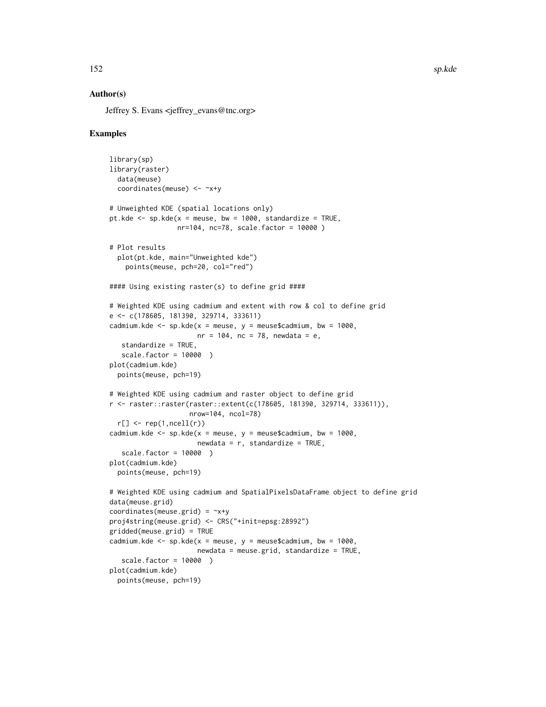#### Author(s)

Jeffrey S. Evans <ieffrey\_evans@tnc.org>

```
library(sp)
library(raster)
  data(meuse)
  coordinates(meuse) <- ~x+y
# Unweighted KDE (spatial locations only)
pt.kde \leq sp.kde(x = meuse, bw = 1000, standardize = TRUE,
                 nr=104, nc=78, scale.factor = 10000 )
# Plot results
  plot(pt.kde, main="Unweighted kde")
    points(meuse, pch=20, col="red")
#### Using existing raster(s) to define grid ####
# Weighted KDE using cadmium and extent with row & col to define grid
e <- c(178605, 181390, 329714, 333611)
cadmium.kde <- sp.kde(x = meuse, y = meuse$cadmium, bw = 1000,
                      nr = 104, nc = 78, newdata = e,
   standardize = TRUE,
   scale.factor = 10000 )
plot(cadmium.kde)
  points(meuse, pch=19)
# Weighted KDE using cadmium and raster object to define grid
r <- raster::raster(raster::extent(c(178605, 181390, 329714, 333611)),
                    nrow=104, ncol=78)
  r[] \leftarrow rep(1,ncell(r))cadmium.kde \leq sp.kde(x = meuse, y = meuse$cadmium, bw = 1000,
                      newdata = r, standardize = TRUE,
   scale.factor = 10000 )
plot(cadmium.kde)
  points(meuse, pch=19)
# Weighted KDE using cadmium and SpatialPixelsDataFrame object to define grid
data(meuse.grid)
coordinates(meuse.grid) = -x+yproj4string(meuse.grid) <- CRS("+init=epsg:28992")
gridded(meuse.grid) = TRUE
cadmium.kde <- sp.kde(x = meuse, y = meuse$cadmium, bw = 1000,
                      newdata = meuse.grid, standardize = TRUE,
   scale.factor = 10000 )
plot(cadmium.kde)
  points(meuse, pch=19)
```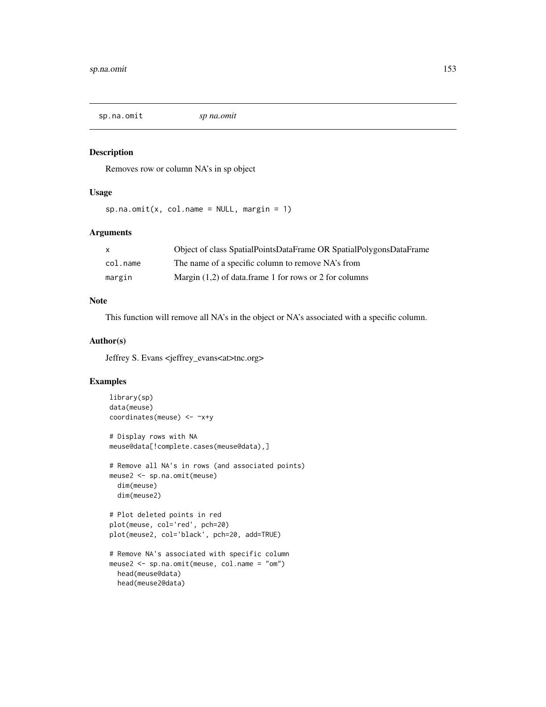<span id="page-152-0"></span>sp.na.omit *sp na.omit*

# Description

Removes row or column NA's in sp object

#### Usage

 $sp.na.$ omit(x, col.name = NULL, margin = 1)

#### Arguments

|          | Object of class SpatialPointsDataFrame OR SpatialPolygonsDataFrame |
|----------|--------------------------------------------------------------------|
| col.name | The name of a specific column to remove NA's from                  |
| margin   | Margin $(1,2)$ of data.frame 1 for rows or 2 for columns           |

# Note

This function will remove all NA's in the object or NA's associated with a specific column.

#### Author(s)

Jeffrey S. Evans <jeffrey\_evans<at>tnc.org>

```
library(sp)
data(meuse)
coordinates(meuse) <- ~x+y
# Display rows with NA
meuse@data[!complete.cases(meuse@data),]
# Remove all NA's in rows (and associated points)
meuse2 <- sp.na.omit(meuse)
  dim(meuse)
  dim(meuse2)
# Plot deleted points in red
plot(meuse, col='red', pch=20)
plot(meuse2, col='black', pch=20, add=TRUE)
# Remove NA's associated with specific column
meuse2 <- sp.na.omit(meuse, col.name = "om")
  head(meuse@data)
  head(meuse2@data)
```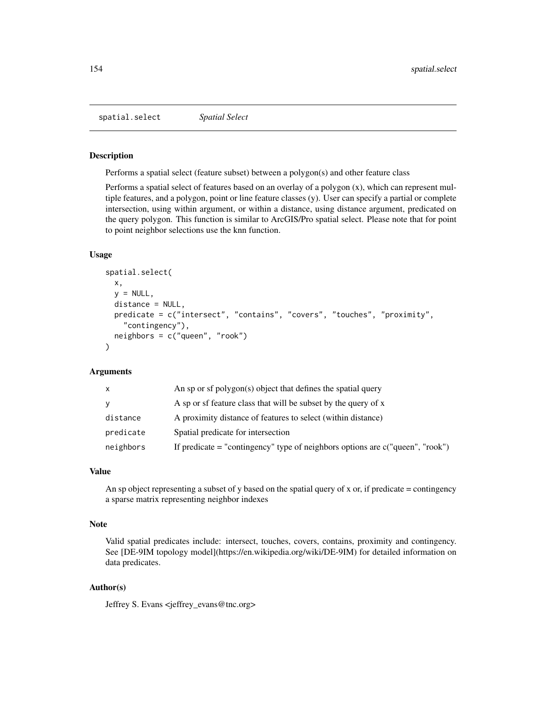<span id="page-153-0"></span>spatial.select *Spatial Select*

#### Description

Performs a spatial select (feature subset) between a polygon(s) and other feature class

Performs a spatial select of features based on an overlay of a polygon (x), which can represent multiple features, and a polygon, point or line feature classes (y). User can specify a partial or complete intersection, using within argument, or within a distance, using distance argument, predicated on the query polygon. This function is similar to ArcGIS/Pro spatial select. Please note that for point to point neighbor selections use the knn function.

# Usage

```
spatial.select(
  x,
  y = NULL,distance = NULL,
 predicate = c("intersect", "contains", "covers", "touches", "proximity",
    "contingency"),
 neighbors = c("queen", "rook")
)
```
#### Arguments

| X         | An sp or sf polygon(s) object that defines the spatial query                       |
|-----------|------------------------------------------------------------------------------------|
| y         | A sp or sf feature class that will be subset by the query of x                     |
| distance  | A proximity distance of features to select (within distance)                       |
| predicate | Spatial predicate for intersection                                                 |
| neighbors | If predicate $=$ "contingency" type of neighbors options are $c$ ("queen", "rook") |

# Value

An sp object representing a subset of y based on the spatial query of x or, if predicate = contingency a sparse matrix representing neighbor indexes

#### Note

Valid spatial predicates include: intersect, touches, covers, contains, proximity and contingency. See [DE-9IM topology model](https://en.wikipedia.org/wiki/DE-9IM) for detailed information on data predicates.

# Author(s)

Jeffrey S. Evans <jeffrey\_evans@tnc.org>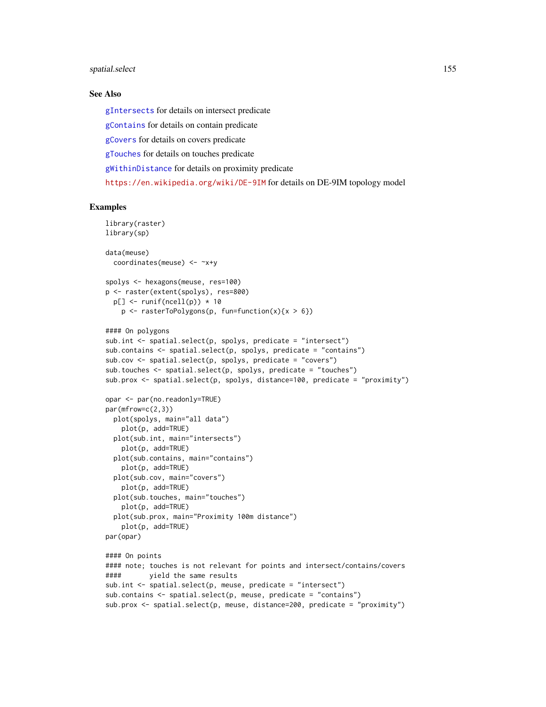# <span id="page-154-0"></span>spatial.select 155

#### See Also

[gIntersects](#page-0-0) for details on intersect predicate

[gContains](#page-0-0) for details on contain predicate

[gCovers](#page-0-0) for details on covers predicate

[gTouches](#page-0-0) for details on touches predicate

[gWithinDistance](#page-0-0) for details on proximity predicate

<https://en.wikipedia.org/wiki/DE-9IM> for details on DE-9IM topology model

```
library(raster)
library(sp)
data(meuse)
 coordinates(meuse) <- ~x+y
spolys <- hexagons(meuse, res=100)
p <- raster(extent(spolys), res=800)
 p[] \leftarrow runif(ncell(p)) * 10p \leq -\n  \text{rasterToPolygons}(p, \text{ fun=function}(x)\{x \geq 6\})#### On polygons
sub.int <- spatial.select(p, spolys, predicate = "intersect")
sub.contains \leq spatial.select(p, spolys, predicate = "contains")
subcov \le spatial.select(p, spolys, predicate = "covers")
sub.touches \leq spatial.select(p, spolys, predicate = "touches")
sub.prox <- spatial.select(p, spolys, distance=100, predicate = "proximity")
opar <- par(no.readonly=TRUE)
par(mfrow=c(2,3))plot(spolys, main="all data")
    plot(p, add=TRUE)
 plot(sub.int, main="intersects")
    plot(p, add=TRUE)
 plot(sub.contains, main="contains")
    plot(p, add=TRUE)
 plot(sub.cov, main="covers")
   plot(p, add=TRUE)
 plot(sub.touches, main="touches")
   plot(p, add=TRUE)
 plot(sub.prox, main="Proximity 100m distance")
   plot(p, add=TRUE)
par(opar)
#### On points
#### note; touches is not relevant for points and intersect/contains/covers
#### yield the same results
sub.int <- spatial.select(p, meuse, predicate = "intersect")
sub.contains <- spatial.select(p, meuse, predicate = "contains")
sub.prox <- spatial.select(p, meuse, distance=200, predicate = "proximity")
```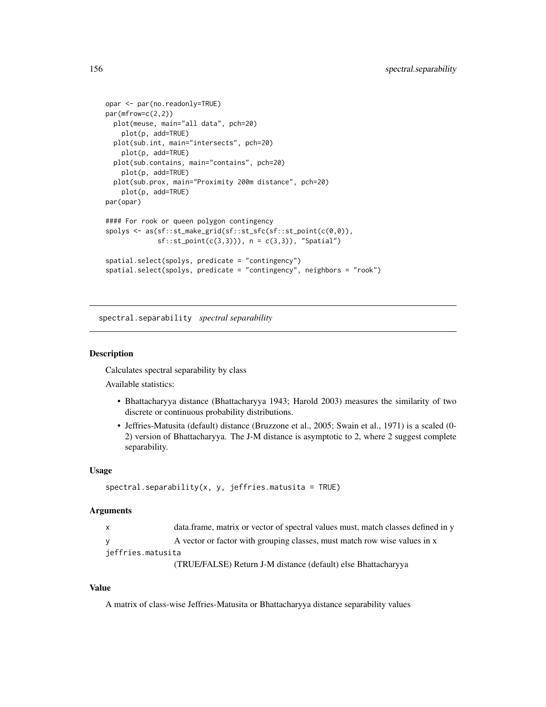```
opar <- par(no.readonly=TRUE)
par(mfrow=c(2,2))
 plot(meuse, main="all data", pch=20)
   plot(p, add=TRUE)
 plot(sub.int, main="intersects", pch=20)
   plot(p, add=TRUE)
 plot(sub.contains, main="contains", pch=20)
   plot(p, add=TRUE)
 plot(sub.prox, main="Proximity 200m distance", pch=20)
   plot(p, add=TRUE)
par(opar)
#### For rook or queen polygon contingency
spolys <- as(sf::st_make_grid(sf::st_sfc(sf::st_point(c(0,0)),
             sf::st\_point(c(3,3))), n = c(3,3)), "Spatial")
spatial.select(spolys, predicate = "contingency")
spatial.select(spolys, predicate = "contingency", neighbors = "rook")
```
spectral.separability *spectral separability*

#### Description

Calculates spectral separability by class

Available statistics:

- Bhattacharyya distance (Bhattacharyya 1943; Harold 2003) measures the similarity of two discrete or continuous probability distributions.
- Jeffries-Matusita (default) distance (Bruzzone et al., 2005; Swain et al., 1971) is a scaled (0- 2) version of Bhattacharyya. The J-M distance is asymptotic to 2, where 2 suggest complete separability.

#### Usage

```
spectral.\nseparability(x, y, jeffries.\nmatrix = TRUE)
```
#### Arguments

| data.frame, matrix or vector of spectral values must, match classes defined in y |
|----------------------------------------------------------------------------------|
| A vector or factor with grouping classes, must match row wise values in x        |

jeffries.matusita

(TRUE/FALSE) Return J-M distance (default) else Bhattacharyya

#### Value

A matrix of class-wise Jeffries-Matusita or Bhattacharyya distance separability values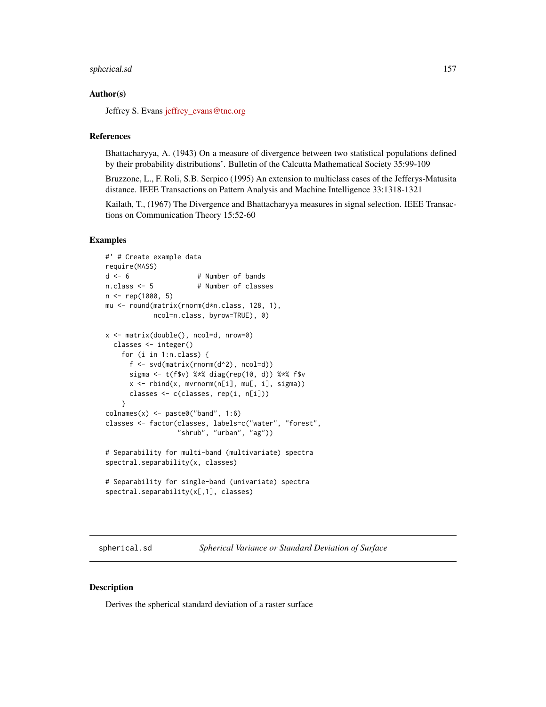#### <span id="page-156-0"></span>spherical.sd 157

# Author(s)

Jeffrey S. Evans [jeffrey\\_evans@tnc.org](mailto:jeffrey_evans@tnc.org)

#### References

Bhattacharyya, A. (1943) On a measure of divergence between two statistical populations defined by their probability distributions'. Bulletin of the Calcutta Mathematical Society 35:99-109

Bruzzone, L., F. Roli, S.B. Serpico (1995) An extension to multiclass cases of the Jefferys-Matusita distance. IEEE Transactions on Pattern Analysis and Machine Intelligence 33:1318-1321

Kailath, T., (1967) The Divergence and Bhattacharyya measures in signal selection. IEEE Transactions on Communication Theory 15:52-60

### Examples

```
#' # Create example data
require(MASS)
d \le -6 # Number of bands
n.class <- 5 # Number of classes
n <- rep(1000, 5)
mu <- round(matrix(rnorm(d*n.class, 128, 1),
            ncol=n.class, byrow=TRUE), 0)
x <- matrix(double(), ncol=d, nrow=0)
  classes <- integer()
    for (i in 1:n.class) {
      f <- svd(matrix(rnorm(d^2), ncol=d))
      sigma <- t(f$v) %*% diag(rep(10, d)) %*% f$v
      x \le rbind(x, mvrnorm(n[i], mu[, i], sigma))
      classes <- c(classes, rep(i, n[i]))
    }
\text{colnames}(x) \leq \text{past} \cdot \text{col} \cdot \text{cond} \cdot \text{col} \cdot \text{no}classes <- factor(classes, labels=c("water", "forest",
                   "shrub", "urban", "ag"))
# Separability for multi-band (multivariate) spectra
spectral.separability(x, classes)
# Separability for single-band (univariate) spectra
spectral.separability(x[,1], classes)
```
spherical.sd *Spherical Variance or Standard Deviation of Surface*

#### Description

Derives the spherical standard deviation of a raster surface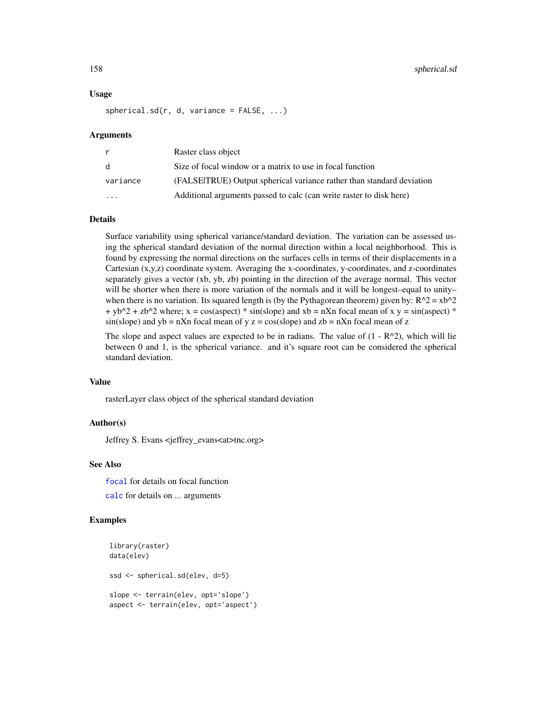#### Usage

 $spherical.sd(r, d, variance = FALSE, ...)$ 

#### Arguments

|           | Raster class object                                                   |
|-----------|-----------------------------------------------------------------------|
| d         | Size of focal window or a matrix to use in focal function             |
| variance  | (FALSEITRUE) Output spherical variance rather than standard deviation |
| $\ddotsc$ | Additional arguments passed to calc (can write raster to disk here)   |

#### Details

Surface variability using spherical variance/standard deviation. The variation can be assessed using the spherical standard deviation of the normal direction within a local neighborhood. This is found by expressing the normal directions on the surfaces cells in terms of their displacements in a Cartesian (x,y,z) coordinate system. Averaging the x-coordinates, y-coordinates, and z-coordinates separately gives a vector (xb, yb, zb) pointing in the direction of the average normal. This vector will be shorter when there is more variation of the normals and it will be longest–equal to unity– when there is no variation. Its squared length is (by the Pythagorean theorem) given by:  $R^2 = xb^2$  $+$  yb^2 + zb^2 where; x = cos(aspect) \* sin(slope) and xb = nXn focal mean of x y = sin(aspect) \*  $sin(slope)$  and  $yb = nXn$  focal mean of y  $z = cos(slope)$  and  $zb = nXn$  focal mean of z

The slope and aspect values are expected to be in radians. The value of  $(1 - R^2)$ , which will lie between 0 and 1, is the spherical variance. and it's square root can be considered the spherical standard deviation.

#### Value

rasterLayer class object of the spherical standard deviation

#### Author(s)

Jeffrey S. Evans <jeffrey\_evans<at>tnc.org>

#### See Also

[focal](#page-0-0) for details on focal function

[calc](#page-0-0) for details on ... arguments

```
library(raster)
data(elev)
ssd <- spherical.sd(elev, d=5)
slope <- terrain(elev, opt='slope')
aspect <- terrain(elev, opt='aspect')
```
<span id="page-157-0"></span>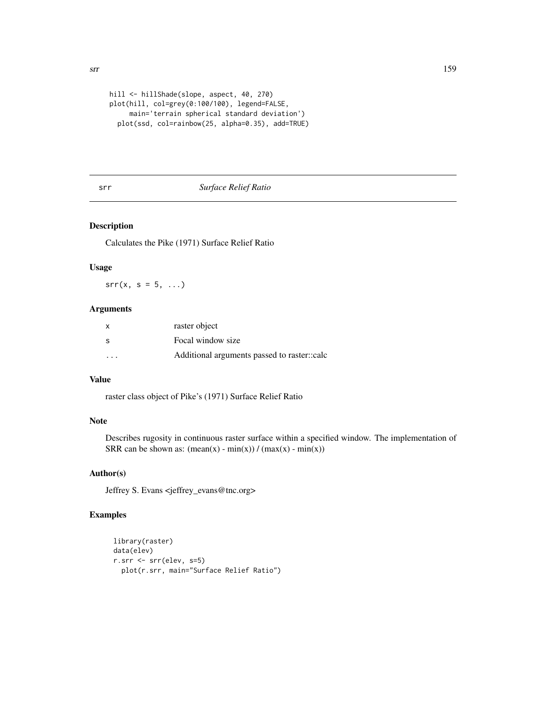```
hill <- hillShade(slope, aspect, 40, 270)
plot(hill, col=grey(0:100/100), legend=FALSE,
     main='terrain spherical standard deviation')
 plot(ssd, col=rainbow(25, alpha=0.35), add=TRUE)
```
# srr *Surface Relief Ratio*

# Description

Calculates the Pike (1971) Surface Relief Ratio

# Usage

 $srr(x, s = 5, ...)$ 

# Arguments

| x                       | raster object                               |
|-------------------------|---------------------------------------------|
| S                       | Focal window size                           |
| $\cdot$ $\cdot$ $\cdot$ | Additional arguments passed to raster::calc |

# Value

raster class object of Pike's (1971) Surface Relief Ratio

# Note

Describes rugosity in continuous raster surface within a specified window. The implementation of SRR can be shown as:  $(\text{mean}(x) - \text{min}(x)) / (\text{max}(x) - \text{min}(x))$ 

# Author(s)

Jeffrey S. Evans <jeffrey\_evans@tnc.org>

```
library(raster)
data(elev)
r.srr <- srr(elev, s=5)
  plot(r.srr, main="Surface Relief Ratio")
```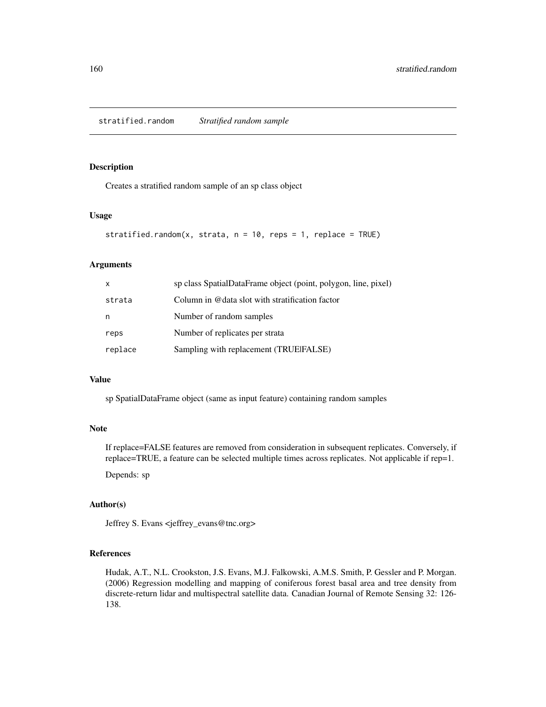# <span id="page-159-0"></span>Description

Creates a stratified random sample of an sp class object

# Usage

```
stratified.random(x, strata, n = 10, reps = 1, replace = TRUE)
```
# Arguments

| X       | sp class SpatialDataFrame object (point, polygon, line, pixel) |
|---------|----------------------------------------------------------------|
| strata  | Column in @data slot with stratification factor                |
| n       | Number of random samples                                       |
| reps    | Number of replicates per strata                                |
| replace | Sampling with replacement (TRUEFALSE)                          |

#### Value

sp SpatialDataFrame object (same as input feature) containing random samples

#### Note

If replace=FALSE features are removed from consideration in subsequent replicates. Conversely, if replace=TRUE, a feature can be selected multiple times across replicates. Not applicable if rep=1.

Depends: sp

# Author(s)

Jeffrey S. Evans <jeffrey\_evans@tnc.org>

# References

Hudak, A.T., N.L. Crookston, J.S. Evans, M.J. Falkowski, A.M.S. Smith, P. Gessler and P. Morgan. (2006) Regression modelling and mapping of coniferous forest basal area and tree density from discrete-return lidar and multispectral satellite data. Canadian Journal of Remote Sensing 32: 126- 138.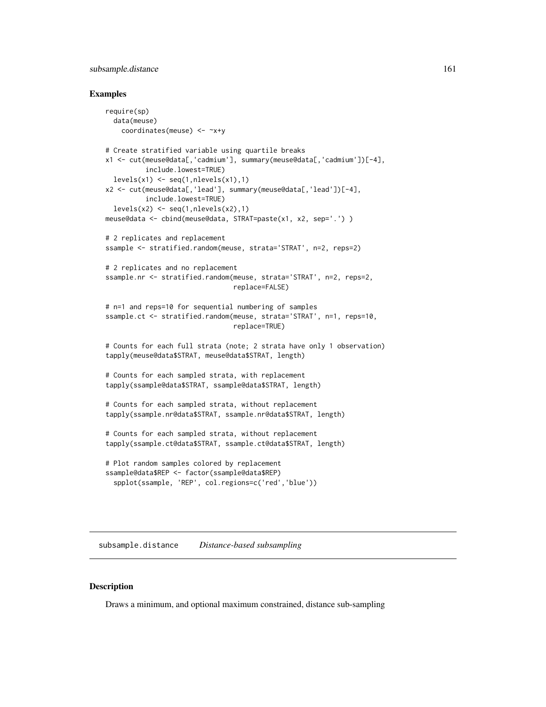# <span id="page-160-0"></span>subsample.distance 161

#### Examples

```
require(sp)
  data(meuse)
    coordinates(meuse) <- ~x+y
# Create stratified variable using quartile breaks
x1 <- cut(meuse@data[,'cadmium'], summary(meuse@data[,'cadmium'])[-4],
          include.lowest=TRUE)
  levels(x1) \leftarrow seq(1, nlevels(x1), 1)x2 <- cut(meuse@data[,'lead'], summary(meuse@data[,'lead'])[-4],
          include.lowest=TRUE)
  levels(x2) \leftarrow seq(1, nlevels(x2), 1)meuse@data <- cbind(meuse@data, STRAT=paste(x1, x2, sep='.') )
# 2 replicates and replacement
ssample <- stratified.random(meuse, strata='STRAT', n=2, reps=2)
# 2 replicates and no replacement
ssample.nr <- stratified.random(meuse, strata='STRAT', n=2, reps=2,
                                 replace=FALSE)
# n=1 and reps=10 for sequential numbering of samples
ssample.ct <- stratified.random(meuse, strata='STRAT', n=1, reps=10,
                                 replace=TRUE)
# Counts for each full strata (note; 2 strata have only 1 observation)
tapply(meuse@data$STRAT, meuse@data$STRAT, length)
# Counts for each sampled strata, with replacement
tapply(ssample@data$STRAT, ssample@data$STRAT, length)
# Counts for each sampled strata, without replacement
tapply(ssample.nr@data$STRAT, ssample.nr@data$STRAT, length)
# Counts for each sampled strata, without replacement
tapply(ssample.ct@data$STRAT, ssample.ct@data$STRAT, length)
# Plot random samples colored by replacement
ssample@data$REP <- factor(ssample@data$REP)
  spplot(ssample, 'REP', col.regions=c('red','blue'))
```
subsample.distance *Distance-based subsampling*

#### Description

Draws a minimum, and optional maximum constrained, distance sub-sampling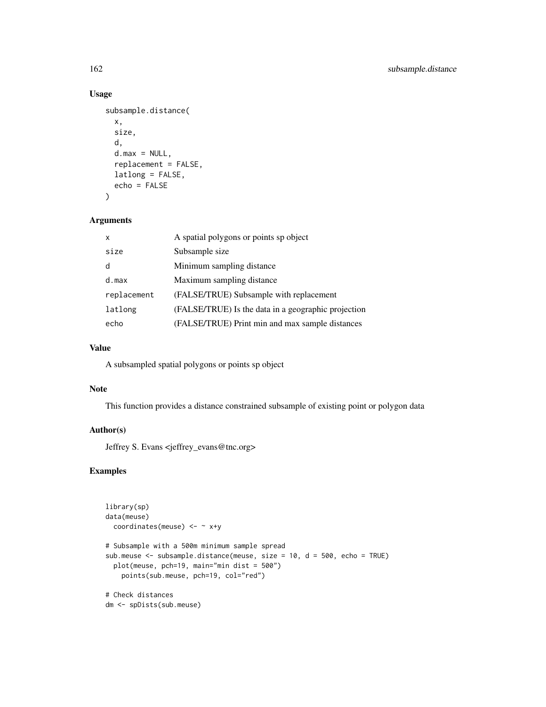# Usage

```
subsample.distance(
  x,
  size,
 d,
  d.max = NULL,replacement = FALSE,
 latlong = FALSE,
  echo = FALSE
)
```
# Arguments

| $\mathsf{x}$ | A spatial polygons or points sp object              |
|--------------|-----------------------------------------------------|
| size         | Subsample size                                      |
| d            | Minimum sampling distance                           |
| d.max        | Maximum sampling distance                           |
| replacement  | (FALSE/TRUE) Subsample with replacement             |
| latlong      | (FALSE/TRUE) Is the data in a geographic projection |
| echo         | (FALSE/TRUE) Print min and max sample distances     |

# Value

A subsampled spatial polygons or points sp object

#### Note

This function provides a distance constrained subsample of existing point or polygon data

# Author(s)

Jeffrey S. Evans <jeffrey\_evans@tnc.org>

```
library(sp)
data(meuse)
  coordinates(meuse) <- ~ x+y
# Subsample with a 500m minimum sample spread
sub.meuse <- subsample.distance(meuse, size = 10, d = 500, echo = TRUE)
  plot(meuse, pch=19, main="min dist = 500")
   points(sub.meuse, pch=19, col="red")
# Check distances
dm <- spDists(sub.meuse)
```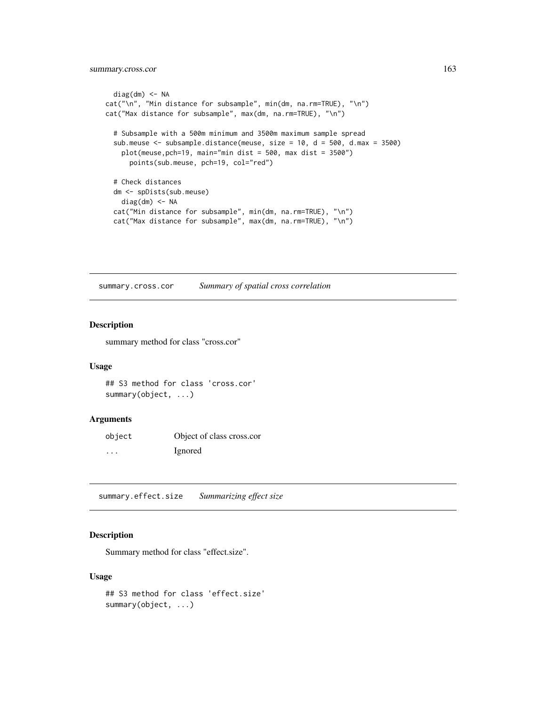# <span id="page-162-0"></span>summary.cross.cor 163

```
diag(dm) <- NA
cat("\n", "Min distance for subsample", min(dm, na.rm=TRUE), "\n")
cat("Max distance for subsample", max(dm, na.rm=TRUE), "\n")
 # Subsample with a 500m minimum and 3500m maximum sample spread
 sub.meuse <- subsample.distance(meuse, size = 10, d = 500, d.max = 3500)
   plot(meuse,pch=19, main="min dist = 500, max dist = 3500")
     points(sub.meuse, pch=19, col="red")
 # Check distances
 dm <- spDists(sub.meuse)
   diag(dm) <- NA
  cat("Min distance for subsample", min(dm, na.rm=TRUE), "\n")
  cat("Max distance for subsample", max(dm, na.rm=TRUE), "\n")
```
summary.cross.cor *Summary of spatial cross correlation*

# Description

summary method for class "cross.cor"

#### Usage

```
## S3 method for class 'cross.cor'
summary(object, ...)
```
#### Arguments

| object | Object of class cross.cor |
|--------|---------------------------|
| .      | <i>l</i> gnored           |

summary.effect.size *Summarizing effect size*

# Description

Summary method for class "effect.size".

#### Usage

```
## S3 method for class 'effect.size'
summary(object, ...)
```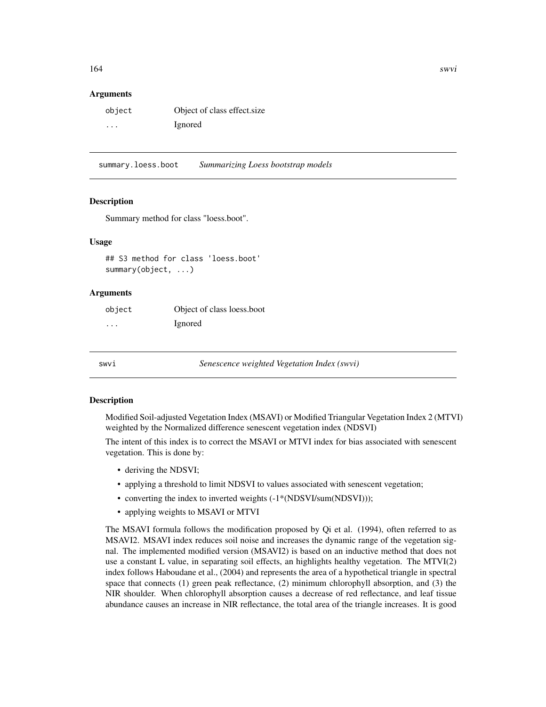#### <span id="page-163-0"></span>Arguments

| object  | Object of class effect size |
|---------|-----------------------------|
| $\cdot$ | Ignored                     |

summary.loess.boot *Summarizing Loess bootstrap models*

#### Description

Summary method for class "loess.boot".

#### Usage

## S3 method for class 'loess.boot' summary(object, ...)

#### Arguments

| object   | Object of class loess, boot |
|----------|-----------------------------|
| $\cdots$ | Ignored                     |

swvi *Senescence weighted Vegetation Index (swvi)*

#### Description

Modified Soil-adjusted Vegetation Index (MSAVI) or Modified Triangular Vegetation Index 2 (MTVI) weighted by the Normalized difference senescent vegetation index (NDSVI)

The intent of this index is to correct the MSAVI or MTVI index for bias associated with senescent vegetation. This is done by:

- deriving the NDSVI;
- applying a threshold to limit NDSVI to values associated with senescent vegetation;
- converting the index to inverted weights  $(-1*(NDSVI/sum(NDSVI)))$ ;
- applying weights to MSAVI or MTVI

The MSAVI formula follows the modification proposed by Qi et al. (1994), often referred to as MSAVI2. MSAVI index reduces soil noise and increases the dynamic range of the vegetation signal. The implemented modified version (MSAVI2) is based on an inductive method that does not use a constant L value, in separating soil effects, an highlights healthy vegetation. The MTVI(2) index follows Haboudane et al., (2004) and represents the area of a hypothetical triangle in spectral space that connects (1) green peak reflectance, (2) minimum chlorophyll absorption, and (3) the NIR shoulder. When chlorophyll absorption causes a decrease of red reflectance, and leaf tissue abundance causes an increase in NIR reflectance, the total area of the triangle increases. It is good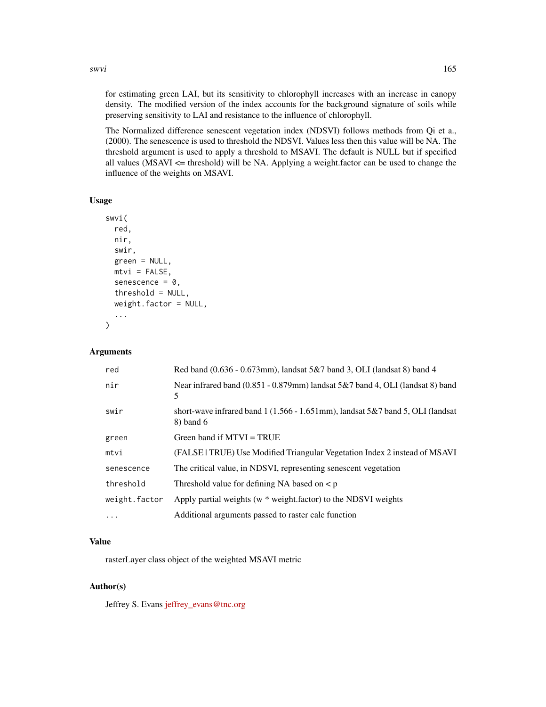swvi 165

for estimating green LAI, but its sensitivity to chlorophyll increases with an increase in canopy density. The modified version of the index accounts for the background signature of soils while preserving sensitivity to LAI and resistance to the influence of chlorophyll.

The Normalized difference senescent vegetation index (NDSVI) follows methods from Qi et a., (2000). The senescence is used to threshold the NDSVI. Values less then this value will be NA. The threshold argument is used to apply a threshold to MSAVI. The default is NULL but if specified all values ( $MSAVI \leq$  threshold) will be NA. Applying a weight. factor can be used to change the influence of the weights on MSAVI.

# Usage

```
swvi(
  red,
  nir,
  swir,
  green = NULL,
 mtvi = FALSE,senescence = 0,
  threshold = NULL,
  weight.factor = NULL,
  ...
)
```
# Arguments

| red           | Red band $(0.636 - 0.673$ mm), landsat $5&7$ band 3, OLI (landsat 8) band 4                              |
|---------------|----------------------------------------------------------------------------------------------------------|
| nir           | Near infrared band $(0.851 - 0.879$ mm) landsat 5&7 band 4, OLI (landsat 8) band<br>5                    |
| swir          | short-wave infrared band $1(1.566 - 1.651 \text{mm})$ , landsat $5\&7$ band 5, OLI (landsat<br>8) band 6 |
| green         | Green band if $MTVI = TRUE$                                                                              |
| mtvi          | (FALSE   TRUE) Use Modified Triangular Vegetation Index 2 instead of MSAVI                               |
| senescence    | The critical value, in NDSVI, representing senescent vegetation                                          |
| threshold     | Threshold value for defining NA based on $\lt p$                                                         |
| weight.factor | Apply partial weights (w * weight.factor) to the NDSVI weights                                           |
| $\ddots$ .    | Additional arguments passed to raster calc function                                                      |

#### Value

rasterLayer class object of the weighted MSAVI metric

#### Author(s)

Jeffrey S. Evans [jeffrey\\_evans@tnc.org](mailto:jeffrey_evans@tnc.org)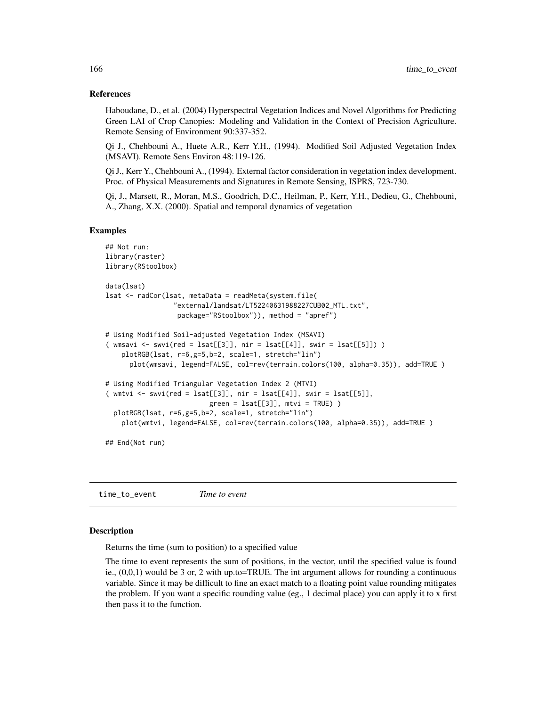#### References

Haboudane, D., et al. (2004) Hyperspectral Vegetation Indices and Novel Algorithms for Predicting Green LAI of Crop Canopies: Modeling and Validation in the Context of Precision Agriculture. Remote Sensing of Environment 90:337-352.

Qi J., Chehbouni A., Huete A.R., Kerr Y.H., (1994). Modified Soil Adjusted Vegetation Index (MSAVI). Remote Sens Environ 48:119-126.

Qi J., Kerr Y., Chehbouni A., (1994). External factor consideration in vegetation index development. Proc. of Physical Measurements and Signatures in Remote Sensing, ISPRS, 723-730.

Qi, J., Marsett, R., Moran, M.S., Goodrich, D.C., Heilman, P., Kerr, Y.H., Dedieu, G., Chehbouni, A., Zhang, X.X. (2000). Spatial and temporal dynamics of vegetation

#### Examples

```
## Not run:
library(raster)
library(RStoolbox)
data(lsat)
lsat <- radCor(lsat, metaData = readMeta(system.file(
                 "external/landsat/LT52240631988227CUB02_MTL.txt",
                  package="RStoolbox")), method = "apref")
# Using Modified Soil-adjusted Vegetation Index (MSAVI)
( wmsavi \le swvi(red = lsat[[3]], nir = lsat[[4]], swir = lsat[[5]]) )
    plotRGB(lsat, r=6,g=5,b=2, scale=1, stretch="lin")
      plot(wmsavi, legend=FALSE, col=rev(terrain.colors(100, alpha=0.35)), add=TRUE )
# Using Modified Triangular Vegetation Index 2 (MTVI)
( wmtvi \le swvi(red = lsat[[3]], nir = lsat[[4]], swir = lsat[[5]],
                          green = 1sat[[3]], mtvi = TRUE) )
  plotRGB(lsat, r=6,g=5,b=2, scale=1, stretch="lin")
    plot(wmtvi, legend=FALSE, col=rev(terrain.colors(100, alpha=0.35)), add=TRUE )
## End(Not run)
```
time\_to\_event *Time to event*

# Description

Returns the time (sum to position) to a specified value

The time to event represents the sum of positions, in the vector, until the specified value is found ie.,  $(0,0,1)$  would be 3 or, 2 with up.to=TRUE. The int argument allows for rounding a continuous variable. Since it may be difficult to fine an exact match to a floating point value rounding mitigates the problem. If you want a specific rounding value (eg., 1 decimal place) you can apply it to x first then pass it to the function.

<span id="page-165-0"></span>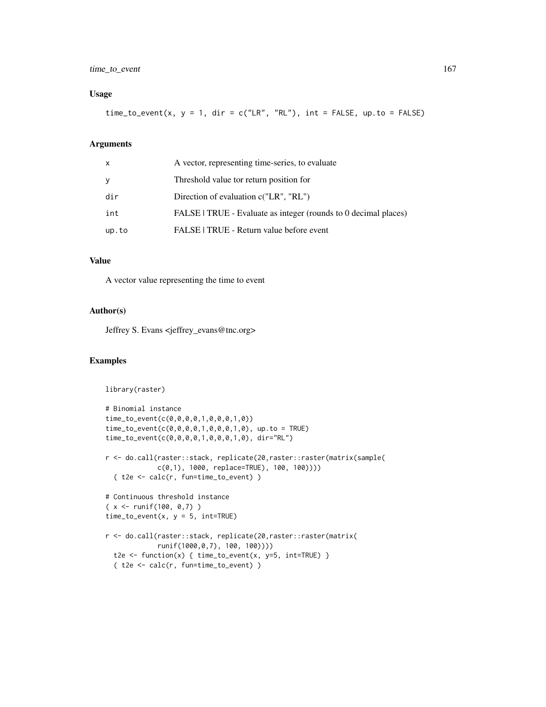# time\_to\_event 167

# Usage

time\_to\_event(x,  $y = 1$ , dir = c("LR", "RL"), int = FALSE, up.to = FALSE)

# Arguments

| X     | A vector, representing time-series, to evaluate                 |
|-------|-----------------------------------------------------------------|
| У     | Threshold value tor return position for                         |
| dir   | Direction of evaluation c("LR", "RL")                           |
| int   | FALSE   TRUE - Evaluate as integer (rounds to 0 decimal places) |
| up.to | FALSE   TRUE - Return value before event                        |

# Value

A vector value representing the time to event

#### Author(s)

Jeffrey S. Evans <jeffrey\_evans@tnc.org>

```
library(raster)
# Binomial instance
time_to_event(c(0,0,0,0,1,0,0,0,1,0))
time_to_event(c(0,0,0,0,1,0,0,0,1,0), up.to = TRUE)
time_to_event(c(0,0,0,0,1,0,0,0,1,0), dir="RL")
r <- do.call(raster::stack, replicate(20,raster::raster(matrix(sample(
             c(0,1), 1000, replace=TRUE), 100, 100))))
  ( t2e <- calc(r, fun=time_to_event) )
# Continuous threshold instance
(x < - runif(100, 0,7))
time_to_events(x, y = 5, int=True)r <- do.call(raster::stack, replicate(20,raster::raster(matrix(
             runif(1000,0,7), 100, 100))))
  t2e <- function(x) { time_to_events(x, y=5, int=True) }
  ( t2e <- calc(r, fun=time_to_event) )
```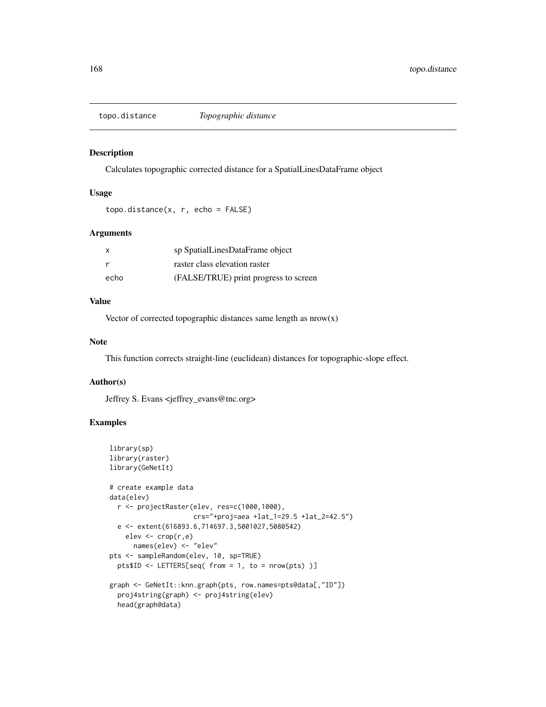<span id="page-167-0"></span>

#### Description

Calculates topographic corrected distance for a SpatialLinesDataFrame object

# Usage

```
topo.distance(x, r, echo = FALSE)
```
#### Arguments

| x    | sp SpatialLinesDataFrame object       |
|------|---------------------------------------|
| r    | raster class elevation raster         |
| echo | (FALSE/TRUE) print progress to screen |

#### Value

Vector of corrected topographic distances same length as nrow(x)

#### Note

This function corrects straight-line (euclidean) distances for topographic-slope effect.

#### Author(s)

Jeffrey S. Evans <jeffrey\_evans@tnc.org>

```
library(sp)
library(raster)
library(GeNetIt)
# create example data
data(elev)
 r <- projectRaster(elev, res=c(1000,1000),
                    crs="+proj=aea +lat_1=29.5 +lat_2=42.5")
 e <- extent(616893.6,714697.3,5001027,5080542)
    elev <- crop(r,e)
     names(elev) <- "elev"
pts <- sampleRandom(elev, 10, sp=TRUE)
  pts$ID <- LETTERS[seq( from = 1, to = nrow(pts) )]
graph <- GeNetIt::knn.graph(pts, row.names=pts@data[,"ID"])
  proj4string(graph) <- proj4string(elev)
  head(graph@data)
```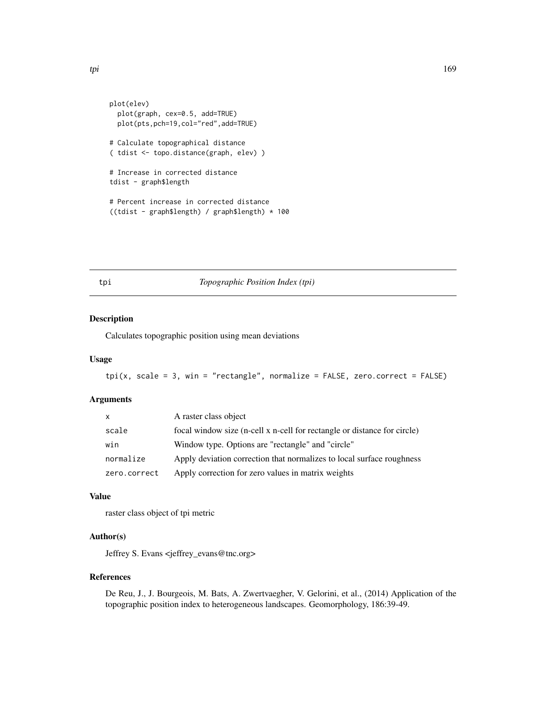```
tpi termine all'università della contratta della contratta della contratta della contratta di forma di forma d
```

```
plot(elev)
 plot(graph, cex=0.5, add=TRUE)
  plot(pts,pch=19,col="red",add=TRUE)
# Calculate topographical distance
( tdist <- topo.distance(graph, elev) )
# Increase in corrected distance
tdist - graph$length
# Percent increase in corrected distance
((tdist - graph$length) / graph$length) * 100
```
# tpi *Topographic Position Index (tpi)*

# Description

Calculates topographic position using mean deviations

# Usage

```
tpi(x, scale = 3, win = "rectangle", normalize = FALSE, zero.correct = FALSE)
```
#### Arguments

| X            | A raster class object                                                    |
|--------------|--------------------------------------------------------------------------|
| scale        | focal window size (n-cell x n-cell for rectangle or distance for circle) |
| win          | Window type. Options are "rectangle" and "circle"                        |
| normalize    | Apply deviation correction that normalizes to local surface roughness    |
| zero.correct | Apply correction for zero values in matrix weights                       |

# Value

raster class object of tpi metric

#### Author(s)

Jeffrey S. Evans <jeffrey\_evans@tnc.org>

# References

De Reu, J., J. Bourgeois, M. Bats, A. Zwertvaegher, V. Gelorini, et al., (2014) Application of the topographic position index to heterogeneous landscapes. Geomorphology, 186:39-49.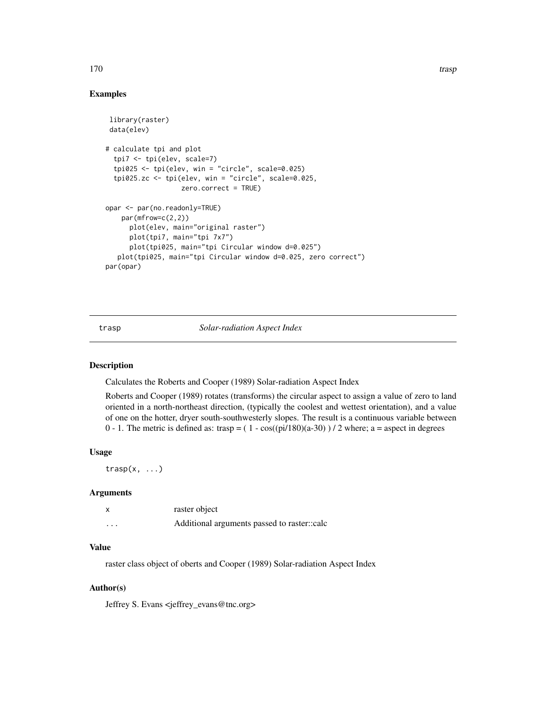#### <span id="page-169-0"></span>170 trasp

# Examples

```
library(raster)
data(elev)
# calculate tpi and plot
 tpi7 <- tpi(elev, scale=7)
 tpi025 <- tpi(elev, win = "circle", scale=0.025)
 tpi025.zc <- tpi(elev, win = "circle", scale=0.025,
                   zero.correct = TRUE)
opar <- par(no.readonly=TRUE)
   par(mfrow=c(2,2))
     plot(elev, main="original raster")
     plot(tpi7, main="tpi 7x7")
     plot(tpi025, main="tpi Circular window d=0.025")
  plot(tpi025, main="tpi Circular window d=0.025, zero correct")
par(opar)
```
trasp *Solar-radiation Aspect Index*

#### Description

Calculates the Roberts and Cooper (1989) Solar-radiation Aspect Index

Roberts and Cooper (1989) rotates (transforms) the circular aspect to assign a value of zero to land oriented in a north-northeast direction, (typically the coolest and wettest orientation), and a value of one on the hotter, dryer south-southwesterly slopes. The result is a continuous variable between 0 - 1. The metric is defined as: trasp =  $(1 - cos((pi/180)(a-30))$  / 2 where; a = aspect in degrees

#### Usage

 $trasp(x, \ldots)$ 

#### Arguments

| X        | raster object                               |
|----------|---------------------------------------------|
| $\cdots$ | Additional arguments passed to raster::calc |

# Value

raster class object of oberts and Cooper (1989) Solar-radiation Aspect Index

#### Author(s)

Jeffrey S. Evans <jeffrey\_evans@tnc.org>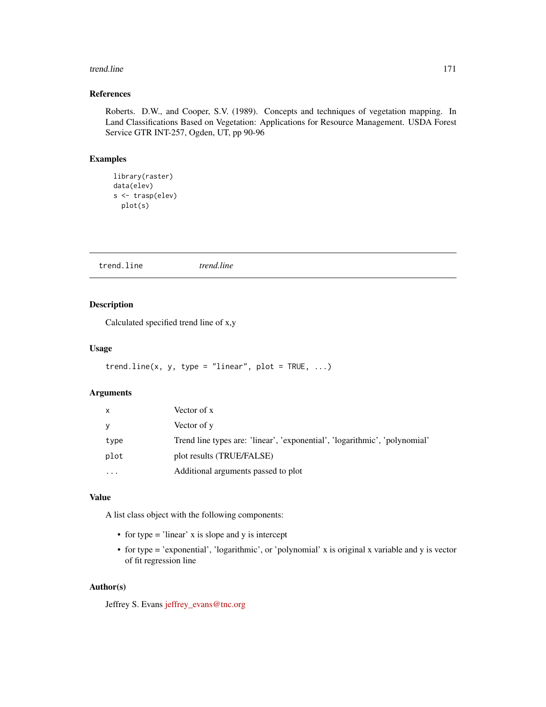#### trend.line 171

# References

Roberts. D.W., and Cooper, S.V. (1989). Concepts and techniques of vegetation mapping. In Land Classifications Based on Vegetation: Applications for Resource Management. USDA Forest Service GTR INT-257, Ogden, UT, pp 90-96

# Examples

```
library(raster)
data(elev)
s <- trasp(elev)
 plot(s)
```
trend.line *trend.line*

# Description

Calculated specified trend line of x,y

# Usage

```
trend.line(x, y, type = "linear", plot = TRUE, ...)
```
# Arguments

| x         | Vector of x                                                                |
|-----------|----------------------------------------------------------------------------|
| v         | Vector of y                                                                |
| type      | Trend line types are: 'linear', 'exponential', 'logarithmic', 'polynomial' |
| plot      | plot results (TRUE/FALSE)                                                  |
| $\ddotsc$ | Additional arguments passed to plot                                        |
|           |                                                                            |

# Value

A list class object with the following components:

- for type = 'linear' x is slope and y is intercept
- for type = 'exponential', 'logarithmic', or 'polynomial' x is original x variable and y is vector of fit regression line

# Author(s)

Jeffrey S. Evans [jeffrey\\_evans@tnc.org](mailto:jeffrey_evans@tnc.org)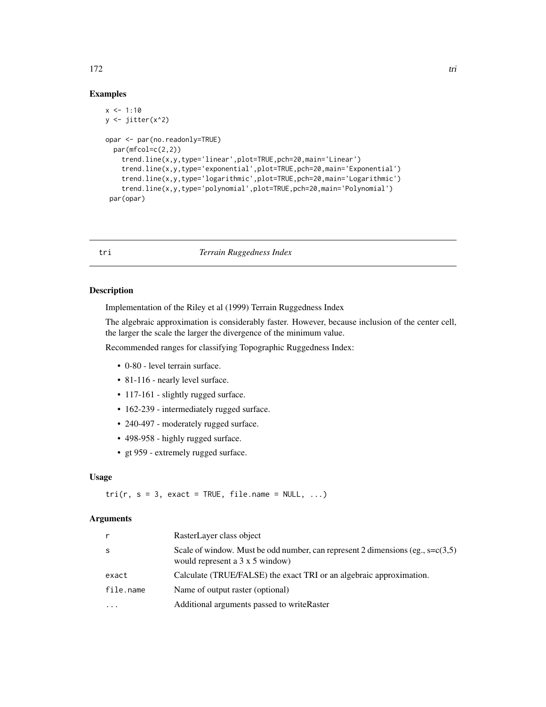#### Examples

```
x < -1:10y <- jitter(x^2)
opar <- par(no.readonly=TRUE)
  par(mfcol=c(2,2))
    trend.line(x,y,type='linear',plot=TRUE,pch=20,main='Linear')
    trend.line(x,y,type='exponential',plot=TRUE,pch=20,main='Exponential')
    trend.line(x,y,type='logarithmic',plot=TRUE,pch=20,main='Logarithmic')
    trend.line(x,y,type='polynomial',plot=TRUE,pch=20,main='Polynomial')
 par(opar)
```
tri *Terrain Ruggedness Index*

# Description

Implementation of the Riley et al (1999) Terrain Ruggedness Index

The algebraic approximation is considerably faster. However, because inclusion of the center cell, the larger the scale the larger the divergence of the minimum value.

Recommended ranges for classifying Topographic Ruggedness Index:

- 0-80 level terrain surface.
- 81-116 nearly level surface.
- 117-161 slightly rugged surface.
- 162-239 intermediately rugged surface.
- 240-497 moderately rugged surface.
- 498-958 highly rugged surface.
- gt 959 extremely rugged surface.

# Usage

 $tri(r, s = 3, exact = TRUE, file.name = NULL, ...)$ 

#### Arguments

|           | RasterLayer class object                                                                                                       |
|-----------|--------------------------------------------------------------------------------------------------------------------------------|
| S         | Scale of window. Must be odd number, can represent 2 dimensions (eg., $s = c(3,5)$ )<br>would represent a $3 \times 5$ window) |
| exact     | Calculate (TRUE/FALSE) the exact TRI or an algebraic approximation.                                                            |
| file.name | Name of output raster (optional)                                                                                               |
| $\cdots$  | Additional arguments passed to writeRaster                                                                                     |

172 triangled the contract of the contract of the contract of the contract of the contract of the contract of the contract of the contract of the contract of the contract of the contract of the contract of the contract of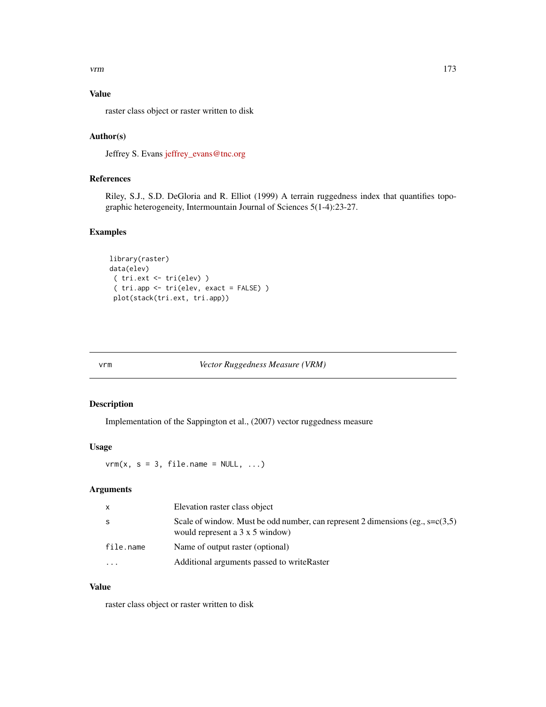# Value

raster class object or raster written to disk

# Author(s)

Jeffrey S. Evans [jeffrey\\_evans@tnc.org](mailto:jeffrey_evans@tnc.org)

# References

Riley, S.J., S.D. DeGloria and R. Elliot (1999) A terrain ruggedness index that quantifies topographic heterogeneity, Intermountain Journal of Sciences 5(1-4):23-27.

# Examples

```
library(raster)
data(elev)
( tri.ext <- tri(elev) )
 ( tri.app <- tri(elev, exact = FALSE) )
 plot(stack(tri.ext, tri.app))
```
vrm *Vector Ruggedness Measure (VRM)*

# Description

Implementation of the Sappington et al., (2007) vector ruggedness measure

# Usage

 $vrm(x, s = 3, file.name = NULL, ...)$ 

#### Arguments

| $\mathsf{x}$ | Elevation raster class object                                                                                                  |
|--------------|--------------------------------------------------------------------------------------------------------------------------------|
| -S           | Scale of window. Must be odd number, can represent 2 dimensions (eg., $s = c(3,5)$ )<br>would represent a $3 \times 5$ window) |
| file.name    | Name of output raster (optional)                                                                                               |
| $\cdots$     | Additional arguments passed to write Raster                                                                                    |

#### Value

raster class object or raster written to disk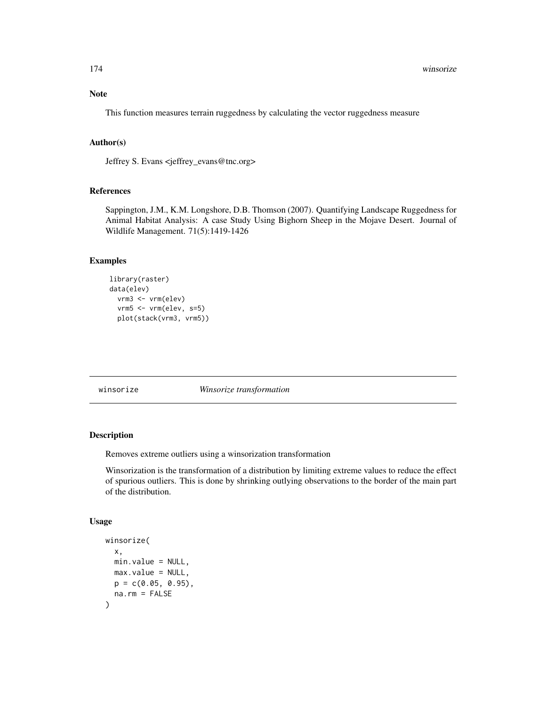This function measures terrain ruggedness by calculating the vector ruggedness measure

# Author(s)

Jeffrey S. Evans <jeffrey\_evans@tnc.org>

# References

Sappington, J.M., K.M. Longshore, D.B. Thomson (2007). Quantifying Landscape Ruggedness for Animal Habitat Analysis: A case Study Using Bighorn Sheep in the Mojave Desert. Journal of Wildlife Management. 71(5):1419-1426

# Examples

```
library(raster)
data(elev)
 vrm3 <- vrm(elev)
  vrm5 <- vrm(elev, s=5)
  plot(stack(vrm3, vrm5))
```
winsorize *Winsorize transformation*

#### Description

Removes extreme outliers using a winsorization transformation

Winsorization is the transformation of a distribution by limiting extreme values to reduce the effect of spurious outliers. This is done by shrinking outlying observations to the border of the main part of the distribution.

#### Usage

```
winsorize(
  x,
 min.value = NULL,
 max.value = NULL,
 p = c(0.05, 0.95),
  na.rm = FALSE
)
```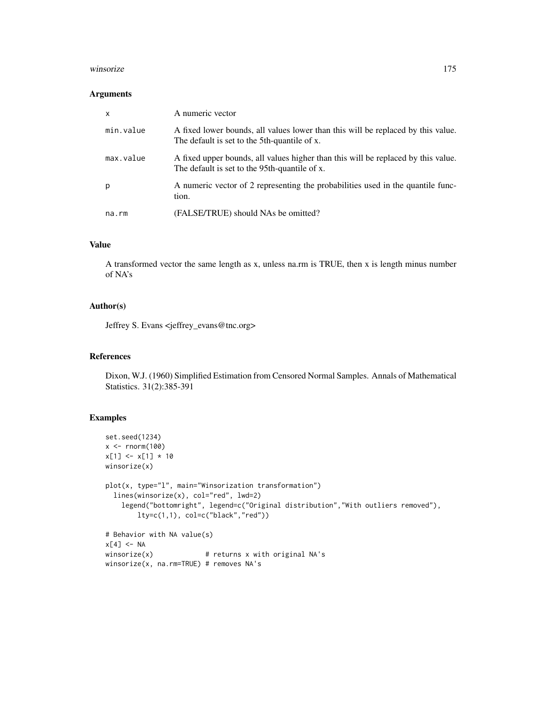#### winsorize 175

#### Arguments

| $\mathsf{x}$ | A numeric vector                                                                                                                   |
|--------------|------------------------------------------------------------------------------------------------------------------------------------|
| min.value    | A fixed lower bounds, all values lower than this will be replaced by this value.<br>The default is set to the 5th-quantile of x.   |
| max.value    | A fixed upper bounds, all values higher than this will be replaced by this value.<br>The default is set to the 95th-quantile of x. |
| p            | A numeric vector of 2 representing the probabilities used in the quantile func-<br>tion.                                           |
| na.rm        | (FALSE/TRUE) should NAs be omitted?                                                                                                |

# Value

A transformed vector the same length as x, unless na.rm is TRUE, then x is length minus number of NA's

#### Author(s)

Jeffrey S. Evans <jeffrey\_evans@tnc.org>

# References

Dixon, W.J. (1960) Simplified Estimation from Censored Normal Samples. Annals of Mathematical Statistics. 31(2):385-391

```
set.seed(1234)
x < - rnorm(100)
x[1] < -x[1] * 10winsorize(x)
plot(x, type="l", main="Winsorization transformation")
 lines(winsorize(x), col="red", lwd=2)
   legend("bottomright", legend=c("Original distribution","With outliers removed"),
       lty=c(1,1), col=c("black","red"))
# Behavior with NA value(s)
x[4] <- NA
winsorize(x) # returns x with original NA's
```

```
winsorize(x, na.rm=TRUE) # removes NA's
```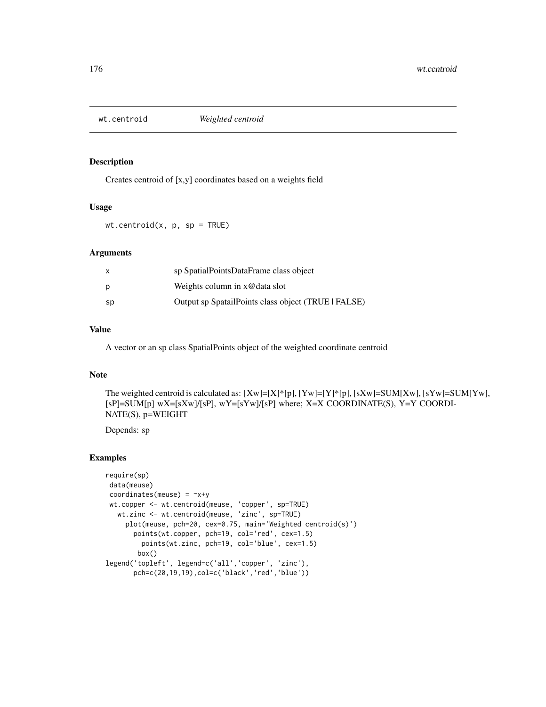# Description

Creates centroid of [x,y] coordinates based on a weights field

#### Usage

 $wt.centroid(x, p, sp = TRUE)$ 

# Arguments

|    | sp SpatialPointsDataFrame class object              |
|----|-----------------------------------------------------|
| Ŋ  | Weights column in $x@data$ slot                     |
| sp | Output sp SpatailPoints class object (TRUE   FALSE) |

# Value

A vector or an sp class SpatialPoints object of the weighted coordinate centroid

# Note

The weighted centroid is calculated as: [Xw]=[X]\*[p], [Yw]=[Y]\*[p], [sXw]=SUM[Xw], [sYw]=SUM[Yw], [sP]=SUM[p] wX=[sXw]/[sP], wY=[sYw]/[sP] where; X=X COORDINATE(S), Y=Y COORDI-NATE(S), p=WEIGHT

Depends: sp

```
require(sp)
data(meuse)
coordinates(meuse) = -x+ywt.copper <- wt.centroid(meuse, 'copper', sp=TRUE)
  wt.zinc <- wt.centroid(meuse, 'zinc', sp=TRUE)
    plot(meuse, pch=20, cex=0.75, main='Weighted centroid(s)')
      points(wt.copper, pch=19, col='red', cex=1.5)
        points(wt.zinc, pch=19, col='blue', cex=1.5)
       box()
legend('topleft', legend=c('all','copper', 'zinc'),
      pch=c(20,19,19),col=c('black','red','blue'))
```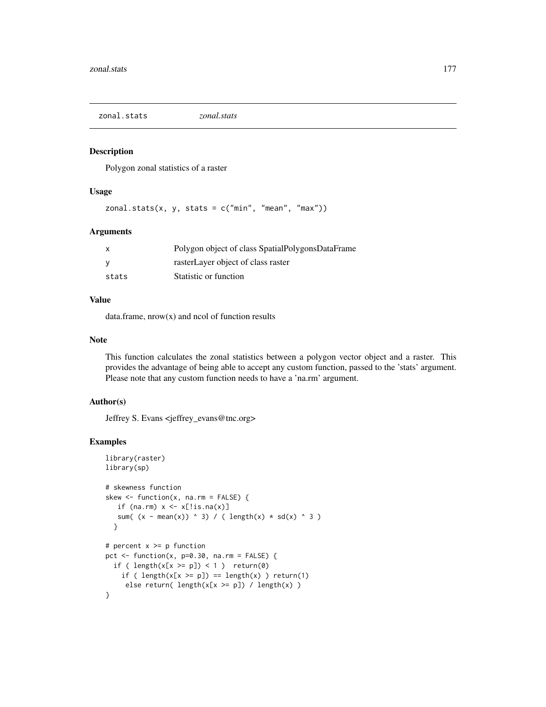zonal.stats *zonal.stats*

#### Description

Polygon zonal statistics of a raster

# Usage

 $zonal.stats(x, y, stats = c("min", "mean", "max"))$ 

# Arguments

| X     | Polygon object of class SpatialPolygonsDataFrame |
|-------|--------------------------------------------------|
| V     | rasterLayer object of class raster               |
| stats | Statistic or function                            |

# Value

data.frame,  $nrow(x)$  and  $ncol$  of function results

# Note

This function calculates the zonal statistics between a polygon vector object and a raster. This provides the advantage of being able to accept any custom function, passed to the 'stats' argument. Please note that any custom function needs to have a 'na.rm' argument.

#### Author(s)

Jeffrey S. Evans <jeffrey\_evans@tnc.org>

```
library(raster)
library(sp)
# skewness function
skew \leq function(x, na.rm = FALSE) {
   if (na.rm) x \leftarrow x[:is.na(x)]sum( (x - mean(x)) ^ 3) / ( length(x) * sd(x) ^ 3 )
  }
# percent x \ge p function
pct \le function(x, p=0.30, na.rm = FALSE) {
  if ( length(x[x \ge p]) < 1 ) return(0)
    if ( length(x[x \ge p]) == length(x) ) return(1)
     else return( length(x[x \ge p]) / length(x))
}
```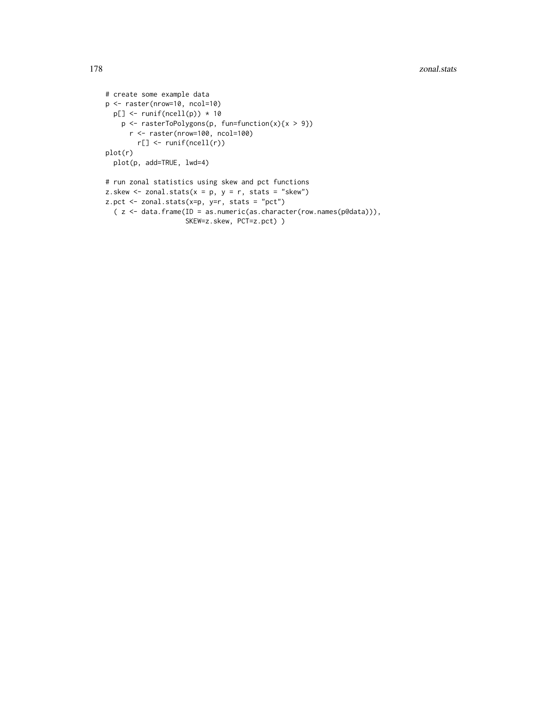#### 178 zonal.stats and the set of the set of the set of the set of the set of the set of the set of the set of the set of the set of the set of the set of the set of the set of the set of the set of the set of the set of the

```
# create some example data
p <- raster(nrow=10, ncol=10)
 p[] \leftarrow runif(ncell(p)) * 10p \leftarrow rasterToPolygons(p, fun=function(x){x > 9})
      r <- raster(nrow=100, ncol=100)
        r[] <- runif(ncell(r))
plot(r)
 plot(p, add=TRUE, lwd=4)
# run zonal statistics using skew and pct functions
z.skew \le zonal.stats(x = p, y = r, stats = "skew")
z.pct <- zonal.stats(x=p, y=r, stats = "pct")
  ( z <- data.frame(ID = as.numeric(as.character(row.names(p@data))),
                    SKEW=z.skew, PCT=z.pct) )
```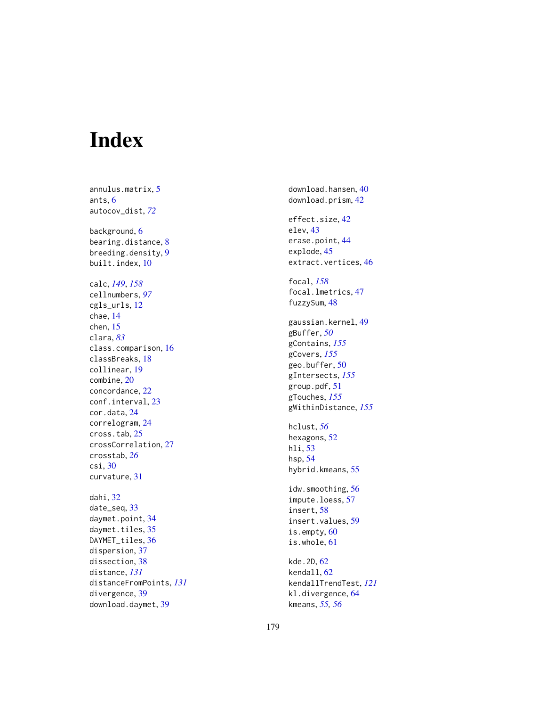# Index

annulus.matrix , [5](#page-4-0) ants , [6](#page-5-0) autocov\_dist , *[72](#page-71-0)* background, <mark>[6](#page-5-0)</mark> bearing.distance, [8](#page-7-0) breeding.density , [9](#page-8-0) built.index , [10](#page-9-0) calc , *[149](#page-148-0)* , *[158](#page-157-0)* cellnumbers , *[97](#page-96-0)* cgls\_urls , [12](#page-11-0) chae , [14](#page-13-0) chen , [15](#page-14-0) clara , *[83](#page-82-0)* class.comparison , [16](#page-15-0) classBreaks , [18](#page-17-0) collinear , [19](#page-18-0) combine , [20](#page-19-0) concordance , [22](#page-21-0) conf.interval, [23](#page-22-0) cor.data , [24](#page-23-0) correlogram , [24](#page-23-0) cross.tab , [25](#page-24-0) crossCorrelation , [27](#page-26-0) crosstab , *[26](#page-25-0)* csi , [30](#page-29-0) curvature , [31](#page-30-0) dahi , [32](#page-31-0) date\_seq, [33](#page-32-0) daymet.point, [34](#page-33-0) daymet.tiles, [35](#page-34-0) DAYMET\_tiles, [36](#page-35-0) dispersion , [37](#page-36-0) dissection, [38](#page-37-0) distance , *[131](#page-130-0)* distanceFromPoints , *[131](#page-130-0)* divergence , [39](#page-38-0) download.daymet, [39](#page-38-0)

download.hansen , [40](#page-39-0) download.prism , [42](#page-41-0) effect.size , [42](#page-41-0) elev , [43](#page-42-0) erase.point , [44](#page-43-0) explode , [45](#page-44-0) extract.vertices , [46](#page-45-0) focal , *[158](#page-157-0)* focal.lmetrics , [47](#page-46-0) fuzzySum , [48](#page-47-0) gaussian.kernel , [49](#page-48-0) gBuffer , *[50](#page-49-0)* gContains , *[155](#page-154-0)* gCovers , *[155](#page-154-0)* geo.buffer, <mark>5</mark>0 gIntersects , *[155](#page-154-0)* group.pdf , [51](#page-50-0) gTouches , *[155](#page-154-0)* gWithinDistance , *[155](#page-154-0)* hclust , *[56](#page-55-0)* hexagons, [52](#page-51-0) hli, <mark>[53](#page-52-0)</mark> hsp , [54](#page-53-0) hybrid.kmeans, [55](#page-54-0) idw.smoothing , [56](#page-55-0) impute.loess , [57](#page-56-0) insert , [58](#page-57-0) insert.values , [59](#page-58-0) is.empty, [60](#page-59-0) is.whole, [61](#page-60-0) kde. 2D, [62](#page-61-0) kendall, [62](#page-61-0) kendallTrendTest , *[121](#page-120-0)* kl.divergence, <mark>[64](#page-63-0)</mark>

kmeans , *[55](#page-54-0) , [56](#page-55-0)*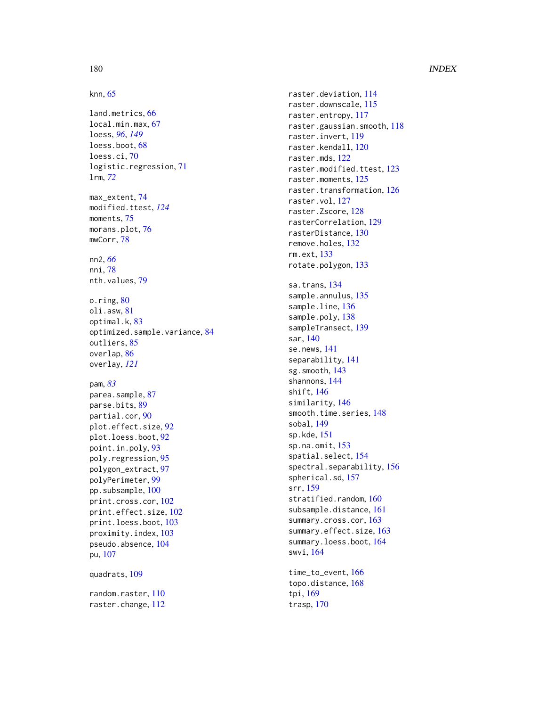# 180 INDEX

```
knn
, 65
land.metrics
, 66
local.min.max
, 67
loess
, 96
, 149
68
loess.ci
, 70
logistic.regression
, 71
lrm
, 72
max_extent
, 74
modified.ttest
, 124
75
76
mwCorr
, 78
nn2
, 66
nni
, 78
79
o.ring, 80oli.asw
, 81
optimal.k
, 83
optimized.sample.variance
, 84
85</mark>
86
overlay
, 121
pam
, 83
parea.sample, <mark>8</mark>7
parse.bits
, 89
partial.cor
, 90
plot.effect.size
, 92
plot.loess.boot
, 92
point.in.poly
, 93
poly.regression
, 95
polygon_extract
, 97
polyPerimeter
, 99
pp.subsample, 100print.cross.cor
, 102
print.effect.size
, 102
print.loess.boot
, 103
proximity.index
, 103
104
pu
, 107
quadrats
, 109
110
raster.change
, 112
```
raster.deviation , [114](#page-113-0) raster.downscale , [115](#page-114-0) raster.entropy, [117](#page-116-0) raster.gaussian.smooth , [118](#page-117-0) raster.invert, [119](#page-118-0) raster.kendall , [120](#page-119-0) raster.mds , [122](#page-121-0) raster.modified.ttest , [123](#page-122-0) raster.moments , [125](#page-124-0) raster.transformation, [126](#page-125-0) raster.vol , [127](#page-126-0) raster.Zscore, [128](#page-127-0) rasterCorrelation , [129](#page-128-0) rasterDistance , [130](#page-129-0) remove.holes, [132](#page-131-0) rm.ext , [133](#page-132-0) rotate.polygon , [133](#page-132-0) sa.trans, [134](#page-133-0) sample.annulus, [135](#page-134-0) sample.line, [136](#page-135-0) sample.poly, [138](#page-137-0) sampleTransect, [139](#page-138-0) sar , [140](#page-139-0) se.news , [141](#page-140-0) separability , [141](#page-140-0) sg.smooth , [143](#page-142-0) shannons , [144](#page-143-0) shift , [146](#page-145-0) similarity , [146](#page-145-0) smooth.time.series, [148](#page-147-0) sobal , [149](#page-148-0) sp.kde , [151](#page-150-0) sp.na.omit , [153](#page-152-0) spatial.select , [154](#page-153-0) spectral.separability , [156](#page-155-0) spherical.sd , [157](#page-156-0) srr , [159](#page-158-0) stratified.random, [160](#page-159-0) subsample.distance , [161](#page-160-0) summary.cross.cor , [163](#page-162-0) summary.effect.size, [163](#page-162-0) summary.loess.boot, [164](#page-163-0) swvi , [164](#page-163-0) time\_to\_event , [166](#page-165-0) topo.distance , [168](#page-167-0)

tpi , [169](#page-168-0) trasp , [170](#page-169-0)